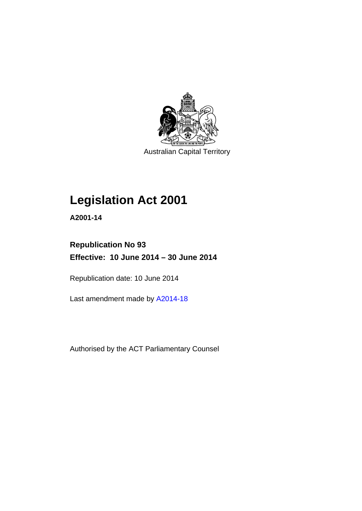

## **Legislation Act 2001**

**A2001-14** 

## **Republication No 93 Effective: 10 June 2014 – 30 June 2014**

Republication date: 10 June 2014

Last amendment made by [A2014-18](http://www.legislation.act.gov.au/a/2014-18)

Authorised by the ACT Parliamentary Counsel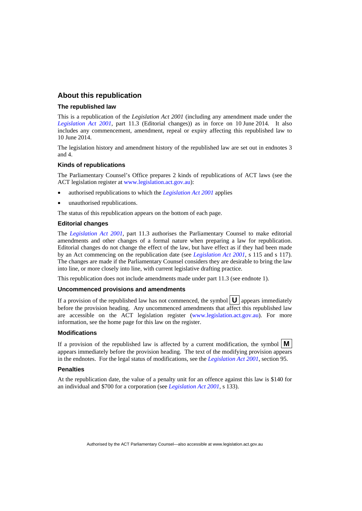## **About this republication**

#### **The republished law**

This is a republication of the *Legislation Act 2001* (including any amendment made under the *[Legislation Act 2001](http://www.legislation.act.gov.au/a/2001-14)*, part 11.3 (Editorial changes)) as in force on 10 June 2014*.* It also includes any commencement, amendment, repeal or expiry affecting this republished law to 10 June 2014.

The legislation history and amendment history of the republished law are set out in endnotes 3 and 4.

#### **Kinds of republications**

The Parliamentary Counsel's Office prepares 2 kinds of republications of ACT laws (see the ACT legislation register at [www.legislation.act.gov.au](http://www.legislation.act.gov.au/)):

- authorised republications to which the *[Legislation Act 2001](http://www.legislation.act.gov.au/a/2001-14)* applies
- unauthorised republications.

The status of this republication appears on the bottom of each page.

#### **Editorial changes**

The *[Legislation Act 2001](http://www.legislation.act.gov.au/a/2001-14)*, part 11.3 authorises the Parliamentary Counsel to make editorial amendments and other changes of a formal nature when preparing a law for republication. Editorial changes do not change the effect of the law, but have effect as if they had been made by an Act commencing on the republication date (see *[Legislation Act 2001](http://www.legislation.act.gov.au/a/2001-14)*, s 115 and s 117). The changes are made if the Parliamentary Counsel considers they are desirable to bring the law into line, or more closely into line, with current legislative drafting practice.

This republication does not include amendments made under part 11.3 (see endnote 1).

#### **Uncommenced provisions and amendments**

If a provision of the republished law has not commenced, the symbol  $\mathbf{U}$  appears immediately before the provision heading. Any uncommenced amendments that affect this republished law are accessible on the ACT legislation register [\(www.legislation.act.gov.au](http://www.legislation.act.gov.au/)). For more information, see the home page for this law on the register.

#### **Modifications**

If a provision of the republished law is affected by a current modification, the symbol  $\mathbf{M}$ appears immediately before the provision heading. The text of the modifying provision appears in the endnotes. For the legal status of modifications, see the *[Legislation Act 2001](http://www.legislation.act.gov.au/a/2001-14)*, section 95.

#### **Penalties**

At the republication date, the value of a penalty unit for an offence against this law is \$140 for an individual and \$700 for a corporation (see *[Legislation Act 2001](http://www.legislation.act.gov.au/a/2001-14)*, s 133).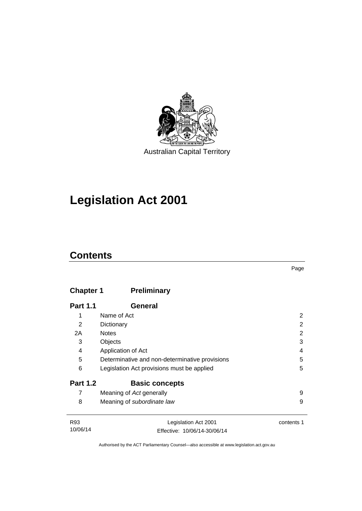

## **Legislation Act 2001**

## **Contents**

| × |
|---|

## **Chapter 1 [Preliminary](#page-17-0)**

| <b>Part 1.1</b> | General                                        |   |
|-----------------|------------------------------------------------|---|
| 1               | Name of Act                                    | 2 |
| 2               | Dictionary                                     | 2 |
| 2A              | <b>Notes</b>                                   | 2 |
| 3               | Objects                                        | 3 |
| 4               | Application of Act                             | 4 |
| 5               | Determinative and non-determinative provisions | 5 |
| 6               | Legislation Act provisions must be applied     | 5 |
| <b>Part 1.2</b> | <b>Basic concepts</b>                          |   |
| 7               | Meaning of Act generally                       | 9 |
| 8               | Meaning of subordinate law                     | 9 |
|                 |                                                |   |

| R93      | Legislation Act 2001         | contents 1 |
|----------|------------------------------|------------|
| 10/06/14 | Effective: 10/06/14-30/06/14 |            |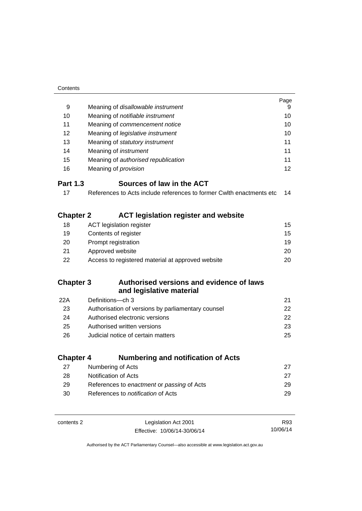| Contents         |                                                                      |      |
|------------------|----------------------------------------------------------------------|------|
|                  |                                                                      | Page |
| 9                | Meaning of disallowable instrument                                   | 9    |
| 10               | Meaning of notifiable instrument                                     | 10   |
| 11               | Meaning of commencement notice                                       | 10   |
| 12               | Meaning of legislative instrument                                    | 10   |
| 13               | Meaning of statutory instrument                                      | 11   |
| 14               | Meaning of <i>instrument</i>                                         | 11   |
| 15               | Meaning of authorised republication                                  | 11   |
| 16               | Meaning of <i>provision</i>                                          | 12   |
| <b>Part 1.3</b>  | Sources of law in the ACT                                            |      |
| 17               | References to Acts include references to former Cwith enactments etc | 14   |
|                  |                                                                      |      |
| <b>Chapter 2</b> | <b>ACT legislation register and website</b>                          |      |
| 18               | <b>ACT</b> legislation register                                      | 15   |
| 19               | Contents of register                                                 | 15   |
| 20               | Prompt registration                                                  | 19   |
| 21               | Approved website                                                     | 20   |
| 22               | Access to registered material at approved website                    | 20   |
| <b>Chapter 3</b> | Authorised versions and evidence of laws                             |      |
|                  | and legislative material                                             |      |
| 22A              | Definitions-ch 3                                                     | 21   |
| 23               | Authorisation of versions by parliamentary counsel                   | 22   |
| 24               | Authorised electronic versions                                       | 22   |
| 25               | Authorised written versions                                          | 23   |
| 26               | Judicial notice of certain matters                                   | 25   |
|                  |                                                                      |      |
| <b>Chapter 4</b> | <b>Numbering and notification of Acts</b>                            |      |
| 27               | Numbering of Acts                                                    | 27   |
| 28               | Notification of Acts                                                 | 27   |
| 29               | References to enactment or passing of Acts                           | 29   |
| 30               | References to <i>notification</i> of Acts                            | 29   |
|                  |                                                                      |      |
| contents 2       | Legislation Act 2001                                                 | R93  |

Authorised by the ACT Parliamentary Counsel—also accessible at www.legislation.act.gov.au

10/06/14

Effective: 10/06/14-30/06/14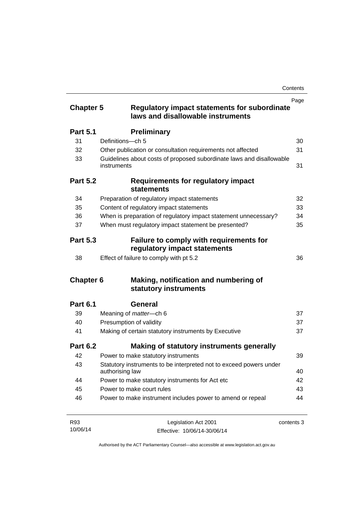| <b>Chapter 5</b> | <b>Regulatory impact statements for subordinate</b><br>laws and disallowable instruments | Page       |
|------------------|------------------------------------------------------------------------------------------|------------|
| <b>Part 5.1</b>  | <b>Preliminary</b>                                                                       |            |
| 31               | Definitions-ch 5                                                                         | 30         |
| 32               | Other publication or consultation requirements not affected                              | 31         |
| 33               | Guidelines about costs of proposed subordinate laws and disallowable<br>instruments      | 31         |
| <b>Part 5.2</b>  | Requirements for regulatory impact<br><b>statements</b>                                  |            |
| 34               | Preparation of regulatory impact statements                                              | 32         |
| 35               | Content of regulatory impact statements                                                  | 33         |
| 36               | When is preparation of regulatory impact statement unnecessary?                          | 34         |
| 37               | When must regulatory impact statement be presented?                                      | 35         |
| <b>Part 5.3</b>  | Failure to comply with requirements for<br>regulatory impact statements                  |            |
| 38               | Effect of failure to comply with pt 5.2                                                  | 36         |
| <b>Chapter 6</b> | Making, notification and numbering of<br>statutory instruments                           |            |
| <b>Part 6.1</b>  | General                                                                                  |            |
| 39               | Meaning of <i>matter</i> -ch 6                                                           | 37         |
| 40               | Presumption of validity                                                                  | 37         |
| 41               | Making of certain statutory instruments by Executive                                     | 37         |
| <b>Part 6.2</b>  | Making of statutory instruments generally                                                |            |
| 42               | Power to make statutory instruments                                                      | 39         |
| 43               | Statutory instruments to be interpreted not to exceed powers under<br>authorising law    | 40         |
| 44               | Power to make statutory instruments for Act etc                                          | 42         |
| 45               | Power to make court rules                                                                | 43         |
| 46               | Power to make instrument includes power to amend or repeal                               | 44         |
| R93              | Legislation Act 2001                                                                     | contents 3 |

10/06/14

Legislation Act 2001 Effective: 10/06/14-30/06/14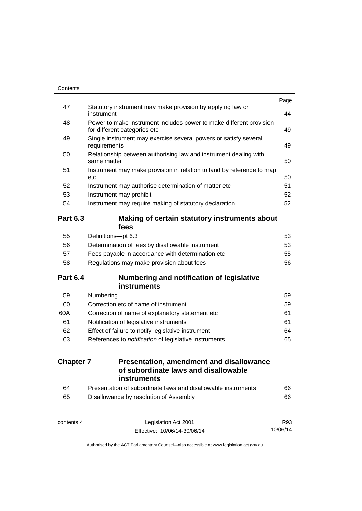| Contents         |                                                                                                     |      |
|------------------|-----------------------------------------------------------------------------------------------------|------|
| 47               | Statutory instrument may make provision by applying law or                                          | Page |
|                  | instrument                                                                                          | 44   |
| 48               | Power to make instrument includes power to make different provision<br>for different categories etc | 49   |
| 49               | Single instrument may exercise several powers or satisfy several<br>requirements                    | 49   |
| 50               | Relationship between authorising law and instrument dealing with<br>same matter                     | 50   |
| 51               | Instrument may make provision in relation to land by reference to map<br>etc                        | 50   |
| 52               | Instrument may authorise determination of matter etc                                                | 51   |
| 53               | Instrument may prohibit                                                                             | 52   |
| 54               | Instrument may require making of statutory declaration                                              | 52   |
| <b>Part 6.3</b>  | Making of certain statutory instruments about<br>fees                                               |      |
| 55               | Definitions-pt 6.3                                                                                  | 53   |
| 56               | Determination of fees by disallowable instrument                                                    | 53   |
| 57               | Fees payable in accordance with determination etc                                                   | 55   |
| 58               | Regulations may make provision about fees                                                           | 56   |
| <b>Part 6.4</b>  | <b>Numbering and notification of legislative</b><br><b>instruments</b>                              |      |
| 59               | Numbering                                                                                           | 59   |
| 60               | Correction etc of name of instrument                                                                | 59   |
| 60A              | Correction of name of explanatory statement etc                                                     | 61   |
| 61               | Notification of legislative instruments                                                             | 61   |
| 62               | Effect of failure to notify legislative instrument                                                  | 64   |
| 63               | References to notification of legislative instruments                                               | 65   |
| <b>Chapter 7</b> | <b>Presentation, amendment and disallowance</b><br>of subordinate laws and disallowable             |      |
|                  | <b>instruments</b>                                                                                  |      |
| 64               | Presentation of subordinate laws and disallowable instruments                                       | 66   |
| 65               | Disallowance by resolution of Assembly                                                              | 66   |
| contents 4       | Legislation Act 2001                                                                                | R93  |

Authorised by the ACT Parliamentary Counsel—also accessible at www.legislation.act.gov.au

10/06/14

Effective: 10/06/14-30/06/14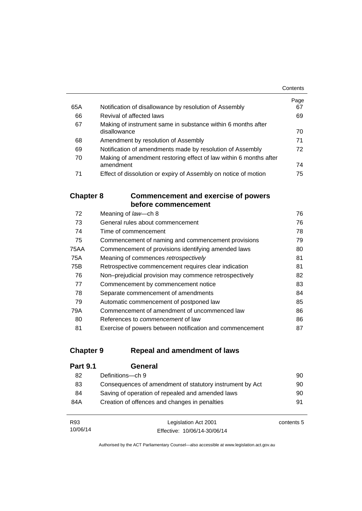|     |                                                                   | Contents |
|-----|-------------------------------------------------------------------|----------|
|     |                                                                   | Page     |
| 65A | Notification of disallowance by resolution of Assembly            | 67       |
| 66  | Revival of affected laws                                          | 69       |
| 67  | Making of instrument same in substance within 6 months after      |          |
|     | disallowance                                                      | 70       |
| 68  | Amendment by resolution of Assembly                               | 71       |
| 69  | Notification of amendments made by resolution of Assembly         | 72       |
| 70  | Making of amendment restoring effect of law within 6 months after |          |
|     | amendment                                                         | 74       |
| 71  | Effect of dissolution or expiry of Assembly on notice of motion   | 75       |

## **Chapter 8 [Commencement and exercise of powers](#page-91-0)  [before commencement](#page-91-0)**

| 72   | Meaning of law-ch 8                                      | 76 |
|------|----------------------------------------------------------|----|
| 73   | General rules about commencement                         | 76 |
| 74   | Time of commencement                                     | 78 |
| 75   | Commencement of naming and commencement provisions       | 79 |
| 75AA | Commencement of provisions identifying amended laws      | 80 |
| 75A  | Meaning of commences retrospectively                     | 81 |
| 75B  | Retrospective commencement requires clear indication     | 81 |
| 76   | Non-prejudicial provision may commence retrospectively   | 82 |
| 77   | Commencement by commencement notice                      | 83 |
| 78   | Separate commencement of amendments                      | 84 |
| 79   | Automatic commencement of postponed law                  | 85 |
| 79A  | Commencement of amendment of uncommenced law             | 86 |
| 80   | References to <i>commencement</i> of law                 | 86 |
| 81   | Exercise of powers between notification and commencement | 87 |

## **Chapter 9 [Repeal and amendment of laws](#page-105-0)**

| <b>Part 9.1</b> | General                                                  |    |
|-----------------|----------------------------------------------------------|----|
| 82              | Definitions-ch 9                                         | 90 |
| 83              | Consequences of amendment of statutory instrument by Act | 90 |
| 84              | Saving of operation of repealed and amended laws         | 90 |
| 84A             | Creation of offences and changes in penalties            | 91 |
|                 |                                                          |    |

| R93      | Legislation Act 2001         | contents 5 |
|----------|------------------------------|------------|
| 10/06/14 | Effective: 10/06/14-30/06/14 |            |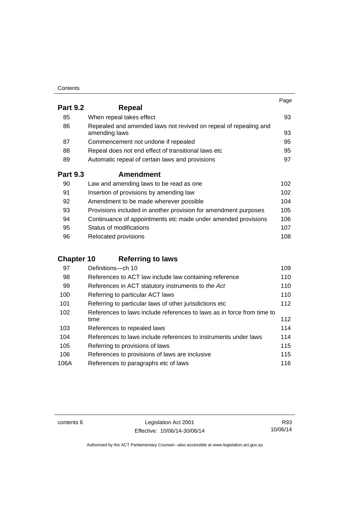| Contents |
|----------|
|----------|

|                 |                                                                                   | Page |
|-----------------|-----------------------------------------------------------------------------------|------|
| <b>Part 9.2</b> | Repeal                                                                            |      |
| 85              | When repeal takes effect                                                          | 93   |
| 86              | Repealed and amended laws not revived on repeal of repealing and<br>amending laws | 93   |
| 87              | Commencement not undone if repealed                                               | 95   |
| 88              | Repeal does not end effect of transitional laws etc                               | 95   |
| 89              | Automatic repeal of certain laws and provisions                                   | 97   |
| <b>Part 9.3</b> | <b>Amendment</b>                                                                  |      |
| 90              | Law and amending laws to be read as one                                           | 102  |
| 91              | Insertion of provisions by amending law                                           | 102  |
| 92              | Amendment to be made wherever possible                                            | 104  |
| 93              | Provisions included in another provision for amendment purposes                   | 105  |
| 94              | Continuance of appointments etc made under amended provisions                     | 106  |
| 95              | Status of modifications                                                           | 107  |

| -96 | Relocated provisions | 108 |
|-----|----------------------|-----|

## **Chapter 10 [Referring to laws](#page-124-0)**

| 97   | Definitions-ch 10                                                      | 109 |
|------|------------------------------------------------------------------------|-----|
| 98   | References to ACT law include law containing reference                 | 110 |
| 99   | References in ACT statutory instruments to the Act                     | 110 |
| 100  | Referring to particular ACT laws                                       | 110 |
| 101  | Referring to particular laws of other jurisdictions etc                | 112 |
| 102  | References to laws include references to laws as in force from time to |     |
|      | time                                                                   | 112 |
| 103  | References to repealed laws                                            | 114 |
| 104  | References to laws include references to instruments under laws        | 114 |
| 105  | Referring to provisions of laws                                        | 115 |
| 106  | References to provisions of laws are inclusive                         | 115 |
| 106A | References to paragraphs etc of laws                                   | 116 |

contents 6 Legislation Act 2001 Effective: 10/06/14-30/06/14

R93 10/06/14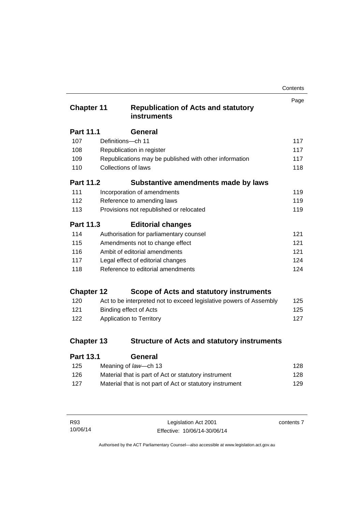| Contents |
|----------|
|----------|

| <b>Chapter 11</b> |                                   | <b>Republication of Acts and statutory</b><br><b>instruments</b>   | Page |
|-------------------|-----------------------------------|--------------------------------------------------------------------|------|
| <b>Part 11.1</b>  |                                   | <b>General</b>                                                     |      |
| 107               | Definitions-ch 11                 |                                                                    | 117  |
| 108               |                                   | Republication in register                                          | 117  |
| 109               |                                   | Republications may be published with other information             | 117  |
| 110               | Collections of laws               |                                                                    | 118  |
| <b>Part 11.2</b>  |                                   | Substantive amendments made by laws                                |      |
| 111               |                                   | Incorporation of amendments                                        | 119  |
| 112               |                                   | Reference to amending laws                                         | 119  |
| 113               |                                   | Provisions not republished or relocated                            | 119  |
| Part 11.3         |                                   | <b>Editorial changes</b>                                           |      |
| 114               |                                   | Authorisation for parliamentary counsel                            | 121  |
| 115               |                                   | Amendments not to change effect                                    | 121  |
| 116               |                                   | Ambit of editorial amendments                                      | 121  |
| 117               |                                   | Legal effect of editorial changes                                  | 124  |
| 118               | Reference to editorial amendments |                                                                    |      |
| <b>Chapter 12</b> |                                   | Scope of Acts and statutory instruments                            |      |
| 120               |                                   | Act to be interpreted not to exceed legislative powers of Assembly | 125  |
| 121               |                                   | <b>Binding effect of Acts</b>                                      | 125  |
| 122               |                                   | Application to Territory                                           | 127  |
| <b>Chapter 13</b> |                                   | <b>Structure of Acts and statutory instruments</b>                 |      |

| <b>General</b> |
|----------------|
|                |

| 125 | Meaning of law—ch 13                                     | 128 |
|-----|----------------------------------------------------------|-----|
| 126 | Material that is part of Act or statutory instrument     | 128 |
| 127 | Material that is not part of Act or statutory instrument | 129 |

| R93      | Leg       |
|----------|-----------|
| 10/06/14 | Effective |

contents 7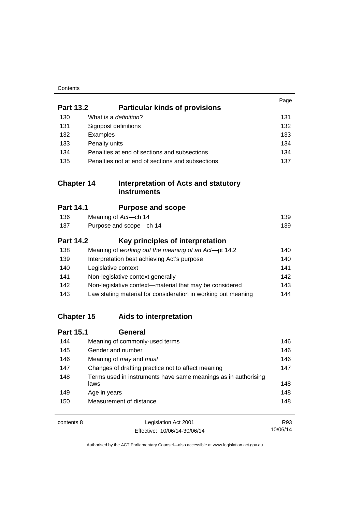| Contents |
|----------|
|----------|

|                   |                                                                        | Page |
|-------------------|------------------------------------------------------------------------|------|
| <b>Part 13.2</b>  | <b>Particular kinds of provisions</b>                                  |      |
| 130               | What is a definition?                                                  | 131  |
| 131               | Signpost definitions                                                   | 132  |
| 132               | Examples                                                               | 133  |
| 133               | Penalty units                                                          | 134  |
| 134               | Penalties at end of sections and subsections                           | 134  |
| 135               | Penalties not at end of sections and subsections                       | 137  |
| <b>Chapter 14</b> | Interpretation of Acts and statutory<br><b>instruments</b>             |      |
| <b>Part 14.1</b>  | <b>Purpose and scope</b>                                               |      |
| 136               | Meaning of Act-ch 14                                                   | 139  |
| 137               | Purpose and scope-ch 14                                                | 139  |
| <b>Part 14.2</b>  | Key principles of interpretation                                       |      |
| 138               | Meaning of working out the meaning of an Act-pt 14.2                   | 140  |
| 139               | Interpretation best achieving Act's purpose                            | 140  |
| 140               | Legislative context                                                    | 141  |
| 141               | Non-legislative context generally                                      | 142  |
| 142               | Non-legislative context-material that may be considered                | 143  |
| 143               | Law stating material for consideration in working out meaning          | 144  |
| <b>Chapter 15</b> | Aids to interpretation                                                 |      |
| <b>Part 15.1</b>  | <b>General</b>                                                         |      |
| 144               | Meaning of commonly-used terms                                         | 146  |
| 145               | Gender and number                                                      | 146  |
| 146               | Meaning of may and must                                                | 146  |
| 147               | Changes of drafting practice not to affect meaning                     | 147  |
| 148               | Terms used in instruments have same meanings as in authorising<br>laws | 148  |
| 149               | Age in years                                                           | 148  |
| 150               | Measurement of distance                                                | 148  |
| contents 8        | Legislation Act 2001                                                   | R93  |

Effective: 10/06/14-30/06/14

Authorised by the ACT Parliamentary Counsel—also accessible at www.legislation.act.gov.au

10/06/14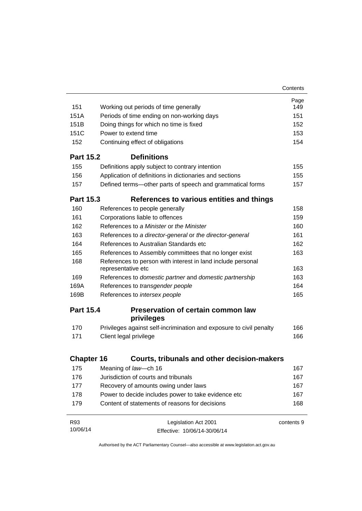|                   |                                                                 |                                                                                   | Contents   |  |  |
|-------------------|-----------------------------------------------------------------|-----------------------------------------------------------------------------------|------------|--|--|
|                   |                                                                 |                                                                                   | Page       |  |  |
| 151               |                                                                 | Working out periods of time generally                                             | 149        |  |  |
| 151A              |                                                                 | Periods of time ending on non-working days                                        | 151<br>152 |  |  |
| 151B              | Doing things for which no time is fixed<br>Power to extend time |                                                                                   |            |  |  |
| 151C              |                                                                 |                                                                                   |            |  |  |
| 152               |                                                                 | Continuing effect of obligations                                                  | 154        |  |  |
| <b>Part 15.2</b>  |                                                                 | <b>Definitions</b>                                                                |            |  |  |
| 155               |                                                                 | Definitions apply subject to contrary intention                                   | 155        |  |  |
| 156               |                                                                 | Application of definitions in dictionaries and sections                           | 155        |  |  |
| 157               |                                                                 | Defined terms-other parts of speech and grammatical forms                         | 157        |  |  |
| <b>Part 15.3</b>  |                                                                 | References to various entities and things                                         |            |  |  |
| 160               |                                                                 | References to people generally                                                    | 158        |  |  |
| 161               |                                                                 | Corporations liable to offences                                                   | 159        |  |  |
| 162               |                                                                 | References to a Minister or the Minister                                          | 160        |  |  |
| 163               |                                                                 | References to a director-general or the director-general                          | 161        |  |  |
| 164               |                                                                 | References to Australian Standards etc.                                           | 162        |  |  |
| 165               |                                                                 | References to Assembly committees that no longer exist                            | 163        |  |  |
| 168               |                                                                 | References to person with interest in land include personal<br>representative etc |            |  |  |
| 169               |                                                                 | References to domestic partner and domestic partnership                           | 163        |  |  |
| 169A              |                                                                 | References to transgender people                                                  | 164        |  |  |
| 169B              |                                                                 | References to intersex people                                                     | 165        |  |  |
| <b>Part 15.4</b>  |                                                                 | <b>Preservation of certain common law</b><br>privileges                           |            |  |  |
| 170               |                                                                 | Privileges against self-incrimination and exposure to civil penalty               | 166        |  |  |
| 171               |                                                                 | Client legal privilege                                                            | 166        |  |  |
| <b>Chapter 16</b> |                                                                 | <b>Courts, tribunals and other decision-makers</b>                                |            |  |  |
|                   |                                                                 |                                                                                   |            |  |  |
| 175<br>176        |                                                                 | Meaning of law-ch 16                                                              | 167        |  |  |
|                   |                                                                 | Jurisdiction of courts and tribunals<br>167                                       |            |  |  |
| 177               |                                                                 | 167<br>Recovery of amounts owing under laws<br>167                                |            |  |  |
| 178               |                                                                 | Power to decide includes power to take evidence etc                               |            |  |  |
| 179               |                                                                 | Content of statements of reasons for decisions                                    | 168        |  |  |
| R93               |                                                                 | Legislation Act 2001                                                              | contents 9 |  |  |
| 10/06/14          |                                                                 | Effective: 10/06/14-30/06/14                                                      |            |  |  |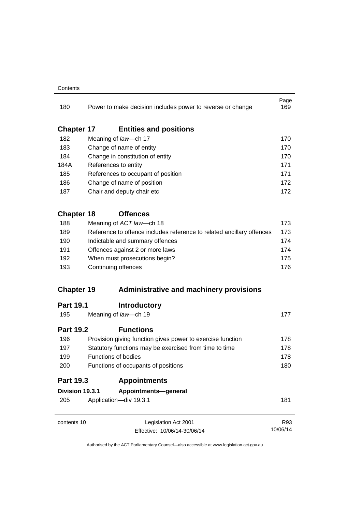#### **Contents**

| 180               |                                                        | Power to make decision includes power to reverse or change                                                                                                                                          | Page<br>169 |  |
|-------------------|--------------------------------------------------------|-----------------------------------------------------------------------------------------------------------------------------------------------------------------------------------------------------|-------------|--|
| <b>Chapter 17</b> |                                                        | <b>Entities and positions</b>                                                                                                                                                                       |             |  |
| 182               |                                                        | Meaning of law-ch 17                                                                                                                                                                                | 170         |  |
| 183               |                                                        | Change of name of entity                                                                                                                                                                            | 170         |  |
| 184               |                                                        | Change in constitution of entity<br>References to entity                                                                                                                                            |             |  |
| 184A              |                                                        |                                                                                                                                                                                                     |             |  |
| 185               |                                                        | References to occupant of position                                                                                                                                                                  | 171         |  |
| 186               |                                                        | Change of name of position                                                                                                                                                                          | 172         |  |
| 187               |                                                        | Chair and deputy chair etc                                                                                                                                                                          | 172         |  |
| <b>Chapter 18</b> |                                                        | <b>Offences</b>                                                                                                                                                                                     |             |  |
| 188               |                                                        | Meaning of ACT law-ch 18                                                                                                                                                                            | 173         |  |
| 189               |                                                        | Reference to offence includes reference to related ancillary offences<br>Indictable and summary offences<br>Offences against 2 or more laws<br>When must prosecutions begin?<br>Continuing offences | 173         |  |
| 190               |                                                        |                                                                                                                                                                                                     | 174         |  |
| 191               |                                                        |                                                                                                                                                                                                     | 174         |  |
| 192               |                                                        |                                                                                                                                                                                                     | 175         |  |
| 193               |                                                        |                                                                                                                                                                                                     | 176         |  |
| <b>Chapter 19</b> |                                                        | <b>Administrative and machinery provisions</b>                                                                                                                                                      |             |  |
| <b>Part 19.1</b>  |                                                        | <b>Introductory</b>                                                                                                                                                                                 |             |  |
| 195               |                                                        | Meaning of law-ch 19                                                                                                                                                                                | 177         |  |
| <b>Part 19.2</b>  |                                                        | <b>Functions</b>                                                                                                                                                                                    |             |  |
| 196               |                                                        | Provision giving function gives power to exercise function                                                                                                                                          | 178         |  |
| 197               | Statutory functions may be exercised from time to time | 178                                                                                                                                                                                                 |             |  |
| 199               |                                                        | Functions of bodies                                                                                                                                                                                 | 178         |  |
| 200               |                                                        | Functions of occupants of positions                                                                                                                                                                 | 180         |  |
| <b>Part 19.3</b>  |                                                        | <b>Appointments</b>                                                                                                                                                                                 |             |  |
| Division 19.3.1   |                                                        | Appointments-general                                                                                                                                                                                |             |  |
| 205               |                                                        | Application-div 19.3.1                                                                                                                                                                              | 181         |  |
| contents 10       |                                                        | Legislation Act 2001                                                                                                                                                                                | R93         |  |
|                   |                                                        | Effective: 10/06/14-30/06/14                                                                                                                                                                        | 10/06/14    |  |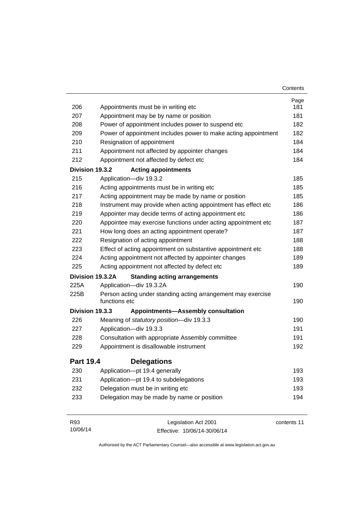|                  |                                                                               | Contents    |
|------------------|-------------------------------------------------------------------------------|-------------|
|                  |                                                                               | Page        |
| 206              | Appointments must be in writing etc                                           | 181         |
| 207              | Appointment may be by name or position                                        | 181         |
| 208              | Power of appointment includes power to suspend etc                            | 182         |
| 209              | Power of appointment includes power to make acting appointment                | 182         |
| 210              | Resignation of appointment                                                    | 184         |
| 211              | Appointment not affected by appointer changes                                 | 184         |
| 212              | Appointment not affected by defect etc                                        | 184         |
| Division 19.3.2  | <b>Acting appointments</b>                                                    |             |
| 215              | Application-div 19.3.2                                                        | 185         |
| 216              | Acting appointments must be in writing etc                                    | 185         |
| 217              | Acting appointment may be made by name or position                            | 185         |
| 218              | Instrument may provide when acting appointment has effect etc                 | 186         |
| 219              | Appointer may decide terms of acting appointment etc                          | 186         |
| 220              | Appointee may exercise functions under acting appointment etc                 | 187         |
| 221              | How long does an acting appointment operate?                                  | 187         |
| 222              | Resignation of acting appointment                                             | 188         |
| 223              | Effect of acting appointment on substantive appointment etc                   | 188         |
| 224              | Acting appointment not affected by appointer changes                          | 189         |
| 225              | Acting appointment not affected by defect etc                                 | 189         |
|                  | Division 19.3.2A<br><b>Standing acting arrangements</b>                       |             |
| 225A             | Application-div 19.3.2A                                                       | 190         |
| 225B             | Person acting under standing acting arrangement may exercise<br>functions etc | 190         |
| Division 19.3.3  | <b>Appointments-Assembly consultation</b>                                     |             |
| 226              | Meaning of statutory position-div 19.3.3                                      | 190         |
| 227              | Application-div 19.3.3                                                        | 191         |
| 228              | Consultation with appropriate Assembly committee                              | 191         |
| 229              | Appointment is disallowable instrument                                        | 192         |
| <b>Part 19.4</b> | <b>Delegations</b>                                                            |             |
| 230              | Application-pt 19.4 generally                                                 | 193         |
| 231              | Application-pt 19.4 to subdelegations                                         | 193         |
| 232              | Delegation must be in writing etc                                             | 193         |
| 233              | Delegation may be made by name or position                                    | 194         |
| R93              | Legislation Act 2001                                                          | contents 11 |

Authorised by the ACT Parliamentary Counsel—also accessible at www.legislation.act.gov.au

Effective: 10/06/14-30/06/14

10/06/14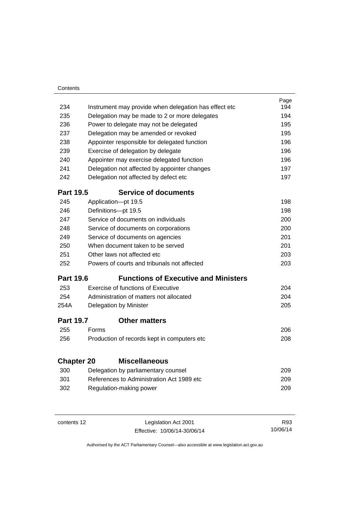| Contents          |       |                                                       |      |
|-------------------|-------|-------------------------------------------------------|------|
|                   |       |                                                       | Page |
| 234               |       | Instrument may provide when delegation has effect etc | 194  |
| 235               |       | Delegation may be made to 2 or more delegates         | 194  |
| 236               |       | Power to delegate may not be delegated                | 195  |
| 237               |       | Delegation may be amended or revoked                  | 195  |
| 238               |       | Appointer responsible for delegated function          | 196  |
| 239               |       | Exercise of delegation by delegate                    | 196  |
| 240               |       | Appointer may exercise delegated function             | 196  |
| 241               |       | Delegation not affected by appointer changes          | 197  |
| 242               |       | Delegation not affected by defect etc                 | 197  |
| <b>Part 19.5</b>  |       | <b>Service of documents</b>                           |      |
| 245               |       | Application-pt 19.5                                   | 198  |
| 246               |       | Definitions-pt 19.5                                   | 198  |
| 247               |       | Service of documents on individuals                   | 200  |
| 248               |       | Service of documents on corporations                  | 200  |
| 249               |       | Service of documents on agencies                      | 201  |
| 250               |       | When document taken to be served                      | 201  |
| 251               |       | Other laws not affected etc                           | 203  |
| 252               |       | Powers of courts and tribunals not affected           | 203  |
| <b>Part 19.6</b>  |       | <b>Functions of Executive and Ministers</b>           |      |
| 253               |       | Exercise of functions of Executive                    | 204  |
| 254               |       | Administration of matters not allocated               | 204  |
| 254A              |       | Delegation by Minister                                | 205  |
| <b>Part 19.7</b>  |       | <b>Other matters</b>                                  |      |
| 255               | Forms |                                                       | 206  |
| 256               |       | Production of records kept in computers etc           | 208  |
| <b>Chapter 20</b> |       | <b>Miscellaneous</b>                                  |      |
| 300               |       | Delegation by parliamentary counsel                   | 209  |
| 301               |       | References to Administration Act 1989 etc             | 209  |
| 302               |       | Regulation-making power                               | 209  |
|                   |       |                                                       |      |
|                   |       |                                                       |      |

J.

| contents 12 | Legislation Act 2001         | R93.     |
|-------------|------------------------------|----------|
|             | Effective: 10/06/14-30/06/14 | 10/06/14 |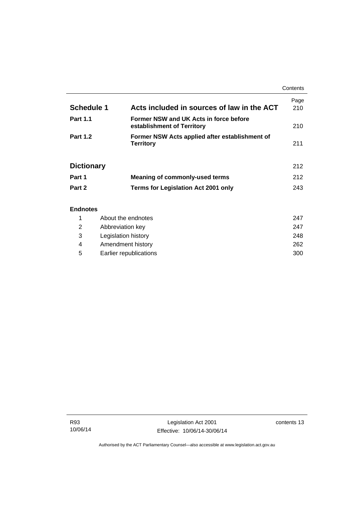|                   |                                                                      | Contents    |
|-------------------|----------------------------------------------------------------------|-------------|
| Schedule 1        | Acts included in sources of law in the ACT                           | Page<br>210 |
| <b>Part 1.1</b>   | Former NSW and UK Acts in force before<br>establishment of Territory | 210         |
| <b>Part 1.2</b>   | Former NSW Acts applied after establishment of<br><b>Territory</b>   | 211         |
| <b>Dictionary</b> |                                                                      | 212         |
| Part 1            | <b>Meaning of commonly-used terms</b>                                | 212         |
| Part 2            | <b>Terms for Legislation Act 2001 only</b>                           | 243         |
| <b>Endnotes</b>   |                                                                      |             |

|   | About the endnotes     | 247 |
|---|------------------------|-----|
| 2 | Abbreviation key       | 247 |
| 3 | Legislation history    | 248 |
| 4 | Amendment history      | 262 |
| 5 | Earlier republications | 300 |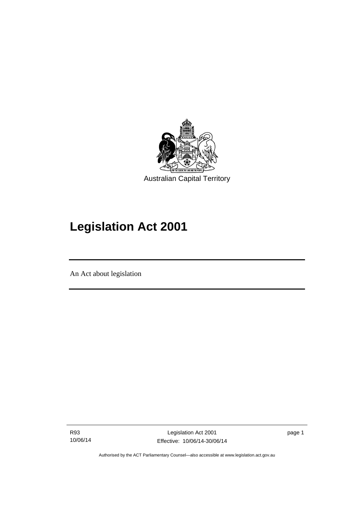

# **Legislation Act 2001**

An Act about legislation

l

R93 10/06/14

Legislation Act 2001 Effective: 10/06/14-30/06/14 page 1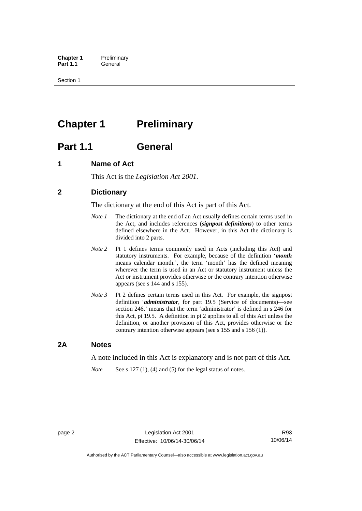**Chapter 1** Preliminary<br>**Part 1.1** General General

Section 1

## <span id="page-17-0"></span>**Chapter 1** Preliminary

## <span id="page-17-1"></span>**Part 1.1 General**

## <span id="page-17-2"></span>**1 Name of Act**

This Act is the *Legislation Act 2001.* 

## <span id="page-17-3"></span>**2 Dictionary**

The dictionary at the end of this Act is part of this Act.

- *Note 1* The dictionary at the end of an Act usually defines certain terms used in the Act, and includes references (*signpost definitions*) to other terms defined elsewhere in the Act. However, in this Act the dictionary is divided into 2 parts.
- *Note 2* Pt 1 defines terms commonly used in Acts (including this Act) and statutory instruments. For example, because of the definition '*month* means calendar month.', the term 'month' has the defined meaning wherever the term is used in an Act or statutory instrument unless the Act or instrument provides otherwise or the contrary intention otherwise appears (see s 144 and s 155).
- *Note 3* Pt 2 defines certain terms used in this Act. For example, the signpost definition '*administrator*, for part 19.5 (Service of documents)—see section 246.' means that the term 'administrator' is defined in s 246 for this Act, pt 19.5. A definition in pt 2 applies to all of this Act unless the definition, or another provision of this Act, provides otherwise or the contrary intention otherwise appears (see s 155 and s 156 (1)).

### <span id="page-17-4"></span>**2A Notes**

A note included in this Act is explanatory and is not part of this Act.

*Note* See s 127 (1), (4) and (5) for the legal status of notes.

R93 10/06/14

Authorised by the ACT Parliamentary Counsel—also accessible at www.legislation.act.gov.au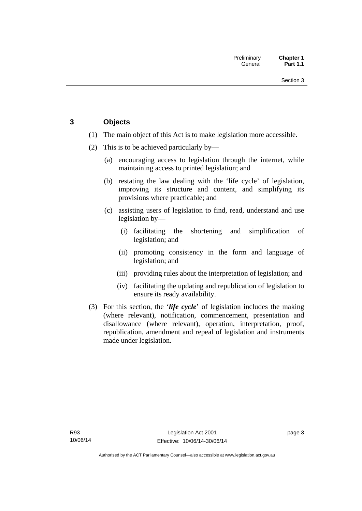## <span id="page-18-0"></span>**3 Objects**

- (1) The main object of this Act is to make legislation more accessible.
- (2) This is to be achieved particularly by—
	- (a) encouraging access to legislation through the internet, while maintaining access to printed legislation; and
	- (b) restating the law dealing with the 'life cycle' of legislation, improving its structure and content, and simplifying its provisions where practicable; and
	- (c) assisting users of legislation to find, read, understand and use legislation by—
		- (i) facilitating the shortening and simplification of legislation; and
		- (ii) promoting consistency in the form and language of legislation; and
		- (iii) providing rules about the interpretation of legislation; and
		- (iv) facilitating the updating and republication of legislation to ensure its ready availability.
- (3) For this section, the '*life cycle*' of legislation includes the making (where relevant), notification, commencement, presentation and disallowance (where relevant), operation, interpretation, proof, republication, amendment and repeal of legislation and instruments made under legislation.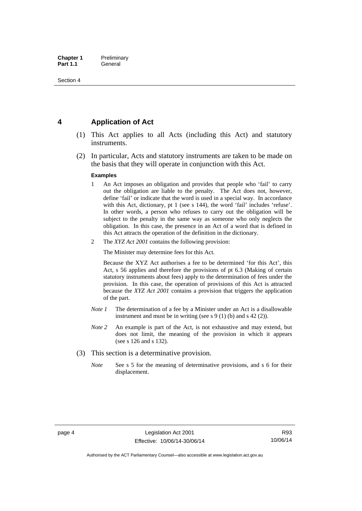## <span id="page-19-0"></span>**4 Application of Act**

- (1) This Act applies to all Acts (including this Act) and statutory instruments.
- (2) In particular, Acts and statutory instruments are taken to be made on the basis that they will operate in conjunction with this Act.

#### **Examples**

- 1 An Act imposes an obligation and provides that people who 'fail' to carry out the obligation are liable to the penalty. The Act does not, however, define 'fail' or indicate that the word is used in a special way. In accordance with this Act, dictionary, pt 1 (see s 144), the word 'fail' includes 'refuse'. In other words, a person who refuses to carry out the obligation will be subject to the penalty in the same way as someone who only neglects the obligation. In this case, the presence in an Act of a word that is defined in this Act attracts the operation of the definition in the dictionary.
- 2 The *XYZ Act 2001* contains the following provision:

The Minister may determine fees for this Act.

Because the XYZ Act authorises a fee to be determined 'for this Act', this Act, s 56 applies and therefore the provisions of pt 6.3 (Making of certain statutory instruments about fees) apply to the determination of fees under the provision. In this case, the operation of provisions of this Act is attracted because the *XYZ Act 2001* contains a provision that triggers the application of the part.

- *Note 1* The determination of a fee by a Minister under an Act is a disallowable instrument and must be in writing (see s 9 (1) (b) and s 42 (2)).
- *Note 2* An example is part of the Act, is not exhaustive and may extend, but does not limit, the meaning of the provision in which it appears (see s 126 and s 132).
- (3) This section is a determinative provision.
	- *Note* See s 5 for the meaning of determinative provisions, and s 6 for their displacement.

Authorised by the ACT Parliamentary Counsel—also accessible at www.legislation.act.gov.au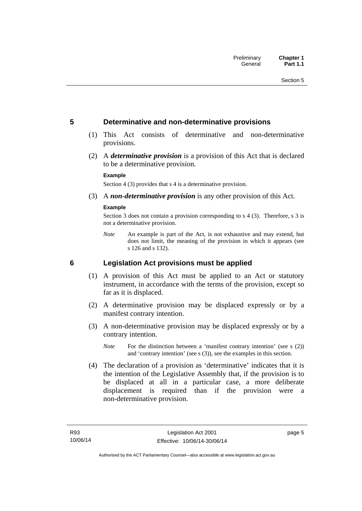### <span id="page-20-0"></span>**5 Determinative and non-determinative provisions**

- (1) This Act consists of determinative and non-determinative provisions.
- (2) A *determinative provision* is a provision of this Act that is declared to be a determinative provision.

#### **Example**

Section 4 (3) provides that s 4 is a determinative provision.

(3) A *non-determinative provision* is any other provision of this Act.

#### **Example**

Section 3 does not contain a provision corresponding to s 4 (3). Therefore, s 3 is not a determinative provision.

*Note* An example is part of the Act, is not exhaustive and may extend, but does not limit, the meaning of the provision in which it appears (see s 126 and s 132).

### <span id="page-20-1"></span>**6 Legislation Act provisions must be applied**

- (1) A provision of this Act must be applied to an Act or statutory instrument, in accordance with the terms of the provision, except so far as it is displaced.
- (2) A determinative provision may be displaced expressly or by a manifest contrary intention.
- (3) A non-determinative provision may be displaced expressly or by a contrary intention.
	- *Note* For the distinction between a 'manifest contrary intention' (see s (2)) and 'contrary intention' (see s (3)), see the examples in this section.
- (4) The declaration of a provision as 'determinative' indicates that it is the intention of the Legislative Assembly that, if the provision is to be displaced at all in a particular case, a more deliberate displacement is required than if the provision were a non-determinative provision.

page 5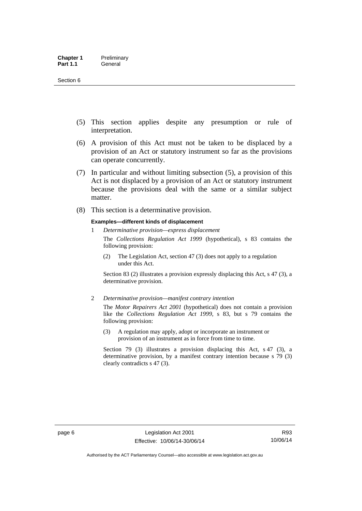- (5) This section applies despite any presumption or rule of interpretation.
- (6) A provision of this Act must not be taken to be displaced by a provision of an Act or statutory instrument so far as the provisions can operate concurrently.
- (7) In particular and without limiting subsection (5), a provision of this Act is not displaced by a provision of an Act or statutory instrument because the provisions deal with the same or a similar subject matter.
- (8) This section is a determinative provision.

#### **Examples—different kinds of displacement**

1 *Determinative provision—express displacement*

The *Collections Regulation Act 1999* (hypothetical), s 83 contains the following provision:

(2) The Legislation Act, section 47 (3) does not apply to a regulation under this Act.

Section 83 (2) illustrates a provision expressly displacing this Act, s 47 (3), a determinative provision.

2 *Determinative provision—manifest contrary intention*

The *Motor Repairers Act 2001* (hypothetical) does not contain a provision like the *Collections Regulation Act 1999*, s 83, but s 79 contains the following provision:

(3) A regulation may apply, adopt or incorporate an instrument or provision of an instrument as in force from time to time.

Section 79 (3) illustrates a provision displacing this Act, s 47 (3), a determinative provision, by a manifest contrary intention because s 79 (3) clearly contradicts s 47 (3).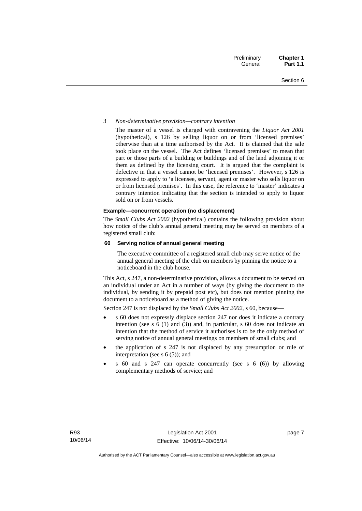#### 3 *Non-determinative provision—contrary intention*

The master of a vessel is charged with contravening the *Liquor Act 2001* (hypothetical), s 126 by selling liquor on or from 'licensed premises' otherwise than at a time authorised by the Act. It is claimed that the sale took place on the vessel. The Act defines 'licensed premises' to mean that part or those parts of a building or buildings and of the land adjoining it or them as defined by the licensing court. It is argued that the complaint is defective in that a vessel cannot be 'licensed premises'. However, s 126 is expressed to apply to 'a licensee, servant, agent or master who sells liquor on or from licensed premises'. In this case, the reference to 'master' indicates a contrary intention indicating that the section is intended to apply to liquor sold on or from vessels.

#### **Example—concurrent operation (no displacement)**

The *Small Clubs Act 2002* (hypothetical) contains the following provision about how notice of the club's annual general meeting may be served on members of a registered small club:

#### **60 Serving notice of annual general meeting**

The executive committee of a registered small club may serve notice of the annual general meeting of the club on members by pinning the notice to a noticeboard in the club house.

This Act, s 247, a non-determinative provision, allows a document to be served on an individual under an Act in a number of ways (by giving the document to the individual, by sending it by prepaid post etc), but does not mention pinning the document to a noticeboard as a method of giving the notice.

Section 247 is not displaced by the *Small Clubs Act 2002*, s 60, because—

- s 60 does not expressly displace section 247 nor does it indicate a contrary intention (see s 6 (1) and (3)) and, in particular, s 60 does not indicate an intention that the method of service it authorises is to be the only method of serving notice of annual general meetings on members of small clubs; and
- the application of s 247 is not displaced by any presumption or rule of interpretation (see s  $6(5)$ ); and
- s 60 and s 247 can operate concurrently (see s 6 (6)) by allowing complementary methods of service; and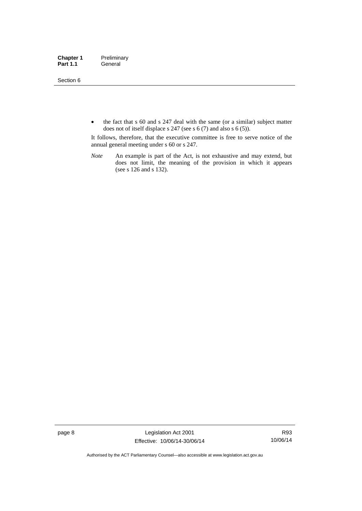#### Section 6

• the fact that s 60 and s 247 deal with the same (or a similar) subject matter does not of itself displace s 247 (see s 6 (7) and also s 6 (5)).

It follows, therefore, that the executive committee is free to serve notice of the annual general meeting under s 60 or s 247.

*Note* An example is part of the Act, is not exhaustive and may extend, but does not limit, the meaning of the provision in which it appears (see s 126 and s 132).

page 8 Legislation Act 2001 Effective: 10/06/14-30/06/14

R93 10/06/14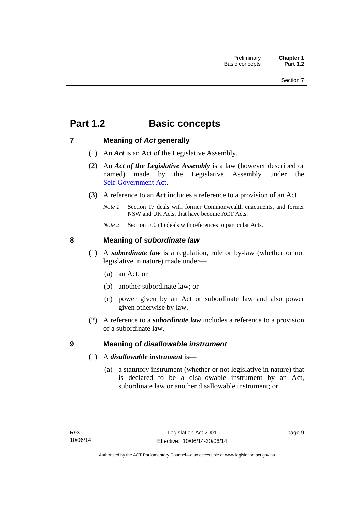## <span id="page-24-0"></span>**Part 1.2 Basic concepts**

## <span id="page-24-1"></span>**7 Meaning of** *Act* **generally**

- (1) An *Act* is an Act of the Legislative Assembly.
- (2) An *Act of the Legislative Assembly* is a law (however described or named) made by the Legislative Assembly under the [Self-Government Act.](http://www.comlaw.gov.au/Series/C2004A03699)
- (3) A reference to an *Act* includes a reference to a provision of an Act.
	- *Note 1* Section 17 deals with former Commonwealth enactments, and former NSW and UK Acts, that have become ACT Acts.
	- *Note 2* Section 100 (1) deals with references to particular Acts.

## <span id="page-24-2"></span>**8 Meaning of** *subordinate law*

- (1) A *subordinate law* is a regulation, rule or by-law (whether or not legislative in nature) made under—
	- (a) an Act; or
	- (b) another subordinate law; or
	- (c) power given by an Act or subordinate law and also power given otherwise by law.
- (2) A reference to a *subordinate law* includes a reference to a provision of a subordinate law.

## <span id="page-24-3"></span>**9 Meaning of** *disallowable instrument*

- (1) A *disallowable instrument* is—
	- (a) a statutory instrument (whether or not legislative in nature) that is declared to be a disallowable instrument by an Act, subordinate law or another disallowable instrument; or

page 9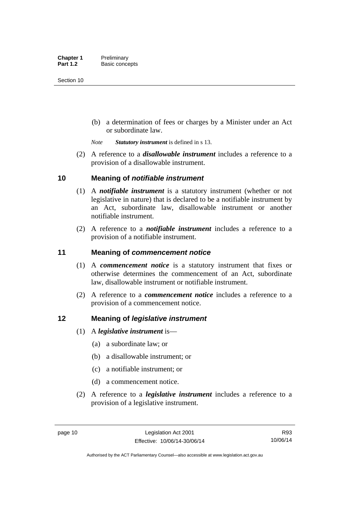(b) a determination of fees or charges by a Minister under an Act or subordinate law.

*Note Statutory instrument* is defined in s 13.

 (2) A reference to a *disallowable instrument* includes a reference to a provision of a disallowable instrument.

### <span id="page-25-0"></span>**10 Meaning of** *notifiable instrument*

- (1) A *notifiable instrument* is a statutory instrument (whether or not legislative in nature) that is declared to be a notifiable instrument by an Act, subordinate law, disallowable instrument or another notifiable instrument.
- (2) A reference to a *notifiable instrument* includes a reference to a provision of a notifiable instrument.

### <span id="page-25-1"></span>**11 Meaning of** *commencement notice*

- (1) A *commencement notice* is a statutory instrument that fixes or otherwise determines the commencement of an Act, subordinate law, disallowable instrument or notifiable instrument.
- (2) A reference to a *commencement notice* includes a reference to a provision of a commencement notice.

### <span id="page-25-2"></span>**12 Meaning of** *legislative instrument*

- (1) A *legislative instrument* is—
	- (a) a subordinate law; or
	- (b) a disallowable instrument; or
	- (c) a notifiable instrument; or
	- (d) a commencement notice.
- (2) A reference to a *legislative instrument* includes a reference to a provision of a legislative instrument.

R93 10/06/14

Authorised by the ACT Parliamentary Counsel—also accessible at www.legislation.act.gov.au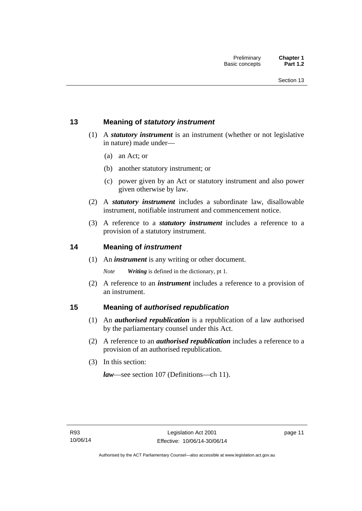## <span id="page-26-0"></span>**13 Meaning of** *statutory instrument*

- (1) A *statutory instrument* is an instrument (whether or not legislative in nature) made under—
	- (a) an Act; or
	- (b) another statutory instrument; or
	- (c) power given by an Act or statutory instrument and also power given otherwise by law.
- (2) A *statutory instrument* includes a subordinate law, disallowable instrument, notifiable instrument and commencement notice.
- (3) A reference to a *statutory instrument* includes a reference to a provision of a statutory instrument.

### <span id="page-26-1"></span>**14 Meaning of** *instrument*

(1) An *instrument* is any writing or other document.

*Note Writing* is defined in the dictionary, pt 1.

 (2) A reference to an *instrument* includes a reference to a provision of an instrument.

### <span id="page-26-2"></span>**15 Meaning of** *authorised republication*

- (1) An *authorised republication* is a republication of a law authorised by the parliamentary counsel under this Act.
- (2) A reference to an *authorised republication* includes a reference to a provision of an authorised republication.
- (3) In this section:

*law*—see section 107 (Definitions—ch 11).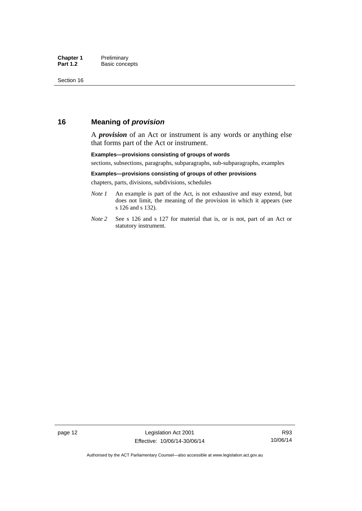## <span id="page-27-0"></span>**16 Meaning of** *provision*

A *provision* of an Act or instrument is any words or anything else that forms part of the Act or instrument.

#### **Examples—provisions consisting of groups of words**

sections, subsections, paragraphs, subparagraphs, sub-subparagraphs, examples

#### **Examples—provisions consisting of groups of other provisions**

chapters, parts, divisions, subdivisions, schedules

- *Note 1* An example is part of the Act, is not exhaustive and may extend, but does not limit, the meaning of the provision in which it appears (see s 126 and s 132).
- *Note 2* See s 126 and s 127 for material that is, or is not, part of an Act or statutory instrument.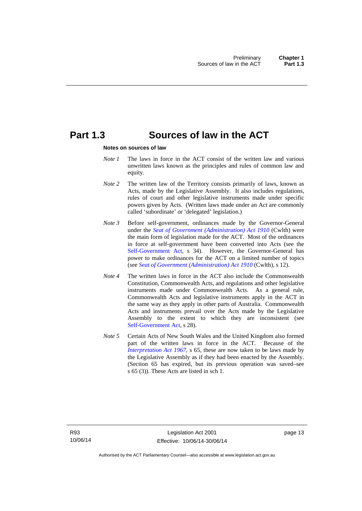## <span id="page-28-0"></span>**Part 1.3 Sources of law in the ACT**

#### **Notes on sources of law**

- *Note 1* The laws in force in the ACT consist of the written law and various unwritten laws known as the principles and rules of common law and equity.
- *Note* 2 The written law of the Territory consists primarily of laws, known as Acts, made by the Legislative Assembly. It also includes regulations, rules of court and other legislative instruments made under specific powers given by Acts. (Written laws made under an Act are commonly called 'subordinate' or 'delegated' legislation.)
- *Note 3* Before self-government, ordinances made by the Governor-General under the *[Seat of Government \(Administration\) Act 1910](http://www.comlaw.gov.au/Series/C2004A07446)* (Cwlth) were the main form of legislation made for the ACT. Most of the ordinances in force at self-government have been converted into Acts (see the [Self-Government Act,](http://www.comlaw.gov.au/Series/C2004A03699) s 34). However, the Governor-General has power to make ordinances for the ACT on a limited number of topics (see *[Seat of Government \(Administration\) Act 1910](http://www.comlaw.gov.au/Series/C2004A07446)* (Cwlth), s 12).
- *Note 4* The written laws in force in the ACT also include the Commonwealth Constitution, Commonwealth Acts, and regulations and other legislative instruments made under Commonwealth Acts. As a general rule, Commonwealth Acts and legislative instruments apply in the ACT in the same way as they apply in other parts of Australia. Commonwealth Acts and instruments prevail over the Acts made by the Legislative Assembly to the extent to which they are inconsistent (see [Self-Government Act](http://www.comlaw.gov.au/Series/C2004A03699), s 28).
- *Note 5* Certain Acts of New South Wales and the United Kingdom also formed part of the written laws in force in the ACT. Because of the *[Interpretation Act 1967](http://www.legislation.act.gov.au/a/1967-48)*, s 65, these are now taken to be laws made by the Legislative Assembly as if they had been enacted by the Assembly. (Section 65 has expired, but its previous operation was saved–see s 65 (3)). These Acts are listed in sch 1.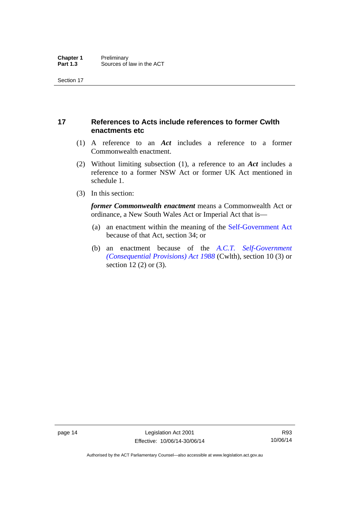## <span id="page-29-0"></span>**17 References to Acts include references to former Cwlth enactments etc**

- (1) A reference to an *Act* includes a reference to a former Commonwealth enactment.
- (2) Without limiting subsection (1), a reference to an *Act* includes a reference to a former NSW Act or former UK Act mentioned in schedule 1.
- (3) In this section:

*former Commonwealth enactment* means a Commonwealth Act or ordinance, a New South Wales Act or Imperial Act that is—

- (a) an enactment within the meaning of the [Self-Government Act](http://www.comlaw.gov.au/Series/C2004A03699) because of that Act, section 34; or
- (b) an enactment because of the *[A.C.T. Self-Government](http://www.comlaw.gov.au/Series/C2004A03702)  [\(Consequential Provisions\) Act 1988](http://www.comlaw.gov.au/Series/C2004A03702)* (Cwlth), section 10 (3) or section 12 (2) or (3).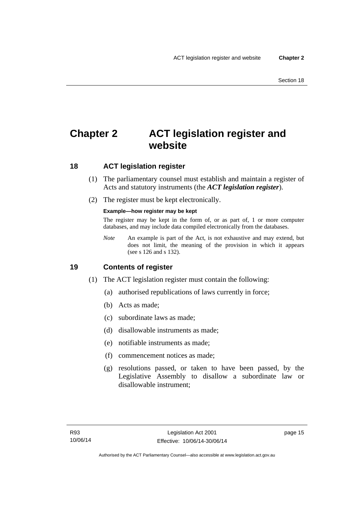## <span id="page-30-0"></span>**Chapter 2 ACT legislation register and website**

## <span id="page-30-1"></span>**18 ACT legislation register**

- (1) The parliamentary counsel must establish and maintain a register of Acts and statutory instruments (the *ACT legislation register*).
- (2) The register must be kept electronically.

### **Example—how register may be kept**

The register may be kept in the form of, or as part of, 1 or more computer databases, and may include data compiled electronically from the databases.

*Note* An example is part of the Act, is not exhaustive and may extend, but does not limit, the meaning of the provision in which it appears (see s 126 and s 132).

### <span id="page-30-2"></span>**19 Contents of register**

- (1) The ACT legislation register must contain the following:
	- (a) authorised republications of laws currently in force;
	- (b) Acts as made;
	- (c) subordinate laws as made;
	- (d) disallowable instruments as made;
	- (e) notifiable instruments as made;
	- (f) commencement notices as made;
	- (g) resolutions passed, or taken to have been passed, by the Legislative Assembly to disallow a subordinate law or disallowable instrument;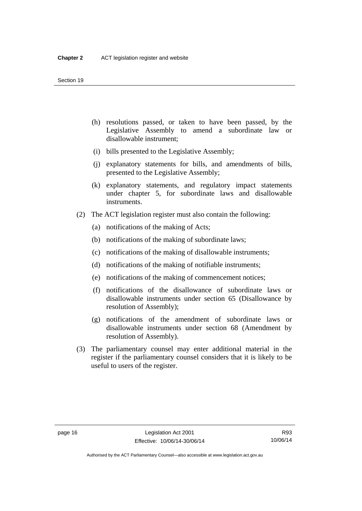- (h) resolutions passed, or taken to have been passed, by the Legislative Assembly to amend a subordinate law or disallowable instrument;
- (i) bills presented to the Legislative Assembly;
- (j) explanatory statements for bills, and amendments of bills, presented to the Legislative Assembly;
- (k) explanatory statements, and regulatory impact statements under chapter 5, for subordinate laws and disallowable instruments.
- (2) The ACT legislation register must also contain the following:
	- (a) notifications of the making of Acts;
	- (b) notifications of the making of subordinate laws;
	- (c) notifications of the making of disallowable instruments;
	- (d) notifications of the making of notifiable instruments;
	- (e) notifications of the making of commencement notices;
	- (f) notifications of the disallowance of subordinate laws or disallowable instruments under section 65 (Disallowance by resolution of Assembly);
	- (g) notifications of the amendment of subordinate laws or disallowable instruments under section 68 (Amendment by resolution of Assembly).
- (3) The parliamentary counsel may enter additional material in the register if the parliamentary counsel considers that it is likely to be useful to users of the register.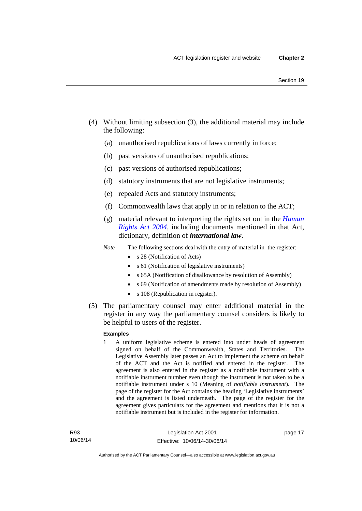- (4) Without limiting subsection (3), the additional material may include the following:
	- (a) unauthorised republications of laws currently in force;
	- (b) past versions of unauthorised republications;
	- (c) past versions of authorised republications;
	- (d) statutory instruments that are not legislative instruments;
	- (e) repealed Acts and statutory instruments;
	- (f) Commonwealth laws that apply in or in relation to the ACT;
	- (g) material relevant to interpreting the rights set out in the *[Human](http://www.legislation.act.gov.au/a/2004-5)  [Rights Act 2004](http://www.legislation.act.gov.au/a/2004-5)*, including documents mentioned in that Act, dictionary, definition of *international law*.
	- *Note* The following sections deal with the entry of material in the register:
		- s 28 (Notification of Acts)
		- s 61 (Notification of legislative instruments)
		- s 65A (Notification of disallowance by resolution of Assembly)
		- s 69 (Notification of amendments made by resolution of Assembly)
		- s 108 (Republication in register).
- (5) The parliamentary counsel may enter additional material in the register in any way the parliamentary counsel considers is likely to be helpful to users of the register.

#### **Examples**

1 A uniform legislative scheme is entered into under heads of agreement signed on behalf of the Commonwealth, States and Territories. The Legislative Assembly later passes an Act to implement the scheme on behalf of the ACT and the Act is notified and entered in the register. The agreement is also entered in the register as a notifiable instrument with a notifiable instrument number even though the instrument is not taken to be a notifiable instrument under s 10 (Meaning of *notifiable instrument*). The page of the register for the Act contains the heading 'Legislative instruments' and the agreement is listed underneath. The page of the register for the agreement gives particulars for the agreement and mentions that it is not a notifiable instrument but is included in the register for information.

page 17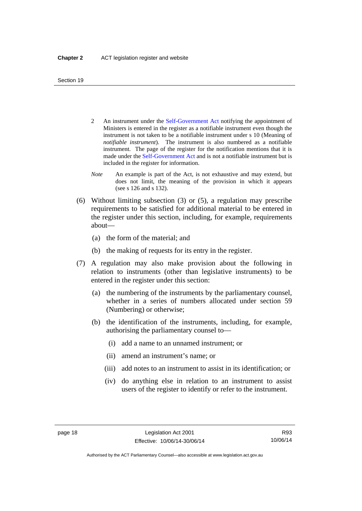- 2 An instrument under the [Self-Government Act](http://www.comlaw.gov.au/Series/C2004A03699) notifying the appointment of Ministers is entered in the register as a notifiable instrument even though the instrument is not taken to be a notifiable instrument under s 10 (Meaning of *notifiable instrument*). The instrument is also numbered as a notifiable instrument. The page of the register for the notification mentions that it is made under the [Self-Government Act](http://www.comlaw.gov.au/Series/C2004A03699) and is not a notifiable instrument but is included in the register for information.
- *Note* An example is part of the Act, is not exhaustive and may extend, but does not limit, the meaning of the provision in which it appears (see s 126 and s 132).
- (6) Without limiting subsection (3) or (5), a regulation may prescribe requirements to be satisfied for additional material to be entered in the register under this section, including, for example, requirements about—
	- (a) the form of the material; and
	- (b) the making of requests for its entry in the register.
- (7) A regulation may also make provision about the following in relation to instruments (other than legislative instruments) to be entered in the register under this section:
	- (a) the numbering of the instruments by the parliamentary counsel, whether in a series of numbers allocated under section 59 (Numbering) or otherwise;
	- (b) the identification of the instruments, including, for example, authorising the parliamentary counsel to—
		- (i) add a name to an unnamed instrument; or
		- (ii) amend an instrument's name; or
		- (iii) add notes to an instrument to assist in its identification; or
		- (iv) do anything else in relation to an instrument to assist users of the register to identify or refer to the instrument.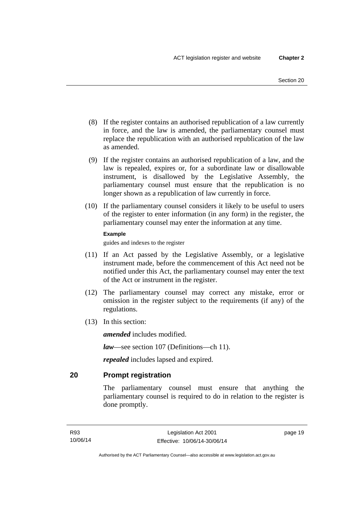- (8) If the register contains an authorised republication of a law currently in force, and the law is amended, the parliamentary counsel must replace the republication with an authorised republication of the law as amended.
- (9) If the register contains an authorised republication of a law, and the law is repealed, expires or, for a subordinate law or disallowable instrument, is disallowed by the Legislative Assembly, the parliamentary counsel must ensure that the republication is no longer shown as a republication of law currently in force.
- (10) If the parliamentary counsel considers it likely to be useful to users of the register to enter information (in any form) in the register, the parliamentary counsel may enter the information at any time.

#### **Example**

guides and indexes to the register

- (11) If an Act passed by the Legislative Assembly, or a legislative instrument made, before the commencement of this Act need not be notified under this Act, the parliamentary counsel may enter the text of the Act or instrument in the register.
- (12) The parliamentary counsel may correct any mistake, error or omission in the register subject to the requirements (if any) of the regulations.
- (13) In this section:

*amended* includes modified.

*law*—see section 107 (Definitions—ch 11).

*repealed* includes lapsed and expired.

<span id="page-34-0"></span>**20 Prompt registration** 

The parliamentary counsel must ensure that anything the parliamentary counsel is required to do in relation to the register is done promptly.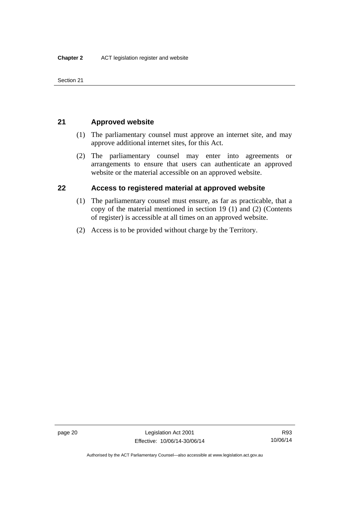Section 21

## <span id="page-35-0"></span>**21 Approved website**

- (1) The parliamentary counsel must approve an internet site, and may approve additional internet sites, for this Act.
- (2) The parliamentary counsel may enter into agreements or arrangements to ensure that users can authenticate an approved website or the material accessible on an approved website.

## <span id="page-35-1"></span>**22 Access to registered material at approved website**

- (1) The parliamentary counsel must ensure, as far as practicable, that a copy of the material mentioned in section 19 (1) and (2) (Contents of register) is accessible at all times on an approved website.
- (2) Access is to be provided without charge by the Territory.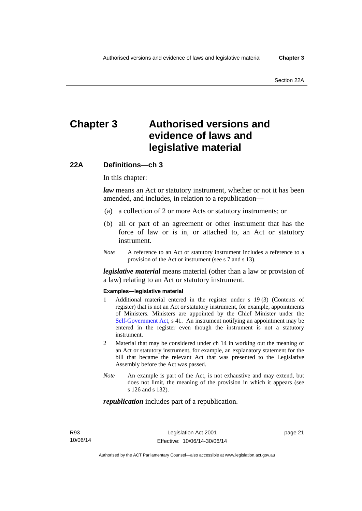# **Chapter 3 Authorised versions and evidence of laws and legislative material**

## **22A Definitions—ch 3**

In this chapter:

*law* means an Act or statutory instrument, whether or not it has been amended, and includes, in relation to a republication—

- (a) a collection of 2 or more Acts or statutory instruments; or
- (b) all or part of an agreement or other instrument that has the force of law or is in, or attached to, an Act or statutory instrument.
- *Note* A reference to an Act or statutory instrument includes a reference to a provision of the Act or instrument (see s 7 and s 13).

*legislative material* means material (other than a law or provision of a law) relating to an Act or statutory instrument.

#### **Examples—legislative material**

- 1 Additional material entered in the register under s 19 (3) (Contents of register) that is not an Act or statutory instrument, for example, appointments of Ministers. Ministers are appointed by the Chief Minister under the [Self-Government Act,](http://www.comlaw.gov.au/Series/C2004A03699) s 41. An instrument notifying an appointment may be entered in the register even though the instrument is not a statutory instrument.
- 2 Material that may be considered under ch 14 in working out the meaning of an Act or statutory instrument, for example, an explanatory statement for the bill that became the relevant Act that was presented to the Legislative Assembly before the Act was passed.
- *Note* An example is part of the Act, is not exhaustive and may extend, but does not limit, the meaning of the provision in which it appears (see s 126 and s 132).

#### *republication* includes part of a republication.

page 21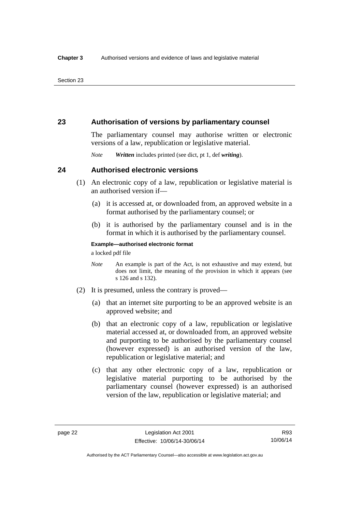### **23 Authorisation of versions by parliamentary counsel**

The parliamentary counsel may authorise written or electronic versions of a law, republication or legislative material.

*Note Written* includes printed (see dict, pt 1, def *writing*).

### **24 Authorised electronic versions**

- (1) An electronic copy of a law, republication or legislative material is an authorised version if—
	- (a) it is accessed at, or downloaded from, an approved website in a format authorised by the parliamentary counsel; or
	- (b) it is authorised by the parliamentary counsel and is in the format in which it is authorised by the parliamentary counsel.

**Example—authorised electronic format** 

a locked pdf file

- *Note* An example is part of the Act, is not exhaustive and may extend, but does not limit, the meaning of the provision in which it appears (see s 126 and s 132).
- (2) It is presumed, unless the contrary is proved—
	- (a) that an internet site purporting to be an approved website is an approved website; and
	- (b) that an electronic copy of a law, republication or legislative material accessed at, or downloaded from, an approved website and purporting to be authorised by the parliamentary counsel (however expressed) is an authorised version of the law, republication or legislative material; and
	- (c) that any other electronic copy of a law, republication or legislative material purporting to be authorised by the parliamentary counsel (however expressed) is an authorised version of the law, republication or legislative material; and

Authorised by the ACT Parliamentary Counsel—also accessible at www.legislation.act.gov.au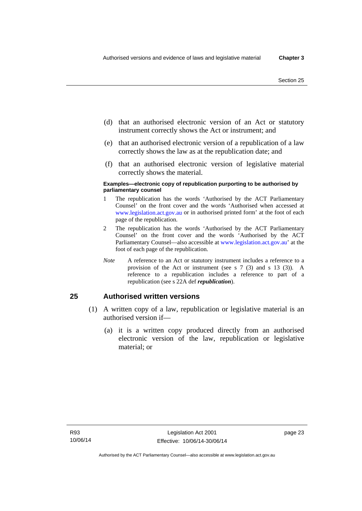- (d) that an authorised electronic version of an Act or statutory instrument correctly shows the Act or instrument; and
- (e) that an authorised electronic version of a republication of a law correctly shows the law as at the republication date; and
- (f) that an authorised electronic version of legislative material correctly shows the material.

#### **Examples—electronic copy of republication purporting to be authorised by parliamentary counsel**

- 1 The republication has the words 'Authorised by the ACT Parliamentary Counsel' on the front cover and the words 'Authorised when accessed at [www.legislation.act.gov.au](http://www.legislation.act.gov.au/) or in authorised printed form' at the foot of each page of the republication.
- 2 The republication has the words 'Authorised by the ACT Parliamentary Counsel' on the front cover and the words 'Authorised by the ACT Parliamentary Counsel—also accessible at [www.legislation.act.gov.au](http://www.legislation.act.gov.au/)' at the foot of each page of the republication.
- *Note* A reference to an Act or statutory instrument includes a reference to a provision of the Act or instrument (see s 7 (3) and s 13 (3)). A reference to a republication includes a reference to part of a republication (see s 22A def *republication*).

### **25 Authorised written versions**

- (1) A written copy of a law, republication or legislative material is an authorised version if—
	- (a) it is a written copy produced directly from an authorised electronic version of the law, republication or legislative material; or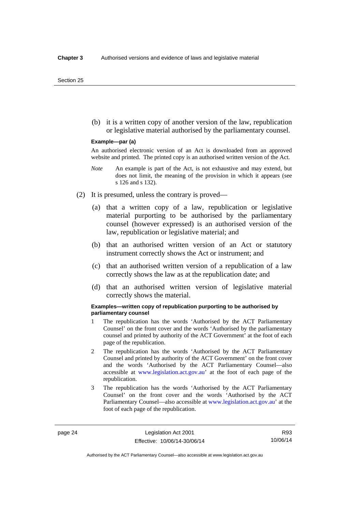(b) it is a written copy of another version of the law, republication or legislative material authorised by the parliamentary counsel.

#### **Example—par (a)**

An authorised electronic version of an Act is downloaded from an approved website and printed. The printed copy is an authorised written version of the Act.

- *Note* An example is part of the Act, is not exhaustive and may extend, but does not limit, the meaning of the provision in which it appears (see s 126 and s 132).
- (2) It is presumed, unless the contrary is proved—
	- (a) that a written copy of a law, republication or legislative material purporting to be authorised by the parliamentary counsel (however expressed) is an authorised version of the law, republication or legislative material; and
	- (b) that an authorised written version of an Act or statutory instrument correctly shows the Act or instrument; and
	- (c) that an authorised written version of a republication of a law correctly shows the law as at the republication date; and
	- (d) that an authorised written version of legislative material correctly shows the material.

#### **Examples—written copy of republication purporting to be authorised by parliamentary counsel**

- 1 The republication has the words 'Authorised by the ACT Parliamentary Counsel' on the front cover and the words 'Authorised by the parliamentary counsel and printed by authority of the ACT Government' at the foot of each page of the republication.
- 2 The republication has the words 'Authorised by the ACT Parliamentary Counsel and printed by authority of the ACT Government' on the front cover and the words 'Authorised by the ACT Parliamentary Counsel—also accessible at [www.legislation.act.gov.au'](http://www.legislation.act.gov.au/) at the foot of each page of the republication.
- 3 The republication has the words 'Authorised by the ACT Parliamentary Counsel' on the front cover and the words 'Authorised by the ACT Parliamentary Counsel—also accessible at [www.legislation.act.gov.au](http://www.legislation.act.gov.au/)' at the foot of each page of the republication.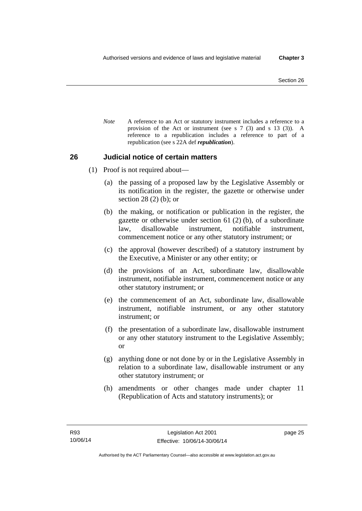*Note* A reference to an Act or statutory instrument includes a reference to a provision of the Act or instrument (see s 7 (3) and s 13 (3)). A reference to a republication includes a reference to part of a republication (see s 22A def *republication*).

### **26 Judicial notice of certain matters**

- (1) Proof is not required about—
	- (a) the passing of a proposed law by the Legislative Assembly or its notification in the register, the gazette or otherwise under section 28 (2) (b); or
	- (b) the making, or notification or publication in the register, the gazette or otherwise under section 61 (2) (b), of a subordinate law, disallowable instrument, notifiable instrument, commencement notice or any other statutory instrument; or
	- (c) the approval (however described) of a statutory instrument by the Executive, a Minister or any other entity; or
	- (d) the provisions of an Act, subordinate law, disallowable instrument, notifiable instrument, commencement notice or any other statutory instrument; or
	- (e) the commencement of an Act, subordinate law, disallowable instrument, notifiable instrument, or any other statutory instrument; or
	- (f) the presentation of a subordinate law, disallowable instrument or any other statutory instrument to the Legislative Assembly; or
	- (g) anything done or not done by or in the Legislative Assembly in relation to a subordinate law, disallowable instrument or any other statutory instrument; or
	- (h) amendments or other changes made under chapter 11 (Republication of Acts and statutory instruments); or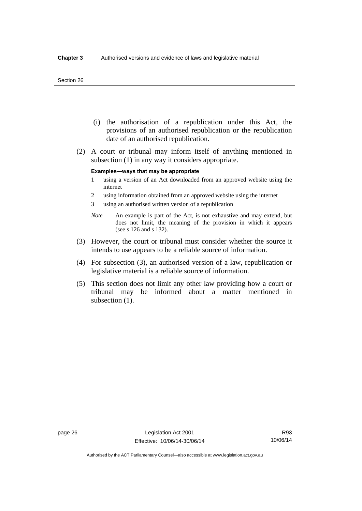#### Section 26

- (i) the authorisation of a republication under this Act, the provisions of an authorised republication or the republication date of an authorised republication.
- (2) A court or tribunal may inform itself of anything mentioned in subsection (1) in any way it considers appropriate.

#### **Examples—ways that may be appropriate**

- 1 using a version of an Act downloaded from an approved website using the internet
- 2 using information obtained from an approved website using the internet
- 3 using an authorised written version of a republication
- *Note* An example is part of the Act, is not exhaustive and may extend, but does not limit, the meaning of the provision in which it appears (see s 126 and s 132).
- (3) However, the court or tribunal must consider whether the source it intends to use appears to be a reliable source of information.
- (4) For subsection (3), an authorised version of a law, republication or legislative material is a reliable source of information.
- (5) This section does not limit any other law providing how a court or tribunal may be informed about a matter mentioned in subsection  $(1)$ .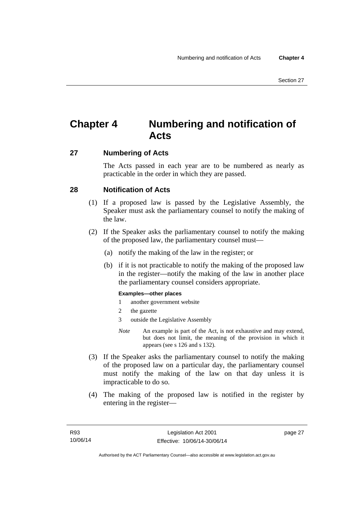# **Chapter 4 Numbering and notification of Acts**

### **27 Numbering of Acts**

The Acts passed in each year are to be numbered as nearly as practicable in the order in which they are passed.

### **28 Notification of Acts**

- (1) If a proposed law is passed by the Legislative Assembly, the Speaker must ask the parliamentary counsel to notify the making of the law.
- (2) If the Speaker asks the parliamentary counsel to notify the making of the proposed law, the parliamentary counsel must—
	- (a) notify the making of the law in the register; or
	- (b) if it is not practicable to notify the making of the proposed law in the register—notify the making of the law in another place the parliamentary counsel considers appropriate.

### **Examples—other places**

- 1 another government website
- 2 the gazette
- 3 outside the Legislative Assembly
- *Note* An example is part of the Act, is not exhaustive and may extend, but does not limit, the meaning of the provision in which it appears (see s 126 and s 132).
- (3) If the Speaker asks the parliamentary counsel to notify the making of the proposed law on a particular day, the parliamentary counsel must notify the making of the law on that day unless it is impracticable to do so.
- (4) The making of the proposed law is notified in the register by entering in the register—

page 27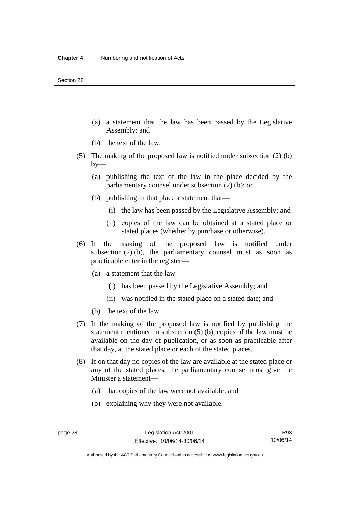- (a) a statement that the law has been passed by the Legislative Assembly; and
- (b) the text of the law.
- (5) The making of the proposed law is notified under subsection (2) (b)  $by-$ 
	- (a) publishing the text of the law in the place decided by the parliamentary counsel under subsection (2) (b); or
	- (b) publishing in that place a statement that—
		- (i) the law has been passed by the Legislative Assembly; and
		- (ii) copies of the law can be obtained at a stated place or stated places (whether by purchase or otherwise).
- (6) If the making of the proposed law is notified under subsection  $(2)$  (b), the parliamentary counsel must as soon as practicable enter in the register—
	- (a) a statement that the law—
		- (i) has been passed by the Legislative Assembly; and
		- (ii) was notified in the stated place on a stated date; and
	- (b) the text of the law.
- (7) If the making of the proposed law is notified by publishing the statement mentioned in subsection (5) (b), copies of the law must be available on the day of publication, or as soon as practicable after that day, at the stated place or each of the stated places.
- (8) If on that day no copies of the law are available at the stated place or any of the stated places, the parliamentary counsel must give the Minister a statement—
	- (a) that copies of the law were not available; and
	- (b) explaining why they were not available.

Authorised by the ACT Parliamentary Counsel—also accessible at www.legislation.act.gov.au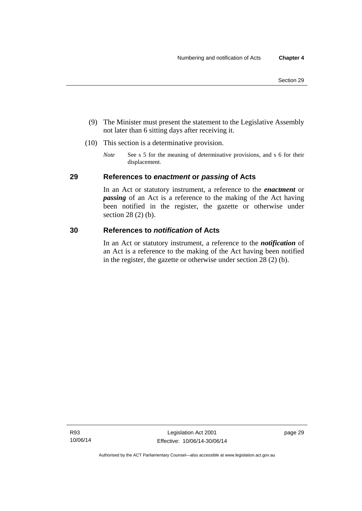- (9) The Minister must present the statement to the Legislative Assembly not later than 6 sitting days after receiving it.
- (10) This section is a determinative provision.
	- *Note* See s 5 for the meaning of determinative provisions, and s 6 for their displacement.

### **29 References to** *enactment* **or** *passing* **of Acts**

In an Act or statutory instrument, a reference to the *enactment* or *passing* of an Act is a reference to the making of the Act having been notified in the register, the gazette or otherwise under section 28 (2) (b).

### **30 References to** *notification* **of Acts**

In an Act or statutory instrument, a reference to the *notification* of an Act is a reference to the making of the Act having been notified in the register, the gazette or otherwise under section 28 (2) (b).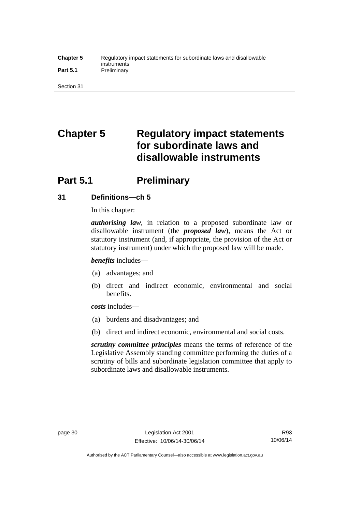#### **Chapter 5** Regulatory impact statements for subordinate laws and disallowable instruments Part 5.1 **Preliminary**

Section 31

# **Chapter 5 Regulatory impact statements for subordinate laws and disallowable instruments**

# **Part 5.1** Preliminary

### **31 Definitions—ch 5**

In this chapter:

*authorising law*, in relation to a proposed subordinate law or disallowable instrument (the *proposed law*), means the Act or statutory instrument (and, if appropriate, the provision of the Act or statutory instrument) under which the proposed law will be made.

*benefits* includes—

- (a) advantages; and
- (b) direct and indirect economic, environmental and social benefits.

*costs* includes—

- (a) burdens and disadvantages; and
- (b) direct and indirect economic, environmental and social costs.

*scrutiny committee principles* means the terms of reference of the Legislative Assembly standing committee performing the duties of a scrutiny of bills and subordinate legislation committee that apply to subordinate laws and disallowable instruments.

Authorised by the ACT Parliamentary Counsel—also accessible at www.legislation.act.gov.au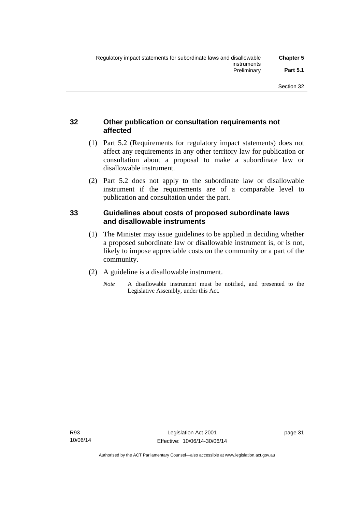### **32 Other publication or consultation requirements not affected**

- (1) Part 5.2 (Requirements for regulatory impact statements) does not affect any requirements in any other territory law for publication or consultation about a proposal to make a subordinate law or disallowable instrument.
- (2) Part 5.2 does not apply to the subordinate law or disallowable instrument if the requirements are of a comparable level to publication and consultation under the part.

### **33 Guidelines about costs of proposed subordinate laws and disallowable instruments**

- (1) The Minister may issue guidelines to be applied in deciding whether a proposed subordinate law or disallowable instrument is, or is not, likely to impose appreciable costs on the community or a part of the community.
- (2) A guideline is a disallowable instrument.
	- *Note* A disallowable instrument must be notified, and presented to the Legislative Assembly, under this Act.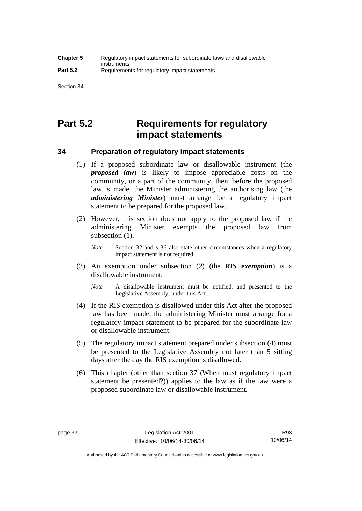# **Part 5.2 Requirements for regulatory impact statements**

### **34 Preparation of regulatory impact statements**

- (1) If a proposed subordinate law or disallowable instrument (the *proposed law*) is likely to impose appreciable costs on the community, or a part of the community, then, before the proposed law is made, the Minister administering the authorising law (the *administering Minister*) must arrange for a regulatory impact statement to be prepared for the proposed law.
- (2) However, this section does not apply to the proposed law if the administering Minister exempts the proposed law from subsection  $(1)$ .

*Note* Section 32 and s 36 also state other circumstances when a regulatory impact statement is not required.

- (3) An exemption under subsection (2) (the *RIS exemption*) is a disallowable instrument.
	- *Note* A disallowable instrument must be notified, and presented to the Legislative Assembly, under this Act.
- (4) If the RIS exemption is disallowed under this Act after the proposed law has been made, the administering Minister must arrange for a regulatory impact statement to be prepared for the subordinate law or disallowable instrument.
- (5) The regulatory impact statement prepared under subsection (4) must be presented to the Legislative Assembly not later than 5 sitting days after the day the RIS exemption is disallowed.
- (6) This chapter (other than section 37 (When must regulatory impact statement be presented?)) applies to the law as if the law were a proposed subordinate law or disallowable instrument.

R93 10/06/14

Authorised by the ACT Parliamentary Counsel—also accessible at www.legislation.act.gov.au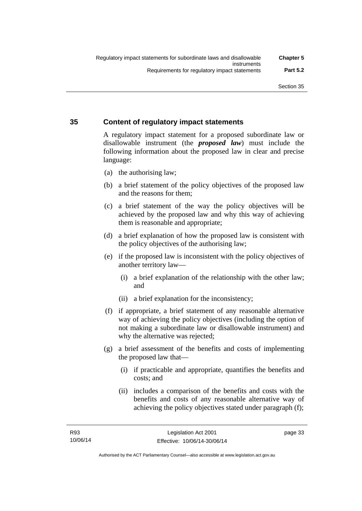### **35 Content of regulatory impact statements**

A regulatory impact statement for a proposed subordinate law or disallowable instrument (the *proposed law*) must include the following information about the proposed law in clear and precise language:

- (a) the authorising law;
- (b) a brief statement of the policy objectives of the proposed law and the reasons for them;
- (c) a brief statement of the way the policy objectives will be achieved by the proposed law and why this way of achieving them is reasonable and appropriate;
- (d) a brief explanation of how the proposed law is consistent with the policy objectives of the authorising law;
- (e) if the proposed law is inconsistent with the policy objectives of another territory law—
	- (i) a brief explanation of the relationship with the other law; and
	- (ii) a brief explanation for the inconsistency;
- (f) if appropriate, a brief statement of any reasonable alternative way of achieving the policy objectives (including the option of not making a subordinate law or disallowable instrument) and why the alternative was rejected;
- (g) a brief assessment of the benefits and costs of implementing the proposed law that—
	- (i) if practicable and appropriate, quantifies the benefits and costs; and
	- (ii) includes a comparison of the benefits and costs with the benefits and costs of any reasonable alternative way of achieving the policy objectives stated under paragraph (f);

page 33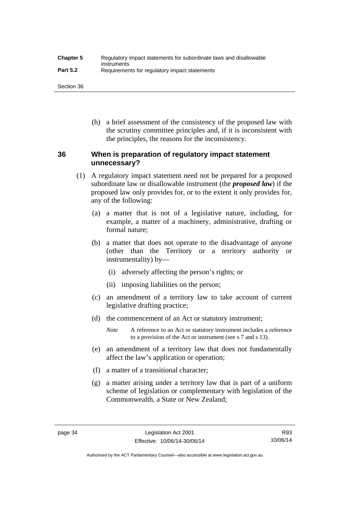| <b>Chapter 5</b> | Regulatory impact statements for subordinate laws and disallowable |
|------------------|--------------------------------------------------------------------|
| <b>Part 5.2</b>  | instruments<br>Requirements for regulatory impact statements       |

Section 36

 (h) a brief assessment of the consistency of the proposed law with the scrutiny committee principles and, if it is inconsistent with the principles, the reasons for the inconsistency.

### **36 When is preparation of regulatory impact statement unnecessary?**

- (1) A regulatory impact statement need not be prepared for a proposed subordinate law or disallowable instrument (the *proposed law*) if the proposed law only provides for, or to the extent it only provides for, any of the following:
	- (a) a matter that is not of a legislative nature, including, for example, a matter of a machinery, administrative, drafting or formal nature;
	- (b) a matter that does not operate to the disadvantage of anyone (other than the Territory or a territory authority or instrumentality) by—
		- (i) adversely affecting the person's rights; or
		- (ii) imposing liabilities on the person;
	- (c) an amendment of a territory law to take account of current legislative drafting practice;
	- (d) the commencement of an Act or statutory instrument;
		- *Note* A reference to an Act or statutory instrument includes a reference to a provision of the Act or instrument (see s 7 and s 13).
	- (e) an amendment of a territory law that does not fundamentally affect the law's application or operation;
	- (f) a matter of a transitional character;
	- (g) a matter arising under a territory law that is part of a uniform scheme of legislation or complementary with legislation of the Commonwealth, a State or New Zealand;

Authorised by the ACT Parliamentary Counsel—also accessible at www.legislation.act.gov.au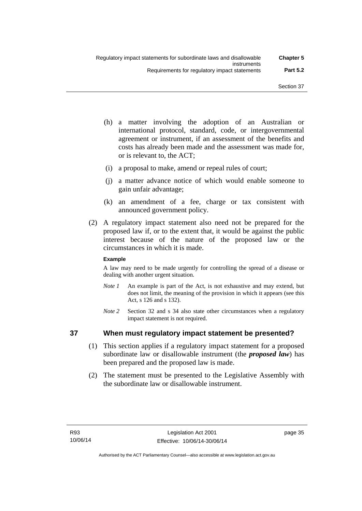- (h) a matter involving the adoption of an Australian or international protocol, standard, code, or intergovernmental agreement or instrument, if an assessment of the benefits and costs has already been made and the assessment was made for, or is relevant to, the ACT;
- (i) a proposal to make, amend or repeal rules of court;
- (j) a matter advance notice of which would enable someone to gain unfair advantage;
- (k) an amendment of a fee, charge or tax consistent with announced government policy.
- (2) A regulatory impact statement also need not be prepared for the proposed law if, or to the extent that, it would be against the public interest because of the nature of the proposed law or the circumstances in which it is made.

### **Example**

A law may need to be made urgently for controlling the spread of a disease or dealing with another urgent situation.

- *Note 1* An example is part of the Act, is not exhaustive and may extend, but does not limit, the meaning of the provision in which it appears (see this Act, s 126 and s 132).
- *Note* 2 Section 32 and s 34 also state other circumstances when a regulatory impact statement is not required.

### **37 When must regulatory impact statement be presented?**

- (1) This section applies if a regulatory impact statement for a proposed subordinate law or disallowable instrument (the *proposed law*) has been prepared and the proposed law is made.
- (2) The statement must be presented to the Legislative Assembly with the subordinate law or disallowable instrument.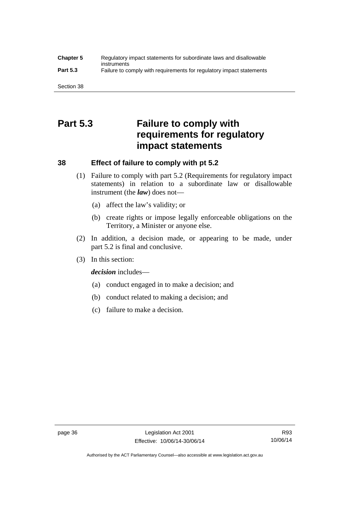### **Chapter 5** Regulatory impact statements for subordinate laws and disallowable instruments **Part 5.3** Failure to comply with requirements for regulatory impact statements

Section 38

# **Part 5.3 Failure to comply with requirements for regulatory impact statements**

### **38 Effect of failure to comply with pt 5.2**

- (1) Failure to comply with part 5.2 (Requirements for regulatory impact statements) in relation to a subordinate law or disallowable instrument (the *law*) does not—
	- (a) affect the law's validity; or
	- (b) create rights or impose legally enforceable obligations on the Territory, a Minister or anyone else.
- (2) In addition, a decision made, or appearing to be made, under part 5.2 is final and conclusive.
- (3) In this section:

*decision* includes—

- (a) conduct engaged in to make a decision; and
- (b) conduct related to making a decision; and
- (c) failure to make a decision.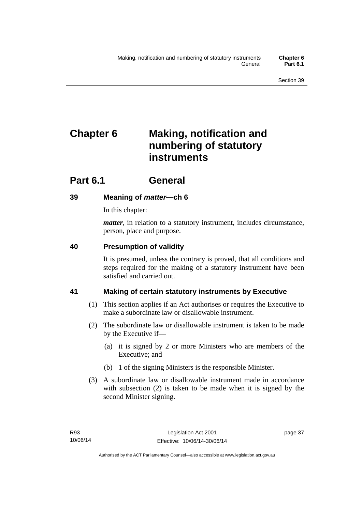# **Chapter 6 Making, notification and numbering of statutory instruments**

# **Part 6.1 General**

## **39 Meaning of** *matter***—ch 6**

In this chapter:

*matter*, in relation to a statutory instrument, includes circumstance, person, place and purpose.

## **40 Presumption of validity**

It is presumed, unless the contrary is proved, that all conditions and steps required for the making of a statutory instrument have been satisfied and carried out.

## **41 Making of certain statutory instruments by Executive**

- (1) This section applies if an Act authorises or requires the Executive to make a subordinate law or disallowable instrument.
- (2) The subordinate law or disallowable instrument is taken to be made by the Executive if—
	- (a) it is signed by 2 or more Ministers who are members of the Executive; and
	- (b) 1 of the signing Ministers is the responsible Minister.
- (3) A subordinate law or disallowable instrument made in accordance with subsection (2) is taken to be made when it is signed by the second Minister signing.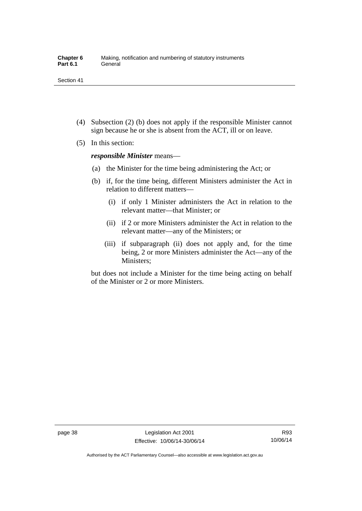- (4) Subsection (2) (b) does not apply if the responsible Minister cannot sign because he or she is absent from the ACT, ill or on leave.
- (5) In this section:

*responsible Minister* means—

- (a) the Minister for the time being administering the Act; or
- (b) if, for the time being, different Ministers administer the Act in relation to different matters—
	- (i) if only 1 Minister administers the Act in relation to the relevant matter—that Minister; or
	- (ii) if 2 or more Ministers administer the Act in relation to the relevant matter—any of the Ministers; or
	- (iii) if subparagraph (ii) does not apply and, for the time being, 2 or more Ministers administer the Act—any of the Ministers;

but does not include a Minister for the time being acting on behalf of the Minister or 2 or more Ministers.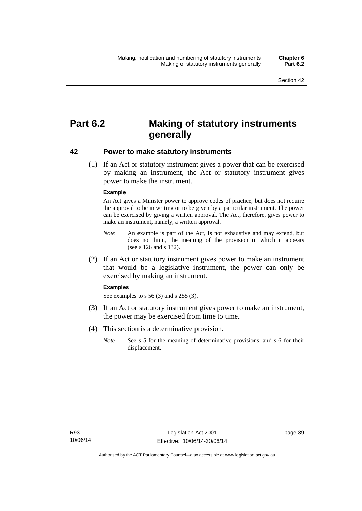# **Part 6.2 Making of statutory instruments generally**

### **42 Power to make statutory instruments**

 (1) If an Act or statutory instrument gives a power that can be exercised by making an instrument, the Act or statutory instrument gives power to make the instrument.

#### **Example**

An Act gives a Minister power to approve codes of practice, but does not require the approval to be in writing or to be given by a particular instrument. The power can be exercised by giving a written approval. The Act, therefore, gives power to make an instrument, namely, a written approval.

- *Note* An example is part of the Act, is not exhaustive and may extend, but does not limit, the meaning of the provision in which it appears (see s 126 and s 132).
- (2) If an Act or statutory instrument gives power to make an instrument that would be a legislative instrument, the power can only be exercised by making an instrument.

#### **Examples**

See examples to s 56 (3) and s 255 (3).

- (3) If an Act or statutory instrument gives power to make an instrument, the power may be exercised from time to time.
- (4) This section is a determinative provision.
	- *Note* See s 5 for the meaning of determinative provisions, and s 6 for their displacement.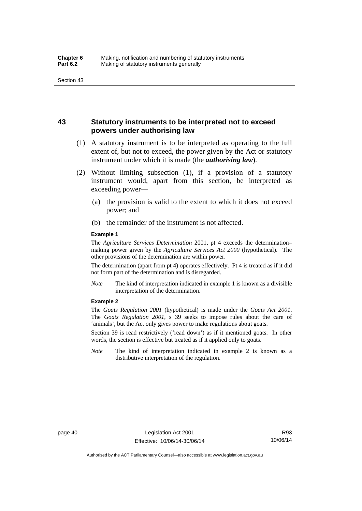### **43 Statutory instruments to be interpreted not to exceed powers under authorising law**

- (1) A statutory instrument is to be interpreted as operating to the full extent of, but not to exceed, the power given by the Act or statutory instrument under which it is made (the *authorising law*).
- (2) Without limiting subsection (1), if a provision of a statutory instrument would, apart from this section, be interpreted as exceeding power—
	- (a) the provision is valid to the extent to which it does not exceed power; and
	- (b) the remainder of the instrument is not affected.

#### **Example 1**

The *Agriculture Services Determination* 2001, pt 4 exceeds the determination– making power given by the *Agriculture Services Act 2000* (hypothetical). The other provisions of the determination are within power.

The determination (apart from pt 4) operates effectively. Pt 4 is treated as if it did not form part of the determination and is disregarded.

*Note* The kind of interpretation indicated in example 1 is known as a divisible interpretation of the determination.

#### **Example 2**

The *Goats Regulation 2001* (hypothetical) is made under the *Goats Act 2001*. The *Goats Regulation 2001*, s 39 seeks to impose rules about the care of 'animals', but the Act only gives power to make regulations about goats.

Section 39 is read restrictively ('read down') as if it mentioned goats. In other words, the section is effective but treated as if it applied only to goats.

*Note* The kind of interpretation indicated in example 2 is known as a distributive interpretation of the regulation.

Authorised by the ACT Parliamentary Counsel—also accessible at www.legislation.act.gov.au

R93 10/06/14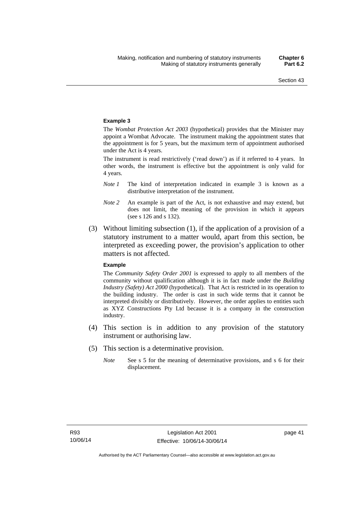#### **Example 3**

The *Wombat Protection Act 2003* (hypothetical) provides that the Minister may appoint a Wombat Advocate. The instrument making the appointment states that the appointment is for 5 years, but the maximum term of appointment authorised under the Act is 4 years.

The instrument is read restrictively ('read down') as if it referred to 4 years. In other words, the instrument is effective but the appointment is only valid for 4 years.

- *Note 1* The kind of interpretation indicated in example 3 is known as a distributive interpretation of the instrument.
- *Note 2* An example is part of the Act, is not exhaustive and may extend, but does not limit, the meaning of the provision in which it appears (see s 126 and s 132).
- (3) Without limiting subsection (1), if the application of a provision of a statutory instrument to a matter would, apart from this section, be interpreted as exceeding power, the provision's application to other matters is not affected.

#### **Example**

The *Community Safety Order 2001* is expressed to apply to all members of the community without qualification although it is in fact made under the *Building Industry (Safety) Act 2000* (hypothetical). That Act is restricted in its operation to the building industry. The order is cast in such wide terms that it cannot be interpreted divisibly or distributively. However, the order applies to entities such as XYZ Constructions Pty Ltd because it is a company in the construction industry.

- (4) This section is in addition to any provision of the statutory instrument or authorising law.
- (5) This section is a determinative provision.
	- *Note* See s 5 for the meaning of determinative provisions, and s 6 for their displacement.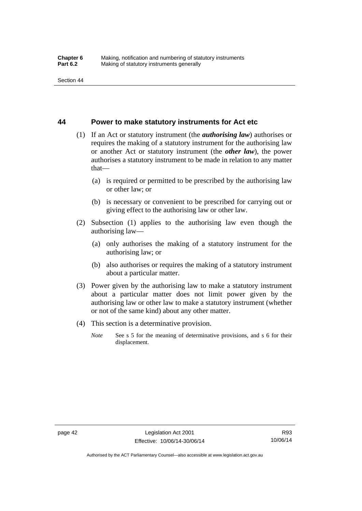### **44 Power to make statutory instruments for Act etc**

- (1) If an Act or statutory instrument (the *authorising law*) authorises or requires the making of a statutory instrument for the authorising law or another Act or statutory instrument (the *other law*), the power authorises a statutory instrument to be made in relation to any matter that—
	- (a) is required or permitted to be prescribed by the authorising law or other law; or
	- (b) is necessary or convenient to be prescribed for carrying out or giving effect to the authorising law or other law.
- (2) Subsection (1) applies to the authorising law even though the authorising law—
	- (a) only authorises the making of a statutory instrument for the authorising law; or
	- (b) also authorises or requires the making of a statutory instrument about a particular matter.
- (3) Power given by the authorising law to make a statutory instrument about a particular matter does not limit power given by the authorising law or other law to make a statutory instrument (whether or not of the same kind) about any other matter.
- (4) This section is a determinative provision.
	- *Note* See s 5 for the meaning of determinative provisions, and s 6 for their displacement.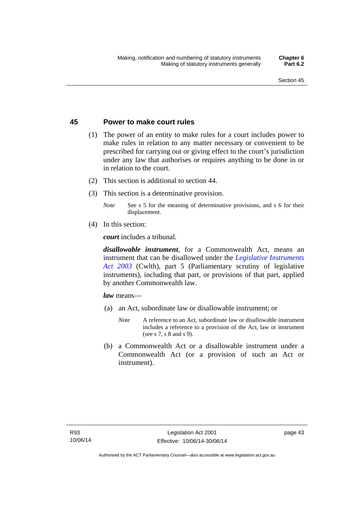### **45 Power to make court rules**

- (1) The power of an entity to make rules for a court includes power to make rules in relation to any matter necessary or convenient to be prescribed for carrying out or giving effect to the court's jurisdiction under any law that authorises or requires anything to be done in or in relation to the court.
- (2) This section is additional to section 44.
- (3) This section is a determinative provision.
	- *Note* See s 5 for the meaning of determinative provisions, and s 6 for their displacement.
- (4) In this section:

*court* includes a tribunal*.*

*disallowable instrument*, for a Commonwealth Act, means an instrument that can be disallowed under the *[Legislative Instruments](http://www.comlaw.gov.au/Series/C2004A01224)  [Act 2003](http://www.comlaw.gov.au/Series/C2004A01224)* (Cwlth), part 5 (Parliamentary scrutiny of legislative instruments), including that part, or provisions of that part, applied by another Commonwealth law.

*law* means—

- (a) an Act, subordinate law or disallowable instrument; or
	- *Note* A reference to an Act, subordinate law or disallowable instrument includes a reference to a provision of the Act, law or instrument (see s 7, s 8 and s 9).
- (b) a Commonwealth Act or a disallowable instrument under a Commonwealth Act (or a provision of such an Act or instrument).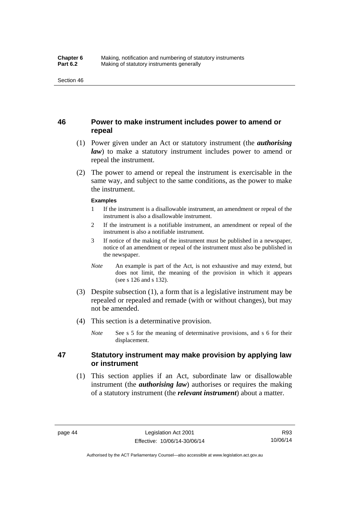### **46 Power to make instrument includes power to amend or repeal**

- (1) Power given under an Act or statutory instrument (the *authorising law*) to make a statutory instrument includes power to amend or repeal the instrument.
- (2) The power to amend or repeal the instrument is exercisable in the same way, and subject to the same conditions, as the power to make the instrument.

#### **Examples**

- 1 If the instrument is a disallowable instrument, an amendment or repeal of the instrument is also a disallowable instrument.
- 2 If the instrument is a notifiable instrument, an amendment or repeal of the instrument is also a notifiable instrument.
- 3 If notice of the making of the instrument must be published in a newspaper, notice of an amendment or repeal of the instrument must also be published in the newspaper.
- *Note* An example is part of the Act, is not exhaustive and may extend, but does not limit, the meaning of the provision in which it appears (see s 126 and s 132).
- (3) Despite subsection (1), a form that is a legislative instrument may be repealed or repealed and remade (with or without changes), but may not be amended.
- (4) This section is a determinative provision.
	- *Note* See s 5 for the meaning of determinative provisions, and s 6 for their displacement.

### **47 Statutory instrument may make provision by applying law or instrument**

 (1) This section applies if an Act, subordinate law or disallowable instrument (the *authorising law*) authorises or requires the making of a statutory instrument (the *relevant instrument*) about a matter.

R93 10/06/14

Authorised by the ACT Parliamentary Counsel—also accessible at www.legislation.act.gov.au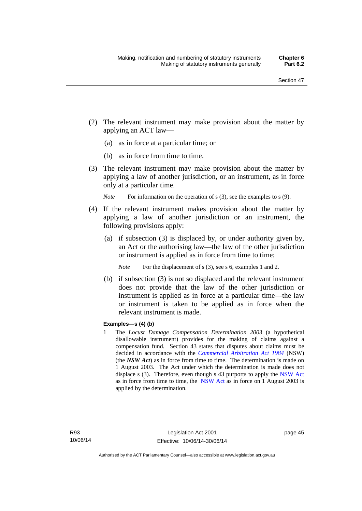- (2) The relevant instrument may make provision about the matter by applying an ACT law—
	- (a) as in force at a particular time; or
	- (b) as in force from time to time.
- (3) The relevant instrument may make provision about the matter by applying a law of another jurisdiction, or an instrument, as in force only at a particular time.

*Note* For information on the operation of s (3), see the examples to s (9).

- (4) If the relevant instrument makes provision about the matter by applying a law of another jurisdiction or an instrument, the following provisions apply:
	- (a) if subsection (3) is displaced by, or under authority given by, an Act or the authorising law—the law of the other jurisdiction or instrument is applied as in force from time to time;
		- *Note* For the displacement of s (3), see s 6, examples 1 and 2.
	- (b) if subsection (3) is not so displaced and the relevant instrument does not provide that the law of the other jurisdiction or instrument is applied as in force at a particular time—the law or instrument is taken to be applied as in force when the relevant instrument is made.

### **Examples—s (4) (b)**

1 The *Locust Damage Compensation Determination 2003* (a hypothetical disallowable instrument) provides for the making of claims against a compensation fund. Section 43 states that disputes about claims must be decided in accordance with the *[Commercial Arbitration Act 1984](http://www.legislation.nsw.gov.au/maintop/view/repealed/act+160+1984+cd+0+Y)* (NSW) (the *NSW Act*) as in force from time to time. The determination is made on 1 August 2003. The Act under which the determination is made does not displace s (3). Therefore, even though s 43 purports to apply the [NSW Act](http://www.legislation.nsw.gov.au/maintop/view/repealed/act+160+1984+cd+0+Y) as in force from time to time, the [NSW Act](http://www.legislation.nsw.gov.au/maintop/view/repealed/act+160+1984+cd+0+Y) as in force on 1 August 2003 is applied by the determination.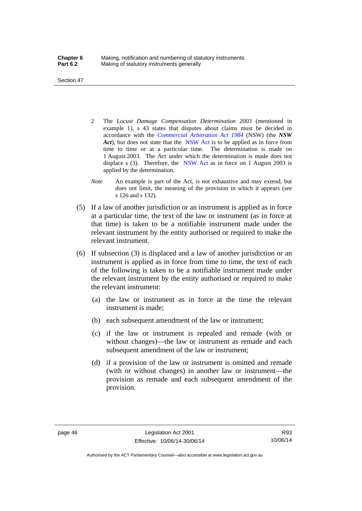Section 47

- 2 The *Locust Damage Compensation Determination 2003* (mentioned in example 1), s 43 states that disputes about claims must be decided in accordance with the *[Commercial Arbitration Act 1984](http://www.legislation.nsw.gov.au/maintop/view/repealed/act+160+1984+cd+0+Y)* (NSW) (the *NSW Act*), but does not state that the [NSW Act](http://www.legislation.nsw.gov.au/maintop/view/repealed/act+160+1984+cd+0+Y) is to be applied as in force from time to time or at a particular time. The determination is made on 1 August 2003. The Act under which the determination is made does not displace s (3). Therefore, the [NSW Act](http://www.legislation.nsw.gov.au/maintop/view/repealed/act+160+1984+cd+0+Y) as in force on 1 August 2003 is applied by the determination.
- *Note* An example is part of the Act, is not exhaustive and may extend, but does not limit, the meaning of the provision in which it appears (see s 126 and s 132).
- (5) If a law of another jurisdiction or an instrument is applied as in force at a particular time, the text of the law or instrument (as in force at that time) is taken to be a notifiable instrument made under the relevant instrument by the entity authorised or required to make the relevant instrument.
- (6) If subsection (3) is displaced and a law of another jurisdiction or an instrument is applied as in force from time to time, the text of each of the following is taken to be a notifiable instrument made under the relevant instrument by the entity authorised or required to make the relevant instrument:
	- (a) the law or instrument as in force at the time the relevant instrument is made;
	- (b) each subsequent amendment of the law or instrument;
	- (c) if the law or instrument is repealed and remade (with or without changes)—the law or instrument as remade and each subsequent amendment of the law or instrument;
	- (d) if a provision of the law or instrument is omitted and remade (with or without changes) in another law or instrument—the provision as remade and each subsequent amendment of the provision.

R93 10/06/14

Authorised by the ACT Parliamentary Counsel—also accessible at www.legislation.act.gov.au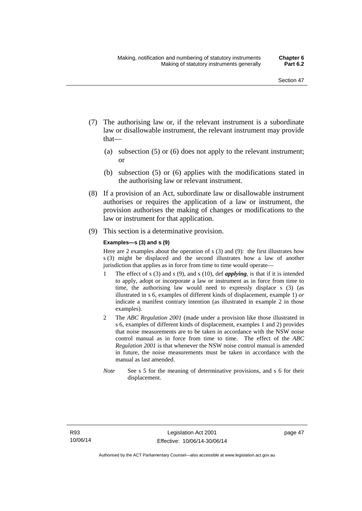- (7) The authorising law or, if the relevant instrument is a subordinate law or disallowable instrument, the relevant instrument may provide that—
	- (a) subsection (5) or (6) does not apply to the relevant instrument; or
	- (b) subsection (5) or (6) applies with the modifications stated in the authorising law or relevant instrument.
- (8) If a provision of an Act, subordinate law or disallowable instrument authorises or requires the application of a law or instrument, the provision authorises the making of changes or modifications to the law or instrument for that application.
- (9) This section is a determinative provision.

#### **Examples—s (3) and s (9)**

Here are 2 examples about the operation of s (3) and (9): the first illustrates how s (3) might be displaced and the second illustrates how a law of another jurisdiction that applies as in force from time to time would operate—

- 1 The effect of s (3) and s (9), and s (10), def *applying*, is that if it is intended to apply, adopt or incorporate a law or instrument as in force from time to time, the authorising law would need to expressly displace s (3) (as illustrated in s 6, examples of different kinds of displacement, example 1) *or* indicate a manifest contrary intention (as illustrated in example 2 in those examples).
- 2 The *ABC Regulation 2001* (made under a provision like those illustrated in s 6, examples of different kinds of displacement, examples 1 and 2) provides that noise measurements are to be taken in accordance with the NSW noise control manual as in force from time to time. The effect of the *ABC Regulation 2001* is that whenever the NSW noise control manual is amended in future, the noise measurements must be taken in accordance with the manual as last amended.
- *Note* See s 5 for the meaning of determinative provisions, and s 6 for their displacement.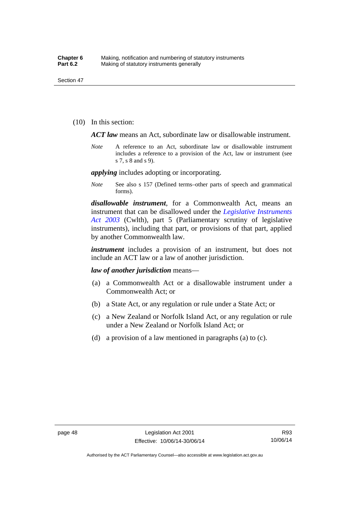(10) In this section:

*ACT law* means an Act, subordinate law or disallowable instrument.

*Note* A reference to an Act, subordinate law or disallowable instrument includes a reference to a provision of the Act, law or instrument (see s 7, s 8 and s 9).

*applying* includes adopting or incorporating.

*Note* See also s 157 (Defined terms–other parts of speech and grammatical forms).

*disallowable instrument*, for a Commonwealth Act, means an instrument that can be disallowed under the *[Legislative Instruments](http://www.comlaw.gov.au/Series/C2004A01224)  [Act 2003](http://www.comlaw.gov.au/Series/C2004A01224)* (Cwlth), part 5 (Parliamentary scrutiny of legislative instruments), including that part, or provisions of that part, applied by another Commonwealth law.

*instrument* includes a provision of an instrument, but does not include an ACT law or a law of another jurisdiction.

*law of another jurisdiction* means—

- (a) a Commonwealth Act or a disallowable instrument under a Commonwealth Act; or
- (b) a State Act, or any regulation or rule under a State Act; or
- (c) a New Zealand or Norfolk Island Act, or any regulation or rule under a New Zealand or Norfolk Island Act; or
- (d) a provision of a law mentioned in paragraphs (a) to (c).

R93 10/06/14

Authorised by the ACT Parliamentary Counsel—also accessible at www.legislation.act.gov.au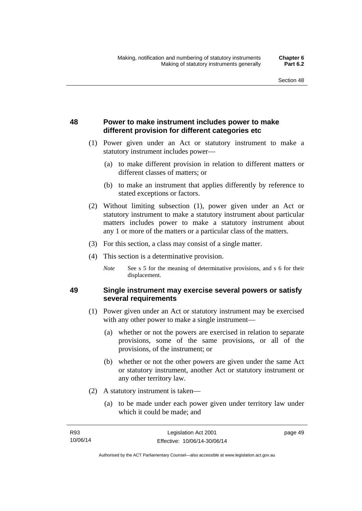## **48 Power to make instrument includes power to make different provision for different categories etc**

- (1) Power given under an Act or statutory instrument to make a statutory instrument includes power—
	- (a) to make different provision in relation to different matters or different classes of matters; or
	- (b) to make an instrument that applies differently by reference to stated exceptions or factors.
- (2) Without limiting subsection (1), power given under an Act or statutory instrument to make a statutory instrument about particular matters includes power to make a statutory instrument about any 1 or more of the matters or a particular class of the matters.
- (3) For this section, a class may consist of a single matter.
- (4) This section is a determinative provision.
	- *Note* See s 5 for the meaning of determinative provisions, and s 6 for their displacement.

### **49 Single instrument may exercise several powers or satisfy several requirements**

- (1) Power given under an Act or statutory instrument may be exercised with any other power to make a single instrument—
	- (a) whether or not the powers are exercised in relation to separate provisions, some of the same provisions, or all of the provisions, of the instrument; or
	- (b) whether or not the other powers are given under the same Act or statutory instrument, another Act or statutory instrument or any other territory law.
- (2) A statutory instrument is taken—
	- (a) to be made under each power given under territory law under which it could be made; and

page 49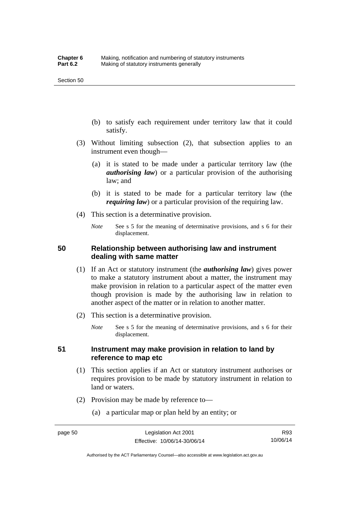- (b) to satisfy each requirement under territory law that it could satisfy.
- (3) Without limiting subsection (2), that subsection applies to an instrument even though—
	- (a) it is stated to be made under a particular territory law (the *authorising law*) or a particular provision of the authorising law; and
	- (b) it is stated to be made for a particular territory law (the *requiring law*) or a particular provision of the requiring law.
- (4) This section is a determinative provision.
	- *Note* See s 5 for the meaning of determinative provisions, and s 6 for their displacement.

### **50 Relationship between authorising law and instrument dealing with same matter**

- (1) If an Act or statutory instrument (the *authorising law*) gives power to make a statutory instrument about a matter, the instrument may make provision in relation to a particular aspect of the matter even though provision is made by the authorising law in relation to another aspect of the matter or in relation to another matter.
- (2) This section is a determinative provision.
	- *Note* See s 5 for the meaning of determinative provisions, and s 6 for their displacement.

### **51 Instrument may make provision in relation to land by reference to map etc**

- (1) This section applies if an Act or statutory instrument authorises or requires provision to be made by statutory instrument in relation to land or waters.
- (2) Provision may be made by reference to—
	- (a) a particular map or plan held by an entity; or

Authorised by the ACT Parliamentary Counsel—also accessible at www.legislation.act.gov.au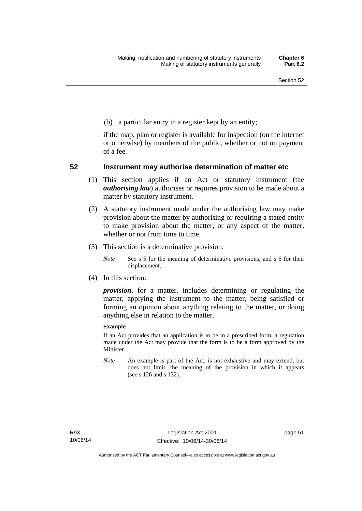(b) a particular entry in a register kept by an entity;

if the map, plan or register is available for inspection (on the internet or otherwise) by members of the public, whether or not on payment of a fee.

### **52 Instrument may authorise determination of matter etc**

- (1) This section applies if an Act or statutory instrument (the *authorising law*) authorises or requires provision to be made about a matter by statutory instrument.
- (2) A statutory instrument made under the authorising law may make provision about the matter by authorising or requiring a stated entity to make provision about the matter, or any aspect of the matter, whether or not from time to time.
- (3) This section is a determinative provision.
	- *Note* See s 5 for the meaning of determinative provisions, and s 6 for their displacement.
- (4) In this section:

*provision*, for a matter, includes determining or regulating the matter, applying the instrument to the matter, being satisfied or forming an opinion about anything relating to the matter, or doing anything else in relation to the matter.

#### **Example**

If an Act provides that an application is to be in a prescribed form, a regulation made under the Act may provide that the form is to be a form approved by the Minister.

*Note* An example is part of the Act, is not exhaustive and may extend, but does not limit, the meaning of the provision in which it appears (see s 126 and s 132).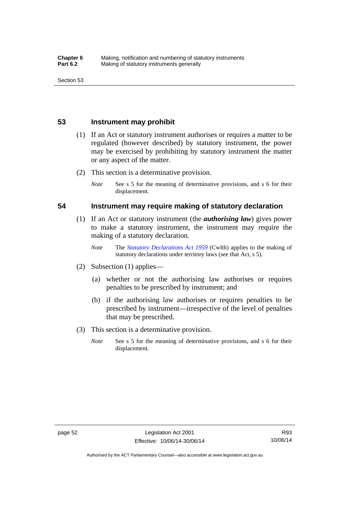### **53 Instrument may prohibit**

- (1) If an Act or statutory instrument authorises or requires a matter to be regulated (however described) by statutory instrument, the power may be exercised by prohibiting by statutory instrument the matter or any aspect of the matter.
- (2) This section is a determinative provision.
	- *Note* See s 5 for the meaning of determinative provisions, and s 6 for their displacement.

### **54 Instrument may require making of statutory declaration**

- (1) If an Act or statutory instrument (the *authorising law*) gives power to make a statutory instrument, the instrument may require the making of a statutory declaration.
	- *Note* The *[Statutory Declarations Act 1959](http://www.comlaw.gov.au/Series/C2004A07365)* (Cwlth) applies to the making of statutory declarations under territory laws (see that Act, s 5).
- (2) Subsection (1) applies—
	- (a) whether or not the authorising law authorises or requires penalties to be prescribed by instrument; and
	- (b) if the authorising law authorises or requires penalties to be prescribed by instrument—irrespective of the level of penalties that may be prescribed.
- (3) This section is a determinative provision.
	- *Note* See s 5 for the meaning of determinative provisions, and s 6 for their displacement.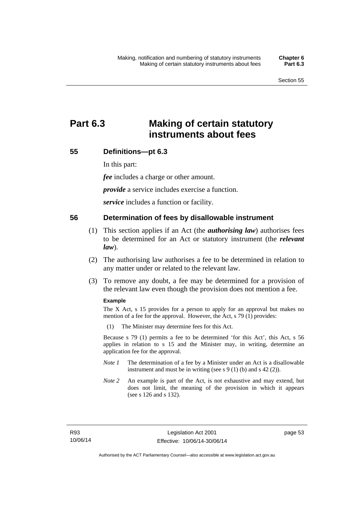# **Part 6.3 Making of certain statutory instruments about fees**

### **55 Definitions—pt 6.3**

In this part:

*fee* includes a charge or other amount.

*provide* a service includes exercise a function.

*service* includes a function or facility.

### **56 Determination of fees by disallowable instrument**

- (1) This section applies if an Act (the *authorising law*) authorises fees to be determined for an Act or statutory instrument (the *relevant law*).
- (2) The authorising law authorises a fee to be determined in relation to any matter under or related to the relevant law.
- (3) To remove any doubt, a fee may be determined for a provision of the relevant law even though the provision does not mention a fee.

#### **Example**

The X Act, s 15 provides for a person to apply for an approval but makes no mention of a fee for the approval. However, the Act, s 79 (1) provides:

(1) The Minister may determine fees for this Act.

Because s 79 (1) permits a fee to be determined 'for this Act', this Act, s 56 applies in relation to s 15 and the Minister may, in writing, determine an application fee for the approval.

- *Note 1* The determination of a fee by a Minister under an Act is a disallowable instrument and must be in writing (see s 9 (1) (b) and s 42 (2)).
- *Note 2* An example is part of the Act, is not exhaustive and may extend, but does not limit, the meaning of the provision in which it appears (see s 126 and s 132).

page 53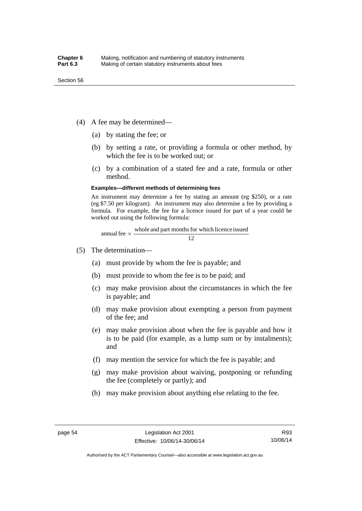- (4) A fee may be determined—
	- (a) by stating the fee; or
	- (b) by setting a rate, or providing a formula or other method, by which the fee is to be worked out; or
	- (c) by a combination of a stated fee and a rate, formula or other method.

#### **Examples—different methods of determining fees**

An instrument may determine a fee by stating an amount (eg \$250), or a rate (eg \$7.50 per kilogram). An instrument may also determine a fee by providing a formula. For example, the fee for a licence issued for part of a year could be worked out using the following formula:

annual fee  $\times$  whole and part months for which licence issued  $\frac{12}{\sqrt{12}}$ 

- (5) The determination—
	- (a) must provide by whom the fee is payable; and
	- (b) must provide to whom the fee is to be paid; and
	- (c) may make provision about the circumstances in which the fee is payable; and
	- (d) may make provision about exempting a person from payment of the fee; and
	- (e) may make provision about when the fee is payable and how it is to be paid (for example, as a lump sum or by instalments); and
	- (f) may mention the service for which the fee is payable; and
	- (g) may make provision about waiving, postponing or refunding the fee (completely or partly); and
	- (h) may make provision about anything else relating to the fee.

Authorised by the ACT Parliamentary Counsel—also accessible at www.legislation.act.gov.au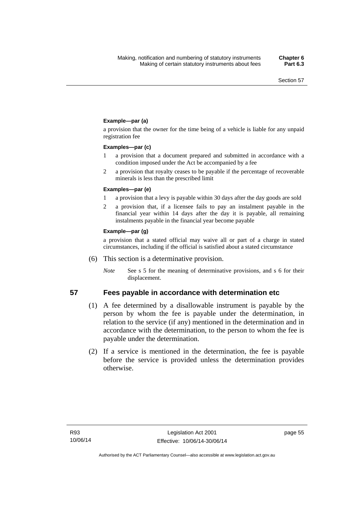### **Example—par (a)**

a provision that the owner for the time being of a vehicle is liable for any unpaid registration fee

#### **Examples—par (c)**

- 1 a provision that a document prepared and submitted in accordance with a condition imposed under the Act be accompanied by a fee
- 2 a provision that royalty ceases to be payable if the percentage of recoverable minerals is less than the prescribed limit

#### **Examples—par (e)**

- 1 a provision that a levy is payable within 30 days after the day goods are sold
- 2 a provision that, if a licensee fails to pay an instalment payable in the financial year within 14 days after the day it is payable, all remaining instalments payable in the financial year become payable

#### **Example—par (g)**

a provision that a stated official may waive all or part of a charge in stated circumstances, including if the official is satisfied about a stated circumstance

- (6) This section is a determinative provision.
	- *Note* See s 5 for the meaning of determinative provisions, and s 6 for their displacement.

- **57 Fees payable in accordance with determination etc**  (1) A fee determined by a disallowable instrument is payable by the
	- person by whom the fee is payable under the determination, in relation to the service (if any) mentioned in the determination and in accordance with the determination, to the person to whom the fee is payable under the determination.
	- (2) If a service is mentioned in the determination, the fee is payable before the service is provided unless the determination provides otherwise.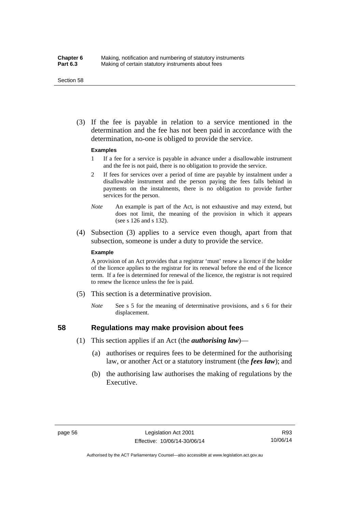#### Section 58

 (3) If the fee is payable in relation to a service mentioned in the determination and the fee has not been paid in accordance with the determination, no-one is obliged to provide the service.

#### **Examples**

- 1 If a fee for a service is payable in advance under a disallowable instrument and the fee is not paid, there is no obligation to provide the service.
- 2 If fees for services over a period of time are payable by instalment under a disallowable instrument and the person paying the fees falls behind in payments on the instalments, there is no obligation to provide further services for the person.
- *Note* An example is part of the Act, is not exhaustive and may extend, but does not limit, the meaning of the provision in which it appears (see s 126 and s 132).
- (4) Subsection (3) applies to a service even though, apart from that subsection, someone is under a duty to provide the service.

#### **Example**

A provision of an Act provides that a registrar 'must' renew a licence if the holder of the licence applies to the registrar for its renewal before the end of the licence term. If a fee is determined for renewal of the licence, the registrar is not required to renew the licence unless the fee is paid.

- (5) This section is a determinative provision.
	- *Note* See s 5 for the meaning of determinative provisions, and s 6 for their displacement.

## **58 Regulations may make provision about fees**

- (1) This section applies if an Act (the *authorising law*)—
	- (a) authorises or requires fees to be determined for the authorising law, or another Act or a statutory instrument (the *fees law*); and
	- (b) the authorising law authorises the making of regulations by the Executive.

Authorised by the ACT Parliamentary Counsel—also accessible at www.legislation.act.gov.au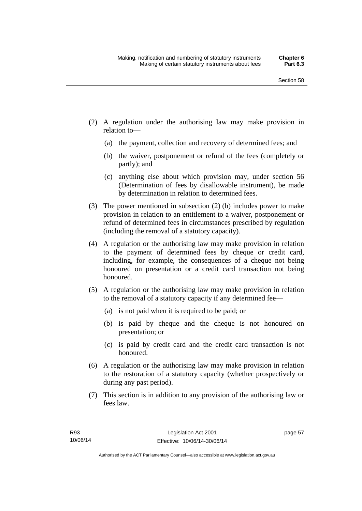- (2) A regulation under the authorising law may make provision in relation to—
	- (a) the payment, collection and recovery of determined fees; and
	- (b) the waiver, postponement or refund of the fees (completely or partly); and
	- (c) anything else about which provision may, under section 56 (Determination of fees by disallowable instrument), be made by determination in relation to determined fees.
- (3) The power mentioned in subsection (2) (b) includes power to make provision in relation to an entitlement to a waiver, postponement or refund of determined fees in circumstances prescribed by regulation (including the removal of a statutory capacity).
- (4) A regulation or the authorising law may make provision in relation to the payment of determined fees by cheque or credit card, including, for example, the consequences of a cheque not being honoured on presentation or a credit card transaction not being honoured.
- (5) A regulation or the authorising law may make provision in relation to the removal of a statutory capacity if any determined fee—
	- (a) is not paid when it is required to be paid; or
	- (b) is paid by cheque and the cheque is not honoured on presentation; or
	- (c) is paid by credit card and the credit card transaction is not honoured.
- (6) A regulation or the authorising law may make provision in relation to the restoration of a statutory capacity (whether prospectively or during any past period).
- (7) This section is in addition to any provision of the authorising law or fees law.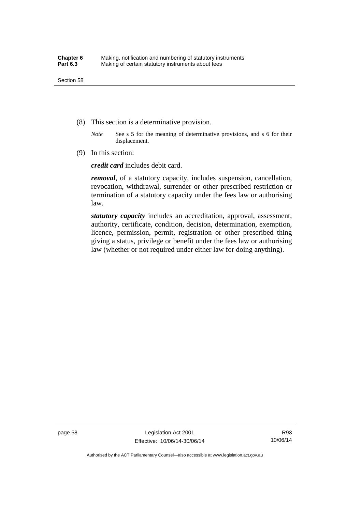- (8) This section is a determinative provision.
	- *Note* See s 5 for the meaning of determinative provisions, and s 6 for their displacement.
- (9) In this section:

*credit card* includes debit card.

*removal*, of a statutory capacity, includes suspension, cancellation, revocation, withdrawal, surrender or other prescribed restriction or termination of a statutory capacity under the fees law or authorising law.

*statutory capacity* includes an accreditation, approval, assessment, authority, certificate, condition, decision, determination, exemption, licence, permission, permit, registration or other prescribed thing giving a status, privilege or benefit under the fees law or authorising law (whether or not required under either law for doing anything).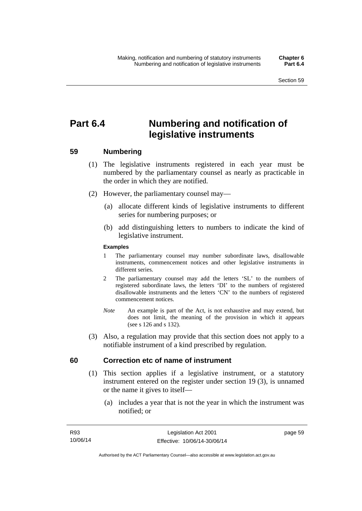# **Part 6.4 Numbering and notification of legislative instruments**

## **59 Numbering**

- (1) The legislative instruments registered in each year must be numbered by the parliamentary counsel as nearly as practicable in the order in which they are notified.
- (2) However, the parliamentary counsel may—
	- (a) allocate different kinds of legislative instruments to different series for numbering purposes; or
	- (b) add distinguishing letters to numbers to indicate the kind of legislative instrument.

## **Examples**

- 1 The parliamentary counsel may number subordinate laws, disallowable instruments, commencement notices and other legislative instruments in different series.
- 2 The parliamentary counsel may add the letters 'SL' to the numbers of registered subordinate laws, the letters 'DI' to the numbers of registered disallowable instruments and the letters 'CN' to the numbers of registered commencement notices.
- *Note* An example is part of the Act, is not exhaustive and may extend, but does not limit, the meaning of the provision in which it appears (see s 126 and s 132).
- (3) Also, a regulation may provide that this section does not apply to a notifiable instrument of a kind prescribed by regulation.

## **60 Correction etc of name of instrument**

- (1) This section applies if a legislative instrument, or a statutory instrument entered on the register under section 19 (3), is unnamed or the name it gives to itself—
	- (a) includes a year that is not the year in which the instrument was notified; or

page 59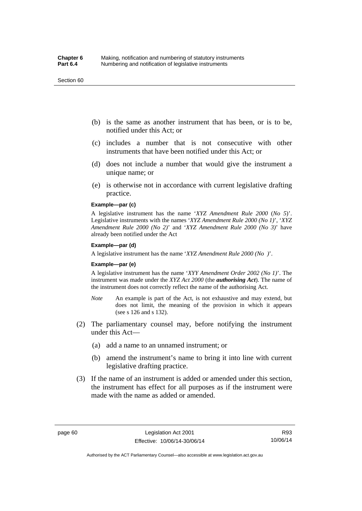#### Section 60

- (b) is the same as another instrument that has been, or is to be, notified under this Act; or
- (c) includes a number that is not consecutive with other instruments that have been notified under this Act; or
- (d) does not include a number that would give the instrument a unique name; or
- (e) is otherwise not in accordance with current legislative drafting practice.

## **Example—par (c)**

A legislative instrument has the name '*XYZ Amendment Rule 2000* (*No 5*)'. Legislative instruments with the names '*XYZ Amendment Rule 2000 (No 1)*', '*XYZ Amendment Rule 2000 (No 2)*' and '*XYZ Amendment Rule 2000 (No 3)*' have already been notified under the Act

#### **Example—par (d)**

A legislative instrument has the name '*XYZ Amendment Rule 2000 (No )*'.

#### **Example—par (e)**

A legislative instrument has the name '*XYY Amendment Order 2002 (No 1)*'. The instrument was made under the *XYZ Act 2000* (the *authorising Act*). The name of the instrument does not correctly reflect the name of the authorising Act.

- *Note* An example is part of the Act, is not exhaustive and may extend, but does not limit, the meaning of the provision in which it appears (see s 126 and s 132).
- (2) The parliamentary counsel may, before notifying the instrument under this Act—
	- (a) add a name to an unnamed instrument; or
	- (b) amend the instrument's name to bring it into line with current legislative drafting practice.
- (3) If the name of an instrument is added or amended under this section, the instrument has effect for all purposes as if the instrument were made with the name as added or amended.

Authorised by the ACT Parliamentary Counsel—also accessible at www.legislation.act.gov.au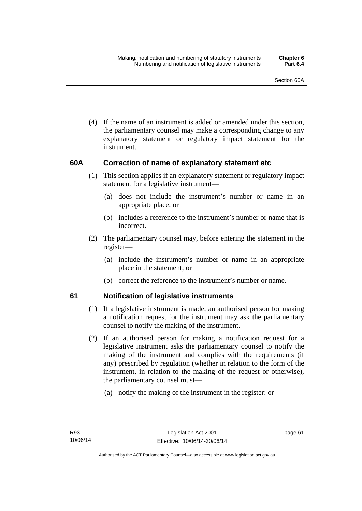(4) If the name of an instrument is added or amended under this section, the parliamentary counsel may make a corresponding change to any explanatory statement or regulatory impact statement for the instrument.

## **60A Correction of name of explanatory statement etc**

- (1) This section applies if an explanatory statement or regulatory impact statement for a legislative instrument—
	- (a) does not include the instrument's number or name in an appropriate place; or
	- (b) includes a reference to the instrument's number or name that is incorrect.
- (2) The parliamentary counsel may, before entering the statement in the register—
	- (a) include the instrument's number or name in an appropriate place in the statement; or
	- (b) correct the reference to the instrument's number or name.

## **61 Notification of legislative instruments**

- (1) If a legislative instrument is made, an authorised person for making a notification request for the instrument may ask the parliamentary counsel to notify the making of the instrument.
- (2) If an authorised person for making a notification request for a legislative instrument asks the parliamentary counsel to notify the making of the instrument and complies with the requirements (if any) prescribed by regulation (whether in relation to the form of the instrument, in relation to the making of the request or otherwise), the parliamentary counsel must—
	- (a) notify the making of the instrument in the register; or

page 61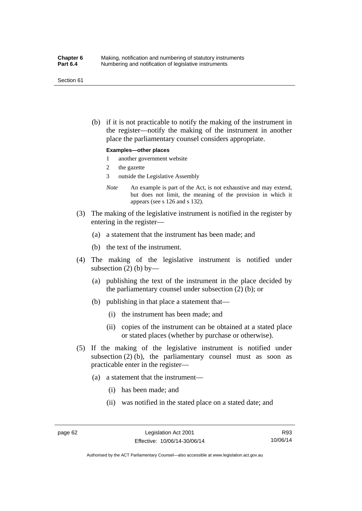#### Section 61

 (b) if it is not practicable to notify the making of the instrument in the register—notify the making of the instrument in another place the parliamentary counsel considers appropriate.

#### **Examples—other places**

- 1 another government website
- 2 the gazette
- 3 outside the Legislative Assembly
- *Note* An example is part of the Act, is not exhaustive and may extend, but does not limit, the meaning of the provision in which it appears (see s 126 and s 132).
- (3) The making of the legislative instrument is notified in the register by entering in the register—
	- (a) a statement that the instrument has been made; and
	- (b) the text of the instrument.
- (4) The making of the legislative instrument is notified under subsection  $(2)$  (b) by—
	- (a) publishing the text of the instrument in the place decided by the parliamentary counsel under subsection (2) (b); or
	- (b) publishing in that place a statement that—
		- (i) the instrument has been made; and
		- (ii) copies of the instrument can be obtained at a stated place or stated places (whether by purchase or otherwise).
- (5) If the making of the legislative instrument is notified under subsection  $(2)$  (b), the parliamentary counsel must as soon as practicable enter in the register—
	- (a) a statement that the instrument—
		- (i) has been made; and
		- (ii) was notified in the stated place on a stated date; and

R93 10/06/14

Authorised by the ACT Parliamentary Counsel—also accessible at www.legislation.act.gov.au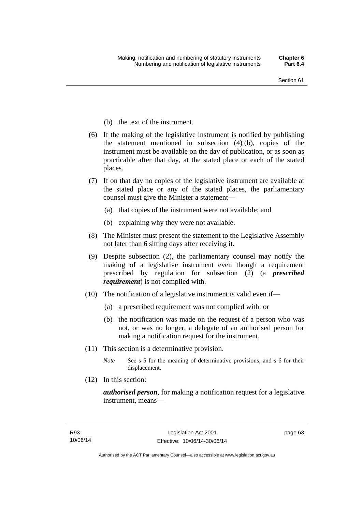- (b) the text of the instrument.
- (6) If the making of the legislative instrument is notified by publishing the statement mentioned in subsection (4) (b), copies of the instrument must be available on the day of publication, or as soon as practicable after that day, at the stated place or each of the stated places.
- (7) If on that day no copies of the legislative instrument are available at the stated place or any of the stated places, the parliamentary counsel must give the Minister a statement—
	- (a) that copies of the instrument were not available; and
	- (b) explaining why they were not available.
- (8) The Minister must present the statement to the Legislative Assembly not later than 6 sitting days after receiving it.
- (9) Despite subsection (2), the parliamentary counsel may notify the making of a legislative instrument even though a requirement prescribed by regulation for subsection (2) (a *prescribed requirement*) is not complied with.
- (10) The notification of a legislative instrument is valid even if—
	- (a) a prescribed requirement was not complied with; or
	- (b) the notification was made on the request of a person who was not, or was no longer, a delegate of an authorised person for making a notification request for the instrument.
- (11) This section is a determinative provision.
	- *Note* See s 5 for the meaning of determinative provisions, and s 6 for their displacement.
- (12) In this section:

*authorised person*, for making a notification request for a legislative instrument, means—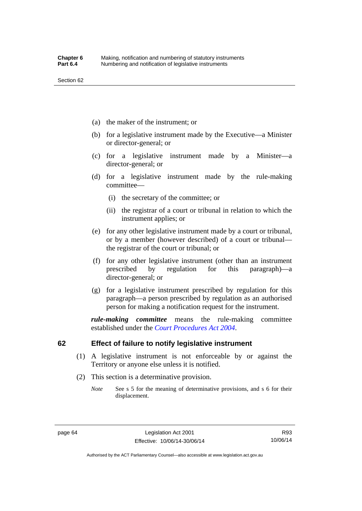- (a) the maker of the instrument; or
- (b) for a legislative instrument made by the Executive—a Minister or director-general; or
- (c) for a legislative instrument made by a Minister—a director-general; or
- (d) for a legislative instrument made by the rule-making committee—
	- (i) the secretary of the committee; or
	- (ii) the registrar of a court or tribunal in relation to which the instrument applies; or
- (e) for any other legislative instrument made by a court or tribunal, or by a member (however described) of a court or tribunal the registrar of the court or tribunal; or
- (f) for any other legislative instrument (other than an instrument prescribed by regulation for this paragraph)—a director-general; or
- (g) for a legislative instrument prescribed by regulation for this paragraph—a person prescribed by regulation as an authorised person for making a notification request for the instrument.

*rule-making committee* means the rule-making committee established under the *[Court Procedures Act 2004](http://www.legislation.act.gov.au/a/2004-59)*.

## **62 Effect of failure to notify legislative instrument**

- (1) A legislative instrument is not enforceable by or against the Territory or anyone else unless it is notified.
- (2) This section is a determinative provision.
	- *Note* See s 5 for the meaning of determinative provisions, and s 6 for their displacement.

Authorised by the ACT Parliamentary Counsel—also accessible at www.legislation.act.gov.au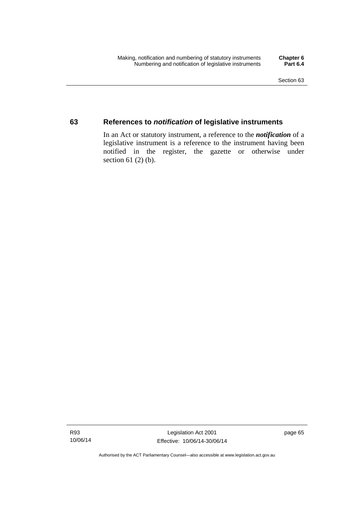## **63 References to** *notification* **of legislative instruments**

In an Act or statutory instrument, a reference to the *notification* of a legislative instrument is a reference to the instrument having been notified in the register, the gazette or otherwise under section  $61$  (2) (b).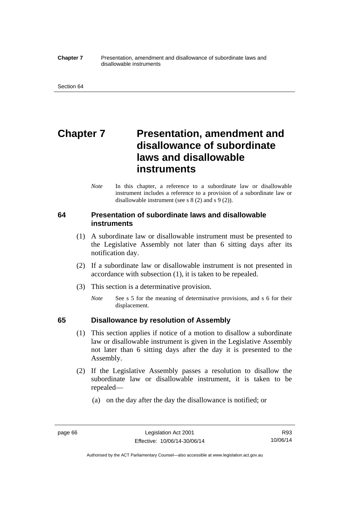#### **Chapter 7** Presentation, amendment and disallowance of subordinate laws and disallowable instruments

# **Chapter 7** Presentation, amendment and **disallowance of subordinate laws and disallowable instruments**

*Note* In this chapter, a reference to a subordinate law or disallowable instrument includes a reference to a provision of a subordinate law or disallowable instrument (see s 8 (2) and s 9 (2)).

## **64 Presentation of subordinate laws and disallowable instruments**

- (1) A subordinate law or disallowable instrument must be presented to the Legislative Assembly not later than 6 sitting days after its notification day.
- (2) If a subordinate law or disallowable instrument is not presented in accordance with subsection (1), it is taken to be repealed.
- (3) This section is a determinative provision.
	- *Note* See s 5 for the meaning of determinative provisions, and s 6 for their displacement.

## **65 Disallowance by resolution of Assembly**

- (1) This section applies if notice of a motion to disallow a subordinate law or disallowable instrument is given in the Legislative Assembly not later than 6 sitting days after the day it is presented to the Assembly.
- (2) If the Legislative Assembly passes a resolution to disallow the subordinate law or disallowable instrument, it is taken to be repealed—
	- (a) on the day after the day the disallowance is notified; or

Authorised by the ACT Parliamentary Counsel—also accessible at www.legislation.act.gov.au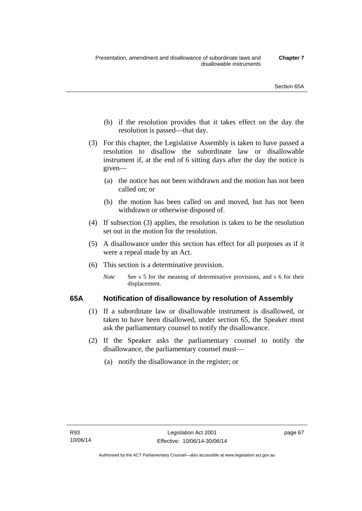- (b) if the resolution provides that it takes effect on the day the resolution is passed—that day.
- (3) For this chapter, the Legislative Assembly is taken to have passed a resolution to disallow the subordinate law or disallowable instrument if, at the end of 6 sitting days after the day the notice is given—
	- (a) the notice has not been withdrawn and the motion has not been called on; or
	- (b) the motion has been called on and moved, but has not been withdrawn or otherwise disposed of.
- (4) If subsection (3) applies, the resolution is taken to be the resolution set out in the motion for the resolution.
- (5) A disallowance under this section has effect for all purposes as if it were a repeal made by an Act.
- (6) This section is a determinative provision.
	- *Note* See s 5 for the meaning of determinative provisions, and s 6 for their displacement.

## **65A Notification of disallowance by resolution of Assembly**

- (1) If a subordinate law or disallowable instrument is disallowed, or taken to have been disallowed, under section 65, the Speaker must ask the parliamentary counsel to notify the disallowance.
- (2) If the Speaker asks the parliamentary counsel to notify the disallowance, the parliamentary counsel must—
	- (a) notify the disallowance in the register; or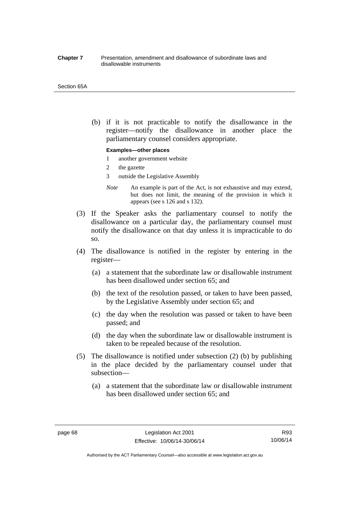#### **Chapter 7** Presentation, amendment and disallowance of subordinate laws and disallowable instruments

#### Section 65A

 (b) if it is not practicable to notify the disallowance in the register—notify the disallowance in another place the parliamentary counsel considers appropriate.

#### **Examples—other places**

- 1 another government website
- 2 the gazette
- 3 outside the Legislative Assembly
- *Note* An example is part of the Act, is not exhaustive and may extend, but does not limit, the meaning of the provision in which it appears (see s 126 and s 132).
- (3) If the Speaker asks the parliamentary counsel to notify the disallowance on a particular day, the parliamentary counsel must notify the disallowance on that day unless it is impracticable to do so.
- (4) The disallowance is notified in the register by entering in the register—
	- (a) a statement that the subordinate law or disallowable instrument has been disallowed under section 65; and
	- (b) the text of the resolution passed, or taken to have been passed, by the Legislative Assembly under section 65; and
	- (c) the day when the resolution was passed or taken to have been passed; and
	- (d) the day when the subordinate law or disallowable instrument is taken to be repealed because of the resolution.
- (5) The disallowance is notified under subsection (2) (b) by publishing in the place decided by the parliamentary counsel under that subsection—
	- (a) a statement that the subordinate law or disallowable instrument has been disallowed under section 65; and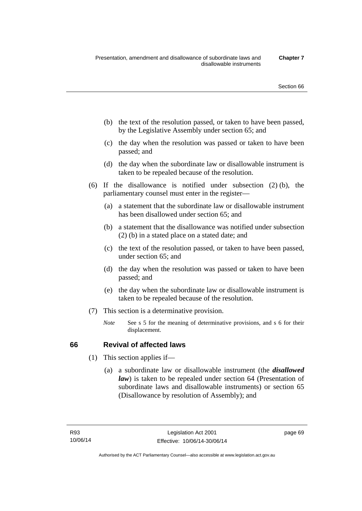- (b) the text of the resolution passed, or taken to have been passed, by the Legislative Assembly under section 65; and
- (c) the day when the resolution was passed or taken to have been passed; and
- (d) the day when the subordinate law or disallowable instrument is taken to be repealed because of the resolution.
- (6) If the disallowance is notified under subsection (2) (b), the parliamentary counsel must enter in the register—
	- (a) a statement that the subordinate law or disallowable instrument has been disallowed under section 65; and
	- (b) a statement that the disallowance was notified under subsection (2) (b) in a stated place on a stated date; and
	- (c) the text of the resolution passed, or taken to have been passed, under section 65; and
	- (d) the day when the resolution was passed or taken to have been passed; and
	- (e) the day when the subordinate law or disallowable instrument is taken to be repealed because of the resolution.
- (7) This section is a determinative provision.
	- *Note* See s 5 for the meaning of determinative provisions, and s 6 for their displacement.

## **66 Revival of affected laws**

- (1) This section applies if—
	- (a) a subordinate law or disallowable instrument (the *disallowed law*) is taken to be repealed under section 64 (Presentation of subordinate laws and disallowable instruments) or section 65 (Disallowance by resolution of Assembly); and

page 69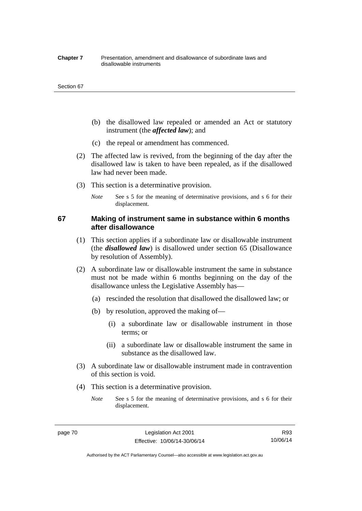#### **Chapter 7** Presentation, amendment and disallowance of subordinate laws and disallowable instruments

#### Section 67

- (b) the disallowed law repealed or amended an Act or statutory instrument (the *affected law*); and
- (c) the repeal or amendment has commenced.
- (2) The affected law is revived, from the beginning of the day after the disallowed law is taken to have been repealed, as if the disallowed law had never been made.
- (3) This section is a determinative provision.
	- *Note* See s 5 for the meaning of determinative provisions, and s 6 for their displacement.

## **67 Making of instrument same in substance within 6 months after disallowance**

- (1) This section applies if a subordinate law or disallowable instrument (the *disallowed law*) is disallowed under section 65 (Disallowance by resolution of Assembly).
- (2) A subordinate law or disallowable instrument the same in substance must not be made within 6 months beginning on the day of the disallowance unless the Legislative Assembly has—
	- (a) rescinded the resolution that disallowed the disallowed law; or
	- (b) by resolution, approved the making of—
		- (i) a subordinate law or disallowable instrument in those terms; or
		- (ii) a subordinate law or disallowable instrument the same in substance as the disallowed law.
- (3) A subordinate law or disallowable instrument made in contravention of this section is void.
- (4) This section is a determinative provision.
	- *Note* See s 5 for the meaning of determinative provisions, and s 6 for their displacement.

Authorised by the ACT Parliamentary Counsel—also accessible at www.legislation.act.gov.au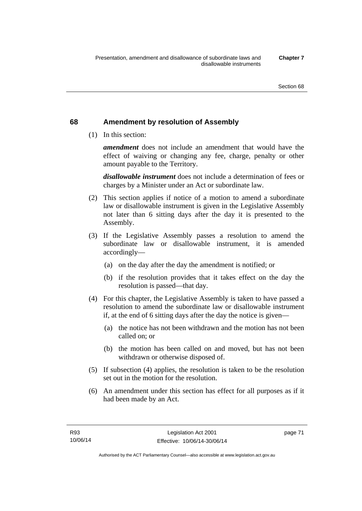## **68 Amendment by resolution of Assembly**

(1) In this section:

*amendment* does not include an amendment that would have the effect of waiving or changing any fee, charge, penalty or other amount payable to the Territory.

*disallowable instrument* does not include a determination of fees or charges by a Minister under an Act or subordinate law.

- (2) This section applies if notice of a motion to amend a subordinate law or disallowable instrument is given in the Legislative Assembly not later than 6 sitting days after the day it is presented to the Assembly.
- (3) If the Legislative Assembly passes a resolution to amend the subordinate law or disallowable instrument, it is amended accordingly—
	- (a) on the day after the day the amendment is notified; or
	- (b) if the resolution provides that it takes effect on the day the resolution is passed—that day.
- (4) For this chapter, the Legislative Assembly is taken to have passed a resolution to amend the subordinate law or disallowable instrument if, at the end of 6 sitting days after the day the notice is given—
	- (a) the notice has not been withdrawn and the motion has not been called on; or
	- (b) the motion has been called on and moved, but has not been withdrawn or otherwise disposed of.
- (5) If subsection (4) applies, the resolution is taken to be the resolution set out in the motion for the resolution.
- (6) An amendment under this section has effect for all purposes as if it had been made by an Act.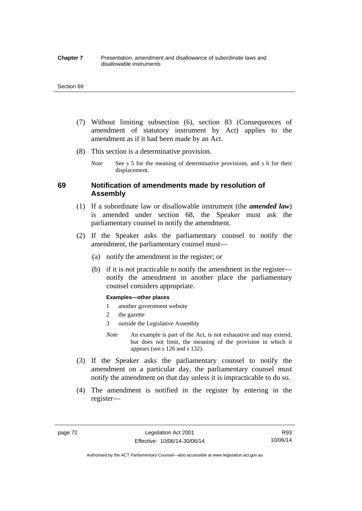#### **Chapter 7** Presentation, amendment and disallowance of subordinate laws and disallowable instruments

#### Section 69

- (7) Without limiting subsection (6), section 83 (Consequences of amendment of statutory instrument by Act) applies to the amendment as if it had been made by an Act.
- (8) This section is a determinative provision.
	- *Note* See s 5 for the meaning of determinative provisions, and s 6 for their displacement.

## **69 Notification of amendments made by resolution of Assembly**

- (1) If a subordinate law or disallowable instrument (the *amended law*) is amended under section 68, the Speaker must ask the parliamentary counsel to notify the amendment.
- (2) If the Speaker asks the parliamentary counsel to notify the amendment, the parliamentary counsel must—
	- (a) notify the amendment in the register; or
	- (b) if it is not practicable to notify the amendment in the register notify the amendment in another place the parliamentary counsel considers appropriate.

#### **Examples—other places**

- 1 another government website
- 2 the gazette
- 3 outside the Legislative Assembly
- *Note* An example is part of the Act, is not exhaustive and may extend, but does not limit, the meaning of the provision in which it appears (see s 126 and s 132).
- (3) If the Speaker asks the parliamentary counsel to notify the amendment on a particular day, the parliamentary counsel must notify the amendment on that day unless it is impracticable to do so.
- (4) The amendment is notified in the register by entering in the register—

Authorised by the ACT Parliamentary Counsel—also accessible at www.legislation.act.gov.au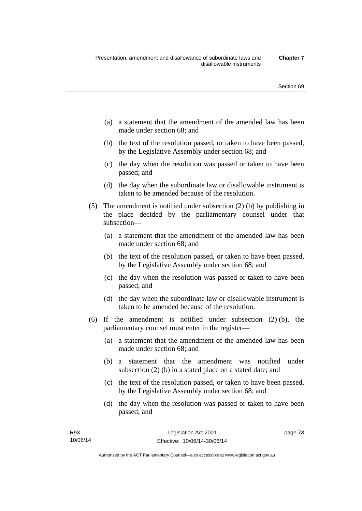- (a) a statement that the amendment of the amended law has been made under section 68; and
- (b) the text of the resolution passed, or taken to have been passed, by the Legislative Assembly under section 68; and
- (c) the day when the resolution was passed or taken to have been passed; and
- (d) the day when the subordinate law or disallowable instrument is taken to be amended because of the resolution.
- (5) The amendment is notified under subsection (2) (b) by publishing in the place decided by the parliamentary counsel under that subsection—
	- (a) a statement that the amendment of the amended law has been made under section 68; and
	- (b) the text of the resolution passed, or taken to have been passed, by the Legislative Assembly under section 68; and
	- (c) the day when the resolution was passed or taken to have been passed; and
	- (d) the day when the subordinate law or disallowable instrument is taken to be amended because of the resolution.
- (6) If the amendment is notified under subsection (2) (b), the parliamentary counsel must enter in the register—
	- (a) a statement that the amendment of the amended law has been made under section 68; and
	- (b) a statement that the amendment was notified under subsection (2) (b) in a stated place on a stated date; and
	- (c) the text of the resolution passed, or taken to have been passed, by the Legislative Assembly under section 68; and
	- (d) the day when the resolution was passed or taken to have been passed; and

page 73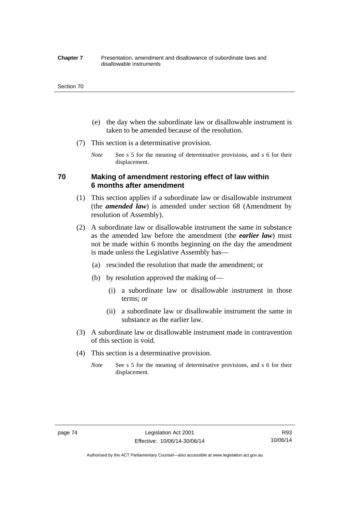#### **Chapter 7** Presentation, amendment and disallowance of subordinate laws and disallowable instruments

#### Section 70

- (e) the day when the subordinate law or disallowable instrument is taken to be amended because of the resolution.
- (7) This section is a determinative provision.
	- *Note* See s 5 for the meaning of determinative provisions, and s 6 for their displacement.

## **70 Making of amendment restoring effect of law within 6 months after amendment**

- (1) This section applies if a subordinate law or disallowable instrument (the *amended law*) is amended under section 68 (Amendment by resolution of Assembly).
- (2) A subordinate law or disallowable instrument the same in substance as the amended law before the amendment (the *earlier law*) must not be made within 6 months beginning on the day the amendment is made unless the Legislative Assembly has—
	- (a) rescinded the resolution that made the amendment; or
	- (b) by resolution approved the making of—
		- (i) a subordinate law or disallowable instrument in those terms; or
		- (ii) a subordinate law or disallowable instrument the same in substance as the earlier law.
- (3) A subordinate law or disallowable instrument made in contravention of this section is void.
- (4) This section is a determinative provision.
	- *Note* See s 5 for the meaning of determinative provisions, and s 6 for their displacement.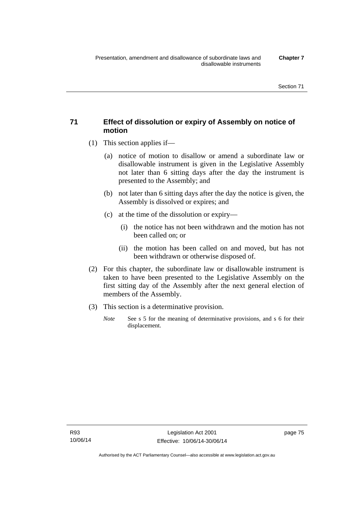## **71 Effect of dissolution or expiry of Assembly on notice of motion**

- (1) This section applies if—
	- (a) notice of motion to disallow or amend a subordinate law or disallowable instrument is given in the Legislative Assembly not later than 6 sitting days after the day the instrument is presented to the Assembly; and
	- (b) not later than 6 sitting days after the day the notice is given, the Assembly is dissolved or expires; and
	- (c) at the time of the dissolution or expiry—
		- (i) the notice has not been withdrawn and the motion has not been called on; or
		- (ii) the motion has been called on and moved, but has not been withdrawn or otherwise disposed of.
- (2) For this chapter, the subordinate law or disallowable instrument is taken to have been presented to the Legislative Assembly on the first sitting day of the Assembly after the next general election of members of the Assembly.
- (3) This section is a determinative provision.
	- *Note* See s 5 for the meaning of determinative provisions, and s 6 for their displacement.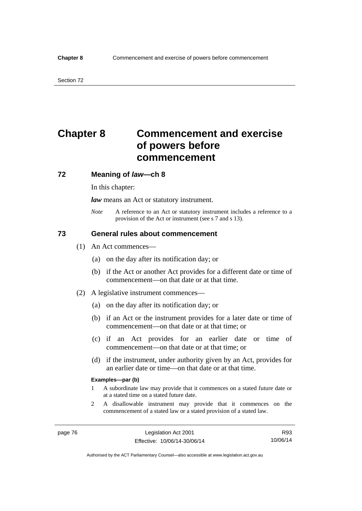# **Chapter 8 Commencement and exercise of powers before commencement**

### **72 Meaning of** *law***—ch 8**

In this chapter:

*law* means an Act or statutory instrument.

*Note* A reference to an Act or statutory instrument includes a reference to a provision of the Act or instrument (see s 7 and s 13).

## **73 General rules about commencement**

- (1) An Act commences—
	- (a) on the day after its notification day; or
	- (b) if the Act or another Act provides for a different date or time of commencement—on that date or at that time.
- (2) A legislative instrument commences—
	- (a) on the day after its notification day; or
	- (b) if an Act or the instrument provides for a later date or time of commencement—on that date or at that time; or
	- (c) if an Act provides for an earlier date or time of commencement—on that date or at that time; or
	- (d) if the instrument, under authority given by an Act, provides for an earlier date or time—on that date or at that time.

#### **Examples—par (b)**

- 1 A subordinate law may provide that it commences on a stated future date or at a stated time on a stated future date.
- 2 A disallowable instrument may provide that it commences on the commencement of a stated law or a stated provision of a stated law.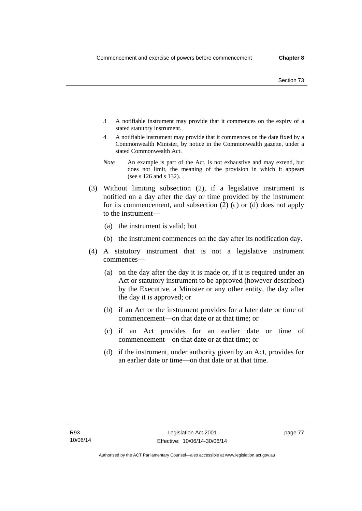- 3 A notifiable instrument may provide that it commences on the expiry of a stated statutory instrument.
- 4 A notifiable instrument may provide that it commences on the date fixed by a Commonwealth Minister, by notice in the Commonwealth gazette, under a stated Commonwealth Act.
- *Note* An example is part of the Act, is not exhaustive and may extend, but does not limit, the meaning of the provision in which it appears (see s 126 and s 132).
- (3) Without limiting subsection (2), if a legislative instrument is notified on a day after the day or time provided by the instrument for its commencement, and subsection (2) (c) or (d) does not apply to the instrument—
	- (a) the instrument is valid; but
	- (b) the instrument commences on the day after its notification day.
- (4) A statutory instrument that is not a legislative instrument commences—
	- (a) on the day after the day it is made or, if it is required under an Act or statutory instrument to be approved (however described) by the Executive, a Minister or any other entity, the day after the day it is approved; or
	- (b) if an Act or the instrument provides for a later date or time of commencement—on that date or at that time; or
	- (c) if an Act provides for an earlier date or time of commencement—on that date or at that time; or
	- (d) if the instrument, under authority given by an Act, provides for an earlier date or time—on that date or at that time.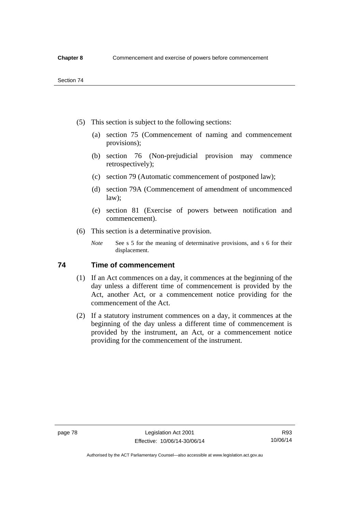- (5) This section is subject to the following sections:
	- (a) section 75 (Commencement of naming and commencement provisions);
	- (b) section 76 (Non-prejudicial provision may commence retrospectively);
	- (c) section 79 (Automatic commencement of postponed law);
	- (d) section 79A (Commencement of amendment of uncommenced law);
	- (e) section 81 (Exercise of powers between notification and commencement).
- (6) This section is a determinative provision.
	- *Note* See s 5 for the meaning of determinative provisions, and s 6 for their displacement.

## **74 Time of commencement**

- (1) If an Act commences on a day, it commences at the beginning of the day unless a different time of commencement is provided by the Act, another Act, or a commencement notice providing for the commencement of the Act.
- (2) If a statutory instrument commences on a day, it commences at the beginning of the day unless a different time of commencement is provided by the instrument, an Act, or a commencement notice providing for the commencement of the instrument.

Authorised by the ACT Parliamentary Counsel—also accessible at www.legislation.act.gov.au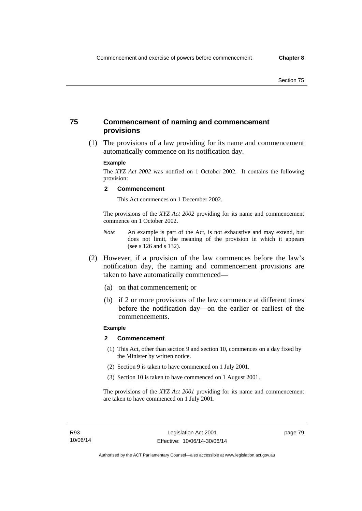## **75 Commencement of naming and commencement provisions**

 (1) The provisions of a law providing for its name and commencement automatically commence on its notification day.

### **Example**

The *XYZ Act 2002* was notified on 1 October 2002. It contains the following provision:

#### **2 Commencement**

This Act commences on 1 December 2002.

The provisions of the *XYZ Act 2002* providing for its name and commencement commence on 1 October 2002.

- *Note* An example is part of the Act, is not exhaustive and may extend, but does not limit, the meaning of the provision in which it appears (see s 126 and s 132).
- (2) However, if a provision of the law commences before the law's notification day, the naming and commencement provisions are taken to have automatically commenced—
	- (a) on that commencement; or
	- (b) if 2 or more provisions of the law commence at different times before the notification day—on the earlier or earliest of the commencements.

## **Example**

#### **2 Commencement**

- (1) This Act, other than section 9 and section 10, commences on a day fixed by the Minister by written notice.
- (2) Section 9 is taken to have commenced on 1 July 2001.
- (3) Section 10 is taken to have commenced on 1 August 2001.

The provisions of the *XYZ Act 2001* providing for its name and commencement are taken to have commenced on 1 July 2001.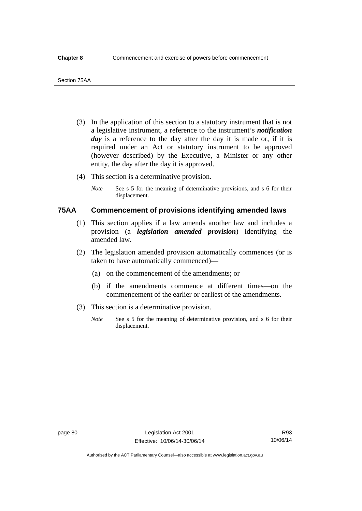- (3) In the application of this section to a statutory instrument that is not a legislative instrument, a reference to the instrument's *notification*  day is a reference to the day after the day it is made or, if it is required under an Act or statutory instrument to be approved (however described) by the Executive, a Minister or any other entity, the day after the day it is approved.
- (4) This section is a determinative provision.
	- *Note* See s 5 for the meaning of determinative provisions, and s 6 for their displacement.

## **75AA Commencement of provisions identifying amended laws**

- (1) This section applies if a law amends another law and includes a provision (a *legislation amended provision*) identifying the amended law.
- (2) The legislation amended provision automatically commences (or is taken to have automatically commenced)—
	- (a) on the commencement of the amendments; or
	- (b) if the amendments commence at different times—on the commencement of the earlier or earliest of the amendments.
- (3) This section is a determinative provision.
	- *Note* See s 5 for the meaning of determinative provision, and s 6 for their displacement.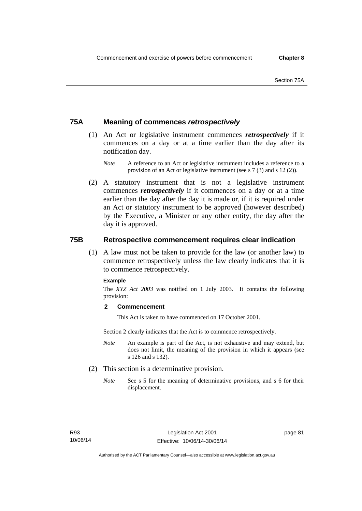## **75A Meaning of commences** *retrospectively*

- (1) An Act or legislative instrument commences *retrospectively* if it commences on a day or at a time earlier than the day after its notification day.
	- *Note* A reference to an Act or legislative instrument includes a reference to a provision of an Act or legislative instrument (see s 7 (3) and s 12 (2)).
- (2) A statutory instrument that is not a legislative instrument commences *retrospectively* if it commences on a day or at a time earlier than the day after the day it is made or, if it is required under an Act or statutory instrument to be approved (however described) by the Executive, a Minister or any other entity, the day after the day it is approved.

## **75B Retrospective commencement requires clear indication**

(1) A law must not be taken to provide for the law (or another law) to commence retrospectively unless the law clearly indicates that it is to commence retrospectively.

### **Example**

The *XYZ Act 2003* was notified on 1 July 2003. It contains the following provision:

### **2 Commencement**

This Act is taken to have commenced on 17 October 2001.

Section 2 clearly indicates that the Act is to commence retrospectively.

- *Note* An example is part of the Act, is not exhaustive and may extend, but does not limit, the meaning of the provision in which it appears (see s 126 and s 132).
- (2) This section is a determinative provision.
	- *Note* See s 5 for the meaning of determinative provisions, and s 6 for their displacement.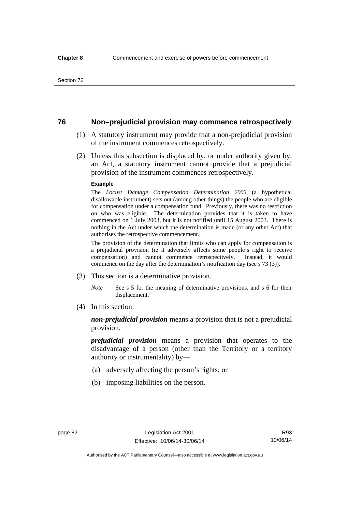## **76 Non–prejudicial provision may commence retrospectively**

- (1) A statutory instrument may provide that a non-prejudicial provision of the instrument commences retrospectively.
- (2) Unless this subsection is displaced by, or under authority given by, an Act, a statutory instrument cannot provide that a prejudicial provision of the instrument commences retrospectively.

#### **Example**

The *Locust Damage Compensation Determination 2003* (a hypothetical disallowable instrument) sets out (among other things) the people who are eligible for compensation under a compensation fund. Previously, there was no restriction on who was eligible. The determination provides that it is taken to have commenced on 1 July 2003, but it is not notified until 15 August 2003. There is nothing in the Act under which the determination is made (or any other Act) that authorises the retrospective commencement.

The provision of the determination that limits who can apply for compensation is a prejudicial provision (ie it adversely affects some people's right to receive compensation) and cannot commence retrospectively. Instead, it would commence on the day after the determination's notification day (see s 73 (3)).

- (3) This section is a determinative provision.
	- *Note* See s 5 for the meaning of determinative provisions, and s 6 for their displacement.
- (4) In this section:

*non-prejudicial provision* means a provision that is not a prejudicial provision.

*prejudicial provision* means a provision that operates to the disadvantage of a person (other than the Territory or a territory authority or instrumentality) by—

- (a) adversely affecting the person's rights; or
- (b) imposing liabilities on the person.

R93 10/06/14

Authorised by the ACT Parliamentary Counsel—also accessible at www.legislation.act.gov.au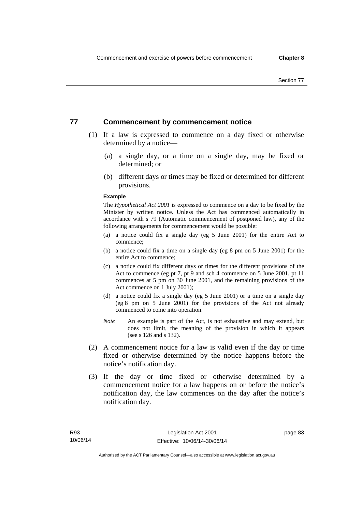## **77 Commencement by commencement notice**

- (1) If a law is expressed to commence on a day fixed or otherwise determined by a notice—
	- (a) a single day, or a time on a single day, may be fixed or determined; or
	- (b) different days or times may be fixed or determined for different provisions.

#### **Example**

The *Hypothetical Act 2001* is expressed to commence on a day to be fixed by the Minister by written notice. Unless the Act has commenced automatically in accordance with s 79 (Automatic commencement of postponed law), any of the following arrangements for commencement would be possible:

- (a) a notice could fix a single day (eg 5 June 2001) for the entire Act to commence;
- (b) a notice could fix a time on a single day (eg 8 pm on 5 June 2001) for the entire Act to commence;
- (c) a notice could fix different days or times for the different provisions of the Act to commence (eg pt 7, pt 9 and sch 4 commence on 5 June 2001, pt 11 commences at 5 pm on 30 June 2001, and the remaining provisions of the Act commence on 1 July 2001);
- (d) a notice could fix a single day (eg 5 June 2001) or a time on a single day (eg 8 pm on 5 June 2001) for the provisions of the Act not already commenced to come into operation.
- *Note* An example is part of the Act, is not exhaustive and may extend, but does not limit, the meaning of the provision in which it appears (see s 126 and s 132).
- (2) A commencement notice for a law is valid even if the day or time fixed or otherwise determined by the notice happens before the notice's notification day.
- (3) If the day or time fixed or otherwise determined by a commencement notice for a law happens on or before the notice's notification day, the law commences on the day after the notice's notification day.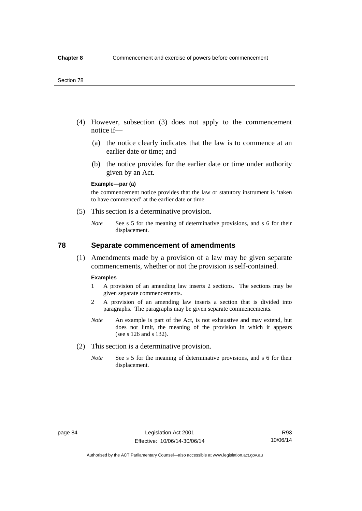- (4) However, subsection (3) does not apply to the commencement notice if—
	- (a) the notice clearly indicates that the law is to commence at an earlier date or time; and
	- (b) the notice provides for the earlier date or time under authority given by an Act.

### **Example—par (a)**

the commencement notice provides that the law or statutory instrument is 'taken to have commenced' at the earlier date or time

- (5) This section is a determinative provision.
	- *Note* See s 5 for the meaning of determinative provisions, and s 6 for their displacement.

## **78 Separate commencement of amendments**

 (1) Amendments made by a provision of a law may be given separate commencements, whether or not the provision is self-contained.

#### **Examples**

- 1 A provision of an amending law inserts 2 sections. The sections may be given separate commencements.
- 2 A provision of an amending law inserts a section that is divided into paragraphs. The paragraphs may be given separate commencements.
- *Note* An example is part of the Act, is not exhaustive and may extend, but does not limit, the meaning of the provision in which it appears (see s 126 and s 132).
- (2) This section is a determinative provision.
	- *Note* See s 5 for the meaning of determinative provisions, and s 6 for their displacement.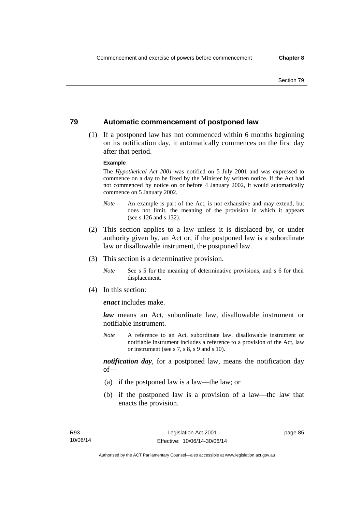## **79 Automatic commencement of postponed law**

 (1) If a postponed law has not commenced within 6 months beginning on its notification day, it automatically commences on the first day after that period.

#### **Example**

The *Hypothetical Act 2001* was notified on 5 July 2001 and was expressed to commence on a day to be fixed by the Minister by written notice. If the Act had not commenced by notice on or before 4 January 2002, it would automatically commence on 5 January 2002.

- *Note* An example is part of the Act, is not exhaustive and may extend, but does not limit, the meaning of the provision in which it appears (see s 126 and s 132).
- (2) This section applies to a law unless it is displaced by, or under authority given by, an Act or, if the postponed law is a subordinate law or disallowable instrument, the postponed law.
- (3) This section is a determinative provision.
	- *Note* See s 5 for the meaning of determinative provisions, and s 6 for their displacement.
- (4) In this section:

*enact* includes make.

*law* means an Act, subordinate law, disallowable instrument or notifiable instrument.

*Note* A reference to an Act, subordinate law, disallowable instrument or notifiable instrument includes a reference to a provision of the Act, law or instrument (see s 7, s 8, s 9 and s 10).

*notification day*, for a postponed law, means the notification day  $of$ 

- (a) if the postponed law is a law—the law; or
- (b) if the postponed law is a provision of a law—the law that enacts the provision.

page 85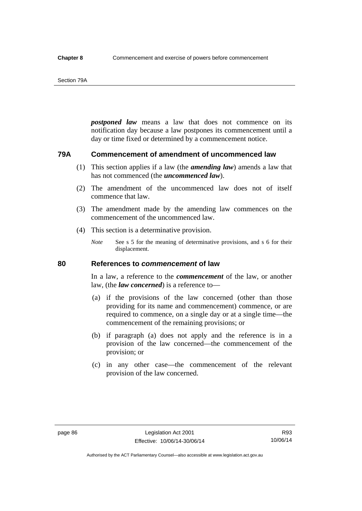#### Section 79A

*postponed law* means a law that does not commence on its notification day because a law postpones its commencement until a day or time fixed or determined by a commencement notice.

## **79A Commencement of amendment of uncommenced law**

- (1) This section applies if a law (the *amending law*) amends a law that has not commenced (the *uncommenced law*).
- (2) The amendment of the uncommenced law does not of itself commence that law.
- (3) The amendment made by the amending law commences on the commencement of the uncommenced law.
- (4) This section is a determinative provision.
	- *Note* See s 5 for the meaning of determinative provisions, and s 6 for their displacement.

## **80 References to** *commencement* **of law**

In a law, a reference to the *commencement* of the law, or another law, (the *law concerned*) is a reference to—

- (a) if the provisions of the law concerned (other than those providing for its name and commencement) commence, or are required to commence, on a single day or at a single time—the commencement of the remaining provisions; or
- (b) if paragraph (a) does not apply and the reference is in a provision of the law concerned—the commencement of the provision; or
- (c) in any other case—the commencement of the relevant provision of the law concerned.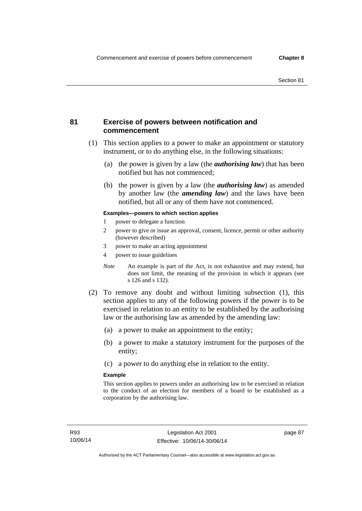## **81 Exercise of powers between notification and commencement**

- (1) This section applies to a power to make an appointment or statutory instrument, or to do anything else, in the following situations:
	- (a) the power is given by a law (the *authorising law*) that has been notified but has not commenced;
	- (b) the power is given by a law (the *authorising law*) as amended by another law (the *amending law*) and the laws have been notified, but all or any of them have not commenced.

### **Examples—powers to which section applies**

- 1 power to delegate a function
- 2 power to give or issue an approval, consent, licence, permit or other authority (however described)
- 3 power to make an acting appointment
- 4 power to issue guidelines
- *Note* An example is part of the Act, is not exhaustive and may extend, but does not limit, the meaning of the provision in which it appears (see s 126 and s 132).
- (2) To remove any doubt and without limiting subsection (1), this section applies to any of the following powers if the power is to be exercised in relation to an entity to be established by the authorising law or the authorising law as amended by the amending law:
	- (a) a power to make an appointment to the entity;
	- (b) a power to make a statutory instrument for the purposes of the entity;
	- (c) a power to do anything else in relation to the entity.

### **Example**

This section applies to powers under an authorising law to be exercised in relation to the conduct of an election for members of a board to be established as a corporation by the authorising law.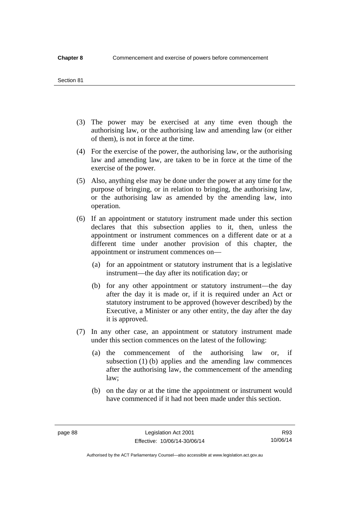#### Section 81

- (3) The power may be exercised at any time even though the authorising law, or the authorising law and amending law (or either of them), is not in force at the time.
- (4) For the exercise of the power, the authorising law, or the authorising law and amending law, are taken to be in force at the time of the exercise of the power.
- (5) Also, anything else may be done under the power at any time for the purpose of bringing, or in relation to bringing, the authorising law, or the authorising law as amended by the amending law, into operation.
- (6) If an appointment or statutory instrument made under this section declares that this subsection applies to it, then, unless the appointment or instrument commences on a different date or at a different time under another provision of this chapter, the appointment or instrument commences on—
	- (a) for an appointment or statutory instrument that is a legislative instrument—the day after its notification day; or
	- (b) for any other appointment or statutory instrument—the day after the day it is made or, if it is required under an Act or statutory instrument to be approved (however described) by the Executive, a Minister or any other entity, the day after the day it is approved.
- (7) In any other case, an appointment or statutory instrument made under this section commences on the latest of the following:
	- (a) the commencement of the authorising law or, if subsection (1) (b) applies and the amending law commences after the authorising law, the commencement of the amending law;
	- (b) on the day or at the time the appointment or instrument would have commenced if it had not been made under this section.

Authorised by the ACT Parliamentary Counsel—also accessible at www.legislation.act.gov.au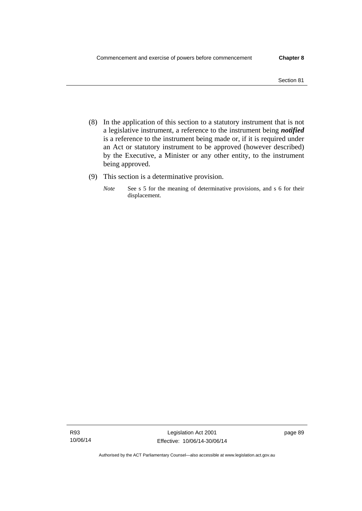- (8) In the application of this section to a statutory instrument that is not a legislative instrument, a reference to the instrument being *notified*  is a reference to the instrument being made or, if it is required under an Act or statutory instrument to be approved (however described) by the Executive, a Minister or any other entity, to the instrument being approved.
- (9) This section is a determinative provision.
	- *Note* See s 5 for the meaning of determinative provisions, and s 6 for their displacement.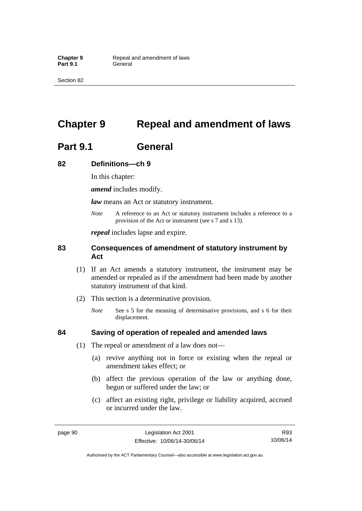Section 82

# **Chapter 9 Repeal and amendment of laws**

# **Part 9.1 General**

## **82 Definitions—ch 9**

In this chapter:

*amend* includes modify.

*law* means an Act or statutory instrument.

*Note* A reference to an Act or statutory instrument includes a reference to a provision of the Act or instrument (see s 7 and s 13).

*repeal* includes lapse and expire.

## **83 Consequences of amendment of statutory instrument by Act**

- (1) If an Act amends a statutory instrument, the instrument may be amended or repealed as if the amendment had been made by another statutory instrument of that kind.
- (2) This section is a determinative provision.
	- *Note* See s 5 for the meaning of determinative provisions, and s 6 for their displacement.

## **84 Saving of operation of repealed and amended laws**

- (1) The repeal or amendment of a law does not—
	- (a) revive anything not in force or existing when the repeal or amendment takes effect; or
	- (b) affect the previous operation of the law or anything done, begun or suffered under the law; or
	- (c) affect an existing right, privilege or liability acquired, accrued or incurred under the law.

R93 10/06/14

Authorised by the ACT Parliamentary Counsel—also accessible at www.legislation.act.gov.au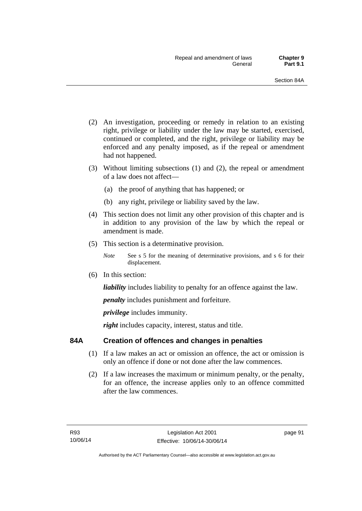- (2) An investigation, proceeding or remedy in relation to an existing right, privilege or liability under the law may be started, exercised, continued or completed, and the right, privilege or liability may be enforced and any penalty imposed, as if the repeal or amendment had not happened.
- (3) Without limiting subsections (1) and (2), the repeal or amendment of a law does not affect—
	- (a) the proof of anything that has happened; or
	- (b) any right, privilege or liability saved by the law.
- (4) This section does not limit any other provision of this chapter and is in addition to any provision of the law by which the repeal or amendment is made.
- (5) This section is a determinative provision.
	- *Note* See s 5 for the meaning of determinative provisions, and s 6 for their displacement.
- (6) In this section:

*liability* includes liability to penalty for an offence against the law.

*penalty* includes punishment and forfeiture.

*privilege* includes immunity.

right includes capacity, interest, status and title.

## **84A Creation of offences and changes in penalties**

- (1) If a law makes an act or omission an offence, the act or omission is only an offence if done or not done after the law commences.
- (2) If a law increases the maximum or minimum penalty, or the penalty, for an offence, the increase applies only to an offence committed after the law commences.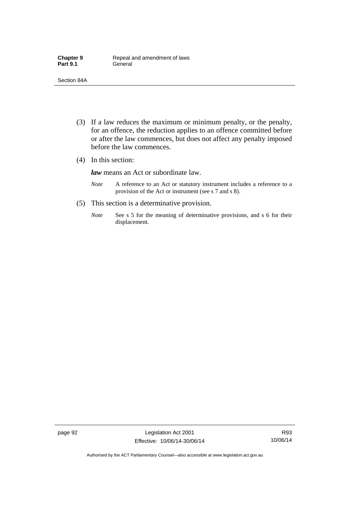- (3) If a law reduces the maximum or minimum penalty, or the penalty, for an offence, the reduction applies to an offence committed before or after the law commences, but does not affect any penalty imposed before the law commences.
- (4) In this section:

*law* means an Act or subordinate law.

- *Note* A reference to an Act or statutory instrument includes a reference to a provision of the Act or instrument (see s 7 and s 8).
- (5) This section is a determinative provision.
	- *Note* See s 5 for the meaning of determinative provisions, and s 6 for their displacement.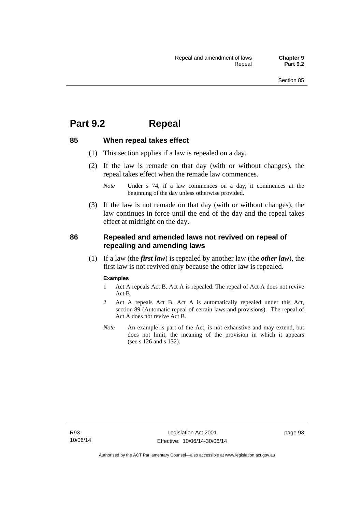## **Part 9.2 Repeal**

### **85 When repeal takes effect**

- (1) This section applies if a law is repealed on a day.
- (2) If the law is remade on that day (with or without changes), the repeal takes effect when the remade law commences.

 (3) If the law is not remade on that day (with or without changes), the law continues in force until the end of the day and the repeal takes effect at midnight on the day.

### **86 Repealed and amended laws not revived on repeal of repealing and amending laws**

 (1) If a law (the *first law*) is repealed by another law (the *other law*), the first law is not revived only because the other law is repealed.

#### **Examples**

- 1 Act A repeals Act B. Act A is repealed. The repeal of Act A does not revive Act B.
- 2 Act A repeals Act B. Act A is automatically repealed under this Act, section 89 (Automatic repeal of certain laws and provisions). The repeal of Act A does not revive Act B.
- *Note* An example is part of the Act, is not exhaustive and may extend, but does not limit, the meaning of the provision in which it appears (see s 126 and s 132).

*Note* Under s 74, if a law commences on a day, it commences at the beginning of the day unless otherwise provided.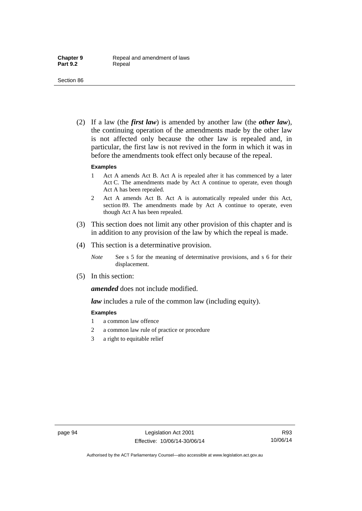(2) If a law (the *first law*) is amended by another law (the *other law*), the continuing operation of the amendments made by the other law is not affected only because the other law is repealed and, in particular, the first law is not revived in the form in which it was in before the amendments took effect only because of the repeal.

#### **Examples**

- 1 Act A amends Act B. Act A is repealed after it has commenced by a later Act C. The amendments made by Act A continue to operate, even though Act A has been repealed.
- 2 Act A amends Act B. Act A is automatically repealed under this Act, section 89. The amendments made by Act A continue to operate, even though Act A has been repealed.
- (3) This section does not limit any other provision of this chapter and is in addition to any provision of the law by which the repeal is made.
- (4) This section is a determinative provision.
	- *Note* See s 5 for the meaning of determinative provisions, and s 6 for their displacement.
- (5) In this section:

*amended* does not include modified.

*law* includes a rule of the common law (including equity).

#### **Examples**

- 1 a common law offence
- 2 a common law rule of practice or procedure
- 3 a right to equitable relief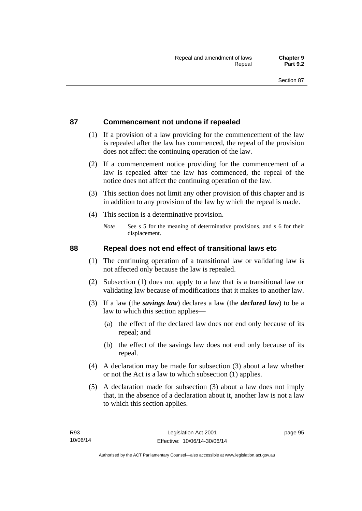### **87 Commencement not undone if repealed**

- (1) If a provision of a law providing for the commencement of the law is repealed after the law has commenced, the repeal of the provision does not affect the continuing operation of the law.
- (2) If a commencement notice providing for the commencement of a law is repealed after the law has commenced, the repeal of the notice does not affect the continuing operation of the law.
- (3) This section does not limit any other provision of this chapter and is in addition to any provision of the law by which the repeal is made.
- (4) This section is a determinative provision.
	- *Note* See s 5 for the meaning of determinative provisions, and s 6 for their displacement.

### **88 Repeal does not end effect of transitional laws etc**

- (1) The continuing operation of a transitional law or validating law is not affected only because the law is repealed.
- (2) Subsection (1) does not apply to a law that is a transitional law or validating law because of modifications that it makes to another law.
- (3) If a law (the *savings law*) declares a law (the *declared law*) to be a law to which this section applies—
	- (a) the effect of the declared law does not end only because of its repeal; and
	- (b) the effect of the savings law does not end only because of its repeal.
- (4) A declaration may be made for subsection (3) about a law whether or not the Act is a law to which subsection (1) applies.
- (5) A declaration made for subsection (3) about a law does not imply that, in the absence of a declaration about it, another law is not a law to which this section applies.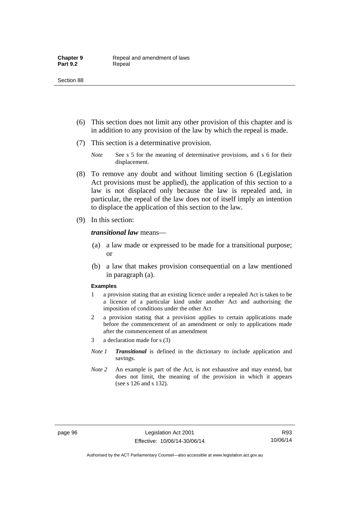- (6) This section does not limit any other provision of this chapter and is in addition to any provision of the law by which the repeal is made.
- (7) This section is a determinative provision.
	- *Note* See s 5 for the meaning of determinative provisions, and s 6 for their displacement.
- (8) To remove any doubt and without limiting section 6 (Legislation Act provisions must be applied), the application of this section to a law is not displaced only because the law is repealed and, in particular, the repeal of the law does not of itself imply an intention to displace the application of this section to the law.
- (9) In this section:

#### *transitional law* means—

- (a) a law made or expressed to be made for a transitional purpose; or
- (b) a law that makes provision consequential on a law mentioned in paragraph (a).

#### **Examples**

- 1 a provision stating that an existing licence under a repealed Act is taken to be a licence of a particular kind under another Act and authorising the imposition of conditions under the other Act
- 2 a provision stating that a provision applies to certain applications made before the commencement of an amendment or only to applications made after the commencement of an amendment
- 3 a declaration made for s (3)
- *Note 1 Transitional* is defined in the dictionary to include application and savings.
- *Note 2* An example is part of the Act, is not exhaustive and may extend, but does not limit, the meaning of the provision in which it appears (see s 126 and s 132).

R93 10/06/14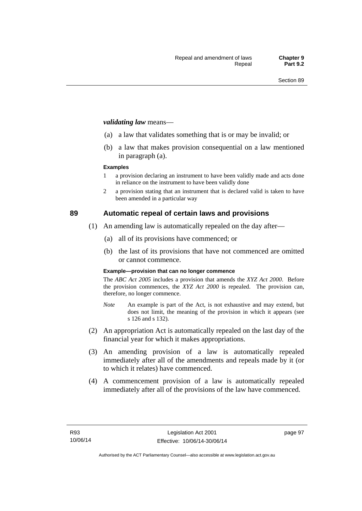#### *validating law* means—

- (a) a law that validates something that is or may be invalid; or
- (b) a law that makes provision consequential on a law mentioned in paragraph (a).

#### **Examples**

- 1 a provision declaring an instrument to have been validly made and acts done in reliance on the instrument to have been validly done
- 2 a provision stating that an instrument that is declared valid is taken to have been amended in a particular way

### **89 Automatic repeal of certain laws and provisions**

- (1) An amending law is automatically repealed on the day after—
	- (a) all of its provisions have commenced; or
	- (b) the last of its provisions that have not commenced are omitted or cannot commence.

#### **Example—provision that can no longer commence**

The *ABC Act 2005* includes a provision that amends the *XYZ Act 2000*. Before the provision commences, the *XYZ Act 2000* is repealed. The provision can, therefore, no longer commence.

- *Note* An example is part of the Act, is not exhaustive and may extend, but does not limit, the meaning of the provision in which it appears (see s 126 and s 132).
- (2) An appropriation Act is automatically repealed on the last day of the financial year for which it makes appropriations.
- (3) An amending provision of a law is automatically repealed immediately after all of the amendments and repeals made by it (or to which it relates) have commenced.
- (4) A commencement provision of a law is automatically repealed immediately after all of the provisions of the law have commenced.

page 97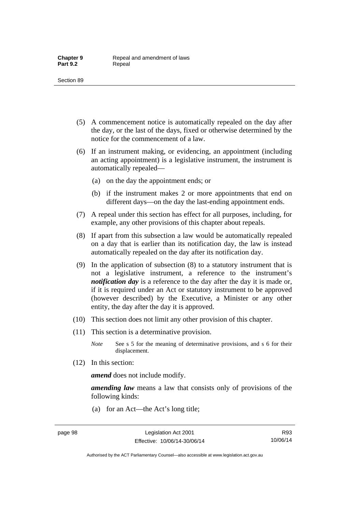- (5) A commencement notice is automatically repealed on the day after the day, or the last of the days, fixed or otherwise determined by the notice for the commencement of a law.
- (6) If an instrument making, or evidencing, an appointment (including an acting appointment) is a legislative instrument, the instrument is automatically repealed—
	- (a) on the day the appointment ends; or
	- (b) if the instrument makes 2 or more appointments that end on different days—on the day the last-ending appointment ends.
- (7) A repeal under this section has effect for all purposes, including, for example, any other provisions of this chapter about repeals.
- (8) If apart from this subsection a law would be automatically repealed on a day that is earlier than its notification day, the law is instead automatically repealed on the day after its notification day.
- (9) In the application of subsection (8) to a statutory instrument that is not a legislative instrument, a reference to the instrument's *notification day* is a reference to the day after the day it is made or, if it is required under an Act or statutory instrument to be approved (however described) by the Executive, a Minister or any other entity, the day after the day it is approved.
- (10) This section does not limit any other provision of this chapter.
- (11) This section is a determinative provision.
	- *Note* See s 5 for the meaning of determinative provisions, and s 6 for their displacement.
- (12) In this section:

*amend* does not include modify.

*amending law* means a law that consists only of provisions of the following kinds:

(a) for an Act—the Act's long title;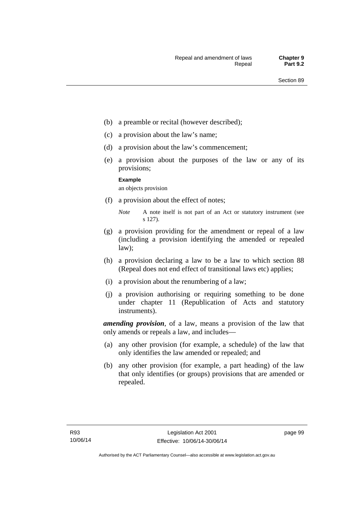- (b) a preamble or recital (however described);
- (c) a provision about the law's name;
- (d) a provision about the law's commencement;
- (e) a provision about the purposes of the law or any of its provisions;

#### **Example**

an objects provision

(f) a provision about the effect of notes;

- (g) a provision providing for the amendment or repeal of a law (including a provision identifying the amended or repealed law);
- (h) a provision declaring a law to be a law to which section 88 (Repeal does not end effect of transitional laws etc) applies;
- (i) a provision about the renumbering of a law;
- (j) a provision authorising or requiring something to be done under chapter 11 (Republication of Acts and statutory instruments).

*amending provision*, of a law, means a provision of the law that only amends or repeals a law, and includes—

- (a) any other provision (for example, a schedule) of the law that only identifies the law amended or repealed; and
- (b) any other provision (for example, a part heading) of the law that only identifies (or groups) provisions that are amended or repealed.

*Note* A note itself is not part of an Act or statutory instrument (see s 127).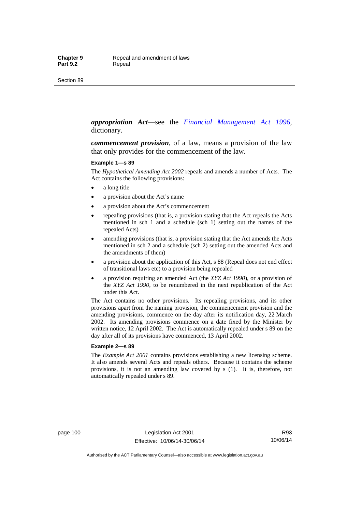#### *appropriation Act*—see the *[Financial Management Act 1996](http://www.legislation.act.gov.au/a/1996-22)*, dictionary.

*commencement provision*, of a law, means a provision of the law that only provides for the commencement of the law.

#### **Example 1—s 89**

The *Hypothetical Amending Act 2002* repeals and amends a number of Acts. The Act contains the following provisions:

- a long title
- a provision about the Act's name
- a provision about the Act's commencement
- repealing provisions (that is, a provision stating that the Act repeals the Acts mentioned in sch 1 and a schedule (sch 1) setting out the names of the repealed Acts)
- amending provisions (that is, a provision stating that the Act amends the Acts mentioned in sch 2 and a schedule (sch 2) setting out the amended Acts and the amendments of them)
- a provision about the application of this Act, s 88 (Repeal does not end effect of transitional laws etc) to a provision being repealed
- a provision requiring an amended Act (the *XYZ Act 1990*), or a provision of the *XYZ Act 1990*, to be renumbered in the next republication of the Act under this Act.

The Act contains no other provisions. Its repealing provisions, and its other provisions apart from the naming provision, the commencement provision and the amending provisions, commence on the day after its notification day, 22 March 2002. Its amending provisions commence on a date fixed by the Minister by written notice, 12 April 2002. The Act is automatically repealed under s 89 on the day after all of its provisions have commenced, 13 April 2002.

#### **Example 2—s 89**

The *Example Act 2001* contains provisions establishing a new licensing scheme. It also amends several Acts and repeals others. Because it contains the scheme provisions, it is not an amending law covered by s (1). It is, therefore, not automatically repealed under s 89.

page 100 Legislation Act 2001 Effective: 10/06/14-30/06/14

R93 10/06/14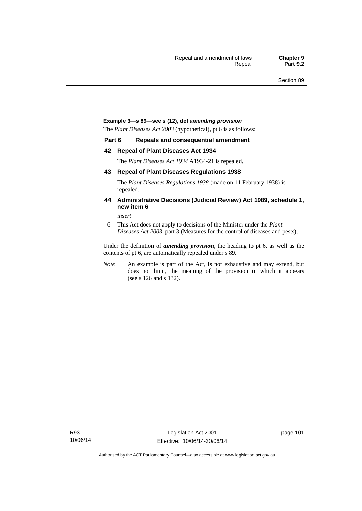#### **Example 3—s 89—see s (12), def** *amending provision*

The *Plant Diseases Act 2003* (hypothetical), pt 6 is as follows:

#### **Part 6 Repeals and consequential amendment**

#### **42 Repeal of Plant Diseases Act 1934**

The *Plant Diseases Act 1934* A1934-21 is repealed.

#### **43 Repeal of Plant Diseases Regulations 1938**

The *Plant Diseases Regulations 1938* (made on 11 February 1938) is repealed.

#### **44 Administrative Decisions (Judicial Review) Act 1989, schedule 1, new item 6**

*insert* 

6 This Act does not apply to decisions of the Minister under the *Plant Diseases Act 2003*, part 3 (Measures for the control of diseases and pests).

Under the definition of *amending provision*, the heading to pt 6, as well as the contents of pt 6, are automatically repealed under s 89.

*Note* An example is part of the Act, is not exhaustive and may extend, but does not limit, the meaning of the provision in which it appears (see s 126 and s 132).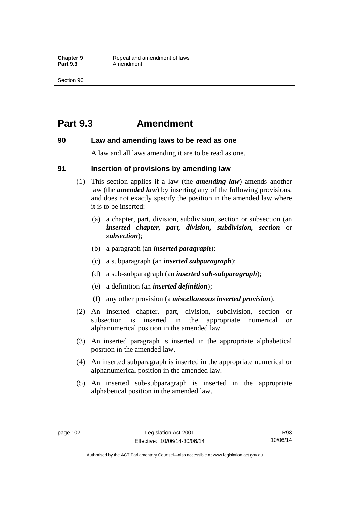## **Part 9.3 Amendment**

#### **90 Law and amending laws to be read as one**

A law and all laws amending it are to be read as one.

#### **91 Insertion of provisions by amending law**

- (1) This section applies if a law (the *amending law*) amends another law (the *amended law*) by inserting any of the following provisions, and does not exactly specify the position in the amended law where it is to be inserted:
	- (a) a chapter, part, division, subdivision, section or subsection (an *inserted chapter, part, division, subdivision, section* or *subsection*);
	- (b) a paragraph (an *inserted paragraph*);
	- (c) a subparagraph (an *inserted subparagraph*);
	- (d) a sub-subparagraph (an *inserted sub-subparagraph*);
	- (e) a definition (an *inserted definition*);
	- (f) any other provision (a *miscellaneous inserted provision*).
- (2) An inserted chapter, part, division, subdivision, section or subsection is inserted in the appropriate numerical or alphanumerical position in the amended law.
- (3) An inserted paragraph is inserted in the appropriate alphabetical position in the amended law.
- (4) An inserted subparagraph is inserted in the appropriate numerical or alphanumerical position in the amended law.
- (5) An inserted sub-subparagraph is inserted in the appropriate alphabetical position in the amended law.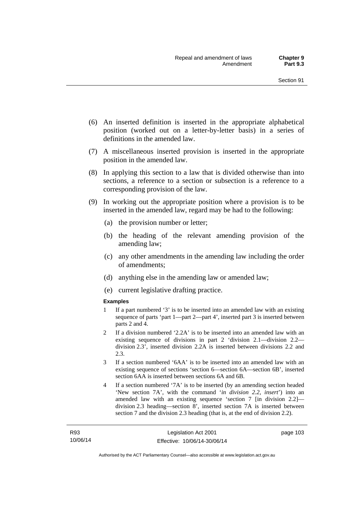- (6) An inserted definition is inserted in the appropriate alphabetical position (worked out on a letter-by-letter basis) in a series of definitions in the amended law.
- (7) A miscellaneous inserted provision is inserted in the appropriate position in the amended law.
- (8) In applying this section to a law that is divided otherwise than into sections, a reference to a section or subsection is a reference to a corresponding provision of the law.
- (9) In working out the appropriate position where a provision is to be inserted in the amended law, regard may be had to the following:
	- (a) the provision number or letter;
	- (b) the heading of the relevant amending provision of the amending law;
	- (c) any other amendments in the amending law including the order of amendments;
	- (d) anything else in the amending law or amended law;
	- (e) current legislative drafting practice.

#### **Examples**

- 1 If a part numbered '3' is to be inserted into an amended law with an existing sequence of parts 'part 1—part 2—part 4', inserted part 3 is inserted between parts 2 and 4.
- 2 If a division numbered '2.2A' is to be inserted into an amended law with an existing sequence of divisions in part 2 'division 2.1—division 2.2 division 2.3', inserted division 2.2A is inserted between divisions 2.2 and 2.3.
- 3 If a section numbered '6AA' is to be inserted into an amended law with an existing sequence of sections 'section 6—section 6A—section 6B', inserted section 6AA is inserted between sections 6A and 6B.
- 4 If a section numbered '7A' is to be inserted (by an amending section headed 'New section 7A', with the command '*in division 2.2, insert*') into an amended law with an existing sequence 'section 7 [in division 2.2] division 2.3 heading—section 8', inserted section 7A is inserted between section 7 and the division 2.3 heading (that is, at the end of division 2.2).

page 103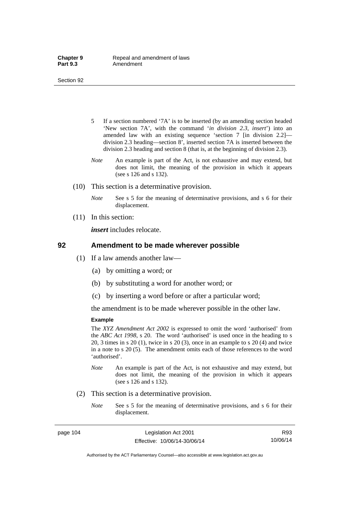- 5 If a section numbered '7A' is to be inserted (by an amending section headed 'New section 7A', with the command '*in division 2.3, insert*') into an amended law with an existing sequence 'section 7 [in division 2.2] division 2.3 heading—section 8', inserted section 7A is inserted between the division 2.3 heading and section 8 (that is, at the beginning of division 2.3).
- *Note* An example is part of the Act, is not exhaustive and may extend, but does not limit, the meaning of the provision in which it appears (see s 126 and s 132).
- (10) This section is a determinative provision.
	- *Note* See s 5 for the meaning of determinative provisions, and s 6 for their displacement.
- (11) In this section:

*insert* includes relocate.

#### **92 Amendment to be made wherever possible**

- (1) If a law amends another law—
	- (a) by omitting a word; or
	- (b) by substituting a word for another word; or
	- (c) by inserting a word before or after a particular word;

the amendment is to be made wherever possible in the other law.

#### **Example**

The *XYZ Amendment Act 2002* is expressed to omit the word 'authorised' from the *ABC Act 1998*, s 20. The word 'authorised' is used once in the heading to s 20, 3 times in s 20 (1), twice in s 20 (3), once in an example to s 20 (4) and twice in a note to s 20 (5). The amendment omits each of those references to the word 'authorised'.

- *Note* An example is part of the Act, is not exhaustive and may extend, but does not limit, the meaning of the provision in which it appears (see s 126 and s 132).
- (2) This section is a determinative provision.
	- *Note* See s 5 for the meaning of determinative provisions, and s 6 for their displacement.

R93 10/06/14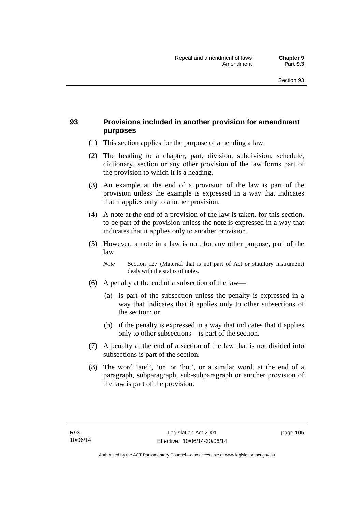### **93 Provisions included in another provision for amendment purposes**

- (1) This section applies for the purpose of amending a law.
- (2) The heading to a chapter, part, division, subdivision, schedule, dictionary, section or any other provision of the law forms part of the provision to which it is a heading.
- (3) An example at the end of a provision of the law is part of the provision unless the example is expressed in a way that indicates that it applies only to another provision.
- (4) A note at the end of a provision of the law is taken, for this section, to be part of the provision unless the note is expressed in a way that indicates that it applies only to another provision.
- (5) However, a note in a law is not, for any other purpose, part of the law.

*Note* Section 127 (Material that is not part of Act or statutory instrument) deals with the status of notes.

- (6) A penalty at the end of a subsection of the law—
	- (a) is part of the subsection unless the penalty is expressed in a way that indicates that it applies only to other subsections of the section; or
	- (b) if the penalty is expressed in a way that indicates that it applies only to other subsections—is part of the section.
- (7) A penalty at the end of a section of the law that is not divided into subsections is part of the section.
- (8) The word 'and', 'or' or 'but', or a similar word, at the end of a paragraph, subparagraph, sub-subparagraph or another provision of the law is part of the provision.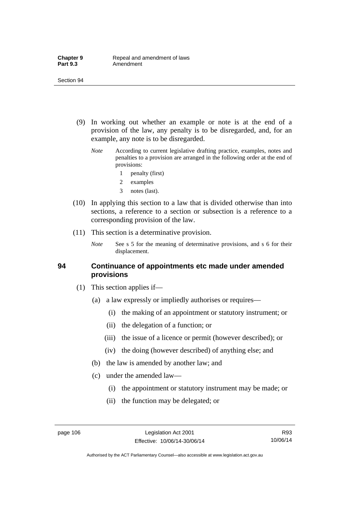- (9) In working out whether an example or note is at the end of a provision of the law, any penalty is to be disregarded, and, for an example, any note is to be disregarded.
	- *Note* According to current legislative drafting practice, examples, notes and penalties to a provision are arranged in the following order at the end of provisions:
		- 1 penalty (first)
		- 2 examples
		- 3 notes (last).
- (10) In applying this section to a law that is divided otherwise than into sections, a reference to a section or subsection is a reference to a corresponding provision of the law.
- (11) This section is a determinative provision.
	- *Note* See s 5 for the meaning of determinative provisions, and s 6 for their displacement.

#### **94 Continuance of appointments etc made under amended provisions**

- (1) This section applies if—
	- (a) a law expressly or impliedly authorises or requires—
		- (i) the making of an appointment or statutory instrument; or
		- (ii) the delegation of a function; or
		- (iii) the issue of a licence or permit (however described); or
		- (iv) the doing (however described) of anything else; and
	- (b) the law is amended by another law; and
	- (c) under the amended law—
		- (i) the appointment or statutory instrument may be made; or
		- (ii) the function may be delegated; or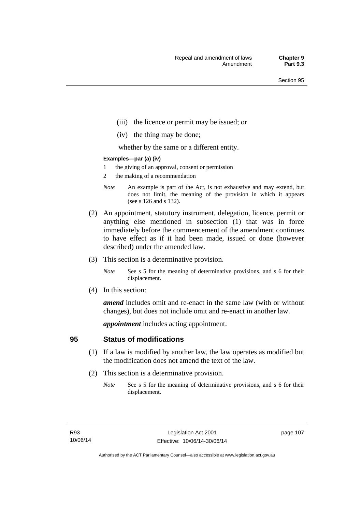- (iii) the licence or permit may be issued; or
- (iv) the thing may be done;

whether by the same or a different entity.

#### **Examples—par (a) (iv)**

- 1 the giving of an approval, consent or permission
- 2 the making of a recommendation
- *Note* An example is part of the Act, is not exhaustive and may extend, but does not limit, the meaning of the provision in which it appears (see s 126 and s 132).
- (2) An appointment, statutory instrument, delegation, licence, permit or anything else mentioned in subsection (1) that was in force immediately before the commencement of the amendment continues to have effect as if it had been made, issued or done (however described) under the amended law.
- (3) This section is a determinative provision.
	- *Note* See s 5 for the meaning of determinative provisions, and s 6 for their displacement.
- (4) In this section:

*amend* includes omit and re-enact in the same law (with or without changes), but does not include omit and re-enact in another law.

*appointment* includes acting appointment.

### **95 Status of modifications**

- (1) If a law is modified by another law, the law operates as modified but the modification does not amend the text of the law.
- (2) This section is a determinative provision.
	- *Note* See s 5 for the meaning of determinative provisions, and s 6 for their displacement.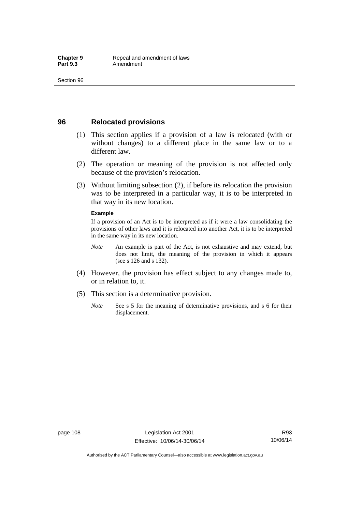### **96 Relocated provisions**

- (1) This section applies if a provision of a law is relocated (with or without changes) to a different place in the same law or to a different law.
- (2) The operation or meaning of the provision is not affected only because of the provision's relocation.
- (3) Without limiting subsection (2), if before its relocation the provision was to be interpreted in a particular way, it is to be interpreted in that way in its new location.

#### **Example**

If a provision of an Act is to be interpreted as if it were a law consolidating the provisions of other laws and it is relocated into another Act, it is to be interpreted in the same way in its new location.

- *Note* An example is part of the Act, is not exhaustive and may extend, but does not limit, the meaning of the provision in which it appears (see s 126 and s 132).
- (4) However, the provision has effect subject to any changes made to, or in relation to, it.
- (5) This section is a determinative provision.
	- *Note* See s 5 for the meaning of determinative provisions, and s 6 for their displacement.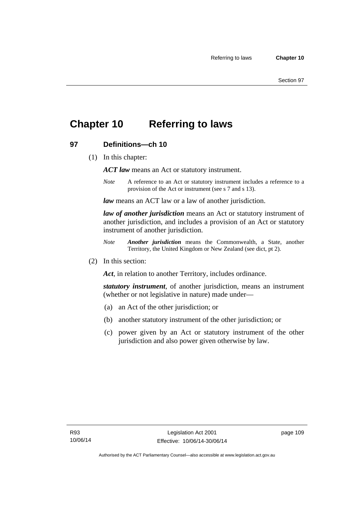## **Chapter 10 Referring to laws**

### **97 Definitions—ch 10**

(1) In this chapter:

*ACT law* means an Act or statutory instrument.

*Note* A reference to an Act or statutory instrument includes a reference to a provision of the Act or instrument (see s 7 and s 13).

*law* means an ACT law or a law of another jurisdiction.

*law of another jurisdiction* means an Act or statutory instrument of another jurisdiction, and includes a provision of an Act or statutory instrument of another jurisdiction.

- *Note Another jurisdiction* means the Commonwealth, a State, another Territory, the United Kingdom or New Zealand (see dict, pt 2).
- (2) In this section:

*Act*, in relation to another Territory, includes ordinance.

*statutory instrument*, of another jurisdiction, means an instrument (whether or not legislative in nature) made under—

- (a) an Act of the other jurisdiction; or
- (b) another statutory instrument of the other jurisdiction; or
- (c) power given by an Act or statutory instrument of the other jurisdiction and also power given otherwise by law.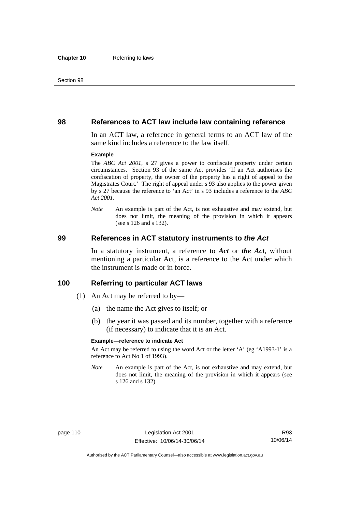#### **98 References to ACT law include law containing reference**

In an ACT law, a reference in general terms to an ACT law of the same kind includes a reference to the law itself.

#### **Example**

The *ABC Act 2001*, s 27 gives a power to confiscate property under certain circumstances. Section 93 of the same Act provides 'If an Act authorises the confiscation of property, the owner of the property has a right of appeal to the Magistrates Court.' The right of appeal under s 93 also applies to the power given by s 27 because the reference to 'an Act' in s 93 includes a reference to the *ABC Act 2001*.

*Note* An example is part of the Act, is not exhaustive and may extend, but does not limit, the meaning of the provision in which it appears (see s 126 and s 132).

#### **99 References in ACT statutory instruments to** *the Act*

In a statutory instrument, a reference to *Act* or *the Act*, without mentioning a particular Act, is a reference to the Act under which the instrument is made or in force.

#### **100 Referring to particular ACT laws**

- (1) An Act may be referred to by—
	- (a) the name the Act gives to itself; or
	- (b) the year it was passed and its number, together with a reference (if necessary) to indicate that it is an Act.

#### **Example—reference to indicate Act**

An Act may be referred to using the word Act or the letter 'A' (eg 'A1993-1' is a reference to Act No 1 of 1993).

*Note* An example is part of the Act, is not exhaustive and may extend, but does not limit, the meaning of the provision in which it appears (see s 126 and s 132).

R93 10/06/14

Authorised by the ACT Parliamentary Counsel—also accessible at www.legislation.act.gov.au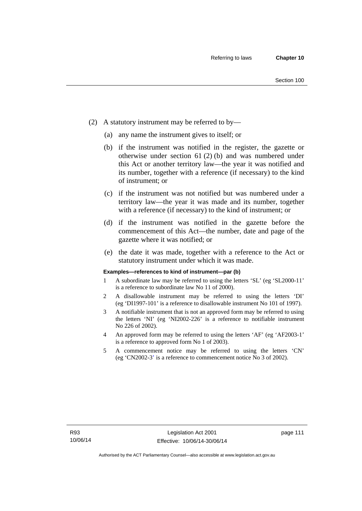- (2) A statutory instrument may be referred to by—
	- (a) any name the instrument gives to itself; or
	- (b) if the instrument was notified in the register, the gazette or otherwise under section 61 (2) (b) and was numbered under this Act or another territory law—the year it was notified and its number, together with a reference (if necessary) to the kind of instrument; or
	- (c) if the instrument was not notified but was numbered under a territory law—the year it was made and its number, together with a reference (if necessary) to the kind of instrument; or
	- (d) if the instrument was notified in the gazette before the commencement of this Act—the number, date and page of the gazette where it was notified; or
	- (e) the date it was made, together with a reference to the Act or statutory instrument under which it was made.

#### **Examples—references to kind of instrument—par (b)**

- 1 A subordinate law may be referred to using the letters 'SL' (eg 'SL2000-11' is a reference to subordinate law No 11 of 2000).
- 2 A disallowable instrument may be referred to using the letters 'DI' (eg 'DI1997-101' is a reference to disallowable instrument No 101 of 1997).
- 3 A notifiable instrument that is not an approved form may be referred to using the letters 'NI' (eg 'NI2002-226' is a reference to notifiable instrument No 226 of 2002).
- 4 An approved form may be referred to using the letters 'AF' (eg 'AF2003-1' is a reference to approved form No 1 of 2003).
- 5 A commencement notice may be referred to using the letters 'CN' (eg 'CN2002-3' is a reference to commencement notice No 3 of 2002).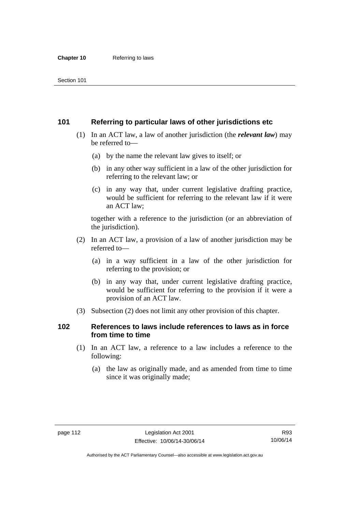### **101 Referring to particular laws of other jurisdictions etc**

- (1) In an ACT law, a law of another jurisdiction (the *relevant law*) may be referred to—
	- (a) by the name the relevant law gives to itself; or
	- (b) in any other way sufficient in a law of the other jurisdiction for referring to the relevant law; or
	- (c) in any way that, under current legislative drafting practice, would be sufficient for referring to the relevant law if it were an ACT law;

together with a reference to the jurisdiction (or an abbreviation of the jurisdiction).

- (2) In an ACT law, a provision of a law of another jurisdiction may be referred to—
	- (a) in a way sufficient in a law of the other jurisdiction for referring to the provision; or
	- (b) in any way that, under current legislative drafting practice, would be sufficient for referring to the provision if it were a provision of an ACT law.
- (3) Subsection (2) does not limit any other provision of this chapter.

### **102 References to laws include references to laws as in force from time to time**

- (1) In an ACT law, a reference to a law includes a reference to the following:
	- (a) the law as originally made, and as amended from time to time since it was originally made;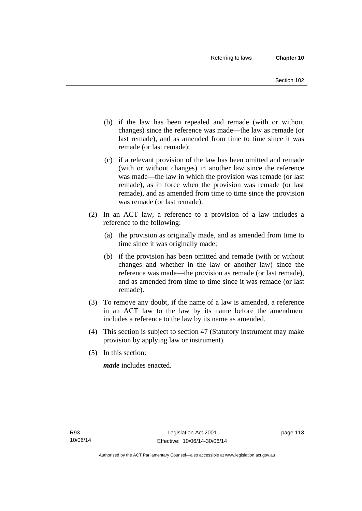- (b) if the law has been repealed and remade (with or without changes) since the reference was made—the law as remade (or last remade), and as amended from time to time since it was remade (or last remade);
- (c) if a relevant provision of the law has been omitted and remade (with or without changes) in another law since the reference was made—the law in which the provision was remade (or last remade), as in force when the provision was remade (or last remade), and as amended from time to time since the provision was remade (or last remade).
- (2) In an ACT law, a reference to a provision of a law includes a reference to the following:
	- (a) the provision as originally made, and as amended from time to time since it was originally made;
	- (b) if the provision has been omitted and remade (with or without changes and whether in the law or another law) since the reference was made—the provision as remade (or last remade), and as amended from time to time since it was remade (or last remade).
- (3) To remove any doubt, if the name of a law is amended, a reference in an ACT law to the law by its name before the amendment includes a reference to the law by its name as amended.
- (4) This section is subject to section 47 (Statutory instrument may make provision by applying law or instrument).
- (5) In this section:

*made* includes enacted.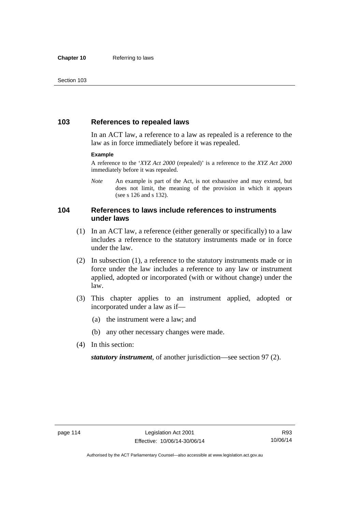### **103 References to repealed laws**

In an ACT law, a reference to a law as repealed is a reference to the law as in force immediately before it was repealed.

#### **Example**

A reference to the '*XYZ Act 2000* (repealed)' is a reference to the *XYZ Act 2000* immediately before it was repealed.

*Note* An example is part of the Act, is not exhaustive and may extend, but does not limit, the meaning of the provision in which it appears (see s 126 and s 132).

### **104 References to laws include references to instruments under laws**

- (1) In an ACT law, a reference (either generally or specifically) to a law includes a reference to the statutory instruments made or in force under the law.
- (2) In subsection (1), a reference to the statutory instruments made or in force under the law includes a reference to any law or instrument applied, adopted or incorporated (with or without change) under the law.
- (3) This chapter applies to an instrument applied, adopted or incorporated under a law as if—
	- (a) the instrument were a law; and
	- (b) any other necessary changes were made.
- (4) In this section:

*statutory instrument*, of another jurisdiction—see section 97 (2).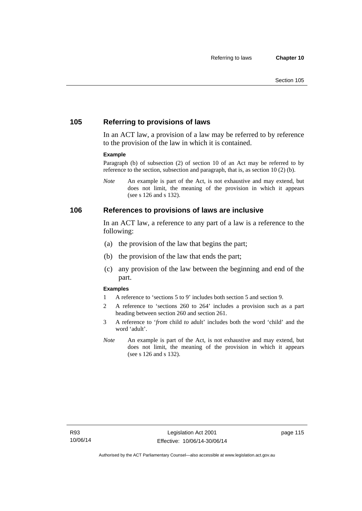### **105 Referring to provisions of laws**

In an ACT law, a provision of a law may be referred to by reference to the provision of the law in which it is contained.

#### **Example**

Paragraph (b) of subsection (2) of section 10 of an Act may be referred to by reference to the section, subsection and paragraph, that is, as section 10 (2) (b).

*Note* An example is part of the Act, is not exhaustive and may extend, but does not limit, the meaning of the provision in which it appears (see s 126 and s 132).

#### **106 References to provisions of laws are inclusive**

In an ACT law, a reference to any part of a law is a reference to the following:

- (a) the provision of the law that begins the part;
- (b) the provision of the law that ends the part;
- (c) any provision of the law between the beginning and end of the part.

#### **Examples**

- 1 A reference to 'sections 5 to 9' includes both section 5 and section 9.
- 2 A reference to 'sections 260 to 264' includes a provision such as a part heading between section 260 and section 261.
- 3 A reference to '*from* child *to* adult' includes both the word 'child' and the word 'adult'.
- *Note* An example is part of the Act, is not exhaustive and may extend, but does not limit, the meaning of the provision in which it appears (see s 126 and s 132).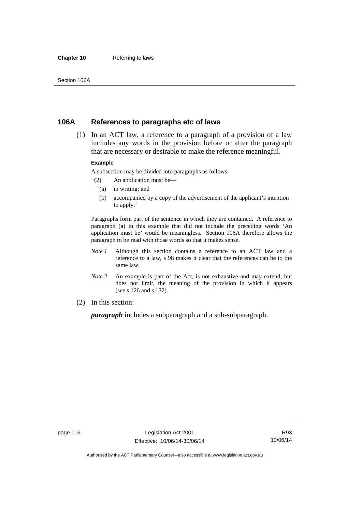#### **Chapter 10** Referring to laws

### **106A References to paragraphs etc of laws**

 (1) In an ACT law, a reference to a paragraph of a provision of a law includes any words in the provision before or after the paragraph that are necessary or desirable to make the reference meaningful.

#### **Example**

A subsection may be divided into paragraphs as follows:

- '(2) An application must be—
	- (a) in writing; and
	- (b) accompanied by a copy of the advertisement of the applicant's intention to apply.'

Paragraphs form part of the sentence in which they are contained. A reference to paragraph (a) in this example that did not include the preceding words 'An application must be' would be meaningless. Section 106A therefore allows the paragraph to be read with those words so that it makes sense.

- *Note 1* Although this section contains a reference to an ACT law and a reference to a law, s 98 makes it clear that the references can be to the same law.
- *Note 2* An example is part of the Act, is not exhaustive and may extend, but does not limit, the meaning of the provision in which it appears (see s 126 and s 132).
- (2) In this section:

*paragraph* includes a subparagraph and a sub-subparagraph.

R93 10/06/14

Authorised by the ACT Parliamentary Counsel—also accessible at www.legislation.act.gov.au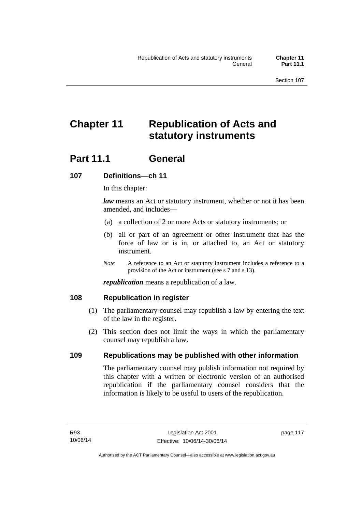# **Chapter 11 Republication of Acts and statutory instruments**

## Part 11.1 General

### **107 Definitions—ch 11**

In this chapter:

*law* means an Act or statutory instrument, whether or not it has been amended, and includes—

- (a) a collection of 2 or more Acts or statutory instruments; or
- (b) all or part of an agreement or other instrument that has the force of law or is in, or attached to, an Act or statutory instrument.
- *Note* A reference to an Act or statutory instrument includes a reference to a provision of the Act or instrument (see s 7 and s 13).

*republication* means a republication of a law.

### **108 Republication in register**

- (1) The parliamentary counsel may republish a law by entering the text of the law in the register.
- (2) This section does not limit the ways in which the parliamentary counsel may republish a law.

### **109 Republications may be published with other information**

The parliamentary counsel may publish information not required by this chapter with a written or electronic version of an authorised republication if the parliamentary counsel considers that the information is likely to be useful to users of the republication.

page 117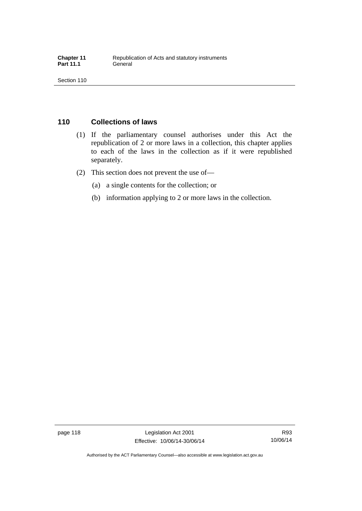## **110 Collections of laws**

- (1) If the parliamentary counsel authorises under this Act the republication of 2 or more laws in a collection, this chapter applies to each of the laws in the collection as if it were republished separately.
- (2) This section does not prevent the use of—
	- (a) a single contents for the collection; or
	- (b) information applying to 2 or more laws in the collection.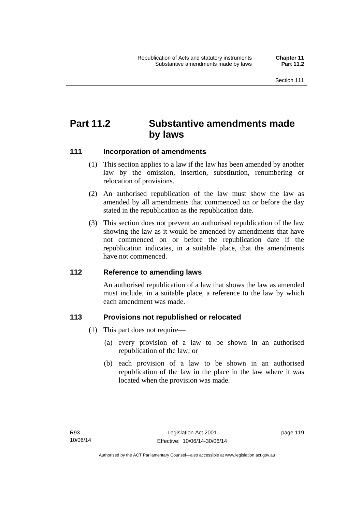## **Part 11.2 Substantive amendments made by laws**

### **111 Incorporation of amendments**

- (1) This section applies to a law if the law has been amended by another law by the omission, insertion, substitution, renumbering or relocation of provisions.
- (2) An authorised republication of the law must show the law as amended by all amendments that commenced on or before the day stated in the republication as the republication date.
- (3) This section does not prevent an authorised republication of the law showing the law as it would be amended by amendments that have not commenced on or before the republication date if the republication indicates, in a suitable place, that the amendments have not commenced.

### **112 Reference to amending laws**

An authorised republication of a law that shows the law as amended must include, in a suitable place, a reference to the law by which each amendment was made.

### **113 Provisions not republished or relocated**

- (1) This part does not require—
	- (a) every provision of a law to be shown in an authorised republication of the law; or
	- (b) each provision of a law to be shown in an authorised republication of the law in the place in the law where it was located when the provision was made.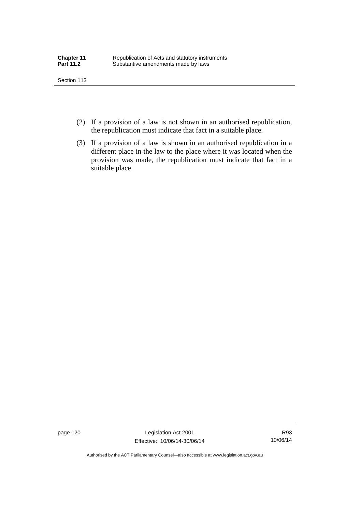- (2) If a provision of a law is not shown in an authorised republication, the republication must indicate that fact in a suitable place.
- (3) If a provision of a law is shown in an authorised republication in a different place in the law to the place where it was located when the provision was made, the republication must indicate that fact in a suitable place.

page 120 Legislation Act 2001 Effective: 10/06/14-30/06/14

R93 10/06/14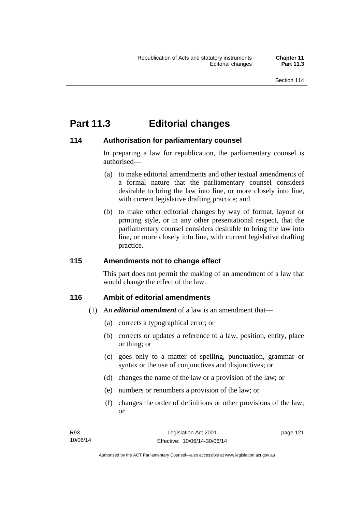## **Part 11.3 Editorial changes**

### **114 Authorisation for parliamentary counsel**

In preparing a law for republication, the parliamentary counsel is authorised—

- (a) to make editorial amendments and other textual amendments of a formal nature that the parliamentary counsel considers desirable to bring the law into line, or more closely into line, with current legislative drafting practice; and
- (b) to make other editorial changes by way of format, layout or printing style, or in any other presentational respect, that the parliamentary counsel considers desirable to bring the law into line, or more closely into line, with current legislative drafting practice.

### **115 Amendments not to change effect**

This part does not permit the making of an amendment of a law that would change the effect of the law.

### **116 Ambit of editorial amendments**

- (1) An *editorial amendment* of a law is an amendment that—
	- (a) corrects a typographical error; or
	- (b) corrects or updates a reference to a law, position, entity, place or thing; or
	- (c) goes only to a matter of spelling, punctuation, grammar or syntax or the use of conjunctives and disjunctives; or
	- (d) changes the name of the law or a provision of the law; or
	- (e) numbers or renumbers a provision of the law; or
	- (f) changes the order of definitions or other provisions of the law; or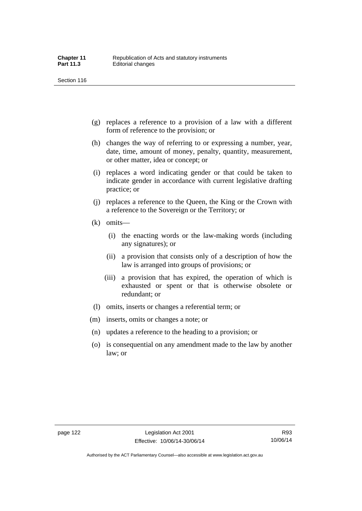- (g) replaces a reference to a provision of a law with a different form of reference to the provision; or
- (h) changes the way of referring to or expressing a number, year, date, time, amount of money, penalty, quantity, measurement, or other matter, idea or concept; or
- (i) replaces a word indicating gender or that could be taken to indicate gender in accordance with current legislative drafting practice; or
- (j) replaces a reference to the Queen, the King or the Crown with a reference to the Sovereign or the Territory; or
- (k) omits—
	- (i) the enacting words or the law-making words (including any signatures); or
	- (ii) a provision that consists only of a description of how the law is arranged into groups of provisions; or
	- (iii) a provision that has expired, the operation of which is exhausted or spent or that is otherwise obsolete or redundant; or
- (l) omits, inserts or changes a referential term; or
- (m) inserts, omits or changes a note; or
- (n) updates a reference to the heading to a provision; or
- (o) is consequential on any amendment made to the law by another law; or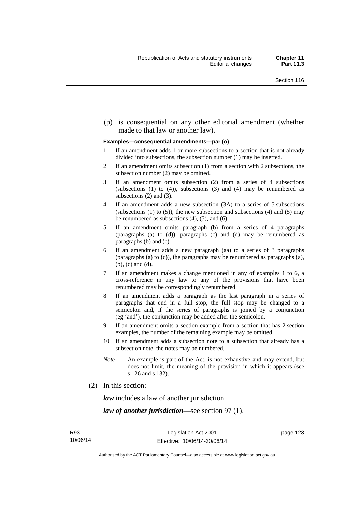(p) is consequential on any other editorial amendment (whether made to that law or another law).

#### **Examples—consequential amendments—par (o)**

- 1 If an amendment adds 1 or more subsections to a section that is not already divided into subsections, the subsection number (1) may be inserted.
- 2 If an amendment omits subsection (1) from a section with 2 subsections, the subsection number (2) may be omitted.
- 3 If an amendment omits subsection (2) from a series of 4 subsections (subsections  $(1)$  to  $(4)$ ), subsections  $(3)$  and  $(4)$  may be renumbered as subsections (2) and (3).
- 4 If an amendment adds a new subsection (3A) to a series of 5 subsections (subsections  $(1)$  to  $(5)$ ), the new subsection and subsections  $(4)$  and  $(5)$  may be renumbered as subsections (4), (5), and (6).
- 5 If an amendment omits paragraph (b) from a series of 4 paragraphs (paragraphs (a) to (d)), paragraphs (c) and (d) may be renumbered as paragraphs (b) and (c).
- 6 If an amendment adds a new paragraph (aa) to a series of 3 paragraphs (paragraphs (a) to (c)), the paragraphs may be renumbered as paragraphs (a), (b), (c) and (d).
- 7 If an amendment makes a change mentioned in any of examples 1 to 6, a cross-reference in any law to any of the provisions that have been renumbered may be correspondingly renumbered.
- 8 If an amendment adds a paragraph as the last paragraph in a series of paragraphs that end in a full stop, the full stop may be changed to a semicolon and, if the series of paragraphs is joined by a conjunction (eg 'and'), the conjunction may be added after the semicolon.
- 9 If an amendment omits a section example from a section that has 2 section examples, the number of the remaining example may be omitted.
- 10 If an amendment adds a subsection note to a subsection that already has a subsection note, the notes may be numbered.
- *Note* An example is part of the Act, is not exhaustive and may extend, but does not limit, the meaning of the provision in which it appears (see s 126 and s 132).
- (2) In this section:

*law* includes a law of another jurisdiction.

*law of another jurisdiction*—see section 97 (1).

page 123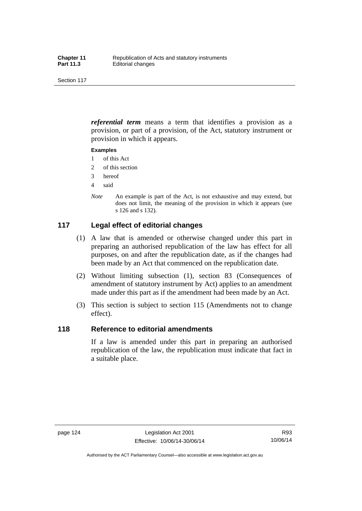*referential term* means a term that identifies a provision as a provision, or part of a provision, of the Act, statutory instrument or provision in which it appears.

#### **Examples**

- 1 of this Act
- 2 of this section
- 3 hereof
- 4 said
- *Note* An example is part of the Act, is not exhaustive and may extend, but does not limit, the meaning of the provision in which it appears (see s 126 and s 132).

### **117 Legal effect of editorial changes**

- (1) A law that is amended or otherwise changed under this part in preparing an authorised republication of the law has effect for all purposes, on and after the republication date, as if the changes had been made by an Act that commenced on the republication date.
- (2) Without limiting subsection (1), section 83 (Consequences of amendment of statutory instrument by Act) applies to an amendment made under this part as if the amendment had been made by an Act.
- (3) This section is subject to section 115 (Amendments not to change effect).

### **118 Reference to editorial amendments**

If a law is amended under this part in preparing an authorised republication of the law, the republication must indicate that fact in a suitable place.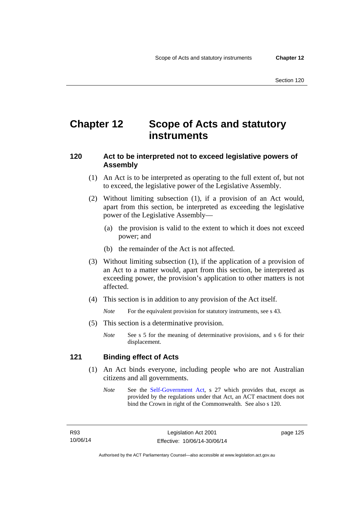## **Chapter 12 Scope of Acts and statutory instruments**

### **120 Act to be interpreted not to exceed legislative powers of Assembly**

- (1) An Act is to be interpreted as operating to the full extent of, but not to exceed, the legislative power of the Legislative Assembly.
- (2) Without limiting subsection (1), if a provision of an Act would, apart from this section, be interpreted as exceeding the legislative power of the Legislative Assembly—
	- (a) the provision is valid to the extent to which it does not exceed power; and
	- (b) the remainder of the Act is not affected.
- (3) Without limiting subsection (1), if the application of a provision of an Act to a matter would, apart from this section, be interpreted as exceeding power, the provision's application to other matters is not affected.
- (4) This section is in addition to any provision of the Act itself.

*Note* For the equivalent provision for statutory instruments, see s 43.

- (5) This section is a determinative provision.
	- *Note* See s 5 for the meaning of determinative provisions, and s 6 for their displacement.

### **121 Binding effect of Acts**

- (1) An Act binds everyone, including people who are not Australian citizens and all governments.
	- *Note* See the [Self-Government Act](http://www.comlaw.gov.au/Series/C2004A03699), s 27 which provides that, except as provided by the regulations under that Act, an ACT enactment does not bind the Crown in right of the Commonwealth. See also s 120.

page 125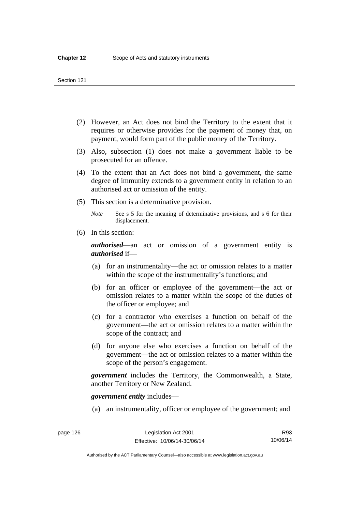- (2) However, an Act does not bind the Territory to the extent that it requires or otherwise provides for the payment of money that, on payment, would form part of the public money of the Territory.
- (3) Also, subsection (1) does not make a government liable to be prosecuted for an offence.
- (4) To the extent that an Act does not bind a government, the same degree of immunity extends to a government entity in relation to an authorised act or omission of the entity.
- (5) This section is a determinative provision.

*Note* See s 5 for the meaning of determinative provisions, and s 6 for their displacement.

(6) In this section:

*authorised*—an act or omission of a government entity is *authorised* if—

- (a) for an instrumentality—the act or omission relates to a matter within the scope of the instrumentality's functions; and
- (b) for an officer or employee of the government—the act or omission relates to a matter within the scope of the duties of the officer or employee; and
- (c) for a contractor who exercises a function on behalf of the government—the act or omission relates to a matter within the scope of the contract; and
- (d) for anyone else who exercises a function on behalf of the government—the act or omission relates to a matter within the scope of the person's engagement.

*government* includes the Territory, the Commonwealth, a State, another Territory or New Zealand.

*government entity* includes—

(a) an instrumentality, officer or employee of the government; and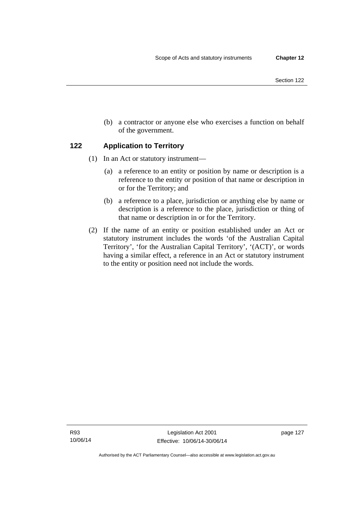- Section 122
- (b) a contractor or anyone else who exercises a function on behalf of the government.

### **122 Application to Territory**

- (1) In an Act or statutory instrument—
	- (a) a reference to an entity or position by name or description is a reference to the entity or position of that name or description in or for the Territory; and
	- (b) a reference to a place, jurisdiction or anything else by name or description is a reference to the place, jurisdiction or thing of that name or description in or for the Territory.
- (2) If the name of an entity or position established under an Act or statutory instrument includes the words 'of the Australian Capital Territory', 'for the Australian Capital Territory', '(ACT)', or words having a similar effect, a reference in an Act or statutory instrument to the entity or position need not include the words.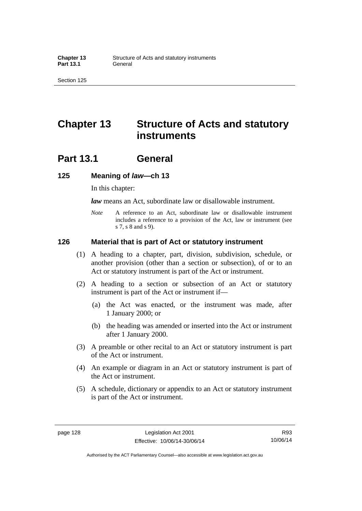## **Chapter 13 Structure of Acts and statutory instruments**

## **Part 13.1 General**

#### **125 Meaning of** *law***—ch 13**

In this chapter:

*law* means an Act, subordinate law or disallowable instrument.

*Note* A reference to an Act, subordinate law or disallowable instrument includes a reference to a provision of the Act, law or instrument (see s 7, s 8 and s 9).

#### **126 Material that is part of Act or statutory instrument**

- (1) A heading to a chapter, part, division, subdivision, schedule, or another provision (other than a section or subsection), of or to an Act or statutory instrument is part of the Act or instrument.
- (2) A heading to a section or subsection of an Act or statutory instrument is part of the Act or instrument if—
	- (a) the Act was enacted, or the instrument was made, after 1 January 2000; or
	- (b) the heading was amended or inserted into the Act or instrument after 1 January 2000.
- (3) A preamble or other recital to an Act or statutory instrument is part of the Act or instrument.
- (4) An example or diagram in an Act or statutory instrument is part of the Act or instrument.
- (5) A schedule, dictionary or appendix to an Act or statutory instrument is part of the Act or instrument.

R93 10/06/14

Authorised by the ACT Parliamentary Counsel—also accessible at www.legislation.act.gov.au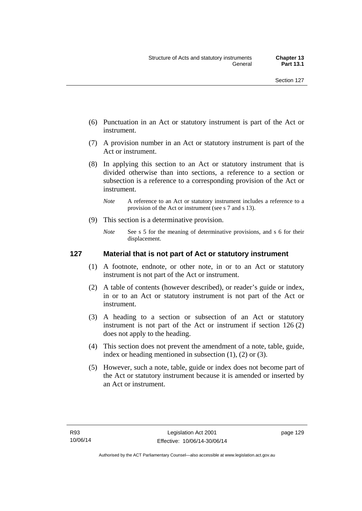- (6) Punctuation in an Act or statutory instrument is part of the Act or instrument.
- (7) A provision number in an Act or statutory instrument is part of the Act or instrument.
- (8) In applying this section to an Act or statutory instrument that is divided otherwise than into sections, a reference to a section or subsection is a reference to a corresponding provision of the Act or instrument.
	- *Note* A reference to an Act or statutory instrument includes a reference to a provision of the Act or instrument (see s 7 and s 13).
- (9) This section is a determinative provision.
	- *Note* See s 5 for the meaning of determinative provisions, and s 6 for their displacement.

# **127 Material that is not part of Act or statutory instrument**

- (1) A footnote, endnote, or other note, in or to an Act or statutory instrument is not part of the Act or instrument.
- (2) A table of contents (however described), or reader's guide or index, in or to an Act or statutory instrument is not part of the Act or instrument.
- (3) A heading to a section or subsection of an Act or statutory instrument is not part of the Act or instrument if section 126 (2) does not apply to the heading.
- (4) This section does not prevent the amendment of a note, table, guide, index or heading mentioned in subsection (1), (2) or (3).
- (5) However, such a note, table, guide or index does not become part of the Act or statutory instrument because it is amended or inserted by an Act or instrument.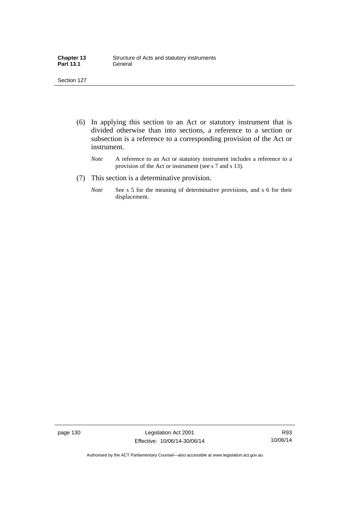| <b>Chapter 13</b> | Structure of Acts and statutory instruments |
|-------------------|---------------------------------------------|
| <b>Part 13.1</b>  | General                                     |

- (6) In applying this section to an Act or statutory instrument that is divided otherwise than into sections, a reference to a section or subsection is a reference to a corresponding provision of the Act or instrument.
	- *Note* A reference to an Act or statutory instrument includes a reference to a provision of the Act or instrument (see s 7 and s 13).
- (7) This section is a determinative provision.
	- *Note* See s 5 for the meaning of determinative provisions, and s 6 for their displacement.

page 130 Legislation Act 2001 Effective: 10/06/14-30/06/14

R93 10/06/14

Authorised by the ACT Parliamentary Counsel—also accessible at www.legislation.act.gov.au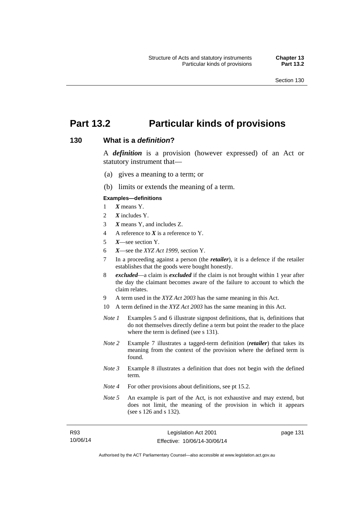# **Part 13.2 Particular kinds of provisions**

#### **130 What is a** *definition***?**

A *definition* is a provision (however expressed) of an Act or statutory instrument that—

- (a) gives a meaning to a term; or
- (b) limits or extends the meaning of a term.

#### **Examples—definitions**

- 1 *X* means Y.
- 2 *X* includes Y.
- 3 *X* means Y, and includes Z.
- 4 A reference to *X* is a reference to Y.
- 5 *X*—see section Y.
- 6 *X*—see the *XYZ Act 1999*, section Y.
- 7 In a proceeding against a person (the *retailer*), it is a defence if the retailer establishes that the goods were bought honestly.
- 8 *excluded*—a claim is *excluded* if the claim is not brought within 1 year after the day the claimant becomes aware of the failure to account to which the claim relates.
- 9 A term used in the *XYZ Act 2003* has the same meaning in this Act.
- 10 A term defined in the *XYZ Act 2003* has the same meaning in this Act.
- *Note 1* Examples 5 and 6 illustrate signpost definitions, that is, definitions that do not themselves directly define a term but point the reader to the place where the term is defined (see s 131).
- *Note 2* Example 7 illustrates a tagged-term definition (*retailer*) that takes its meaning from the context of the provision where the defined term is found.
- *Note 3* Example 8 illustrates a definition that does not begin with the defined term.
- *Note 4* For other provisions about definitions, see pt 15.2.
- *Note 5* An example is part of the Act, is not exhaustive and may extend, but does not limit, the meaning of the provision in which it appears (see s 126 and s 132).

| R93      | Legislation Act 2001         |  |
|----------|------------------------------|--|
| 10/06/14 | Effective: 10/06/14-30/06/14 |  |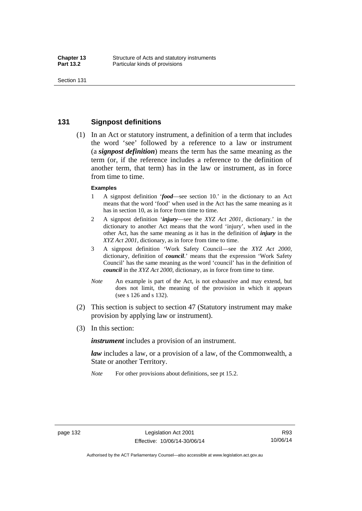### **131 Signpost definitions**

 (1) In an Act or statutory instrument, a definition of a term that includes the word 'see' followed by a reference to a law or instrument (a *signpost definition*) means the term has the same meaning as the term (or, if the reference includes a reference to the definition of another term, that term) has in the law or instrument, as in force from time to time.

#### **Examples**

- 1 A signpost definition '*food*—see section 10.' in the dictionary to an Act means that the word 'food' when used in the Act has the same meaning as it has in section 10, as in force from time to time.
- 2 A signpost definition '*injury*—see the *XYZ Act 2001*, dictionary.' in the dictionary to another Act means that the word 'injury', when used in the other Act, has the same meaning as it has in the definition of *injury* in the *XYZ Act 2001*, dictionary, as in force from time to time.
- 3 A signpost definition 'Work Safety Council—see the *XYZ Act 2000*, dictionary, definition of *council*.' means that the expression 'Work Safety Council' has the same meaning as the word 'council' has in the definition of *council* in the *XYZ Act 2000*, dictionary, as in force from time to time.
- *Note* An example is part of the Act, is not exhaustive and may extend, but does not limit, the meaning of the provision in which it appears (see s 126 and s 132).
- (2) This section is subject to section 47 (Statutory instrument may make provision by applying law or instrument).
- (3) In this section:

*instrument* includes a provision of an instrument.

*law* includes a law, or a provision of a law, of the Commonwealth, a State or another Territory.

*Note* For other provisions about definitions, see pt 15.2.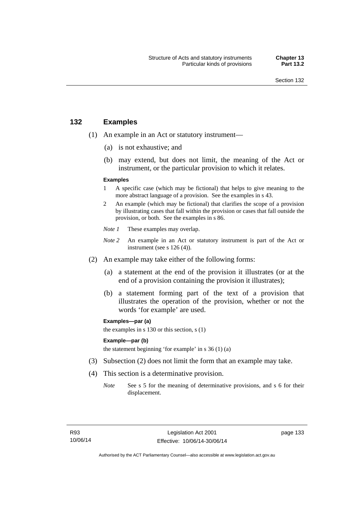# **132 Examples**

- (1) An example in an Act or statutory instrument—
	- (a) is not exhaustive; and
	- (b) may extend, but does not limit, the meaning of the Act or instrument, or the particular provision to which it relates.

#### **Examples**

- 1 A specific case (which may be fictional) that helps to give meaning to the more abstract language of a provision. See the examples in s 43.
- 2 An example (which may be fictional) that clarifies the scope of a provision by illustrating cases that fall within the provision or cases that fall outside the provision, or both. See the examples in s 86.
- *Note 1* These examples may overlap.
- *Note* 2 An example in an Act or statutory instrument is part of the Act or instrument (see s 126 (4)).
- (2) An example may take either of the following forms:
	- (a) a statement at the end of the provision it illustrates (or at the end of a provision containing the provision it illustrates);
	- (b) a statement forming part of the text of a provision that illustrates the operation of the provision, whether or not the words 'for example' are used.

**Examples—par (a)** 

the examples in s 130 or this section, s (1)

#### **Example—par (b)**

the statement beginning 'for example' in s 36 (1) (a)

- (3) Subsection (2) does not limit the form that an example may take.
- (4) This section is a determinative provision.
	- *Note* See s 5 for the meaning of determinative provisions, and s 6 for their displacement.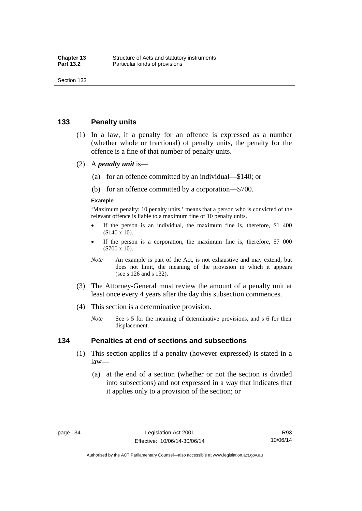### **133 Penalty units**

- (1) In a law, if a penalty for an offence is expressed as a number (whether whole or fractional) of penalty units, the penalty for the offence is a fine of that number of penalty units.
- (2) A *penalty unit* is—
	- (a) for an offence committed by an individual—\$140; or
	- (b) for an offence committed by a corporation—\$700.

#### **Example**

'Maximum penalty: 10 penalty units.' means that a person who is convicted of the relevant offence is liable to a maximum fine of 10 penalty units.

- If the person is an individual, the maximum fine is, therefore, \$1 400 (\$140 x 10).
- If the person is a corporation, the maximum fine is, therefore, \$7 000 (\$700 x 10).
- *Note* An example is part of the Act, is not exhaustive and may extend, but does not limit, the meaning of the provision in which it appears (see s 126 and s 132).
- (3) The Attorney-General must review the amount of a penalty unit at least once every 4 years after the day this subsection commences.
- (4) This section is a determinative provision.
	- *Note* See s 5 for the meaning of determinative provisions, and s 6 for their displacement.

#### **134 Penalties at end of sections and subsections**

- (1) This section applies if a penalty (however expressed) is stated in a law—
	- (a) at the end of a section (whether or not the section is divided into subsections) and not expressed in a way that indicates that it applies only to a provision of the section; or

Authorised by the ACT Parliamentary Counsel—also accessible at www.legislation.act.gov.au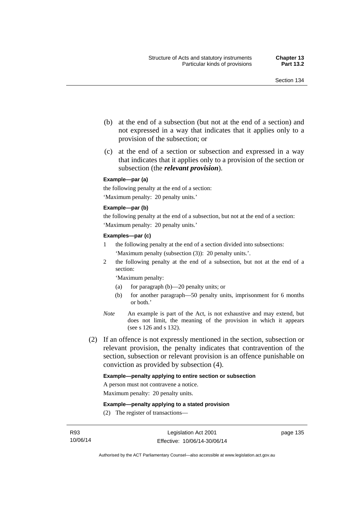- (b) at the end of a subsection (but not at the end of a section) and not expressed in a way that indicates that it applies only to a provision of the subsection; or
- (c) at the end of a section or subsection and expressed in a way that indicates that it applies only to a provision of the section or subsection (the *relevant provision*).

#### **Example—par (a)**

the following penalty at the end of a section: 'Maximum penalty: 20 penalty units.'

#### **Example—par (b)**

the following penalty at the end of a subsection, but not at the end of a section: 'Maximum penalty: 20 penalty units.'

#### **Examples—par (c)**

- 1 the following penalty at the end of a section divided into subsections: 'Maximum penalty (subsection (3)): 20 penalty units.'.
- 2 the following penalty at the end of a subsection, but not at the end of a section:

'Maximum penalty:

- (a) for paragraph (b)—20 penalty units; or
- (b) for another paragraph—50 penalty units, imprisonment for 6 months or both.'
- *Note* An example is part of the Act, is not exhaustive and may extend, but does not limit, the meaning of the provision in which it appears (see s 126 and s 132).
- (2) If an offence is not expressly mentioned in the section, subsection or relevant provision, the penalty indicates that contravention of the section, subsection or relevant provision is an offence punishable on conviction as provided by subsection (4).

#### **Example—penalty applying to entire section or subsection**

A person must not contravene a notice.

Maximum penalty: 20 penalty units.

**Example—penalty applying to a stated provision** 

(2) The register of transactions—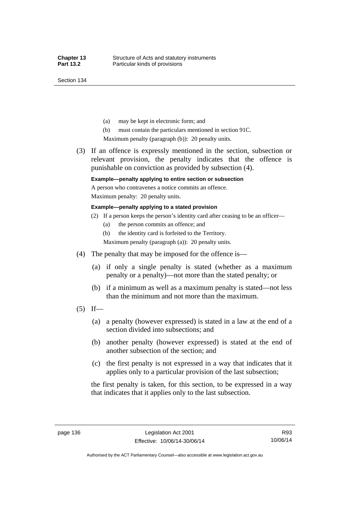Section 134

- (a) may be kept in electronic form; and
- (b) must contain the particulars mentioned in section 91C.

Maximum penalty (paragraph (b)): 20 penalty units.

 (3) If an offence is expressly mentioned in the section, subsection or relevant provision, the penalty indicates that the offence is punishable on conviction as provided by subsection (4).

### **Example—penalty applying to entire section or subsection**

A person who contravenes a notice commits an offence. Maximum penalty: 20 penalty units.

**Example—penalty applying to a stated provision** 

- (2) If a person keeps the person's identity card after ceasing to be an officer—
	- (a) the person commits an offence; and
	- (b) the identity card is forfeited to the Territory.

Maximum penalty (paragraph (a)): 20 penalty units.

- (4) The penalty that may be imposed for the offence is—
	- (a) if only a single penalty is stated (whether as a maximum penalty or a penalty)—not more than the stated penalty; or
	- (b) if a minimum as well as a maximum penalty is stated—not less than the minimum and not more than the maximum.
- $(5)$  If—
	- (a) a penalty (however expressed) is stated in a law at the end of a section divided into subsections; and
	- (b) another penalty (however expressed) is stated at the end of another subsection of the section; and
	- (c) the first penalty is not expressed in a way that indicates that it applies only to a particular provision of the last subsection;

the first penalty is taken, for this section, to be expressed in a way that indicates that it applies only to the last subsection.

Authorised by the ACT Parliamentary Counsel—also accessible at www.legislation.act.gov.au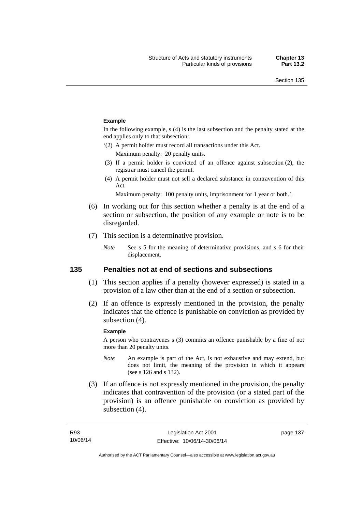#### **Example**

In the following example, s (4) is the last subsection and the penalty stated at the end applies only to that subsection:

'(2) A permit holder must record all transactions under this Act.

Maximum penalty: 20 penalty units.

- (3) If a permit holder is convicted of an offence against subsection (2), the registrar must cancel the permit.
- (4) A permit holder must not sell a declared substance in contravention of this Act.

Maximum penalty: 100 penalty units, imprisonment for 1 year or both.'.

- (6) In working out for this section whether a penalty is at the end of a section or subsection, the position of any example or note is to be disregarded.
- (7) This section is a determinative provision.
	- *Note* See s 5 for the meaning of determinative provisions, and s 6 for their displacement.

### **135 Penalties not at end of sections and subsections**

- (1) This section applies if a penalty (however expressed) is stated in a provision of a law other than at the end of a section or subsection.
- (2) If an offence is expressly mentioned in the provision, the penalty indicates that the offence is punishable on conviction as provided by subsection (4).

#### **Example**

A person who contravenes s (3) commits an offence punishable by a fine of not more than 20 penalty units.

- *Note* An example is part of the Act, is not exhaustive and may extend, but does not limit, the meaning of the provision in which it appears (see s 126 and s 132).
- (3) If an offence is not expressly mentioned in the provision, the penalty indicates that contravention of the provision (or a stated part of the provision) is an offence punishable on conviction as provided by subsection (4).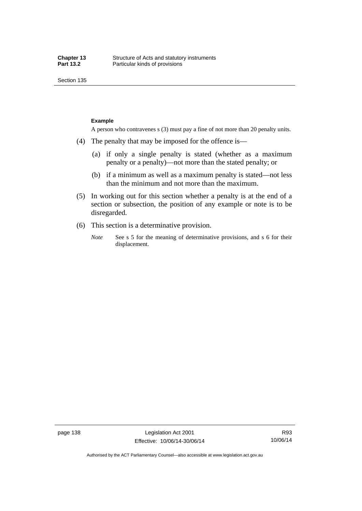Section 135

#### **Example**

A person who contravenes s (3) must pay a fine of not more than 20 penalty units.

- (4) The penalty that may be imposed for the offence is—
	- (a) if only a single penalty is stated (whether as a maximum penalty or a penalty)—not more than the stated penalty; or
	- (b) if a minimum as well as a maximum penalty is stated—not less than the minimum and not more than the maximum.
- (5) In working out for this section whether a penalty is at the end of a section or subsection, the position of any example or note is to be disregarded.
- (6) This section is a determinative provision.
	- *Note* See s 5 for the meaning of determinative provisions, and s 6 for their displacement.

R93 10/06/14

Authorised by the ACT Parliamentary Counsel—also accessible at www.legislation.act.gov.au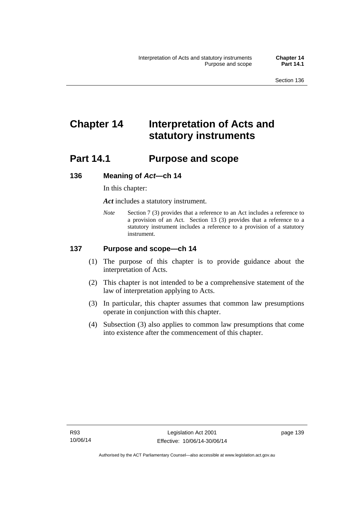# **Chapter 14 Interpretation of Acts and statutory instruments**

# **Part 14.1 Purpose and scope**

### **136 Meaning of** *Act***—ch 14**

In this chapter:

*Act* includes a statutory instrument.

*Note* Section 7 (3) provides that a reference to an Act includes a reference to a provision of an Act. Section 13 (3) provides that a reference to a statutory instrument includes a reference to a provision of a statutory instrument.

### **137 Purpose and scope—ch 14**

- (1) The purpose of this chapter is to provide guidance about the interpretation of Acts.
- (2) This chapter is not intended to be a comprehensive statement of the law of interpretation applying to Acts.
- (3) In particular, this chapter assumes that common law presumptions operate in conjunction with this chapter.
- (4) Subsection (3) also applies to common law presumptions that come into existence after the commencement of this chapter.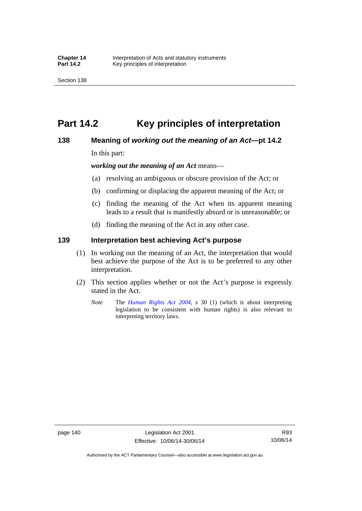# **Part 14.2 Key principles of interpretation**

# **138 Meaning of** *working out the meaning of an Act***—pt 14.2**

In this part:

*working out the meaning of an Act* means—

- (a) resolving an ambiguous or obscure provision of the Act; or
- (b) confirming or displacing the apparent meaning of the Act; or
- (c) finding the meaning of the Act when its apparent meaning leads to a result that is manifestly absurd or is unreasonable; or
- (d) finding the meaning of the Act in any other case.

### **139 Interpretation best achieving Act's purpose**

- (1) In working out the meaning of an Act, the interpretation that would best achieve the purpose of the Act is to be preferred to any other interpretation.
- (2) This section applies whether or not the Act's purpose is expressly stated in the Act.
	- *Note* The *[Human Rights Act 2004](http://www.legislation.act.gov.au/a/2004-5)*, s 30 (1) (which is about interpreting legislation to be consistent with human rights) is also relevant to interpreting territory laws.

R93 10/06/14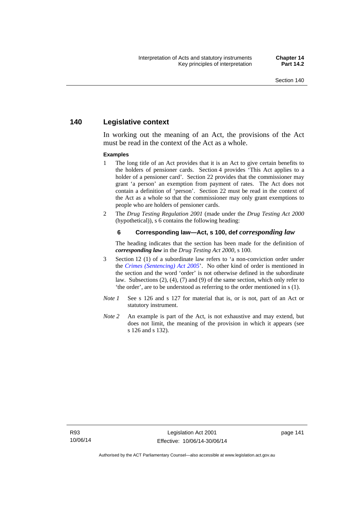# **140 Legislative context**

In working out the meaning of an Act, the provisions of the Act must be read in the context of the Act as a whole.

#### **Examples**

- 1 The long title of an Act provides that it is an Act to give certain benefits to the holders of pensioner cards. Section 4 provides 'This Act applies to a holder of a pensioner card'. Section 22 provides that the commissioner may grant 'a person' an exemption from payment of rates. The Act does not contain a definition of 'person'. Section 22 must be read in the context of the Act as a whole so that the commissioner may only grant exemptions to people who are holders of pensioner cards.
- 2 The *Drug Testing Regulation 2001* (made under the *Drug Testing Act 2000* (hypothetical)), s 6 contains the following heading:

#### **6 Corresponding law—Act, s 100, def** *corresponding law*

The heading indicates that the section has been made for the definition of *corresponding law* in the *Drug Testing Act 2000*, s 100.

- 3 Section 12 (1) of a subordinate law refers to 'a non-conviction order under the *[Crimes \(Sentencing\) Act 2005](http://www.legislation.act.gov.au/a/2005-58)*'. No other kind of order is mentioned in the section and the word 'order' is not otherwise defined in the subordinate law. Subsections (2), (4), (7) and (9) of the same section, which only refer to 'the order', are to be understood as referring to the order mentioned in s (1).
- *Note 1* See s 126 and s 127 for material that is, or is not, part of an Act or statutory instrument.
- *Note 2* An example is part of the Act, is not exhaustive and may extend, but does not limit, the meaning of the provision in which it appears (see s 126 and s 132).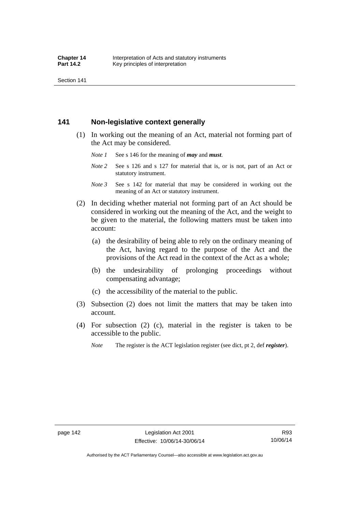Section 141

# **141 Non-legislative context generally**

- (1) In working out the meaning of an Act, material not forming part of the Act may be considered.
	- *Note 1* See s 146 for the meaning of *may* and *must*.
	- *Note* 2 See s 126 and s 127 for material that is, or is not, part of an Act or statutory instrument.
	- *Note 3* See s 142 for material that may be considered in working out the meaning of an Act or statutory instrument.
- (2) In deciding whether material not forming part of an Act should be considered in working out the meaning of the Act, and the weight to be given to the material, the following matters must be taken into account:
	- (a) the desirability of being able to rely on the ordinary meaning of the Act, having regard to the purpose of the Act and the provisions of the Act read in the context of the Act as a whole;
	- (b) the undesirability of prolonging proceedings without compensating advantage;
	- (c) the accessibility of the material to the public.
- (3) Subsection (2) does not limit the matters that may be taken into account.
- (4) For subsection (2) (c), material in the register is taken to be accessible to the public.
	- *Note* The register is the ACT legislation register (see dict, pt 2, def *register*).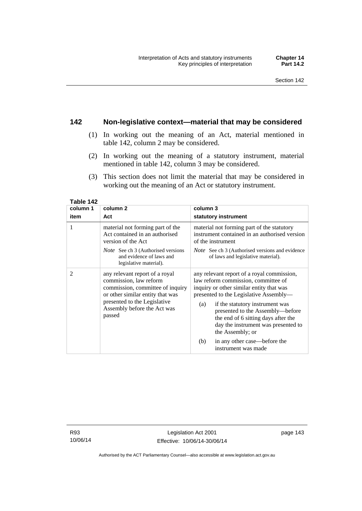# **142 Non-legislative context—material that may be considered**

- (1) In working out the meaning of an Act, material mentioned in table 142, column 2 may be considered.
- (2) In working out the meaning of a statutory instrument, material mentioned in table 142, column 3 may be considered.
- (3) This section does not limit the material that may be considered in working out the meaning of an Act or statutory instrument.

| column 1 | column <sub>2</sub>                                                                                                                                                                                       | column 3                                                                                                                                                                                                                                                                                                                                                |
|----------|-----------------------------------------------------------------------------------------------------------------------------------------------------------------------------------------------------------|---------------------------------------------------------------------------------------------------------------------------------------------------------------------------------------------------------------------------------------------------------------------------------------------------------------------------------------------------------|
| item     | Act                                                                                                                                                                                                       | statutory instrument                                                                                                                                                                                                                                                                                                                                    |
| 1        | material not forming part of the<br>Act contained in an authorised<br>version of the Act                                                                                                                  | material not forming part of the statutory<br>instrument contained in an authorised version<br>of the instrument                                                                                                                                                                                                                                        |
|          | <i>Note</i> See ch 3 (Authorised versions<br>and evidence of laws and<br>legislative material).                                                                                                           | <i>Note</i> See ch 3 (Authorised versions and evidence<br>of laws and legislative material).                                                                                                                                                                                                                                                            |
| 2        | any relevant report of a royal<br>commission, law reform<br>commission, committee of inquiry<br>or other similar entity that was<br>presented to the Legislative<br>Assembly before the Act was<br>passed | any relevant report of a royal commission,<br>law reform commission, committee of<br>inquiry or other similar entity that was<br>presented to the Legislative Assembly—<br>if the statutory instrument was<br>(a)<br>presented to the Assembly-before<br>the end of 6 sitting days after the<br>day the instrument was presented to<br>the Assembly; or |
|          |                                                                                                                                                                                                           | in any other case—before the<br>(b)<br>instrument was made                                                                                                                                                                                                                                                                                              |

**Table 142** 

R93 10/06/14

Authorised by the ACT Parliamentary Counsel—also accessible at www.legislation.act.gov.au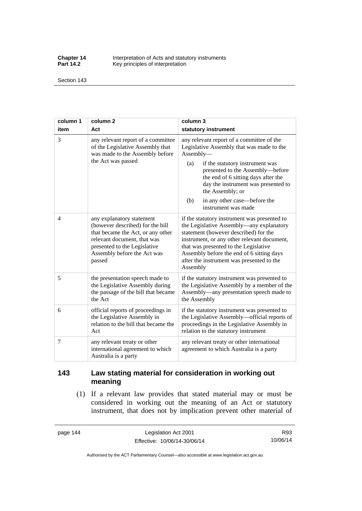**Chapter 14** Interpretation of Acts and statutory instruments<br>**Part 14.2** Key principles of interpretation Key principles of interpretation

Section 143

| column 1 | column <sub>2</sub>                                                                                                                                                                                        | column 3                                                                                                                                                                                                                                                                                                                                          |
|----------|------------------------------------------------------------------------------------------------------------------------------------------------------------------------------------------------------------|---------------------------------------------------------------------------------------------------------------------------------------------------------------------------------------------------------------------------------------------------------------------------------------------------------------------------------------------------|
| item     | Act                                                                                                                                                                                                        | statutory instrument                                                                                                                                                                                                                                                                                                                              |
| 3        | any relevant report of a committee<br>of the Legislative Assembly that<br>was made to the Assembly before<br>the Act was passed                                                                            | any relevant report of a committee of the<br>Legislative Assembly that was made to the<br>Assembly-<br>(a)<br>if the statutory instrument was<br>presented to the Assembly-before<br>the end of 6 sitting days after the<br>day the instrument was presented to<br>the Assembly; or<br>in any other case—before the<br>(b)<br>instrument was made |
| 4        | any explanatory statement<br>(however described) for the bill<br>that became the Act, or any other<br>relevant document, that was<br>presented to the Legislative<br>Assembly before the Act was<br>passed | if the statutory instrument was presented to<br>the Legislative Assembly-any explanatory<br>statement (however described) for the<br>instrument, or any other relevant document,<br>that was presented to the Legislative<br>Assembly before the end of 6 sitting days<br>after the instrument was presented to the<br>Assembly                   |
| 5        | the presentation speech made to<br>the Legislative Assembly during<br>the passage of the bill that became<br>the Act                                                                                       | if the statutory instrument was presented to<br>the Legislative Assembly by a member of the<br>Assembly—any presentation speech made to<br>the Assembly                                                                                                                                                                                           |
| 6        | official reports of proceedings in<br>the Legislative Assembly in<br>relation to the bill that became the<br>Act                                                                                           | if the statutory instrument was presented to<br>the Legislative Assembly—official reports of<br>proceedings in the Legislative Assembly in<br>relation to the statutory instrument                                                                                                                                                                |
| 7        | any relevant treaty or other<br>international agreement to which<br>Australia is a party                                                                                                                   | any relevant treaty or other international<br>agreement to which Australia is a party                                                                                                                                                                                                                                                             |

# **143 Law stating material for consideration in working out meaning**

 (1) If a relevant law provides that stated material may or must be considered in working out the meaning of an Act or statutory instrument, that does not by implication prevent other material of

page 144 Legislation Act 2001 Effective: 10/06/14-30/06/14

R93 10/06/14

Authorised by the ACT Parliamentary Counsel—also accessible at www.legislation.act.gov.au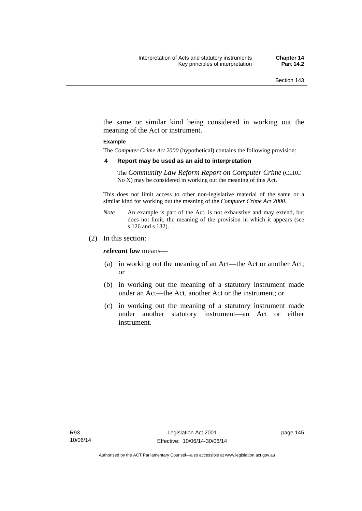the same or similar kind being considered in working out the meaning of the Act or instrument.

#### **Example**

The *Computer Crime Act 2000* (hypothetical) contains the following provision:

#### **4 Report may be used as an aid to interpretation**

The *Community Law Reform Report on Computer Crime* (CLRC No X) may be considered in working out the meaning of this Act.

This does not limit access to other non-legislative material of the same or a similar kind for working out the meaning of the *Computer Crime Act 2000*.

- *Note* An example is part of the Act, is not exhaustive and may extend, but does not limit, the meaning of the provision in which it appears (see s 126 and s 132).
- (2) In this section:

*relevant law* means—

- (a) in working out the meaning of an Act—the Act or another Act; or
- (b) in working out the meaning of a statutory instrument made under an Act—the Act, another Act or the instrument; or
- (c) in working out the meaning of a statutory instrument made under another statutory instrument—an Act or either instrument.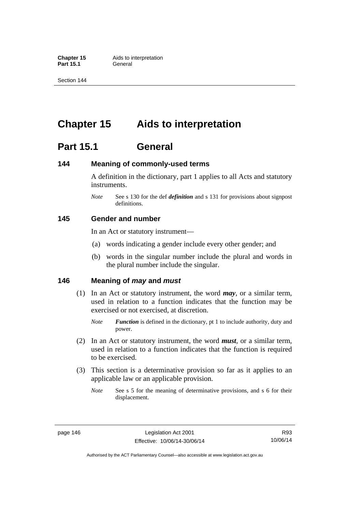**Part 15.1** 

Section 144

# **Chapter 15 Aids to interpretation**

# **Part 15.1 General**

# **144 Meaning of commonly-used terms**

A definition in the dictionary, part 1 applies to all Acts and statutory instruments.

*Note* See s 130 for the def *definition* and s 131 for provisions about signpost definitions.

# **145 Gender and number**

In an Act or statutory instrument—

- (a) words indicating a gender include every other gender; and
- (b) words in the singular number include the plural and words in the plural number include the singular.

# **146 Meaning of** *may* **and** *must*

- (1) In an Act or statutory instrument, the word *may*, or a similar term, used in relation to a function indicates that the function may be exercised or not exercised, at discretion.
	- *Note Function* is defined in the dictionary, pt 1 to include authority, duty and power.
- (2) In an Act or statutory instrument, the word *must*, or a similar term, used in relation to a function indicates that the function is required to be exercised.
- (3) This section is a determinative provision so far as it applies to an applicable law or an applicable provision.
	- *Note* See s 5 for the meaning of determinative provisions, and s 6 for their displacement.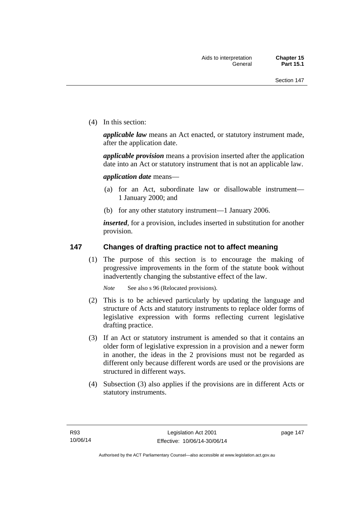(4) In this section:

*applicable law* means an Act enacted, or statutory instrument made, after the application date.

*applicable provision* means a provision inserted after the application date into an Act or statutory instrument that is not an applicable law.

*application date* means—

- (a) for an Act, subordinate law or disallowable instrument— 1 January 2000; and
- (b) for any other statutory instrument—1 January 2006.

*inserted*, for a provision, includes inserted in substitution for another provision.

# **147 Changes of drafting practice not to affect meaning**

(1) The purpose of this section is to encourage the making of progressive improvements in the form of the statute book without inadvertently changing the substantive effect of the law.

*Note* See also s 96 (Relocated provisions).

- (2) This is to be achieved particularly by updating the language and structure of Acts and statutory instruments to replace older forms of legislative expression with forms reflecting current legislative drafting practice.
- (3) If an Act or statutory instrument is amended so that it contains an older form of legislative expression in a provision and a newer form in another, the ideas in the 2 provisions must not be regarded as different only because different words are used or the provisions are structured in different ways.
- (4) Subsection (3) also applies if the provisions are in different Acts or statutory instruments.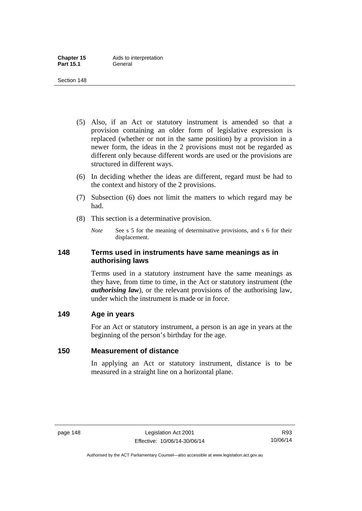- (5) Also, if an Act or statutory instrument is amended so that a provision containing an older form of legislative expression is replaced (whether or not in the same position) by a provision in a newer form, the ideas in the 2 provisions must not be regarded as different only because different words are used or the provisions are structured in different ways.
- (6) In deciding whether the ideas are different, regard must be had to the context and history of the 2 provisions.
- (7) Subsection (6) does not limit the matters to which regard may be had.
- (8) This section is a determinative provision.
	- *Note* See s 5 for the meaning of determinative provisions, and s 6 for their displacement.

# **148 Terms used in instruments have same meanings as in authorising laws**

Terms used in a statutory instrument have the same meanings as they have, from time to time, in the Act or statutory instrument (the *authorising law*), or the relevant provisions of the authorising law, under which the instrument is made or in force.

# **149 Age in years**

For an Act or statutory instrument, a person is an age in years at the beginning of the person's birthday for the age.

# **150 Measurement of distance**

In applying an Act or statutory instrument, distance is to be measured in a straight line on a horizontal plane.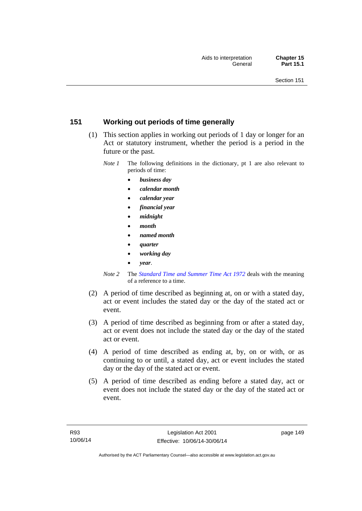# **151 Working out periods of time generally**

- (1) This section applies in working out periods of 1 day or longer for an Act or statutory instrument, whether the period is a period in the future or the past.
	- *Note 1* The following definitions in the dictionary, pt 1 are also relevant to periods of time:
		- *business day*
		- *calendar month*
		- *calendar year*
		- *financial year*
		- *midnight*
		- *month*
		- *named month*
		- *quarter*
		- *working day*
		- *year*.
	- *Note 2* The *[Standard Time and Summer Time Act 1972](http://www.legislation.act.gov.au/a/1972-34)* deals with the meaning of a reference to a time.
- (2) A period of time described as beginning at, on or with a stated day, act or event includes the stated day or the day of the stated act or event.
- (3) A period of time described as beginning from or after a stated day, act or event does not include the stated day or the day of the stated act or event.
- (4) A period of time described as ending at, by, on or with, or as continuing to or until, a stated day, act or event includes the stated day or the day of the stated act or event.
- (5) A period of time described as ending before a stated day, act or event does not include the stated day or the day of the stated act or event.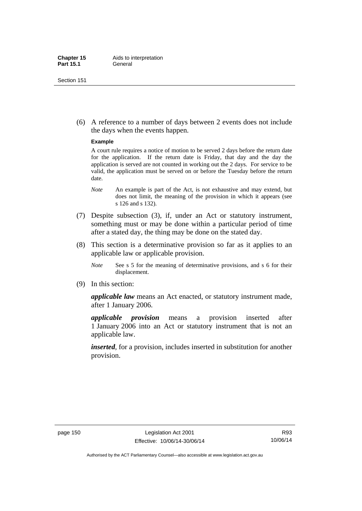(6) A reference to a number of days between 2 events does not include the days when the events happen.

#### **Example**

A court rule requires a notice of motion to be served 2 days before the return date for the application. If the return date is Friday, that day and the day the application is served are not counted in working out the 2 days. For service to be valid, the application must be served on or before the Tuesday before the return date.

- *Note* An example is part of the Act, is not exhaustive and may extend, but does not limit, the meaning of the provision in which it appears (see s 126 and s 132).
- (7) Despite subsection (3), if, under an Act or statutory instrument, something must or may be done within a particular period of time after a stated day, the thing may be done on the stated day.
- (8) This section is a determinative provision so far as it applies to an applicable law or applicable provision.
	- *Note* See s 5 for the meaning of determinative provisions, and s 6 for their displacement.
- (9) In this section:

*applicable law* means an Act enacted, or statutory instrument made, after 1 January 2006.

*applicable provision* means a provision inserted after 1 January 2006 into an Act or statutory instrument that is not an applicable law.

*inserted*, for a provision, includes inserted in substitution for another provision.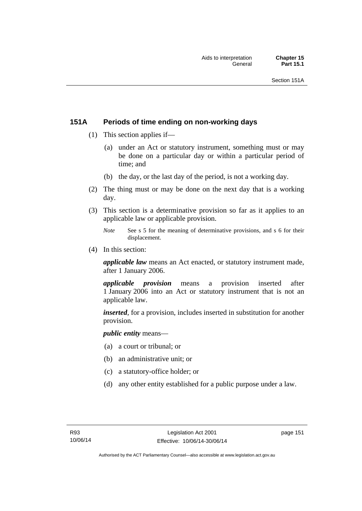# **151A Periods of time ending on non-working days**

- (1) This section applies if—
	- (a) under an Act or statutory instrument, something must or may be done on a particular day or within a particular period of time; and
	- (b) the day, or the last day of the period, is not a working day.
- (2) The thing must or may be done on the next day that is a working day.
- (3) This section is a determinative provision so far as it applies to an applicable law or applicable provision.
	- *Note* See s 5 for the meaning of determinative provisions, and s 6 for their displacement.
- (4) In this section:

*applicable law* means an Act enacted, or statutory instrument made, after 1 January 2006.

*applicable provision* means a provision inserted after 1 January 2006 into an Act or statutory instrument that is not an applicable law.

*inserted*, for a provision, includes inserted in substitution for another provision.

*public entity* means—

- (a) a court or tribunal; or
- (b) an administrative unit; or
- (c) a statutory-office holder; or
- (d) any other entity established for a public purpose under a law.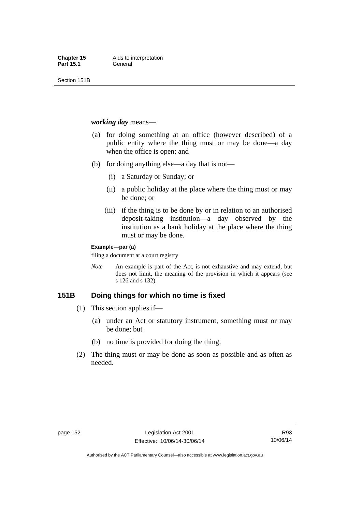Section 151B

#### *working day* means—

- (a) for doing something at an office (however described) of a public entity where the thing must or may be done—a day when the office is open; and
- (b) for doing anything else—a day that is not—
	- (i) a Saturday or Sunday; or
	- (ii) a public holiday at the place where the thing must or may be done; or
	- (iii) if the thing is to be done by or in relation to an authorised deposit-taking institution—a day observed by the institution as a bank holiday at the place where the thing must or may be done.

#### **Example—par (a)**

filing a document at a court registry

*Note* An example is part of the Act, is not exhaustive and may extend, but does not limit, the meaning of the provision in which it appears (see s 126 and s 132).

# **151B Doing things for which no time is fixed**

- (1) This section applies if—
	- (a) under an Act or statutory instrument, something must or may be done; but
	- (b) no time is provided for doing the thing.
- (2) The thing must or may be done as soon as possible and as often as needed.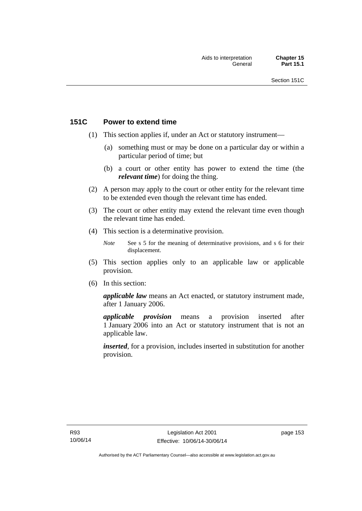# **151C Power to extend time**

- (1) This section applies if, under an Act or statutory instrument—
	- (a) something must or may be done on a particular day or within a particular period of time; but
	- (b) a court or other entity has power to extend the time (the *relevant time*) for doing the thing.
- (2) A person may apply to the court or other entity for the relevant time to be extended even though the relevant time has ended.
- (3) The court or other entity may extend the relevant time even though the relevant time has ended.
- (4) This section is a determinative provision.
	- *Note* See s 5 for the meaning of determinative provisions, and s 6 for their displacement.
- (5) This section applies only to an applicable law or applicable provision.
- (6) In this section:

*applicable law* means an Act enacted, or statutory instrument made, after 1 January 2006.

*applicable provision* means a provision inserted after 1 January 2006 into an Act or statutory instrument that is not an applicable law.

*inserted*, for a provision, includes inserted in substitution for another provision.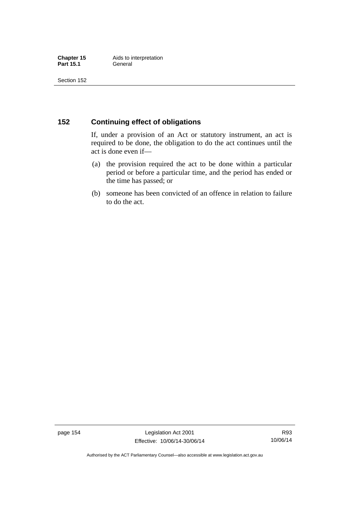# **152 Continuing effect of obligations**

If, under a provision of an Act or statutory instrument, an act is required to be done, the obligation to do the act continues until the act is done even if—

- (a) the provision required the act to be done within a particular period or before a particular time, and the period has ended or the time has passed; or
- (b) someone has been convicted of an offence in relation to failure to do the act.

page 154 Legislation Act 2001 Effective: 10/06/14-30/06/14

R93 10/06/14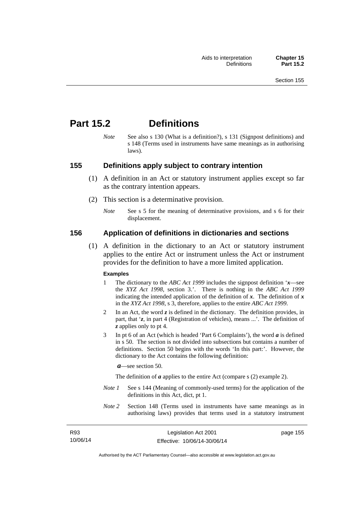# **Part 15.2 Definitions**

*Note* See also s 130 (What is a definition?), s 131 (Signpost definitions) and s 148 (Terms used in instruments have same meanings as in authorising laws).

### **155 Definitions apply subject to contrary intention**

- (1) A definition in an Act or statutory instrument applies except so far as the contrary intention appears.
- (2) This section is a determinative provision.
	- *Note* See s 5 for the meaning of determinative provisions, and s 6 for their displacement.

### **156 Application of definitions in dictionaries and sections**

 (1) A definition in the dictionary to an Act or statutory instrument applies to the entire Act or instrument unless the Act or instrument provides for the definition to have a more limited application.

#### **Examples**

- 1 The dictionary to the *ABC Act 1999* includes the signpost definition '*x*—see the *XYZ Act 1998*, section 3.'. There is nothing in the *ABC Act 1999* indicating the intended application of the definition of  $x$ . The definition of  $x$ in the *XYZ Act 1998*, s 3, therefore, applies to the entire *ABC Act 1999*.
- 2 In an Act, the word *z* is defined in the dictionary. The definition provides, in part, that '*z*, in part 4 (Registration of vehicles), means ...'. The definition of *z* applies only to pt 4.
- 3 In pt 6 of an Act (which is headed 'Part 6 Complaints'), the word *a* is defined in s 50. The section is not divided into subsections but contains a number of definitions. Section 50 begins with the words 'In this part:'. However, the dictionary to the Act contains the following definition:

*a*—see section 50.

The definition of *a* applies to the entire Act (compare s (2) example 2).

- *Note 1* See s 144 (Meaning of commonly-used terms) for the application of the definitions in this Act, dict, pt 1.
- *Note 2* Section 148 (Terms used in instruments have same meanings as in authorising laws) provides that terms used in a statutory instrument

| R93      |  |
|----------|--|
| 10/06/14 |  |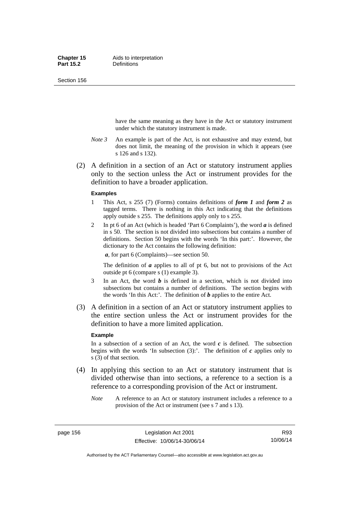Section 156

have the same meaning as they have in the Act or statutory instrument under which the statutory instrument is made.

- *Note 3* An example is part of the Act, is not exhaustive and may extend, but does not limit, the meaning of the provision in which it appears (see s 126 and s 132).
- (2) A definition in a section of an Act or statutory instrument applies only to the section unless the Act or instrument provides for the definition to have a broader application.

#### **Examples**

- 1 This Act, s 255 (7) (Forms) contains definitions of *form 1* and *form 2* as tagged terms. There is nothing in this Act indicating that the definitions apply outside s 255. The definitions apply only to s 255.
- 2 In pt 6 of an Act (which is headed 'Part 6 Complaints'), the word *a* is defined in s 50. The section is not divided into subsections but contains a number of definitions. Section 50 begins with the words 'In this part:'. However, the dictionary to the Act contains the following definition:

*a*, for part 6 (Complaints)—see section 50.

The definition of *a* applies to all of pt 6, but not to provisions of the Act outside pt 6 (compare s (1) example 3).

- 3 In an Act, the word *b* is defined in a section, which is not divided into subsections but contains a number of definitions. The section begins with the words 'In this Act:'. The definition of *b* applies to the entire Act.
- (3) A definition in a section of an Act or statutory instrument applies to the entire section unless the Act or instrument provides for the definition to have a more limited application.

#### **Example**

In a subsection of a section of an Act, the word  $c$  is defined. The subsection begins with the words 'In subsection  $(3)$ :'. The definition of  $c$  applies only to s (3) of that section.

- (4) In applying this section to an Act or statutory instrument that is divided otherwise than into sections, a reference to a section is a reference to a corresponding provision of the Act or instrument.
	- *Note* A reference to an Act or statutory instrument includes a reference to a provision of the Act or instrument (see s 7 and s 13).

Authorised by the ACT Parliamentary Counsel—also accessible at www.legislation.act.gov.au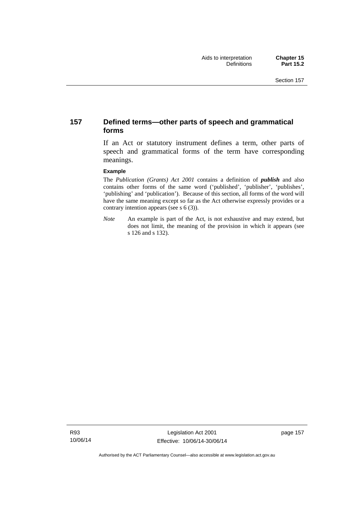# **157 Defined terms—other parts of speech and grammatical forms**

If an Act or statutory instrument defines a term, other parts of speech and grammatical forms of the term have corresponding meanings.

#### **Example**

The *Publication (Grants) Act 2001* contains a definition of *publish* and also contains other forms of the same word ('published', 'publisher', 'publishes', 'publishing' and 'publication'). Because of this section, all forms of the word will have the same meaning except so far as the Act otherwise expressly provides or a contrary intention appears (see s 6 (3)).

*Note* An example is part of the Act, is not exhaustive and may extend, but does not limit, the meaning of the provision in which it appears (see s 126 and s 132).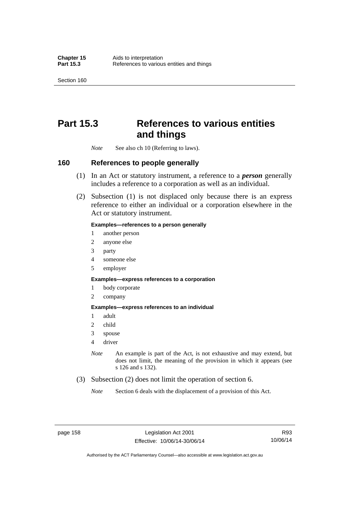Section 160

# **Part 15.3 References to various entities and things**

*Note* See also ch 10 (Referring to laws).

### **160 References to people generally**

- (1) In an Act or statutory instrument, a reference to a *person* generally includes a reference to a corporation as well as an individual.
- (2) Subsection (1) is not displaced only because there is an express reference to either an individual or a corporation elsewhere in the Act or statutory instrument.

#### **Examples—references to a person generally**

- 1 another person
- 2 anyone else
- 3 party
- 4 someone else
- 5 employer

#### **Examples—express references to a corporation**

- 1 body corporate
- 2 company

#### **Examples—express references to an individual**

- 1 adult
- 2 child
- 3 spouse
- 4 driver
- *Note* An example is part of the Act, is not exhaustive and may extend, but does not limit, the meaning of the provision in which it appears (see s 126 and s 132).
- (3) Subsection (2) does not limit the operation of section 6.
	- *Note* Section 6 deals with the displacement of a provision of this Act.

R93 10/06/14

Authorised by the ACT Parliamentary Counsel—also accessible at www.legislation.act.gov.au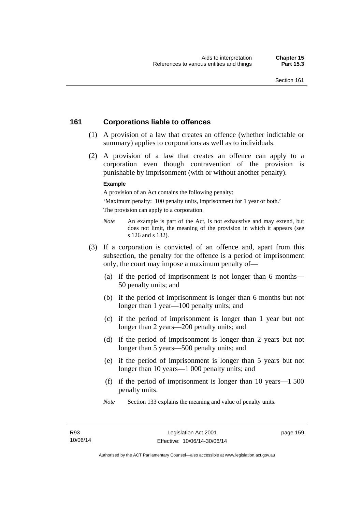# **161 Corporations liable to offences**

- (1) A provision of a law that creates an offence (whether indictable or summary) applies to corporations as well as to individuals.
- (2) A provision of a law that creates an offence can apply to a corporation even though contravention of the provision is punishable by imprisonment (with or without another penalty).

#### **Example**

A provision of an Act contains the following penalty:

'Maximum penalty: 100 penalty units, imprisonment for 1 year or both.' The provision can apply to a corporation.

- *Note* An example is part of the Act, is not exhaustive and may extend, but does not limit, the meaning of the provision in which it appears (see s 126 and s 132).
- (3) If a corporation is convicted of an offence and, apart from this subsection, the penalty for the offence is a period of imprisonment only, the court may impose a maximum penalty of—
	- (a) if the period of imprisonment is not longer than 6 months— 50 penalty units; and
	- (b) if the period of imprisonment is longer than 6 months but not longer than 1 year—100 penalty units; and
	- (c) if the period of imprisonment is longer than 1 year but not longer than 2 years—200 penalty units; and
	- (d) if the period of imprisonment is longer than 2 years but not longer than 5 years—500 penalty units; and
	- (e) if the period of imprisonment is longer than 5 years but not longer than 10 years—1 000 penalty units; and
	- (f) if the period of imprisonment is longer than 10 years—1 500 penalty units.
	- *Note* Section 133 explains the meaning and value of penalty units.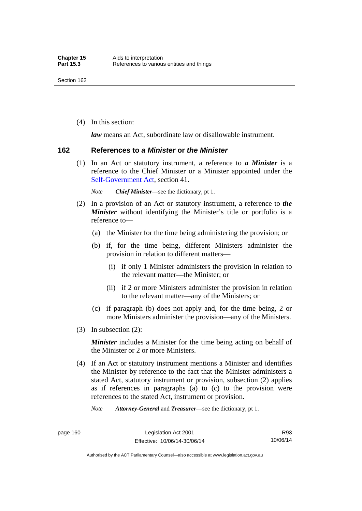(4) In this section:

*law* means an Act, subordinate law or disallowable instrument.

#### **162 References to** *a Minister* **or** *the Minister*

 (1) In an Act or statutory instrument, a reference to *a Minister* is a reference to the Chief Minister or a Minister appointed under the [Self-Government Act,](http://www.comlaw.gov.au/Series/C2004A03699) section 41.

*Note Chief Minister*—see the dictionary, pt 1.

- (2) In a provision of an Act or statutory instrument, a reference to *the Minister* without identifying the Minister's title or portfolio is a reference to—
	- (a) the Minister for the time being administering the provision; or
	- (b) if, for the time being, different Ministers administer the provision in relation to different matters—
		- (i) if only 1 Minister administers the provision in relation to the relevant matter—the Minister; or
		- (ii) if 2 or more Ministers administer the provision in relation to the relevant matter—any of the Ministers; or
	- (c) if paragraph (b) does not apply and, for the time being, 2 or more Ministers administer the provision—any of the Ministers.
- (3) In subsection (2):

*Minister* includes a Minister for the time being acting on behalf of the Minister or 2 or more Ministers.

 (4) If an Act or statutory instrument mentions a Minister and identifies the Minister by reference to the fact that the Minister administers a stated Act, statutory instrument or provision, subsection (2) applies as if references in paragraphs (a) to (c) to the provision were references to the stated Act, instrument or provision.

*Note Attorney-General* and *Treasurer*—see the dictionary, pt 1.

Authorised by the ACT Parliamentary Counsel—also accessible at www.legislation.act.gov.au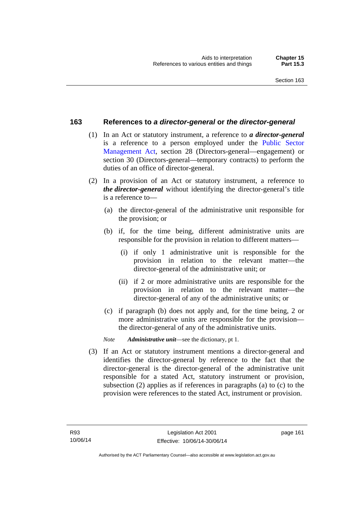### **163 References to** *a director-general* **or** *the director-general*

- (1) In an Act or statutory instrument, a reference to *a director-general* is a reference to a person employed under the [Public Sector](http://www.legislation.act.gov.au/a/1994-37)  [Management Act,](http://www.legislation.act.gov.au/a/1994-37) section 28 (Directors-general—engagement) or section 30 (Directors-general—temporary contracts) to perform the duties of an office of director-general.
- (2) In a provision of an Act or statutory instrument, a reference to *the director-general* without identifying the director-general's title is a reference to—
	- (a) the director-general of the administrative unit responsible for the provision; or
	- (b) if, for the time being, different administrative units are responsible for the provision in relation to different matters—
		- (i) if only 1 administrative unit is responsible for the provision in relation to the relevant matter—the director-general of the administrative unit; or
		- (ii) if 2 or more administrative units are responsible for the provision in relation to the relevant matter—the director-general of any of the administrative units; or
	- (c) if paragraph (b) does not apply and, for the time being, 2 or more administrative units are responsible for the provision the director-general of any of the administrative units.
	- *Note Administrative unit*—see the dictionary, pt 1.
- (3) If an Act or statutory instrument mentions a director-general and identifies the director-general by reference to the fact that the director-general is the director-general of the administrative unit responsible for a stated Act, statutory instrument or provision, subsection (2) applies as if references in paragraphs (a) to (c) to the provision were references to the stated Act, instrument or provision.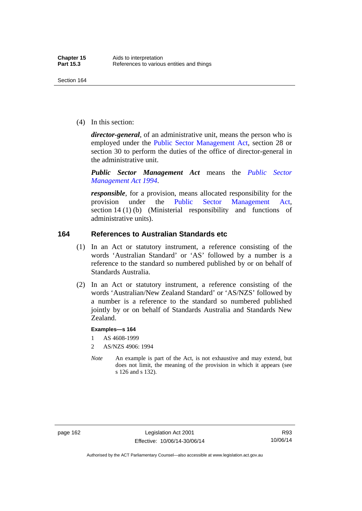(4) In this section:

*director-general*, of an administrative unit, means the person who is employed under the [Public Sector Management Act,](http://www.legislation.act.gov.au/a/1994-37) section 28 or section 30 to perform the duties of the office of director-general in the administrative unit.

*Public Sector Management Act* means the *[Public Sector](http://www.legislation.act.gov.au/a/1994-37)  [Management Act 1994](http://www.legislation.act.gov.au/a/1994-37)*.

*responsible*, for a provision, means allocated responsibility for the provision under the [Public Sector Management Act](http://www.legislation.act.gov.au/a/1994-37), section 14 (1) (b) (Ministerial responsibility and functions of administrative units).

# **164 References to Australian Standards etc**

- (1) In an Act or statutory instrument, a reference consisting of the words 'Australian Standard' or 'AS' followed by a number is a reference to the standard so numbered published by or on behalf of Standards Australia.
- (2) In an Act or statutory instrument, a reference consisting of the words 'Australian/New Zealand Standard' or 'AS/NZS' followed by a number is a reference to the standard so numbered published jointly by or on behalf of Standards Australia and Standards New Zealand.

#### **Examples—s 164**

- 1 AS 4608-1999
- 2 AS/NZS 4906: 1994
- *Note* An example is part of the Act, is not exhaustive and may extend, but does not limit, the meaning of the provision in which it appears (see s 126 and s 132).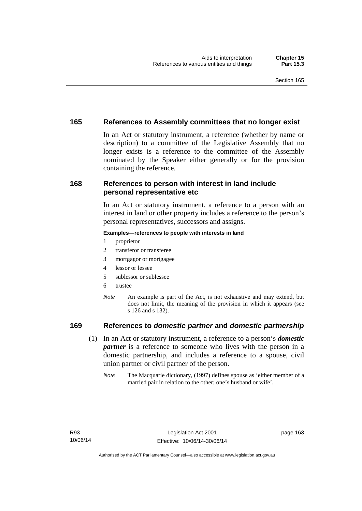# **165 References to Assembly committees that no longer exist**

In an Act or statutory instrument, a reference (whether by name or description) to a committee of the Legislative Assembly that no longer exists is a reference to the committee of the Assembly nominated by the Speaker either generally or for the provision containing the reference.

# **168 References to person with interest in land include personal representative etc**

In an Act or statutory instrument, a reference to a person with an interest in land or other property includes a reference to the person's personal representatives, successors and assigns.

#### **Examples—references to people with interests in land**

- 1 proprietor
- 2 transferor or transferee
- 3 mortgagor or mortgagee
- 4 lessor or lessee
- 5 sublessor or sublessee
- 6 trustee
- *Note* An example is part of the Act, is not exhaustive and may extend, but does not limit, the meaning of the provision in which it appears (see s 126 and s 132).

# **169 References to** *domestic partner* **and** *domestic partnership*

- (1) In an Act or statutory instrument, a reference to a person's *domestic partner* is a reference to someone who lives with the person in a domestic partnership, and includes a reference to a spouse, civil union partner or civil partner of the person.
	- *Note* The Macquarie dictionary, (1997) defines spouse as 'either member of a married pair in relation to the other; one's husband or wife'.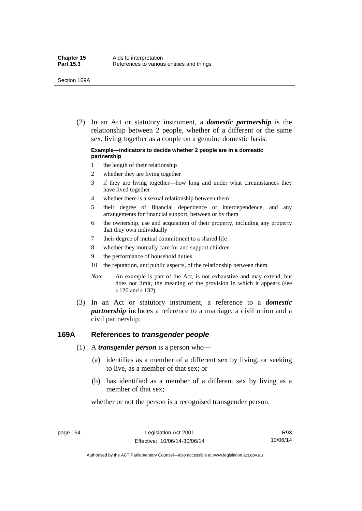(2) In an Act or statutory instrument, a *domestic partnership* is the relationship between 2 people, whether of a different or the same sex, living together as a couple on a genuine domestic basis.

#### **Example—indicators to decide whether 2 people are in a domestic partnership**

- 1 the length of their relationship
- 2 whether they are living together
- 3 if they are living together—how long and under what circumstances they have lived together
- 4 whether there is a sexual relationship between them
- 5 their degree of financial dependence or interdependence, and any arrangements for financial support, between or by them
- 6 the ownership, use and acquisition of their property, including any property that they own individually
- 7 their degree of mutual commitment to a shared life
- 8 whether they mutually care for and support children
- 9 the performance of household duties
- 10 the reputation, and public aspects, of the relationship between them
- *Note* An example is part of the Act, is not exhaustive and may extend, but does not limit, the meaning of the provision in which it appears (see s 126 and s 132).
- (3) In an Act or statutory instrument, a reference to a *domestic partnership* includes a reference to a marriage, a civil union and a civil partnership.

#### **169A References to** *transgender people*

- (1) A *transgender person* is a person who—
	- (a) identifies as a member of a different sex by living, or seeking to live, as a member of that sex; or
	- (b) has identified as a member of a different sex by living as a member of that sex;

whether or not the person is a recognised transgender person.

page 164 Legislation Act 2001 Effective: 10/06/14-30/06/14

R93 10/06/14

Authorised by the ACT Parliamentary Counsel—also accessible at www.legislation.act.gov.au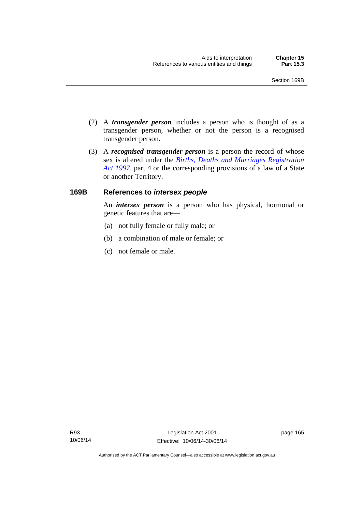- (2) A *transgender person* includes a person who is thought of as a transgender person, whether or not the person is a recognised transgender person.
- (3) A *recognised transgender person* is a person the record of whose sex is altered under the *[Births, Deaths and Marriages Registration](http://www.legislation.act.gov.au/a/1997-112)  [Act 1997](http://www.legislation.act.gov.au/a/1997-112)*, part 4 or the corresponding provisions of a law of a State or another Territory.

#### **169B References to** *intersex people*

An *intersex person* is a person who has physical, hormonal or genetic features that are—

- (a) not fully female or fully male; or
- (b) a combination of male or female; or
- (c) not female or male.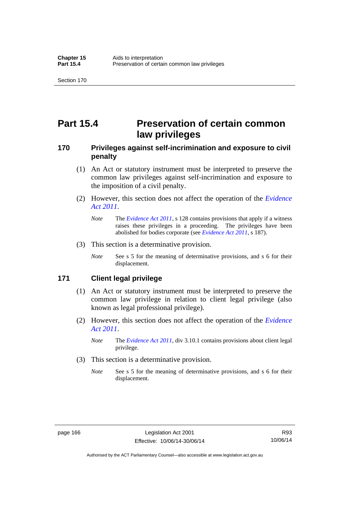# **Part 15.4 Preservation of certain common law privileges**

### **170 Privileges against self-incrimination and exposure to civil penalty**

- (1) An Act or statutory instrument must be interpreted to preserve the common law privileges against self-incrimination and exposure to the imposition of a civil penalty.
- (2) However, this section does not affect the operation of the *[Evidence](http://www.legislation.act.gov.au/a/2011-12)  [Act 2011](http://www.legislation.act.gov.au/a/2011-12)*.
	- *Note* The *[Evidence Act 2011](http://www.legislation.act.gov.au/a/2011-12)*, s 128 contains provisions that apply if a witness raises these privileges in a proceeding. The privileges have been abolished for bodies corporate (see *[Evidence Act 2011](http://www.legislation.act.gov.au/a/2011-12)*, s 187).
- (3) This section is a determinative provision.
	- *Note* See s 5 for the meaning of determinative provisions, and s 6 for their displacement.

#### **171 Client legal privilege**

- (1) An Act or statutory instrument must be interpreted to preserve the common law privilege in relation to client legal privilege (also known as legal professional privilege).
- (2) However, this section does not affect the operation of the *[Evidence](http://www.legislation.act.gov.au/a/2011-12)  [Act 2011](http://www.legislation.act.gov.au/a/2011-12)*.
	- *Note* The *[Evidence Act 2011](http://www.legislation.act.gov.au/a/2011-12)*, div 3.10.1 contains provisions about client legal privilege.
- (3) This section is a determinative provision.
	- *Note* See s 5 for the meaning of determinative provisions, and s 6 for their displacement.

Authorised by the ACT Parliamentary Counsel—also accessible at www.legislation.act.gov.au

R93 10/06/14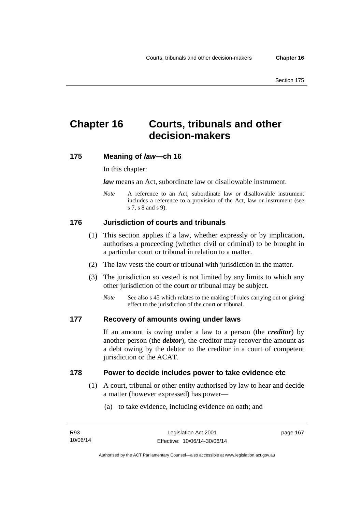# **Chapter 16 Courts, tribunals and other decision-makers**

### **175 Meaning of** *law***—ch 16**

In this chapter:

*law* means an Act, subordinate law or disallowable instrument.

*Note* A reference to an Act, subordinate law or disallowable instrument includes a reference to a provision of the Act, law or instrument (see s 7, s 8 and s 9).

## **176 Jurisdiction of courts and tribunals**

- (1) This section applies if a law, whether expressly or by implication, authorises a proceeding (whether civil or criminal) to be brought in a particular court or tribunal in relation to a matter.
- (2) The law vests the court or tribunal with jurisdiction in the matter.
- (3) The jurisdiction so vested is not limited by any limits to which any other jurisdiction of the court or tribunal may be subject.
	- *Note* See also s 45 which relates to the making of rules carrying out or giving effect to the jurisdiction of the court or tribunal.

### **177 Recovery of amounts owing under laws**

If an amount is owing under a law to a person (the *creditor*) by another person (the *debtor*), the creditor may recover the amount as a debt owing by the debtor to the creditor in a court of competent jurisdiction or the ACAT.

#### **178 Power to decide includes power to take evidence etc**

- (1) A court, tribunal or other entity authorised by law to hear and decide a matter (however expressed) has power—
	- (a) to take evidence, including evidence on oath; and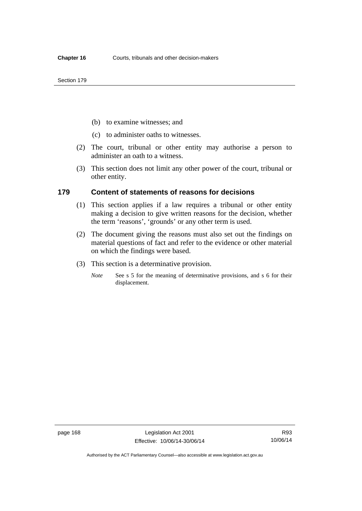- (b) to examine witnesses; and
- (c) to administer oaths to witnesses.
- (2) The court, tribunal or other entity may authorise a person to administer an oath to a witness.
- (3) This section does not limit any other power of the court, tribunal or other entity.

#### **179 Content of statements of reasons for decisions**

- (1) This section applies if a law requires a tribunal or other entity making a decision to give written reasons for the decision, whether the term 'reasons', 'grounds' or any other term is used.
- (2) The document giving the reasons must also set out the findings on material questions of fact and refer to the evidence or other material on which the findings were based.
- (3) This section is a determinative provision.
	- *Note* See s 5 for the meaning of determinative provisions, and s 6 for their displacement.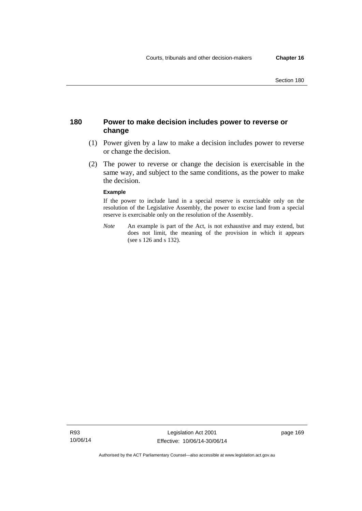## **180 Power to make decision includes power to reverse or change**

- (1) Power given by a law to make a decision includes power to reverse or change the decision.
- (2) The power to reverse or change the decision is exercisable in the same way, and subject to the same conditions, as the power to make the decision.

#### **Example**

If the power to include land in a special reserve is exercisable only on the resolution of the Legislative Assembly, the power to excise land from a special reserve is exercisable only on the resolution of the Assembly.

*Note* An example is part of the Act, is not exhaustive and may extend, but does not limit, the meaning of the provision in which it appears (see s 126 and s 132).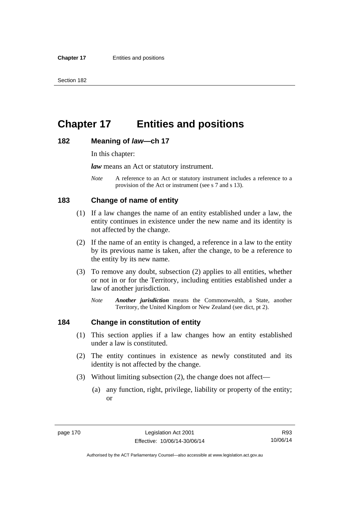# **Chapter 17 Entities and positions**

#### **182 Meaning of** *law***—ch 17**

In this chapter:

*law* means an Act or statutory instrument.

*Note* A reference to an Act or statutory instrument includes a reference to a provision of the Act or instrument (see s 7 and s 13).

## **183 Change of name of entity**

- (1) If a law changes the name of an entity established under a law, the entity continues in existence under the new name and its identity is not affected by the change.
- (2) If the name of an entity is changed, a reference in a law to the entity by its previous name is taken, after the change, to be a reference to the entity by its new name.
- (3) To remove any doubt, subsection (2) applies to all entities, whether or not in or for the Territory, including entities established under a law of another jurisdiction.
	- *Note Another jurisdiction* means the Commonwealth, a State, another Territory, the United Kingdom or New Zealand (see dict, pt 2).

## **184 Change in constitution of entity**

- (1) This section applies if a law changes how an entity established under a law is constituted.
- (2) The entity continues in existence as newly constituted and its identity is not affected by the change.
- (3) Without limiting subsection (2), the change does not affect—
	- (a) any function, right, privilege, liability or property of the entity; or

Authorised by the ACT Parliamentary Counsel—also accessible at www.legislation.act.gov.au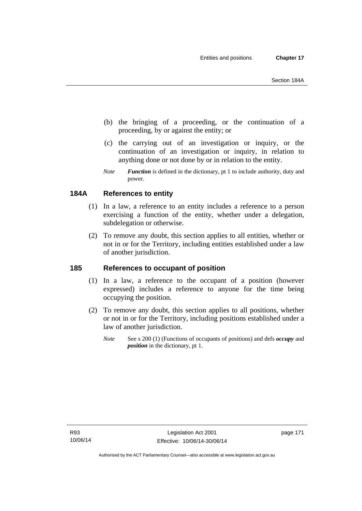- (b) the bringing of a proceeding, or the continuation of a proceeding, by or against the entity; or
- (c) the carrying out of an investigation or inquiry, or the continuation of an investigation or inquiry, in relation to anything done or not done by or in relation to the entity.
- *Note Function* is defined in the dictionary, pt 1 to include authority, duty and power.

# **184A References to entity**

- (1) In a law, a reference to an entity includes a reference to a person exercising a function of the entity, whether under a delegation, subdelegation or otherwise.
- (2) To remove any doubt, this section applies to all entities, whether or not in or for the Territory, including entities established under a law of another jurisdiction.

## **185 References to occupant of position**

- (1) In a law, a reference to the occupant of a position (however expressed) includes a reference to anyone for the time being occupying the position.
- (2) To remove any doubt, this section applies to all positions, whether or not in or for the Territory, including positions established under a law of another jurisdiction.
	- *Note* See s 200 (1) (Functions of occupants of positions) and defs *occupy* and *position* in the dictionary, pt 1.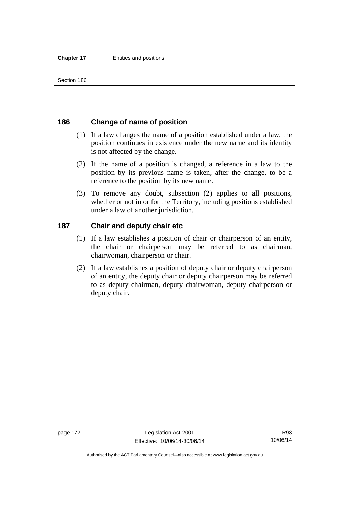## **186 Change of name of position**

- (1) If a law changes the name of a position established under a law, the position continues in existence under the new name and its identity is not affected by the change.
- (2) If the name of a position is changed, a reference in a law to the position by its previous name is taken, after the change, to be a reference to the position by its new name.
- (3) To remove any doubt, subsection (2) applies to all positions, whether or not in or for the Territory, including positions established under a law of another jurisdiction.

## **187 Chair and deputy chair etc**

- (1) If a law establishes a position of chair or chairperson of an entity, the chair or chairperson may be referred to as chairman, chairwoman, chairperson or chair.
- (2) If a law establishes a position of deputy chair or deputy chairperson of an entity, the deputy chair or deputy chairperson may be referred to as deputy chairman, deputy chairwoman, deputy chairperson or deputy chair.

R93 10/06/14

Authorised by the ACT Parliamentary Counsel—also accessible at www.legislation.act.gov.au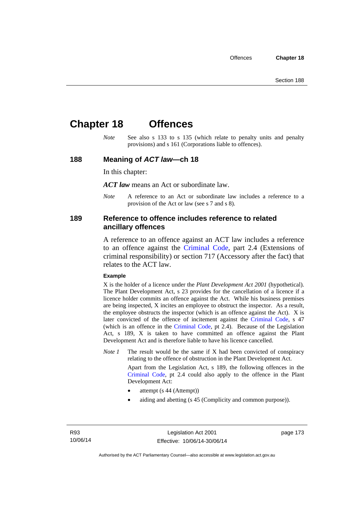# **Chapter 18 Offences**

*Note* See also s 133 to s 135 (which relate to penalty units and penalty provisions) and s 161 (Corporations liable to offences).

#### **188 Meaning of** *ACT law***—ch 18**

In this chapter:

*ACT law* means an Act or subordinate law.

*Note* A reference to an Act or subordinate law includes a reference to a provision of the Act or law (see s 7 and s 8).

#### **189 Reference to offence includes reference to related ancillary offences**

A reference to an offence against an ACT law includes a reference to an offence against the [Criminal Code,](http://www.legislation.act.gov.au/a/2002-51) part 2.4 (Extensions of criminal responsibility) or section 717 (Accessory after the fact) that relates to the ACT law.

#### **Example**

X is the holder of a licence under the *Plant Development Act 2001* (hypothetical). The Plant Development Act, s 23 provides for the cancellation of a licence if a licence holder commits an offence against the Act. While his business premises are being inspected, X incites an employee to obstruct the inspector. As a result, the employee obstructs the inspector (which is an offence against the Act). X is later convicted of the offence of incitement against the [Criminal Code](http://www.legislation.act.gov.au/a/2002-51), s 47 (which is an offence in the [Criminal Code,](http://www.legislation.act.gov.au/a/2002-51) pt 2.4). Because of the Legislation Act, s 189, X is taken to have committed an offence against the Plant Development Act and is therefore liable to have his licence cancelled.

*Note 1* The result would be the same if X had been convicted of conspiracy relating to the offence of obstruction in the Plant Development Act.

> Apart from the Legislation Act, s 189, the following offences in the [Criminal Code,](http://www.legislation.act.gov.au/a/2002-51) pt 2.4 could also apply to the offence in the Plant Development Act:

- attempt (s 44 (Attempt))
- aiding and abetting (s 45 (Complicity and common purpose)).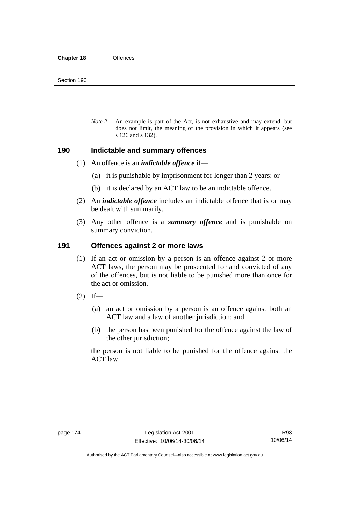*Note 2* An example is part of the Act, is not exhaustive and may extend, but does not limit, the meaning of the provision in which it appears (see s 126 and s 132).

#### **190 Indictable and summary offences**

- (1) An offence is an *indictable offence* if—
	- (a) it is punishable by imprisonment for longer than 2 years; or
	- (b) it is declared by an ACT law to be an indictable offence.
- (2) An *indictable offence* includes an indictable offence that is or may be dealt with summarily.
- (3) Any other offence is a *summary offence* and is punishable on summary conviction.

#### **191 Offences against 2 or more laws**

- (1) If an act or omission by a person is an offence against 2 or more ACT laws, the person may be prosecuted for and convicted of any of the offences, but is not liable to be punished more than once for the act or omission.
- $(2)$  If—
	- (a) an act or omission by a person is an offence against both an ACT law and a law of another jurisdiction; and
	- (b) the person has been punished for the offence against the law of the other jurisdiction;

the person is not liable to be punished for the offence against the ACT law.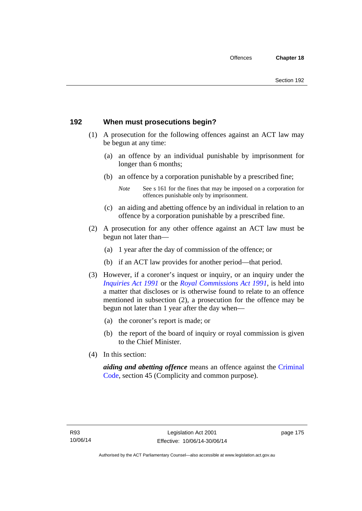## **192 When must prosecutions begin?**

- (1) A prosecution for the following offences against an ACT law may be begun at any time:
	- (a) an offence by an individual punishable by imprisonment for longer than 6 months;
	- (b) an offence by a corporation punishable by a prescribed fine;
		- *Note* See s 161 for the fines that may be imposed on a corporation for offences punishable only by imprisonment.
	- (c) an aiding and abetting offence by an individual in relation to an offence by a corporation punishable by a prescribed fine.
- (2) A prosecution for any other offence against an ACT law must be begun not later than—
	- (a) 1 year after the day of commission of the offence; or
	- (b) if an ACT law provides for another period—that period.
- (3) However, if a coroner's inquest or inquiry, or an inquiry under the *[Inquiries Act 1991](http://www.legislation.act.gov.au/a/1991-2)* or the *[Royal Commissions Act 1991](http://www.legislation.act.gov.au/a/1991-1)*, is held into a matter that discloses or is otherwise found to relate to an offence mentioned in subsection (2), a prosecution for the offence may be begun not later than 1 year after the day when—
	- (a) the coroner's report is made; or
	- (b) the report of the board of inquiry or royal commission is given to the Chief Minister.
- (4) In this section:

*aiding and abetting offence* means an offence against the [Criminal](http://www.legislation.act.gov.au/a/2002-51)  [Code](http://www.legislation.act.gov.au/a/2002-51), section 45 (Complicity and common purpose).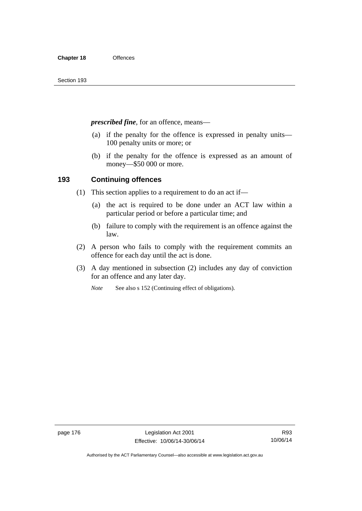*prescribed fine*, for an offence, means—

- (a) if the penalty for the offence is expressed in penalty units— 100 penalty units or more; or
- (b) if the penalty for the offence is expressed as an amount of money—\$50 000 or more.

## **193 Continuing offences**

- (1) This section applies to a requirement to do an act if—
	- (a) the act is required to be done under an ACT law within a particular period or before a particular time; and
	- (b) failure to comply with the requirement is an offence against the law.
- (2) A person who fails to comply with the requirement commits an offence for each day until the act is done.
- (3) A day mentioned in subsection (2) includes any day of conviction for an offence and any later day.

*Note* See also s 152 (Continuing effect of obligations).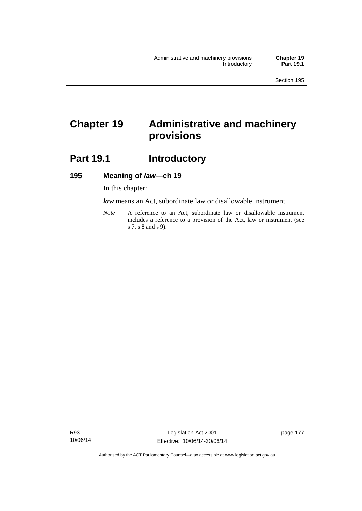# **Chapter 19 Administrative and machinery provisions**

# Part 19.1 **Introductory**

#### **195 Meaning of** *law***—ch 19**

In this chapter:

*law* means an Act, subordinate law or disallowable instrument.

*Note* A reference to an Act, subordinate law or disallowable instrument includes a reference to a provision of the Act, law or instrument (see s 7, s 8 and s 9).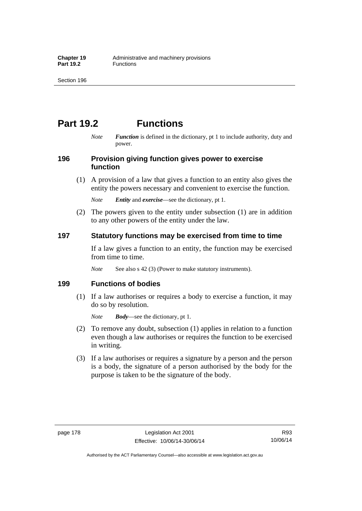# **Part 19.2 Functions**

*Note Function* is defined in the dictionary, pt 1 to include authority, duty and power.

## **196 Provision giving function gives power to exercise function**

 (1) A provision of a law that gives a function to an entity also gives the entity the powers necessary and convenient to exercise the function.

*Note Entity* and *exercise*—see the dictionary, pt 1.

 (2) The powers given to the entity under subsection (1) are in addition to any other powers of the entity under the law.

## **197 Statutory functions may be exercised from time to time**

If a law gives a function to an entity, the function may be exercised from time to time.

*Note* See also s 42 (3) (Power to make statutory instruments).

## **199 Functions of bodies**

 (1) If a law authorises or requires a body to exercise a function, it may do so by resolution.

*Note Body*—see the dictionary, pt 1.

- (2) To remove any doubt, subsection (1) applies in relation to a function even though a law authorises or requires the function to be exercised in writing.
- (3) If a law authorises or requires a signature by a person and the person is a body, the signature of a person authorised by the body for the purpose is taken to be the signature of the body.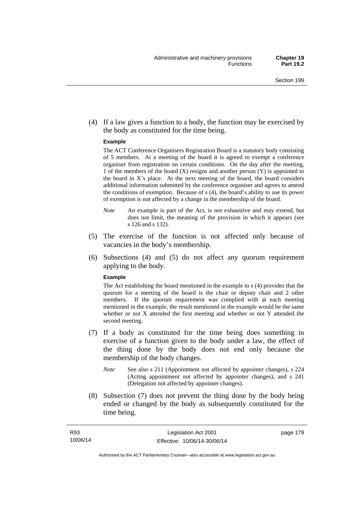(4) If a law gives a function to a body, the function may be exercised by the body as constituted for the time being.

#### **Example**

The ACT Conference Organisers Registration Board is a statutory body consisting of 5 members. At a meeting of the board it is agreed to exempt a conference organiser from registration on certain conditions. On the day after the meeting, 1 of the members of the board (X) resigns and another person (Y) is appointed to the board in  $X$ 's place. At the next meeting of the board, the board considers additional information submitted by the conference organiser and agrees to amend the conditions of exemption. Because of s (4), the board's ability to use its power of exemption is not affected by a change in the membership of the board.

- *Note* An example is part of the Act, is not exhaustive and may extend, but does not limit, the meaning of the provision in which it appears (see s 126 and s 132).
- (5) The exercise of the function is not affected only because of vacancies in the body's membership.
- (6) Subsections (4) and (5) do not affect any quorum requirement applying to the body.

#### **Example**

The Act establishing the board mentioned in the example to s (4) provides that the quorum for a meeting of the board is the chair or deputy chair and 2 other members. If the quorum requirement was complied with at each meeting mentioned in the example, the result mentioned in the example would be the same whether or not X attended the first meeting and whether or not Y attended the second meeting.

- (7) If a body as constituted for the time being does something in exercise of a function given to the body under a law, the effect of the thing done by the body does not end only because the membership of the body changes.
	- *Note* See also s 211 (Appointment not affected by appointer changes), s 224 (Acting appointment not affected by appointer changes), and s 241 (Delegation not affected by appointer changes).
- (8) Subsection (7) does not prevent the thing done by the body being ended or changed by the body as subsequently constituted for the time being.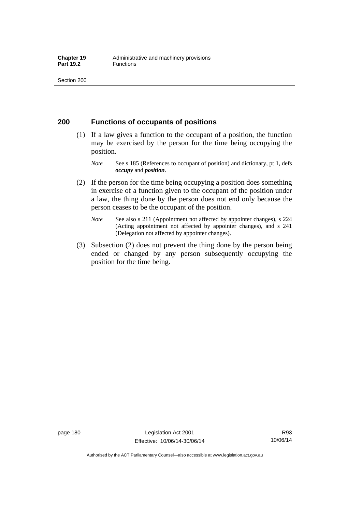#### **200 Functions of occupants of positions**

- (1) If a law gives a function to the occupant of a position, the function may be exercised by the person for the time being occupying the position.
	- *Note* See s 185 (References to occupant of position) and dictionary, pt 1, defs *occupy* and *position*.
- (2) If the person for the time being occupying a position does something in exercise of a function given to the occupant of the position under a law, the thing done by the person does not end only because the person ceases to be the occupant of the position.
	- *Note* See also s 211 (Appointment not affected by appointer changes), s 224 (Acting appointment not affected by appointer changes), and s 241 (Delegation not affected by appointer changes).
- (3) Subsection (2) does not prevent the thing done by the person being ended or changed by any person subsequently occupying the position for the time being.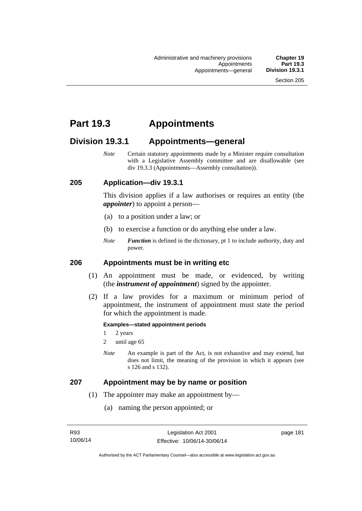# **Part 19.3 Appointments**

# **Division 19.3.1 Appointments—general**

*Note* Certain statutory appointments made by a Minister require consultation with a Legislative Assembly committee and are disallowable (see div 19.3.3 (Appointments—Assembly consultation)).

### **205 Application—div 19.3.1**

This division applies if a law authorises or requires an entity (the *appointer*) to appoint a person—

- (a) to a position under a law; or
- (b) to exercise a function or do anything else under a law.
- *Note Function* is defined in the dictionary, pt 1 to include authority, duty and power.

### **206 Appointments must be in writing etc**

- (1) An appointment must be made, or evidenced, by writing (the *instrument of appointment*) signed by the appointer.
- (2) If a law provides for a maximum or minimum period of appointment, the instrument of appointment must state the period for which the appointment is made.

#### **Examples—stated appointment periods**

- 1 2 years
- 2 until age 65
- *Note* An example is part of the Act, is not exhaustive and may extend, but does not limit, the meaning of the provision in which it appears (see s 126 and s 132).

#### **207 Appointment may be by name or position**

- (1) The appointer may make an appointment by—
	- (a) naming the person appointed; or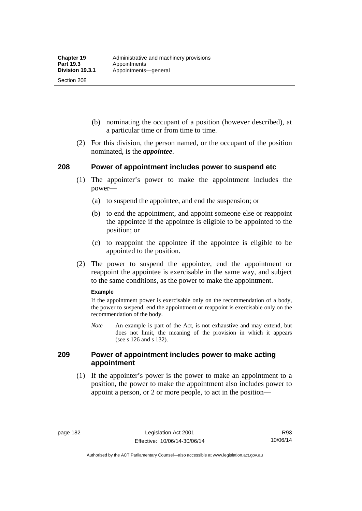Section 208

- (b) nominating the occupant of a position (however described), at a particular time or from time to time.
- (2) For this division, the person named, or the occupant of the position nominated, is the *appointee*.

### **208 Power of appointment includes power to suspend etc**

- (1) The appointer's power to make the appointment includes the power—
	- (a) to suspend the appointee, and end the suspension; or
	- (b) to end the appointment, and appoint someone else or reappoint the appointee if the appointee is eligible to be appointed to the position; or
	- (c) to reappoint the appointee if the appointee is eligible to be appointed to the position.
- (2) The power to suspend the appointee, end the appointment or reappoint the appointee is exercisable in the same way, and subject to the same conditions, as the power to make the appointment.

#### **Example**

If the appointment power is exercisable only on the recommendation of a body, the power to suspend, end the appointment or reappoint is exercisable only on the recommendation of the body.

*Note* An example is part of the Act, is not exhaustive and may extend, but does not limit, the meaning of the provision in which it appears (see s 126 and s 132).

### **209 Power of appointment includes power to make acting appointment**

 (1) If the appointer's power is the power to make an appointment to a position, the power to make the appointment also includes power to appoint a person, or 2 or more people, to act in the position—

Authorised by the ACT Parliamentary Counsel—also accessible at www.legislation.act.gov.au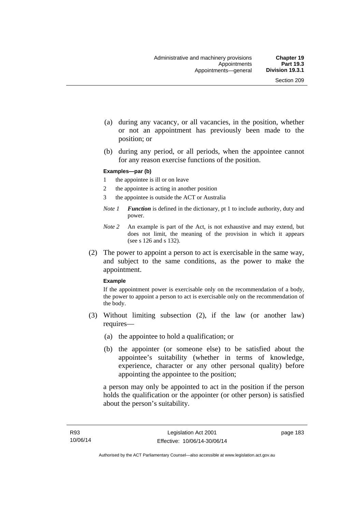- (a) during any vacancy, or all vacancies, in the position, whether or not an appointment has previously been made to the position; or
- (b) during any period, or all periods, when the appointee cannot for any reason exercise functions of the position.

#### **Examples—par (b)**

- 1 the appointee is ill or on leave
- 2 the appointee is acting in another position
- 3 the appointee is outside the ACT or Australia
- *Note 1 Function* is defined in the dictionary, pt 1 to include authority, duty and power.
- *Note 2* An example is part of the Act, is not exhaustive and may extend, but does not limit, the meaning of the provision in which it appears (see s 126 and s 132).
- (2) The power to appoint a person to act is exercisable in the same way, and subject to the same conditions, as the power to make the appointment.

#### **Example**

If the appointment power is exercisable only on the recommendation of a body, the power to appoint a person to act is exercisable only on the recommendation of the body.

- (3) Without limiting subsection (2), if the law (or another law) requires—
	- (a) the appointee to hold a qualification; or
	- (b) the appointer (or someone else) to be satisfied about the appointee's suitability (whether in terms of knowledge, experience, character or any other personal quality) before appointing the appointee to the position;

a person may only be appointed to act in the position if the person holds the qualification or the appointer (or other person) is satisfied about the person's suitability.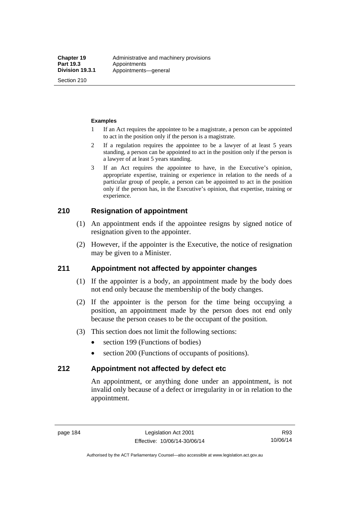Section 210

#### **Examples**

- 1 If an Act requires the appointee to be a magistrate, a person can be appointed to act in the position only if the person is a magistrate.
- 2 If a regulation requires the appointee to be a lawyer of at least 5 years standing, a person can be appointed to act in the position only if the person is a lawyer of at least 5 years standing.
- 3 If an Act requires the appointee to have, in the Executive's opinion, appropriate expertise, training or experience in relation to the needs of a particular group of people, a person can be appointed to act in the position only if the person has, in the Executive's opinion, that expertise, training or experience.

## **210 Resignation of appointment**

- (1) An appointment ends if the appointee resigns by signed notice of resignation given to the appointer.
- (2) However, if the appointer is the Executive, the notice of resignation may be given to a Minister.

## **211 Appointment not affected by appointer changes**

- (1) If the appointer is a body, an appointment made by the body does not end only because the membership of the body changes.
- (2) If the appointer is the person for the time being occupying a position, an appointment made by the person does not end only because the person ceases to be the occupant of the position.
- (3) This section does not limit the following sections:
	- section 199 (Functions of bodies)
	- section 200 (Functions of occupants of positions).

## **212 Appointment not affected by defect etc**

An appointment, or anything done under an appointment, is not invalid only because of a defect or irregularity in or in relation to the appointment.

Authorised by the ACT Parliamentary Counsel—also accessible at www.legislation.act.gov.au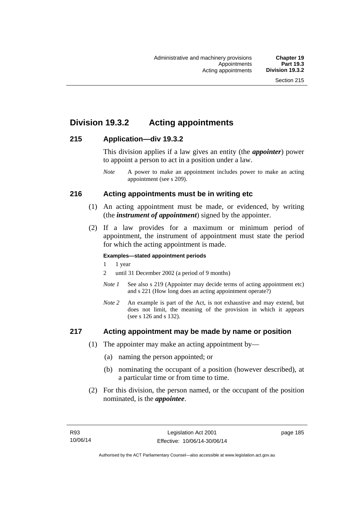# **Division 19.3.2 Acting appointments**

## **215 Application—div 19.3.2**

This division applies if a law gives an entity (the *appointer*) power to appoint a person to act in a position under a law.

## **216 Acting appointments must be in writing etc**

- (1) An acting appointment must be made, or evidenced, by writing (the *instrument of appointment*) signed by the appointer.
- (2) If a law provides for a maximum or minimum period of appointment, the instrument of appointment must state the period for which the acting appointment is made.

#### **Examples—stated appointment periods**

- 1 1 year
- 2 until 31 December 2002 (a period of 9 months)
- *Note 1* See also s 219 (Appointer may decide terms of acting appointment etc) and s 221 (How long does an acting appointment operate?)
- *Note 2* An example is part of the Act, is not exhaustive and may extend, but does not limit, the meaning of the provision in which it appears (see s 126 and s 132).

### **217 Acting appointment may be made by name or position**

- (1) The appointer may make an acting appointment by—
	- (a) naming the person appointed; or
	- (b) nominating the occupant of a position (however described), at a particular time or from time to time.
- (2) For this division, the person named, or the occupant of the position nominated, is the *appointee*.

*Note* A power to make an appointment includes power to make an acting appointment (see s 209).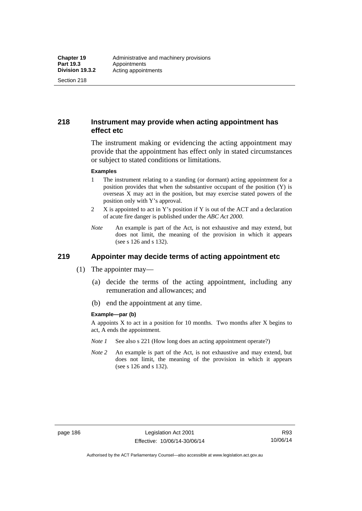Section 218

## **218 Instrument may provide when acting appointment has effect etc**

The instrument making or evidencing the acting appointment may provide that the appointment has effect only in stated circumstances or subject to stated conditions or limitations.

#### **Examples**

- 1 The instrument relating to a standing (or dormant) acting appointment for a position provides that when the substantive occupant of the position (Y) is overseas X may act in the position, but may exercise stated powers of the position only with Y's approval.
- 2 X is appointed to act in Y's position if Y is out of the ACT and a declaration of acute fire danger is published under the *ABC Act 2000*.
- *Note* An example is part of the Act, is not exhaustive and may extend, but does not limit, the meaning of the provision in which it appears (see s 126 and s 132).

# **219 Appointer may decide terms of acting appointment etc**

- (1) The appointer may—
	- (a) decide the terms of the acting appointment, including any remuneration and allowances; and
	- (b) end the appointment at any time.

#### **Example—par (b)**

A appoints X to act in a position for 10 months. Two months after X begins to act, A ends the appointment.

- *Note 1* See also s 221 (How long does an acting appointment operate?)
- *Note 2* An example is part of the Act, is not exhaustive and may extend, but does not limit, the meaning of the provision in which it appears (see s 126 and s 132).

Authorised by the ACT Parliamentary Counsel—also accessible at www.legislation.act.gov.au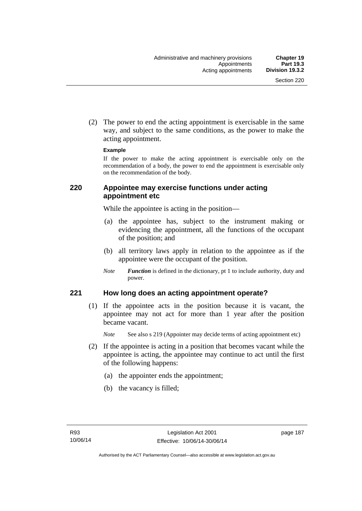(2) The power to end the acting appointment is exercisable in the same way, and subject to the same conditions, as the power to make the acting appointment.

#### **Example**

If the power to make the acting appointment is exercisable only on the recommendation of a body, the power to end the appointment is exercisable only on the recommendation of the body.

## **220 Appointee may exercise functions under acting appointment etc**

While the appointee is acting in the position—

- (a) the appointee has, subject to the instrument making or evidencing the appointment, all the functions of the occupant of the position; and
- (b) all territory laws apply in relation to the appointee as if the appointee were the occupant of the position.
- *Note Function* is defined in the dictionary, pt 1 to include authority, duty and power.

### **221 How long does an acting appointment operate?**

 (1) If the appointee acts in the position because it is vacant, the appointee may not act for more than 1 year after the position became vacant.

*Note* See also s 219 (Appointer may decide terms of acting appointment etc)

- (2) If the appointee is acting in a position that becomes vacant while the appointee is acting, the appointee may continue to act until the first of the following happens:
	- (a) the appointer ends the appointment;
	- (b) the vacancy is filled;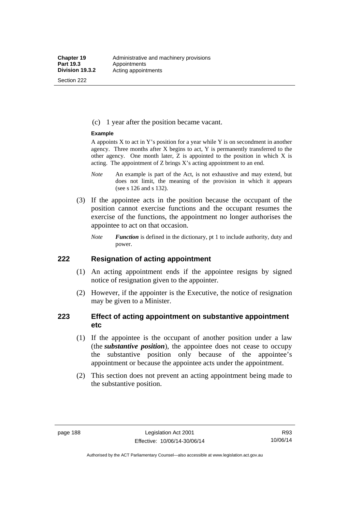Section 222

(c) 1 year after the position became vacant.

#### **Example**

A appoints  $X$  to act in Y's position for a year while Y is on secondment in another agency. Three months after X begins to act, Y is permanently transferred to the other agency. One month later,  $Z$  is appointed to the position in which  $X$  is acting. The appointment of Z brings X's acting appointment to an end.

- *Note* An example is part of the Act, is not exhaustive and may extend, but does not limit, the meaning of the provision in which it appears (see s 126 and s 132).
- (3) If the appointee acts in the position because the occupant of the position cannot exercise functions and the occupant resumes the exercise of the functions, the appointment no longer authorises the appointee to act on that occasion.
	- *Note Function* is defined in the dictionary, pt 1 to include authority, duty and power.

#### **222 Resignation of acting appointment**

- (1) An acting appointment ends if the appointee resigns by signed notice of resignation given to the appointer.
- (2) However, if the appointer is the Executive, the notice of resignation may be given to a Minister.

## **223 Effect of acting appointment on substantive appointment etc**

- (1) If the appointee is the occupant of another position under a law (the *substantive position*), the appointee does not cease to occupy the substantive position only because of the appointee's appointment or because the appointee acts under the appointment.
- (2) This section does not prevent an acting appointment being made to the substantive position.

Authorised by the ACT Parliamentary Counsel—also accessible at www.legislation.act.gov.au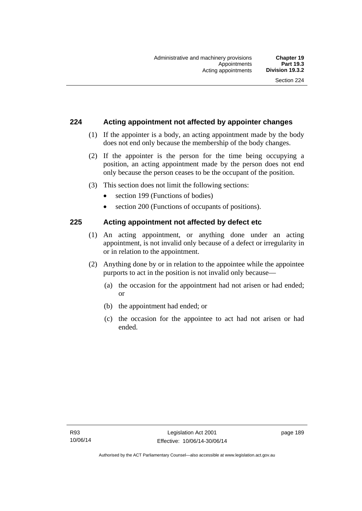## **224 Acting appointment not affected by appointer changes**

- (1) If the appointer is a body, an acting appointment made by the body does not end only because the membership of the body changes.
- (2) If the appointer is the person for the time being occupying a position, an acting appointment made by the person does not end only because the person ceases to be the occupant of the position.
- (3) This section does not limit the following sections:
	- section 199 (Functions of bodies)
	- section 200 (Functions of occupants of positions).

### **225 Acting appointment not affected by defect etc**

- (1) An acting appointment, or anything done under an acting appointment, is not invalid only because of a defect or irregularity in or in relation to the appointment.
- (2) Anything done by or in relation to the appointee while the appointee purports to act in the position is not invalid only because—
	- (a) the occasion for the appointment had not arisen or had ended; or
	- (b) the appointment had ended; or
	- (c) the occasion for the appointee to act had not arisen or had ended.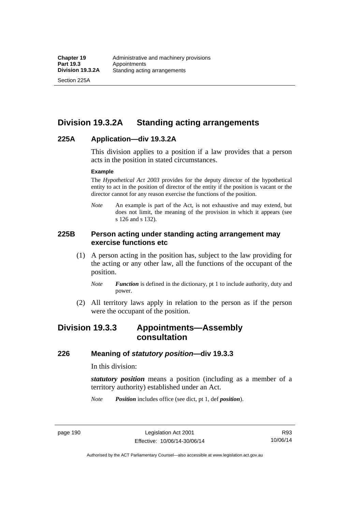Section 225A

# **Division 19.3.2A Standing acting arrangements**

### **225A Application—div 19.3.2A**

This division applies to a position if a law provides that a person acts in the position in stated circumstances.

#### **Example**

The *Hypothetical Act 2003* provides for the deputy director of the hypothetical entity to act in the position of director of the entity if the position is vacant or the director cannot for any reason exercise the functions of the position.

*Note* An example is part of the Act, is not exhaustive and may extend, but does not limit, the meaning of the provision in which it appears (see s 126 and s 132).

## **225B Person acting under standing acting arrangement may exercise functions etc**

- (1) A person acting in the position has, subject to the law providing for the acting or any other law, all the functions of the occupant of the position.
	- *Note Function* is defined in the dictionary, pt 1 to include authority, duty and power.
- (2) All territory laws apply in relation to the person as if the person were the occupant of the position.

# **Division 19.3.3 Appointments—Assembly consultation**

#### **226 Meaning of** *statutory position***—div 19.3.3**

In this division:

*statutory position* means a position (including as a member of a territory authority) established under an Act.

*Note Position* includes office (see dict, pt 1, def *position*).

page 190 Legislation Act 2001 Effective: 10/06/14-30/06/14

R93 10/06/14

Authorised by the ACT Parliamentary Counsel—also accessible at www.legislation.act.gov.au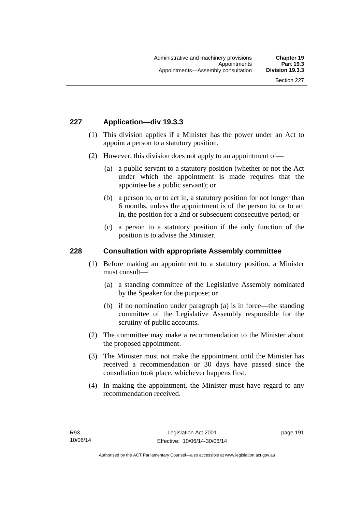## **227 Application—div 19.3.3**

- (1) This division applies if a Minister has the power under an Act to appoint a person to a statutory position.
- (2) However, this division does not apply to an appointment of—
	- (a) a public servant to a statutory position (whether or not the Act under which the appointment is made requires that the appointee be a public servant); or
	- (b) a person to, or to act in, a statutory position for not longer than 6 months, unless the appointment is of the person to, or to act in, the position for a 2nd or subsequent consecutive period; or
	- (c) a person to a statutory position if the only function of the position is to advise the Minister.

#### **228 Consultation with appropriate Assembly committee**

- (1) Before making an appointment to a statutory position, a Minister must consult—
	- (a) a standing committee of the Legislative Assembly nominated by the Speaker for the purpose; or
	- (b) if no nomination under paragraph (a) is in force—the standing committee of the Legislative Assembly responsible for the scrutiny of public accounts.
- (2) The committee may make a recommendation to the Minister about the proposed appointment.
- (3) The Minister must not make the appointment until the Minister has received a recommendation or 30 days have passed since the consultation took place, whichever happens first.
- (4) In making the appointment, the Minister must have regard to any recommendation received.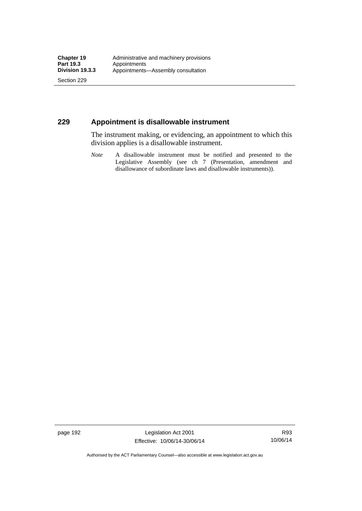Section 229

## **229 Appointment is disallowable instrument**

The instrument making, or evidencing, an appointment to which this division applies is a disallowable instrument.

*Note* A disallowable instrument must be notified and presented to the Legislative Assembly (see ch 7 (Presentation, amendment and disallowance of subordinate laws and disallowable instruments)).

page 192 Legislation Act 2001 Effective: 10/06/14-30/06/14

R93 10/06/14

Authorised by the ACT Parliamentary Counsel—also accessible at www.legislation.act.gov.au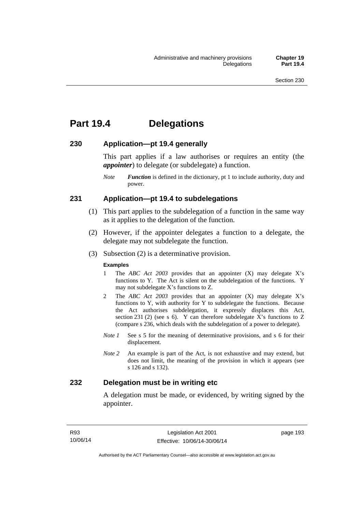# **Part 19.4 Delegations**

#### **230 Application—pt 19.4 generally**

This part applies if a law authorises or requires an entity (the *appointer*) to delegate (or subdelegate) a function.

*Note Function* is defined in the dictionary, pt 1 to include authority, duty and power.

### **231 Application—pt 19.4 to subdelegations**

- (1) This part applies to the subdelegation of a function in the same way as it applies to the delegation of the function.
- (2) However, if the appointer delegates a function to a delegate, the delegate may not subdelegate the function.
- (3) Subsection (2) is a determinative provision.

#### **Examples**

- 1 The *ABC Act 2003* provides that an appointer (X) may delegate X's functions to Y. The Act is silent on the subdelegation of the functions. Y may not subdelegate X's functions to Z.
- 2 The *ABC Act 2003* provides that an appointer (X) may delegate X's functions to Y, with authority for Y to subdelegate the functions. Because the Act authorises subdelegation, it expressly displaces this Act, section 231 (2) (see s 6). Y can therefore subdelegate  $\overline{X}$ 's functions to Z (compare s 236, which deals with the subdelegation of a power to delegate)*.*
- *Note 1* See s 5 for the meaning of determinative provisions, and s 6 for their displacement.
- *Note 2* An example is part of the Act, is not exhaustive and may extend, but does not limit, the meaning of the provision in which it appears (see s 126 and s 132).

### **232 Delegation must be in writing etc**

A delegation must be made, or evidenced, by writing signed by the appointer.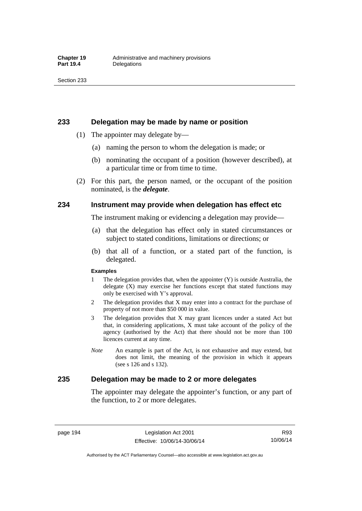#### **233 Delegation may be made by name or position**

- (1) The appointer may delegate by—
	- (a) naming the person to whom the delegation is made; or
	- (b) nominating the occupant of a position (however described), at a particular time or from time to time.
- (2) For this part, the person named, or the occupant of the position nominated, is the *delegate*.

#### **234 Instrument may provide when delegation has effect etc**

The instrument making or evidencing a delegation may provide—

- (a) that the delegation has effect only in stated circumstances or subject to stated conditions, limitations or directions; or
- (b) that all of a function, or a stated part of the function, is delegated.

#### **Examples**

- 1 The delegation provides that, when the appointer (Y) is outside Australia, the delegate (X) may exercise her functions except that stated functions may only be exercised with Y's approval.
- 2 The delegation provides that X may enter into a contract for the purchase of property of not more than \$50 000 in value.
- 3 The delegation provides that X may grant licences under a stated Act but that, in considering applications, X must take account of the policy of the agency (authorised by the Act) that there should not be more than 100 licences current at any time.
- *Note* An example is part of the Act, is not exhaustive and may extend, but does not limit, the meaning of the provision in which it appears (see s 126 and s 132).

## **235 Delegation may be made to 2 or more delegates**

The appointer may delegate the appointer's function, or any part of the function, to 2 or more delegates.

page 194 Legislation Act 2001 Effective: 10/06/14-30/06/14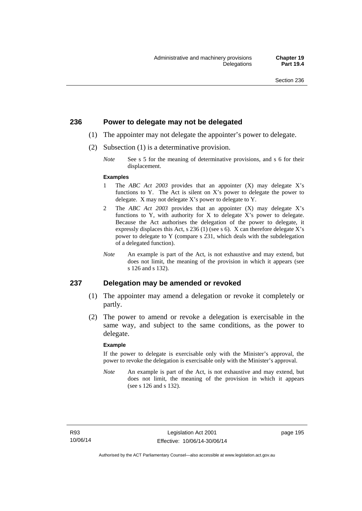#### **236 Power to delegate may not be delegated**

- (1) The appointer may not delegate the appointer's power to delegate.
- (2) Subsection (1) is a determinative provision.
	- *Note* See s 5 for the meaning of determinative provisions, and s 6 for their displacement.

#### **Examples**

- 1 The *ABC Act 2003* provides that an appointer (X) may delegate X's functions to Y. The Act is silent on X's power to delegate the power to delegate. X may not delegate X's power to delegate to Y.
- 2 The *ABC Act 2003* provides that an appointer (X) may delegate X's functions to Y, with authority for X to delegate X's power to delegate. Because the Act authorises the delegation of the power to delegate, it expressly displaces this Act, s 236 (1) (see s 6). X can therefore delegate X's power to delegate to Y (compare s 231, which deals with the subdelegation of a delegated function).
- *Note* An example is part of the Act, is not exhaustive and may extend, but does not limit, the meaning of the provision in which it appears (see s 126 and s 132).

#### **237 Delegation may be amended or revoked**

- (1) The appointer may amend a delegation or revoke it completely or partly.
- (2) The power to amend or revoke a delegation is exercisable in the same way, and subject to the same conditions, as the power to delegate.

#### **Example**

If the power to delegate is exercisable only with the Minister's approval, the power to revoke the delegation is exercisable only with the Minister's approval.

*Note* An example is part of the Act, is not exhaustive and may extend, but does not limit, the meaning of the provision in which it appears (see s 126 and s 132).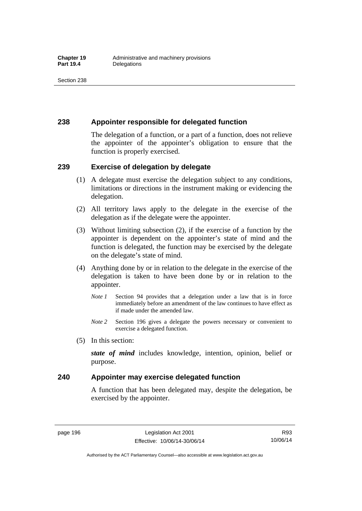## **238 Appointer responsible for delegated function**

The delegation of a function, or a part of a function, does not relieve the appointer of the appointer's obligation to ensure that the function is properly exercised.

### **239 Exercise of delegation by delegate**

- (1) A delegate must exercise the delegation subject to any conditions, limitations or directions in the instrument making or evidencing the delegation.
- (2) All territory laws apply to the delegate in the exercise of the delegation as if the delegate were the appointer.
- (3) Without limiting subsection (2), if the exercise of a function by the appointer is dependent on the appointer's state of mind and the function is delegated, the function may be exercised by the delegate on the delegate's state of mind.
- (4) Anything done by or in relation to the delegate in the exercise of the delegation is taken to have been done by or in relation to the appointer.
	- *Note 1* Section 94 provides that a delegation under a law that is in force immediately before an amendment of the law continues to have effect as if made under the amended law.
	- *Note 2* Section 196 gives a delegate the powers necessary or convenient to exercise a delegated function.
- (5) In this section:

*state of mind* includes knowledge, intention, opinion, belief or purpose.

## **240 Appointer may exercise delegated function**

A function that has been delegated may, despite the delegation, be exercised by the appointer.

page 196 Legislation Act 2001 Effective: 10/06/14-30/06/14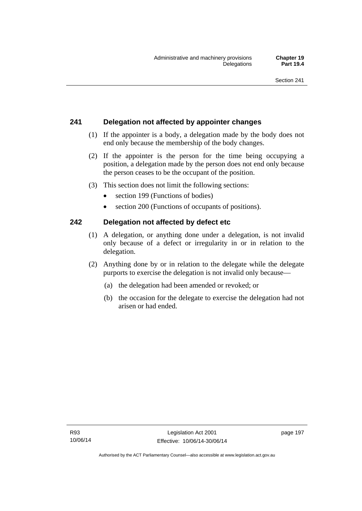# **241 Delegation not affected by appointer changes**

- (1) If the appointer is a body, a delegation made by the body does not end only because the membership of the body changes.
- (2) If the appointer is the person for the time being occupying a position, a delegation made by the person does not end only because the person ceases to be the occupant of the position.
- (3) This section does not limit the following sections:
	- section 199 (Functions of bodies)
	- section 200 (Functions of occupants of positions).

# **242 Delegation not affected by defect etc**

- (1) A delegation, or anything done under a delegation, is not invalid only because of a defect or irregularity in or in relation to the delegation.
- (2) Anything done by or in relation to the delegate while the delegate purports to exercise the delegation is not invalid only because—
	- (a) the delegation had been amended or revoked; or
	- (b) the occasion for the delegate to exercise the delegation had not arisen or had ended.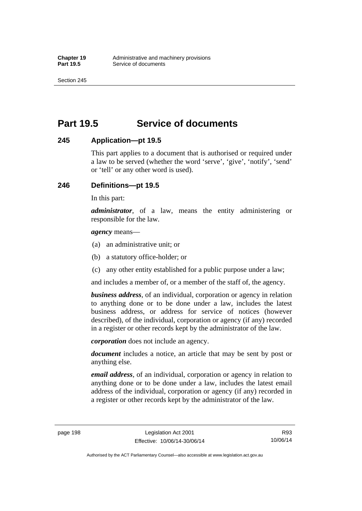Section 245

# **Part 19.5 Service of documents**

## **245 Application—pt 19.5**

This part applies to a document that is authorised or required under a law to be served (whether the word 'serve', 'give', 'notify', 'send' or 'tell' or any other word is used).

## **246 Definitions—pt 19.5**

In this part:

*administrator*, of a law, means the entity administering or responsible for the law.

*agency* means—

- (a) an administrative unit; or
- (b) a statutory office-holder; or
- (c) any other entity established for a public purpose under a law;

and includes a member of, or a member of the staff of, the agency.

*business address*, of an individual, corporation or agency in relation to anything done or to be done under a law, includes the latest business address, or address for service of notices (however described), of the individual, corporation or agency (if any) recorded in a register or other records kept by the administrator of the law.

*corporation* does not include an agency.

*document* includes a notice, an article that may be sent by post or anything else.

*email address*, of an individual, corporation or agency in relation to anything done or to be done under a law, includes the latest email address of the individual, corporation or agency (if any) recorded in a register or other records kept by the administrator of the law.

Authorised by the ACT Parliamentary Counsel—also accessible at www.legislation.act.gov.au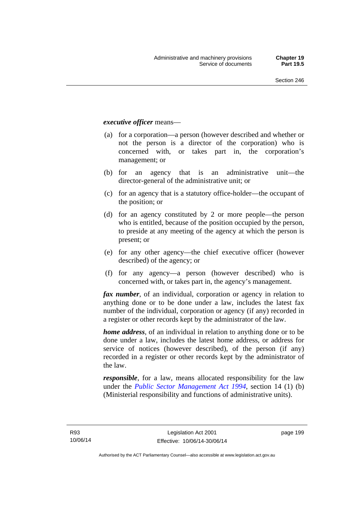#### *executive officer* means—

- (a) for a corporation—a person (however described and whether or not the person is a director of the corporation) who is concerned with, or takes part in, the corporation's management; or
- (b) for an agency that is an administrative unit—the director-general of the administrative unit; or
- (c) for an agency that is a statutory office-holder—the occupant of the position; or
- (d) for an agency constituted by 2 or more people—the person who is entitled, because of the position occupied by the person, to preside at any meeting of the agency at which the person is present; or
- (e) for any other agency—the chief executive officer (however described) of the agency; or
- (f) for any agency—a person (however described) who is concerned with, or takes part in, the agency's management.

*fax number*, of an individual, corporation or agency in relation to anything done or to be done under a law, includes the latest fax number of the individual, corporation or agency (if any) recorded in a register or other records kept by the administrator of the law.

*home address*, of an individual in relation to anything done or to be done under a law, includes the latest home address, or address for service of notices (however described), of the person (if any) recorded in a register or other records kept by the administrator of the law.

*responsible*, for a law, means allocated responsibility for the law under the *[Public Sector Management Act 1994](http://www.legislation.act.gov.au/a/1994-37)*, section 14 (1) (b) (Ministerial responsibility and functions of administrative units).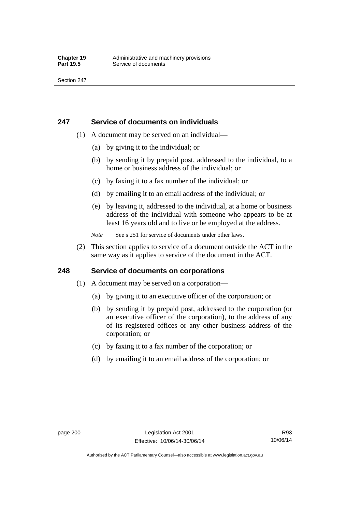### **247 Service of documents on individuals**

- (1) A document may be served on an individual—
	- (a) by giving it to the individual; or
	- (b) by sending it by prepaid post, addressed to the individual, to a home or business address of the individual; or
	- (c) by faxing it to a fax number of the individual; or
	- (d) by emailing it to an email address of the individual; or
	- (e) by leaving it, addressed to the individual, at a home or business address of the individual with someone who appears to be at least 16 years old and to live or be employed at the address.
	- *Note* See s 251 for service of documents under other laws.
- (2) This section applies to service of a document outside the ACT in the same way as it applies to service of the document in the ACT.

## **248 Service of documents on corporations**

- (1) A document may be served on a corporation—
	- (a) by giving it to an executive officer of the corporation; or
	- (b) by sending it by prepaid post, addressed to the corporation (or an executive officer of the corporation), to the address of any of its registered offices or any other business address of the corporation; or
	- (c) by faxing it to a fax number of the corporation; or
	- (d) by emailing it to an email address of the corporation; or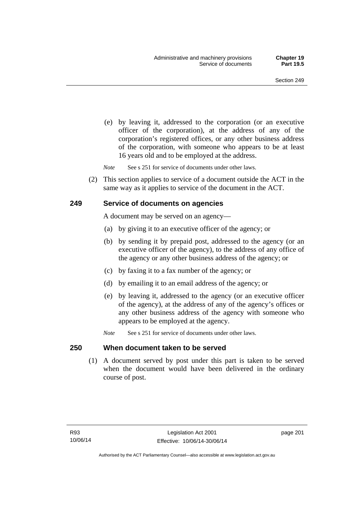(e) by leaving it, addressed to the corporation (or an executive officer of the corporation), at the address of any of the corporation's registered offices, or any other business address of the corporation, with someone who appears to be at least 16 years old and to be employed at the address.

*Note* See s 251 for service of documents under other laws.

 (2) This section applies to service of a document outside the ACT in the same way as it applies to service of the document in the ACT.

## **249 Service of documents on agencies**

A document may be served on an agency—

- (a) by giving it to an executive officer of the agency; or
- (b) by sending it by prepaid post, addressed to the agency (or an executive officer of the agency), to the address of any office of the agency or any other business address of the agency; or
- (c) by faxing it to a fax number of the agency; or
- (d) by emailing it to an email address of the agency; or
- (e) by leaving it, addressed to the agency (or an executive officer of the agency), at the address of any of the agency's offices or any other business address of the agency with someone who appears to be employed at the agency.
- *Note* See s 251 for service of documents under other laws.

### **250 When document taken to be served**

 (1) A document served by post under this part is taken to be served when the document would have been delivered in the ordinary course of post.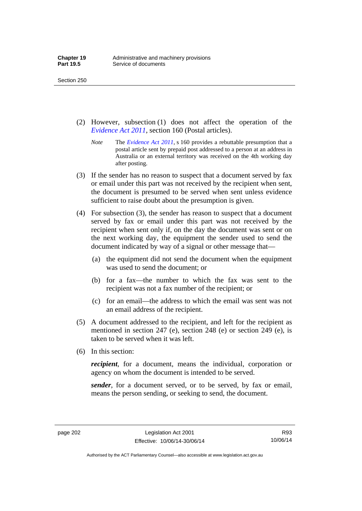- (2) However, subsection (1) does not affect the operation of the *[Evidence Act 2011](http://www.legislation.act.gov.au/a/2011-12)*, section 160 (Postal articles).
	- *Note* The *[Evidence Act 2011](http://www.legislation.act.gov.au/a/2011-12)*, s 160 provides a rebuttable presumption that a postal article sent by prepaid post addressed to a person at an address in Australia or an external territory was received on the 4th working day after posting.
- (3) If the sender has no reason to suspect that a document served by fax or email under this part was not received by the recipient when sent, the document is presumed to be served when sent unless evidence sufficient to raise doubt about the presumption is given.
- (4) For subsection (3), the sender has reason to suspect that a document served by fax or email under this part was not received by the recipient when sent only if, on the day the document was sent or on the next working day, the equipment the sender used to send the document indicated by way of a signal or other message that—
	- (a) the equipment did not send the document when the equipment was used to send the document; or
	- (b) for a fax—the number to which the fax was sent to the recipient was not a fax number of the recipient; or
	- (c) for an email—the address to which the email was sent was not an email address of the recipient.
- (5) A document addressed to the recipient, and left for the recipient as mentioned in section 247 (e), section 248 (e) or section 249 (e), is taken to be served when it was left.
- (6) In this section:

*recipient*, for a document, means the individual, corporation or agency on whom the document is intended to be served.

*sender*, for a document served, or to be served, by fax or email, means the person sending, or seeking to send, the document.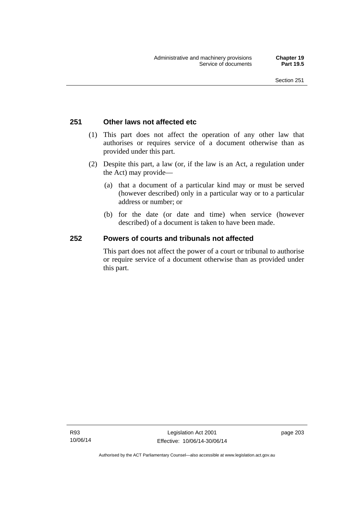## **251 Other laws not affected etc**

- (1) This part does not affect the operation of any other law that authorises or requires service of a document otherwise than as provided under this part.
- (2) Despite this part, a law (or, if the law is an Act, a regulation under the Act) may provide—
	- (a) that a document of a particular kind may or must be served (however described) only in a particular way or to a particular address or number; or
	- (b) for the date (or date and time) when service (however described) of a document is taken to have been made.

## **252 Powers of courts and tribunals not affected**

This part does not affect the power of a court or tribunal to authorise or require service of a document otherwise than as provided under this part.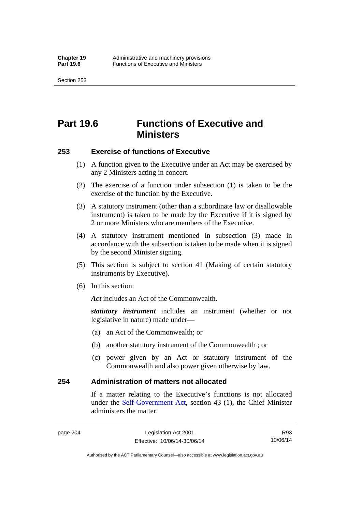Section 253

# **Part 19.6 Functions of Executive and Ministers**

## **253 Exercise of functions of Executive**

- (1) A function given to the Executive under an Act may be exercised by any 2 Ministers acting in concert.
- (2) The exercise of a function under subsection (1) is taken to be the exercise of the function by the Executive.
- (3) A statutory instrument (other than a subordinate law or disallowable instrument) is taken to be made by the Executive if it is signed by 2 or more Ministers who are members of the Executive.
- (4) A statutory instrument mentioned in subsection (3) made in accordance with the subsection is taken to be made when it is signed by the second Minister signing.
- (5) This section is subject to section 41 (Making of certain statutory instruments by Executive).
- (6) In this section:

Act includes an Act of the Commonwealth.

*statutory instrument* includes an instrument (whether or not legislative in nature) made under—

- (a) an Act of the Commonwealth; or
- (b) another statutory instrument of the Commonwealth ; or
- (c) power given by an Act or statutory instrument of the Commonwealth and also power given otherwise by law.

## **254 Administration of matters not allocated**

If a matter relating to the Executive's functions is not allocated under the [Self-Government Act,](http://www.comlaw.gov.au/Series/C2004A03699) section 43 (1), the Chief Minister administers the matter.

Authorised by the ACT Parliamentary Counsel—also accessible at www.legislation.act.gov.au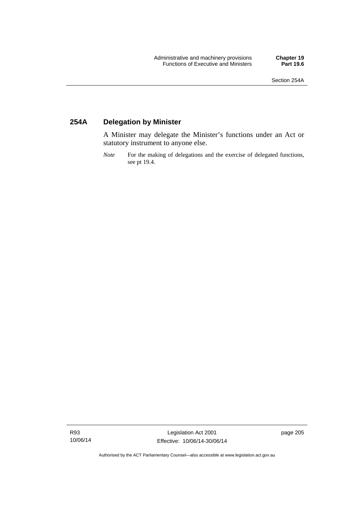# **254A Delegation by Minister**

A Minister may delegate the Minister's functions under an Act or statutory instrument to anyone else.

*Note* For the making of delegations and the exercise of delegated functions, see pt 19.4.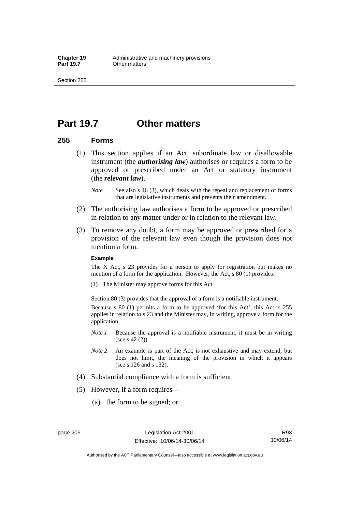# **Part 19.7 Other matters**

## **255 Forms**

- (1) This section applies if an Act, subordinate law or disallowable instrument (the *authorising law*) authorises or requires a form to be approved or prescribed under an Act or statutory instrument (the *relevant law*).
	- *Note* See also s 46 (3), which deals with the repeal and replacement of forms that are legislative instruments and prevents their amendment.
- (2) The authorising law authorises a form to be approved or prescribed in relation to any matter under or in relation to the relevant law.
- (3) To remove any doubt, a form may be approved or prescribed for a provision of the relevant law even though the provision does not mention a form.

### **Example**

The X Act, s 23 provides for a person to apply for registration but makes no mention of a form for the application. However, the Act, s 80 (1) provides:

(1) The Minister may approve forms for this Act.

Section 80 (3) provides that the approval of a form is a notifiable instrument.

Because s 80 (1) permits a form to be approved 'for this Act', this Act, s 255 applies in relation to s 23 and the Minister may, in writing, approve a form for the application.

- *Note 1* Because the approval is a notifiable instrument, it must be in writing (see s 42 (2)).
- *Note 2* An example is part of the Act, is not exhaustive and may extend, but does not limit, the meaning of the provision in which it appears (see s 126 and s 132).
- (4) Substantial compliance with a form is sufficient.
- (5) However, if a form requires—
	- (a) the form to be signed; or

R93 10/06/14

Authorised by the ACT Parliamentary Counsel—also accessible at www.legislation.act.gov.au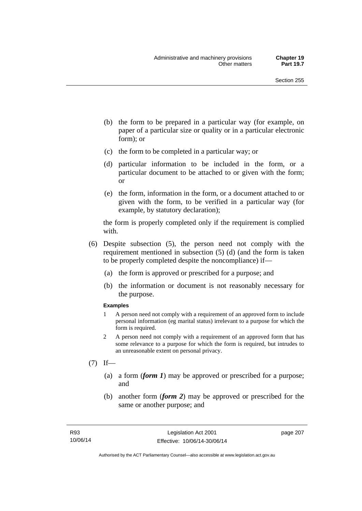- (b) the form to be prepared in a particular way (for example, on paper of a particular size or quality or in a particular electronic form); or
- (c) the form to be completed in a particular way; or
- (d) particular information to be included in the form, or a particular document to be attached to or given with the form; or
- (e) the form, information in the form, or a document attached to or given with the form, to be verified in a particular way (for example, by statutory declaration);

the form is properly completed only if the requirement is complied with.

- (6) Despite subsection (5), the person need not comply with the requirement mentioned in subsection (5) (d) (and the form is taken to be properly completed despite the noncompliance) if—
	- (a) the form is approved or prescribed for a purpose; and
	- (b) the information or document is not reasonably necessary for the purpose.

### **Examples**

- 1 A person need not comply with a requirement of an approved form to include personal information (eg marital status) irrelevant to a purpose for which the form is required.
- 2 A person need not comply with a requirement of an approved form that has some relevance to a purpose for which the form is required, but intrudes to an unreasonable extent on personal privacy.
- $(7)$  If—
	- (a) a form (*form 1*) may be approved or prescribed for a purpose; and
	- (b) another form (*form 2*) may be approved or prescribed for the same or another purpose; and

page 207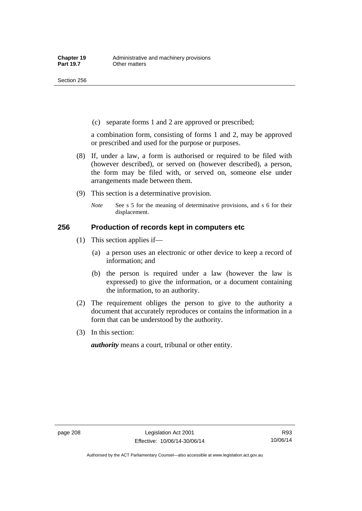(c) separate forms 1 and 2 are approved or prescribed;

a combination form, consisting of forms 1 and 2, may be approved or prescribed and used for the purpose or purposes.

- (8) If, under a law, a form is authorised or required to be filed with (however described), or served on (however described), a person, the form may be filed with, or served on, someone else under arrangements made between them.
- (9) This section is a determinative provision.
	- *Note* See s 5 for the meaning of determinative provisions, and s 6 for their displacement.

## **256 Production of records kept in computers etc**

- (1) This section applies if—
	- (a) a person uses an electronic or other device to keep a record of information; and
	- (b) the person is required under a law (however the law is expressed) to give the information, or a document containing the information, to an authority.
- (2) The requirement obliges the person to give to the authority a document that accurately reproduces or contains the information in a form that can be understood by the authority.
- (3) In this section:

*authority* means a court, tribunal or other entity.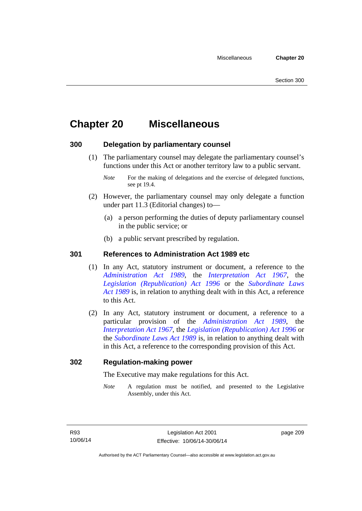# **Chapter 20 Miscellaneous**

## **300 Delegation by parliamentary counsel**

 (1) The parliamentary counsel may delegate the parliamentary counsel's functions under this Act or another territory law to a public servant.

- (2) However, the parliamentary counsel may only delegate a function under part 11.3 (Editorial changes) to—
	- (a) a person performing the duties of deputy parliamentary counsel in the public service; or
	- (b) a public servant prescribed by regulation.

## **301 References to Administration Act 1989 etc**

- (1) In any Act, statutory instrument or document, a reference to the *[Administration Act 1989](http://www.legislation.act.gov.au/a/alt_a1989-41co)*, the *[Interpretation Act 1967](http://www.legislation.act.gov.au/a/1967-48)*, the *[Legislation \(Republication\) Act 1996](http://www.legislation.act.gov.au/a/1996-51)* or the *[Subordinate Laws](http://www.legislation.act.gov.au/a/alt_a1989-24co)  [Act 1989](http://www.legislation.act.gov.au/a/alt_a1989-24co)* is, in relation to anything dealt with in this Act, a reference to this Act.
- (2) In any Act, statutory instrument or document, a reference to a particular provision of the *[Administration Act 1989](http://www.legislation.act.gov.au/a/alt_a1989-41co)*, the *[Interpretation Act 1967](http://www.legislation.act.gov.au/a/1967-48)*, the *[Legislation \(Republication\) Act 1996](http://www.legislation.act.gov.au/a/1996-51)* or the *[Subordinate Laws Act 1989](http://www.legislation.act.gov.au/a/alt_a1989-24co)* is, in relation to anything dealt with in this Act, a reference to the corresponding provision of this Act.

## **302 Regulation-making power**

The Executive may make regulations for this Act.

*Note* A regulation must be notified, and presented to the Legislative Assembly, under this Act.

page 209

*Note* For the making of delegations and the exercise of delegated functions, see pt 19.4.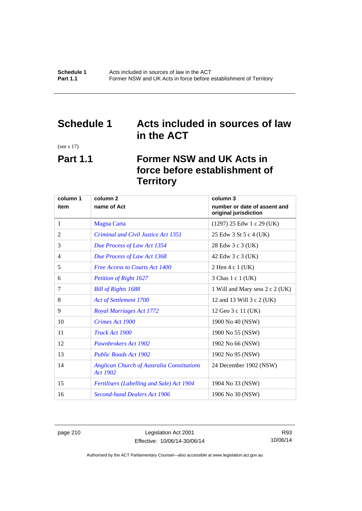# **Schedule 1 Acts included in sources of law in the ACT**

(see s 17)

# **Part 1.1 Former NSW and UK Acts in force before establishment of Territory**

| column 1 | column <sub>2</sub>                                                  | column 3                                              |
|----------|----------------------------------------------------------------------|-------------------------------------------------------|
| item     | name of Act                                                          | number or date of assent and<br>original jurisdiction |
| 1        | <b>Magna Carta</b>                                                   | $(1297)$ 25 Edw 1 c 29 (UK)                           |
| 2        | Criminal and Civil Justice Act 1351                                  | 25 Edw 3 St 5 c 4 (UK)                                |
| 3        | Due Process of Law Act 1354                                          | 28 Edw 3 c 3 (UK)                                     |
| 4        | Due Process of Law Act 1368                                          | 42 Edw 3 c 3 (UK)                                     |
| 5        | <b>Free Access to Courts Act 1400</b>                                | 2 Hen 4 c 1 (UK)                                      |
| 6        | <b>Petition of Right 1627</b>                                        | 3 Chas 1 c 1 (UK)                                     |
| 7        | <b>Bill of Rights 1688</b>                                           | 1 Will and Mary sess 2 c 2 (UK)                       |
| 8        | Act of Settlement 1700                                               | 12 and 13 Will 3 c 2 (UK)                             |
| 9        | <b>Royal Marriages Act 1772</b>                                      | 12 Geo 3 c 11 (UK)                                    |
| 10       | Crimes Act 1900                                                      | 1900 No 40 (NSW)                                      |
| 11       | Truck Act 1900                                                       | 1900 No 55 (NSW)                                      |
| 12       | Pawnbrokers Act 1902                                                 | 1902 No 66 (NSW)                                      |
| 13       | <b>Public Roads Act 1902</b>                                         | 1902 No 95 (NSW)                                      |
| 14       | <b>Anglican Church of Australia Constitutions</b><br><b>Act 1902</b> | 24 December 1902 (NSW)                                |
| 15       | Fertilisers (Labelling and Sale) Act 1904                            | 1904 No 33 (NSW)                                      |
| 16       | <b>Second-hand Dealers Act 1906</b>                                  | 1906 No 30 (NSW)                                      |

page 210 Legislation Act 2001 Effective: 10/06/14-30/06/14

R93 10/06/14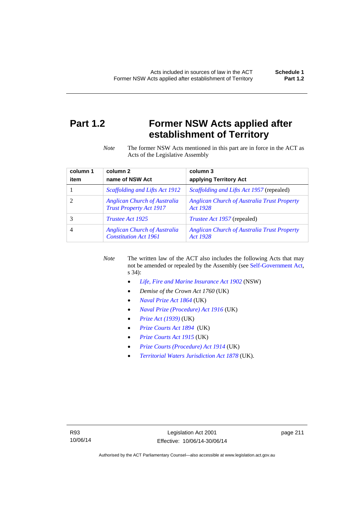# **Part 1.2 Former NSW Acts applied after establishment of Territory**

*Note* The former NSW Acts mentioned in this part are in force in the ACT as Acts of the Legislative Assembly

| column 1 | column <sub>2</sub>                                                   | column 3                                                       |
|----------|-----------------------------------------------------------------------|----------------------------------------------------------------|
| item     | name of NSW Act                                                       | applying Territory Act                                         |
|          | Scaffolding and Lifts Act 1912                                        | <i>Scaffolding and Lifts Act 1957</i> (repealed)               |
|          | <b>Anglican Church of Australia</b><br><b>Trust Property Act 1917</b> | <b>Anglican Church of Australia Trust Property</b><br>Act 1928 |
|          | <i>Trustee Act 1925</i>                                               | <i>Trustee Act 1957</i> (repealed)                             |
| 4        | <b>Anglican Church of Australia</b><br><b>Constitution Act 1961</b>   | <b>Anglican Church of Australia Trust Property</b><br>Act 1928 |

*Note* The written law of the ACT also includes the following Acts that may not be amended or repealed by the Assembly (see [Self-Government Act,](http://www.comlaw.gov.au/Series/C2004A03699) s 34):

- *[Life, Fire and Marine Insurance Act 1902](http://www.legislation.nsw.gov.au/maintop/scanact/sessional/NONE/0)* (NSW)
- *Demise of the Crown Act 1760* (UK)
- *[Naval Prize Act 1864](http://www.legislation.gov.uk/ukpga/Vict/27-28/25/contents)* (UK)
- *[Naval Prize \(Procedure\) Act 1916](http://www.legislation.gov.uk/ukpga/Geo5/6-7/2/contents)* (UK)
- *[Prize Act \(1939\)](http://www.legislation.gov.uk/ukpga/Geo6/2-3/65/contents)* (UK)
- *[Prize Courts Act 1894](http://www.legislation.gov.uk/ukpga/Vict/57-58/39/contents)* (UK)
- *[Prize Courts Act 1915](http://www.legislation.gov.uk/ukpga/Geo5/5-6/57/contents)* (UK)
- *[Prize Courts \(Procedure\) Act 1914](http://www.legislation.gov.uk/ukpga/Geo5/4-5/13/contents)* (UK)
- *[Territorial Waters Jurisdiction Act 1878](http://www.legislation.gov.uk/ukpga/Vict/41-42/73/contents)* (UK).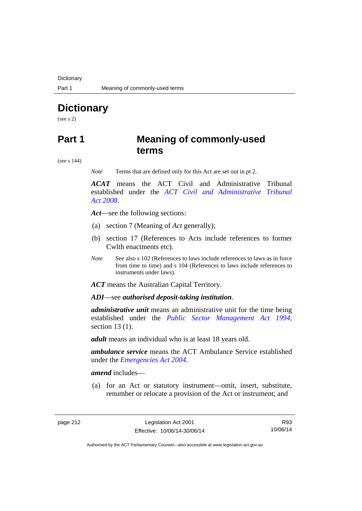**Dictionary** 

# **Dictionary**

(see s 2)

# **Part 1 Meaning of commonly-used terms**

(see s 144)

*Note* Terms that are defined only for this Act are set out in pt 2.

*ACAT* means the ACT Civil and Administrative Tribunal established under the *[ACT Civil and Administrative Tribunal](http://www.legislation.act.gov.au/a/2008-35)  [Act 2008](http://www.legislation.act.gov.au/a/2008-35)*.

*Act*—see the following sections:

- (a) section 7 (Meaning of *Act* generally);
- (b) section 17 (References to Acts include references to former Cwlth enactments etc).
- *Note* See also s 102 (References to laws include references to laws as in force from time to time) and s 104 (References to laws include references to instruments under laws).

*ACT* means the Australian Capital Territory.

*ADI*—see *authorised deposit-taking institution*.

*administrative unit* means an administrative unit for the time being established under the *[Public Sector Management Act 1994](http://www.legislation.act.gov.au/a/1994-37)*, section 13 (1).

*adult* means an individual who is at least 18 years old.

*ambulance service* means the ACT Ambulance Service established under the *[Emergencies Act 2004](http://www.legislation.act.gov.au/a/2004-28)*.

*amend* includes—

(a) for an Act or statutory instrument—omit, insert, substitute, renumber or relocate a provision of the Act or instrument; and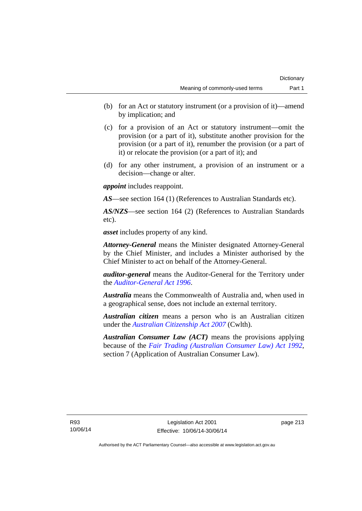- (b) for an Act or statutory instrument (or a provision of it)—amend by implication; and
- (c) for a provision of an Act or statutory instrument—omit the provision (or a part of it), substitute another provision for the provision (or a part of it), renumber the provision (or a part of it) or relocate the provision (or a part of it); and
- (d) for any other instrument, a provision of an instrument or a decision—change or alter.

*appoint* includes reappoint.

*AS*—see section 164 (1) (References to Australian Standards etc).

*AS/NZS*—see section 164 (2) (References to Australian Standards etc).

*asset* includes property of any kind.

*Attorney-General* means the Minister designated Attorney-General by the Chief Minister, and includes a Minister authorised by the Chief Minister to act on behalf of the Attorney-General.

*auditor-general* means the Auditor-General for the Territory under the *[Auditor-General Act 1996](http://www.legislation.act.gov.au/a/1996-23)*.

*Australia* means the Commonwealth of Australia and, when used in a geographical sense, does not include an external territory.

*Australian citizen* means a person who is an Australian citizen under the *[Australian Citizenship Act 2007](http://www.comlaw.gov.au/Series/C2007A00020)* (Cwlth).

*Australian Consumer Law (ACT)* means the provisions applying because of the *[Fair Trading \(Australian Consumer Law\) Act 1992](http://www.legislation.act.gov.au/a/1992-72)*, section 7 (Application of Australian Consumer Law).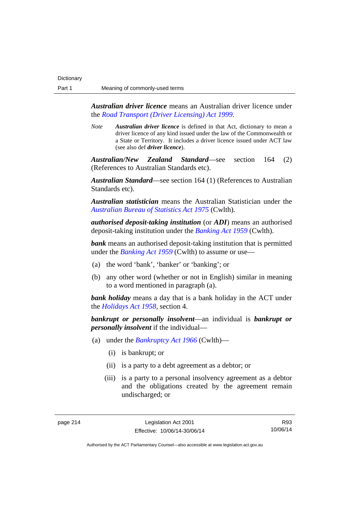*Australian driver licence* means an Australian driver licence under the *[Road Transport \(Driver Licensing\) Act 1999](http://www.legislation.act.gov.au/a/1999-78)*.

*Note Australian driver licence* is defined in that Act, dictionary to mean a driver licence of any kind issued under the law of the Commonwealth or a State or Territory. It includes a driver licence issued under ACT law (see also def *driver licence*).

*Australian/New Zealand Standard*—see section 164 (2) (References to Australian Standards etc).

*Australian Standard*—see section 164 (1) (References to Australian Standards etc).

*Australian statistician* means the Australian Statistician under the *[Australian Bureau of Statistics Act 1975](http://www.comlaw.gov.au/Series/C2004A00282)* (Cwlth).

*authorised deposit-taking institution* (or *ADI*) means an authorised deposit-taking institution under the *[Banking Act 1959](http://www.comlaw.gov.au/Series/C2004A07357)* (Cwlth).

**bank** means an authorised deposit-taking institution that is permitted under the *[Banking Act 1959](http://www.comlaw.gov.au/Series/C2004A07357)* (Cwlth) to assume or use—

- (a) the word 'bank', 'banker' or 'banking'; or
- (b) any other word (whether or not in English) similar in meaning to a word mentioned in paragraph (a).

*bank holiday* means a day that is a bank holiday in the ACT under the *[Holidays Act 1958](http://www.legislation.act.gov.au/a/1958-19)*, section 4.

*bankrupt or personally insolvent*—an individual is *bankrupt or personally insolvent* if the individual—

- (a) under the *[Bankruptcy Act 1966](http://www.comlaw.gov.au/Series/C2004A07422)* (Cwlth)—
	- (i) is bankrupt; or
	- (ii) is a party to a debt agreement as a debtor; or
	- (iii) is a party to a personal insolvency agreement as a debtor and the obligations created by the agreement remain undischarged; or

R93 10/06/14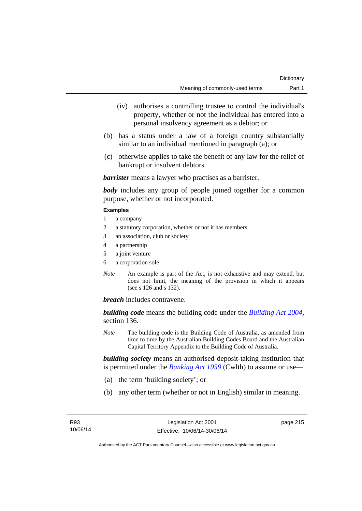- (iv) authorises a controlling trustee to control the individual's property, whether or not the individual has entered into a personal insolvency agreement as a debtor; or
- (b) has a status under a law of a foreign country substantially similar to an individual mentioned in paragraph (a); or
- (c) otherwise applies to take the benefit of any law for the relief of bankrupt or insolvent debtors.

*barrister* means a lawyer who practises as a barrister.

*body* includes any group of people joined together for a common purpose, whether or not incorporated.

### **Examples**

- 1 a company
- 2 a statutory corporation, whether or not it has members
- 3 an association, club or society
- 4 a partnership
- 5 a joint venture
- 6 a corporation sole
- *Note* An example is part of the Act, is not exhaustive and may extend, but does not limit, the meaning of the provision in which it appears (see s 126 and s 132).

*breach* includes contravene.

*building code* means the building code under the *[Building Act 2004](http://www.legislation.act.gov.au/a/2004-11)*, section 136.

*Note* The building code is the Building Code of Australia, as amended from time to time by the Australian Building Codes Board and the Australian Capital Territory Appendix to the Building Code of Australia.

*building society* means an authorised deposit-taking institution that is permitted under the *[Banking Act 1959](http://www.comlaw.gov.au/Series/C2004A07357)* (Cwlth) to assume or use—

- (a) the term 'building society'; or
- (b) any other term (whether or not in English) similar in meaning.

page 215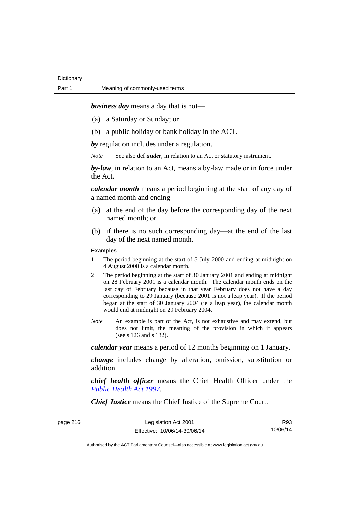*business day* means a day that is not—

- (a) a Saturday or Sunday; or
- (b) a public holiday or bank holiday in the ACT.

*by* regulation includes under a regulation.

*Note* See also def *under*, in relation to an Act or statutory instrument.

*by-law*, in relation to an Act, means a by-law made or in force under the Act.

*calendar month* means a period beginning at the start of any day of a named month and ending—

- (a) at the end of the day before the corresponding day of the next named month; or
- (b) if there is no such corresponding day—at the end of the last day of the next named month.

### **Examples**

- 1 The period beginning at the start of 5 July 2000 and ending at midnight on 4 August 2000 is a calendar month.
- 2 The period beginning at the start of 30 January 2001 and ending at midnight on 28 February 2001 is a calendar month. The calendar month ends on the last day of February because in that year February does not have a day corresponding to 29 January (because 2001 is not a leap year). If the period began at the start of 30 January 2004 (ie a leap year), the calendar month would end at midnight on 29 February 2004.
- *Note* An example is part of the Act, is not exhaustive and may extend, but does not limit, the meaning of the provision in which it appears (see s 126 and s 132).

*calendar year* means a period of 12 months beginning on 1 January.

*change* includes change by alteration, omission, substitution or addition.

*chief health officer* means the Chief Health Officer under the *[Public Health Act 1997](http://www.legislation.act.gov.au/a/1997-69)*.

*Chief Justice* means the Chief Justice of the Supreme Court.

R93 10/06/14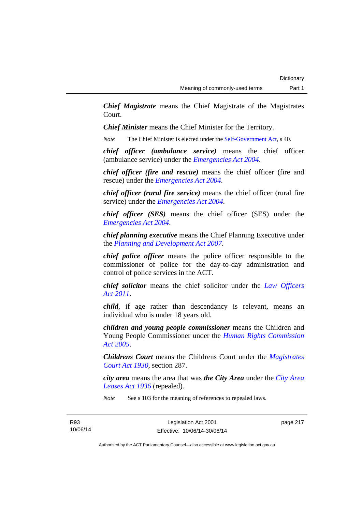*Chief Magistrate* means the Chief Magistrate of the Magistrates Court.

*Chief Minister* means the Chief Minister for the Territory.

*Note* The Chief Minister is elected under the [Self-Government Act](http://www.comlaw.gov.au/Series/C2004A03699), s 40.

*chief officer (ambulance service)* means the chief officer (ambulance service) under the *[Emergencies Act 2004](http://www.legislation.act.gov.au/a/2004-28)*.

*chief officer (fire and rescue)* means the chief officer (fire and rescue) under the *[Emergencies Act 2004](http://www.legislation.act.gov.au/a/2004-28)*.

*chief officer (rural fire service)* means the chief officer (rural fire service) under the *[Emergencies Act 2004](http://www.legislation.act.gov.au/a/2004-28)*.

*chief officer (SES)* means the chief officer (SES) under the *[Emergencies Act 2004](http://www.legislation.act.gov.au/a/2004-28)*.

*chief planning executive* means the Chief Planning Executive under the *[Planning and Development Act 2007](http://www.legislation.act.gov.au/a/2007-24)*.

*chief police officer* means the police officer responsible to the commissioner of police for the day-to-day administration and control of police services in the ACT.

*chief solicitor* means the chief solicitor under the *[Law Officers](http://www.legislation.act.gov.au/a/2011-30)  [Act 2011](http://www.legislation.act.gov.au/a/2011-30)*.

*child*, if age rather than descendancy is relevant, means an individual who is under 18 years old.

*children and young people commissioner* means the Children and Young People Commissioner under the *[Human Rights Commission](http://www.legislation.act.gov.au/a/2005-40)  [Act 2005](http://www.legislation.act.gov.au/a/2005-40)*.

*Childrens Court* means the Childrens Court under the *[Magistrates](http://www.legislation.act.gov.au/a/1930-21)  [Court Act 1930](http://www.legislation.act.gov.au/a/1930-21)*, section 287.

*city area* means the area that was *the City Area* under the *[City Area](http://www.legislation.act.gov.au/a/1936-31)  [Leases Act 1936](http://www.legislation.act.gov.au/a/1936-31)* (repealed).

*Note* See s 103 for the meaning of references to repealed laws.

page 217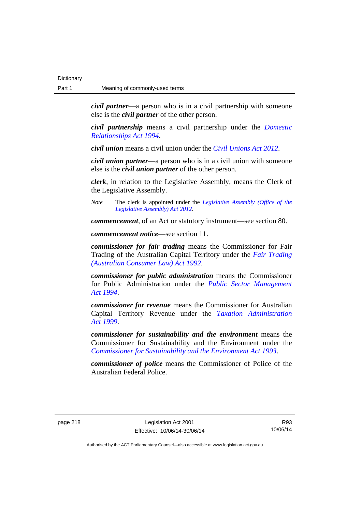*civil partner*—a person who is in a civil partnership with someone else is the *civil partner* of the other person.

*civil partnership* means a civil partnership under the *[Domestic](http://www.legislation.act.gov.au/a/1994-28)  [Relationships Act 1994](http://www.legislation.act.gov.au/a/1994-28)*.

*civil union* means a civil union under the *[Civil Unions Act 2012](http://www.legislation.act.gov.au/a/2012-40)*.

*civil union partner*—a person who is in a civil union with someone else is the *civil union partner* of the other person.

*clerk*, in relation to the Legislative Assembly, means the Clerk of the Legislative Assembly.

*Note* The clerk is appointed under the *[Legislative Assembly \(Office of the](http://www.legislation.act.gov.au/a/2012-26)  [Legislative Assembly\) Act 2012](http://www.legislation.act.gov.au/a/2012-26)*.

*commencement*, of an Act or statutory instrument—see section 80.

*commencement notice*—see section 11.

*commissioner for fair trading* means the Commissioner for Fair Trading of the Australian Capital Territory under the *[Fair Trading](http://www.legislation.act.gov.au/a/1992-72)  [\(Australian Consumer Law\) Act 1992](http://www.legislation.act.gov.au/a/1992-72)*.

*commissioner for public administration* means the Commissioner for Public Administration under the *[Public Sector Management](http://www.legislation.act.gov.au/a/1994-37)  [Act 1994](http://www.legislation.act.gov.au/a/1994-37)*.

*commissioner for revenue* means the Commissioner for Australian Capital Territory Revenue under the *[Taxation Administration](http://www.legislation.act.gov.au/a/1999-4)  [Act 1999](http://www.legislation.act.gov.au/a/1999-4)*.

*commissioner for sustainability and the environment* means the Commissioner for Sustainability and the Environment under the *[Commissioner for Sustainability and the Environment Act 1993](http://www.legislation.act.gov.au/a/1993-37)*.

*commissioner of police* means the Commissioner of Police of the Australian Federal Police.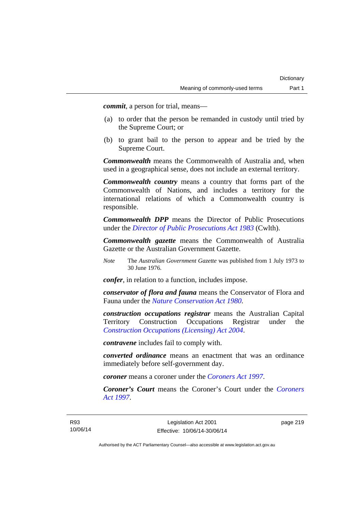*commit*, a person for trial, means—

- (a) to order that the person be remanded in custody until tried by the Supreme Court; or
- (b) to grant bail to the person to appear and be tried by the Supreme Court.

*Commonwealth* means the Commonwealth of Australia and, when used in a geographical sense, does not include an external territory.

*Commonwealth country* means a country that forms part of the Commonwealth of Nations, and includes a territory for the international relations of which a Commonwealth country is responsible.

*Commonwealth DPP* means the Director of Public Prosecutions under the *[Director of Public Prosecutions Act 1983](http://www.comlaw.gov.au/Series/C2004A02830)* (Cwlth).

*Commonwealth gazette* means the Commonwealth of Australia Gazette or the Australian Government Gazette.

*Note* The *Australian Government Gazette* was published from 1 July 1973 to 30 June 1976.

*confer*, in relation to a function, includes impose.

*conservator of flora and fauna* means the Conservator of Flora and Fauna under the *[Nature Conservation Act 1980](http://www.legislation.act.gov.au/a/1980-20)*.

*construction occupations registrar* means the Australian Capital Territory Construction Occupations Registrar under the *[Construction Occupations \(Licensing\) Act 2004](http://www.legislation.act.gov.au/a/2004-12)*.

*contravene* includes fail to comply with.

*converted ordinance* means an enactment that was an ordinance immediately before self-government day.

*coroner* means a coroner under the *[Coroners Act 1997](http://www.legislation.act.gov.au/a/1997-57)*.

*Coroner's Court* means the Coroner's Court under the *[Coroners](http://www.legislation.act.gov.au/a/1997-57)  [Act 1997](http://www.legislation.act.gov.au/a/1997-57)*.

page 219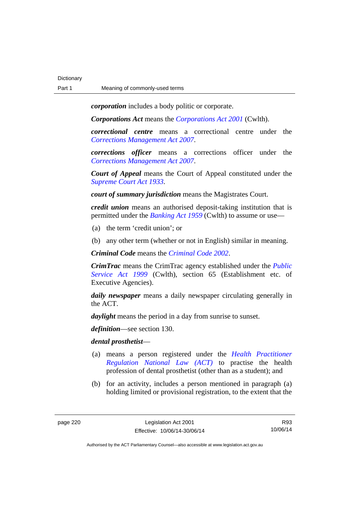*corporation* includes a body politic or corporate.

*Corporations Act* means the *[Corporations Act 2001](http://www.comlaw.gov.au/Series/C2004A00818)* (Cwlth).

*correctional centre* means a correctional centre under the *[Corrections Management Act 2007](http://www.legislation.act.gov.au/a/2007-15)*.

*corrections officer* means a corrections officer under the *[Corrections Management Act 2007](http://www.legislation.act.gov.au/a/2007-15)*.

*Court of Appeal* means the Court of Appeal constituted under the *[Supreme Court Act 1933](http://www.legislation.act.gov.au/a/1933-34)*.

*court of summary jurisdiction* means the Magistrates Court.

*credit union* means an authorised deposit-taking institution that is permitted under the *[Banking Act 1959](http://www.comlaw.gov.au/Series/C2004A07357)* (Cwlth) to assume or use—

- (a) the term 'credit union'; or
- (b) any other term (whether or not in English) similar in meaning.

*Criminal Code* means the *[Criminal Code 2002](http://www.legislation.act.gov.au/a/2002-51)*.

*CrimTrac* means the CrimTrac agency established under the *[Public](http://www.comlaw.gov.au/Series/C2004A00538)  [Service Act 1999](http://www.comlaw.gov.au/Series/C2004A00538)* (Cwlth), section 65 (Establishment etc. of Executive Agencies).

*daily newspaper* means a daily newspaper circulating generally in the ACT.

*daylight* means the period in a day from sunrise to sunset.

*definition*—see section 130.

### *dental prosthetist*—

- (a) means a person registered under the *[Health Practitioner](http://www.legislation.act.gov.au/a/db_39269/default.asp)  [Regulation National Law \(ACT\)](http://www.legislation.act.gov.au/a/db_39269/default.asp)* to practise the health profession of dental prosthetist (other than as a student); and
- (b) for an activity, includes a person mentioned in paragraph (a) holding limited or provisional registration, to the extent that the

R93 10/06/14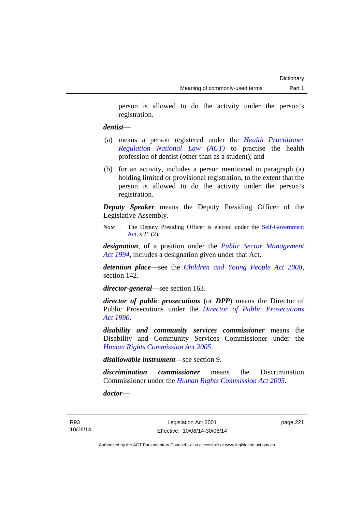person is allowed to do the activity under the person's registration.

## *dentist*—

- (a) means a person registered under the *[Health Practitioner](http://www.legislation.act.gov.au/a/db_39269/default.asp)  [Regulation National Law \(ACT\)](http://www.legislation.act.gov.au/a/db_39269/default.asp)* to practise the health profession of dentist (other than as a student); and
- (b) for an activity, includes a person mentioned in paragraph (a) holding limited or provisional registration, to the extent that the person is allowed to do the activity under the person's registration.

*Deputy Speaker* means the Deputy Presiding Officer of the Legislative Assembly.

*Note* The Deputy Presiding Officer is elected under the [Self-Government](http://www.comlaw.gov.au/Series/C2004A03699)  [Act](http://www.comlaw.gov.au/Series/C2004A03699), s 21 (2).

*designation*, of a position under the *[Public Sector Management](http://www.legislation.act.gov.au/a/1994-37)  [Act 1994](http://www.legislation.act.gov.au/a/1994-37)*, includes a designation given under that Act.

*detention place*—see the *[Children and Young People Act 2008](http://www.legislation.act.gov.au/a/2008-19)*, section 142.

*director-general*—see section 163.

*director of public prosecutions* (or *DPP*) means the Director of Public Prosecutions under the *[Director of Public Prosecutions](http://www.legislation.act.gov.au/a/1990-22)  [Act 1990](http://www.legislation.act.gov.au/a/1990-22)*.

*disability and community services commissioner* means the Disability and Community Services Commissioner under the *[Human Rights Commission Act 2005](http://www.legislation.act.gov.au/a/2005-40)*.

*disallowable instrument*—see section 9.

*discrimination commissioner* means the Discrimination Commissioner under the *[Human Rights Commission Act 2005](http://www.legislation.act.gov.au/a/2005-40)*.

*doctor*—

page 221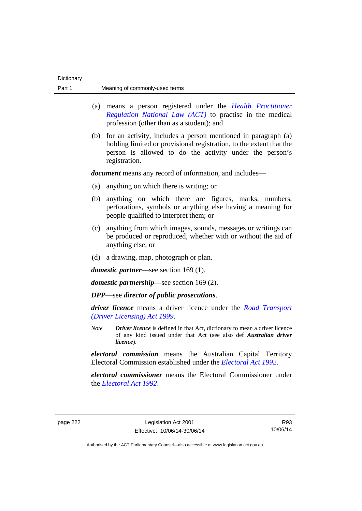| Part 1   |                                                                                                      | Meaning of commonly-used terms                                                                                                                                                                                       |                                                                                                                                                                     |  |
|----------|------------------------------------------------------------------------------------------------------|----------------------------------------------------------------------------------------------------------------------------------------------------------------------------------------------------------------------|---------------------------------------------------------------------------------------------------------------------------------------------------------------------|--|
|          |                                                                                                      | means a person registered under the <i>Health Practitioner</i><br>(a)<br>Regulation National Law (ACT) to practise in the medical<br>profession (other than as a student); and                                       |                                                                                                                                                                     |  |
|          |                                                                                                      | (b) for an activity, includes a person mentioned in paragraph (a)<br>holding limited or provisional registration, to the extent that the<br>person is allowed to do the activity under the person's<br>registration. |                                                                                                                                                                     |  |
|          |                                                                                                      | <i>document</i> means any record of information, and includes—                                                                                                                                                       |                                                                                                                                                                     |  |
|          | (a)                                                                                                  | anything on which there is writing; or                                                                                                                                                                               |                                                                                                                                                                     |  |
|          | (b)                                                                                                  | anything on which there are figures, marks, numbers,<br>perforations, symbols or anything else having a meaning for<br>people qualified to interpret them; or                                                        |                                                                                                                                                                     |  |
|          | (c)                                                                                                  | anything from which images, sounds, messages or writings can<br>be produced or reproduced, whether with or without the aid of<br>anything else; or                                                                   |                                                                                                                                                                     |  |
|          |                                                                                                      | (d) a drawing, map, photograph or plan.                                                                                                                                                                              |                                                                                                                                                                     |  |
|          | <i>domestic partner</i> —see section 169 (1).<br><i>domestic partnership</i> —see section $169(2)$ . |                                                                                                                                                                                                                      |                                                                                                                                                                     |  |
|          |                                                                                                      |                                                                                                                                                                                                                      |                                                                                                                                                                     |  |
|          |                                                                                                      | <i>driver licence</i> means a driver licence under the <i>Road Transport</i><br>(Driver Licensing) Act 1999.                                                                                                         |                                                                                                                                                                     |  |
|          |                                                                                                      | <b>Note</b>                                                                                                                                                                                                          | <b>Driver licence</b> is defined in that Act, dictionary to mean a driver licence<br>of any kind issued under that Act (see also def Australian driver<br>licence). |  |
|          |                                                                                                      | <i>electoral commission</i> means the Australian Capital Territory<br>Electoral Commission established under the <i>Electoral Act 1992</i> .                                                                         |                                                                                                                                                                     |  |
|          |                                                                                                      | electoral commissioner means the Electoral Commissioner under<br>the <i>Electoral Act 1992</i> .                                                                                                                     |                                                                                                                                                                     |  |
| page 222 |                                                                                                      | Legislation Act 2001<br>R93<br>10/06/14<br>Effective: 10/06/14-30/06/14                                                                                                                                              |                                                                                                                                                                     |  |

Dictionary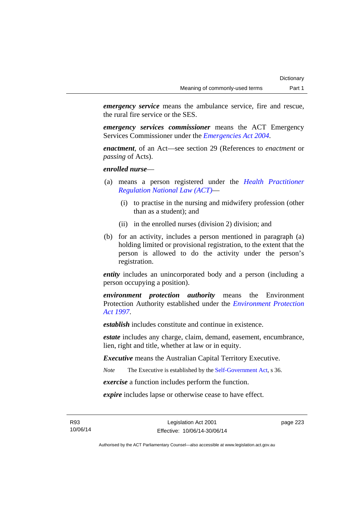*emergency service* means the ambulance service, fire and rescue, the rural fire service or the SES.

*emergency services commissioner* means the ACT Emergency Services Commissioner under the *[Emergencies Act 2004](http://www.legislation.act.gov.au/a/2004-28)*.

*enactment*, of an Act—see section 29 (References to *enactment* or *passing* of Acts).

*enrolled nurse*—

- (a) means a person registered under the *[Health Practitioner](http://www.legislation.act.gov.au/a/db_39269/default.asp)  [Regulation National Law \(ACT\)](http://www.legislation.act.gov.au/a/db_39269/default.asp)*—
	- (i) to practise in the nursing and midwifery profession (other than as a student); and
	- (ii) in the enrolled nurses (division 2) division; and
- (b) for an activity, includes a person mentioned in paragraph (a) holding limited or provisional registration, to the extent that the person is allowed to do the activity under the person's registration.

*entity* includes an unincorporated body and a person (including a person occupying a position).

*environment protection authority* means the Environment Protection Authority established under the *[Environment Protection](http://www.legislation.act.gov.au/a/1997-92)  [Act 1997](http://www.legislation.act.gov.au/a/1997-92)*.

*establish* includes constitute and continue in existence.

*estate* includes any charge, claim, demand, easement, encumbrance, lien, right and title, whether at law or in equity.

*Executive* means the Australian Capital Territory Executive.

*Note* The Executive is established by the [Self-Government Act](http://www.comlaw.gov.au/Series/C2004A03699), s 36.

*exercise* a function includes perform the function.

*expire* includes lapse or otherwise cease to have effect.

R93 10/06/14 page 223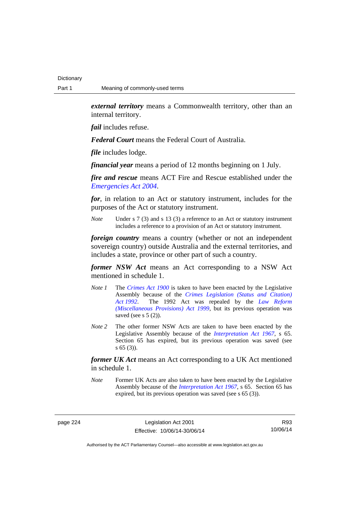*external territory* means a Commonwealth territory, other than an internal territory.

*fail* includes refuse.

*Federal Court* means the Federal Court of Australia.

*file* includes lodge.

*financial year* means a period of 12 months beginning on 1 July.

*fire and rescue* means ACT Fire and Rescue established under the *[Emergencies Act 2004](http://www.legislation.act.gov.au/a/2004-28)*.

*for*, in relation to an Act or statutory instrument, includes for the purposes of the Act or statutory instrument.

*Note* Under s 7 (3) and s 13 (3) a reference to an Act or statutory instrument includes a reference to a provision of an Act or statutory instrument.

*foreign country* means a country (whether or not an independent sovereign country) outside Australia and the external territories, and includes a state, province or other part of such a country.

*former NSW Act* means an Act corresponding to a NSW Act mentioned in schedule 1.

- *Note 1* The *[Crimes Act 1900](http://www.legislation.act.gov.au/a/1900-40)* is taken to have been enacted by the Legislative Assembly because of the *[Crimes Legislation \(Status and Citation\)](http://www.legislation.act.gov.au/a/1992-6)  [Act 1992](http://www.legislation.act.gov.au/a/1992-6)*. The 1992 Act was repealed by the *[Law Reform](http://www.legislation.act.gov.au/a/1999-66)  [\(Miscellaneous Provisions\) Act 1999](http://www.legislation.act.gov.au/a/1999-66)*, but its previous operation was saved (see s  $5(2)$ ).
- *Note 2* The other former NSW Acts are taken to have been enacted by the Legislative Assembly because of the *[Interpretation Act 1967](http://www.legislation.act.gov.au/a/1967-48)*, s 65. Section 65 has expired, but its previous operation was saved (see s 65 (3)).

*former UK Act* means an Act corresponding to a UK Act mentioned in schedule 1.

*Note* Former UK Acts are also taken to have been enacted by the Legislative Assembly because of the *[Interpretation Act 1967](http://www.legislation.act.gov.au/a/1967-48)*, s 65. Section 65 has expired, but its previous operation was saved (see s 65 (3)).

page 224 Legislation Act 2001 Effective: 10/06/14-30/06/14

R93 10/06/14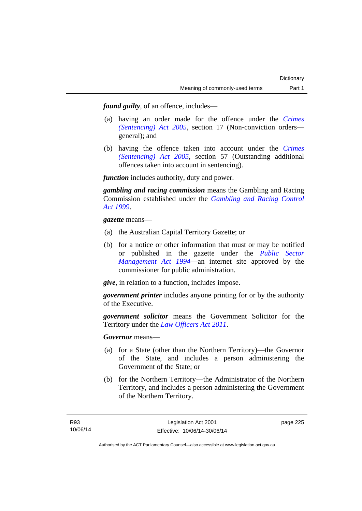*found guilty*, of an offence, includes—

- (a) having an order made for the offence under the *[Crimes](http://www.legislation.act.gov.au/a/2005-58)  [\(Sentencing\) Act 2005](http://www.legislation.act.gov.au/a/2005-58)*, section 17 (Non-conviction orders general); and
- (b) having the offence taken into account under the *[Crimes](http://www.legislation.act.gov.au/a/2005-58)  [\(Sentencing\) Act 2005](http://www.legislation.act.gov.au/a/2005-58)*, section 57 (Outstanding additional offences taken into account in sentencing).

*function* includes authority, duty and power.

*gambling and racing commission* means the Gambling and Racing Commission established under the *[Gambling and Racing Control](http://www.legislation.act.gov.au/a/1999-46)  [Act 1999](http://www.legislation.act.gov.au/a/1999-46)*.

*gazette* means—

- (a) the Australian Capital Territory Gazette; or
- (b) for a notice or other information that must or may be notified or published in the gazette under the *[Public Sector](http://www.legislation.act.gov.au/a/1994-37)  [Management Act 1994](http://www.legislation.act.gov.au/a/1994-37)*—an internet site approved by the commissioner for public administration.

*give*, in relation to a function, includes impose.

*government printer* includes anyone printing for or by the authority of the Executive.

*government solicitor* means the Government Solicitor for the Territory under the *[Law Officers Act 2011](http://www.legislation.act.gov.au/a/2011-30)*.

*Governor* means—

- (a) for a State (other than the Northern Territory)—the Governor of the State, and includes a person administering the Government of the State; or
- (b) for the Northern Territory—the Administrator of the Northern Territory, and includes a person administering the Government of the Northern Territory.

page 225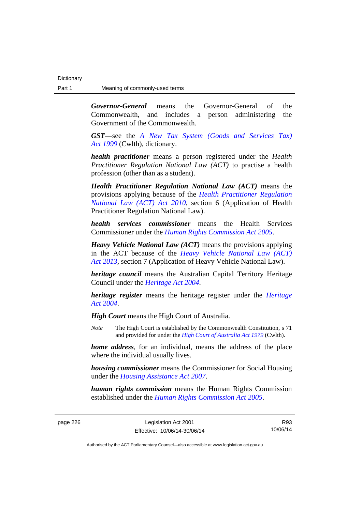*Governor-General* means the Governor-General of the Commonwealth, and includes a person administering the Government of the Commonwealth.

*GST*—see the *[A New Tax System \(Goods and Services Tax\)](http://www.comlaw.gov.au/Series/C2004A00446)  [Act 1999](http://www.comlaw.gov.au/Series/C2004A00446)* (Cwlth), dictionary.

*health practitioner* means a person registered under the *Health Practitioner Regulation National Law (ACT)* to practise a health profession (other than as a student).

*Health Practitioner Regulation National Law (ACT)* means the provisions applying because of the *[Health Practitioner Regulation](http://www.legislation.act.gov.au/a/2010-10)  [National Law \(ACT\) Act 2010](http://www.legislation.act.gov.au/a/2010-10)*, section 6 (Application of Health Practitioner Regulation National Law).

*health services commissioner* means the Health Services Commissioner under the *[Human Rights Commission Act 2005](http://www.legislation.act.gov.au/a/2005-40)*.

*Heavy Vehicle National Law (ACT)* means the provisions applying in the ACT because of the *[Heavy Vehicle National Law \(ACT\)](http://www.legislation.act.gov.au/a/2013-51/default.asp)  [Act 2013](http://www.legislation.act.gov.au/a/2013-51/default.asp)*, section 7 (Application of Heavy Vehicle National Law).

*heritage council* means the Australian Capital Territory Heritage Council under the *[Heritage Act 2004](http://www.legislation.act.gov.au/a/2004-57)*.

*heritage register* means the heritage register under the *[Heritage](http://www.legislation.act.gov.au/a/2004-57)  [Act 2004](http://www.legislation.act.gov.au/a/2004-57)*.

*High Court* means the High Court of Australia.

*Note* The High Court is established by the Commonwealth Constitution, s 71 and provided for under the *[High Court of Australia Act 1979](http://www.comlaw.gov.au/Series/C2004A02147)* (Cwlth).

*home address*, for an individual, means the address of the place where the individual usually lives.

*housing commissioner* means the Commissioner for Social Housing under the *[Housing Assistance Act 2007](http://www.legislation.act.gov.au/a/2007-8)*.

*human rights commission* means the Human Rights Commission established under the *[Human Rights Commission Act 2005](http://www.legislation.act.gov.au/a/2005-40)*.

R93 10/06/14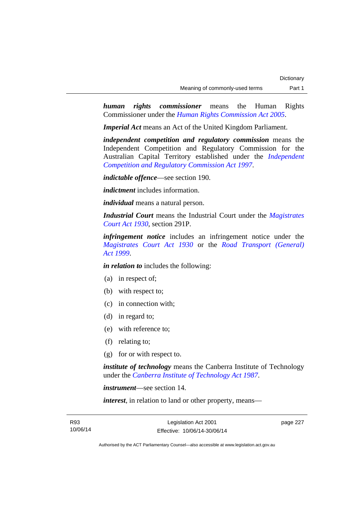*human rights commissioner* means the Human Rights Commissioner under the *[Human Rights Commission Act 2005](http://www.legislation.act.gov.au/a/2005-40)*.

*Imperial Act* means an Act of the United Kingdom Parliament.

*independent competition and regulatory commission* means the Independent Competition and Regulatory Commission for the Australian Capital Territory established under the *[Independent](http://www.legislation.act.gov.au/a/1997-77)  [Competition and Regulatory Commission Act 1997](http://www.legislation.act.gov.au/a/1997-77)*.

*indictable offence*—see section 190.

*indictment* includes information.

*individual* means a natural person.

*Industrial Court* means the Industrial Court under the *[Magistrates](http://www.legislation.act.gov.au/a/1930-21)  [Court Act 1930](http://www.legislation.act.gov.au/a/1930-21)*, section 291P.

*infringement notice* includes an infringement notice under the *[Magistrates Court Act 1930](http://www.legislation.act.gov.au/a/1930-21)* or the *[Road Transport \(General\)](http://www.legislation.act.gov.au/a/1999-77)  [Act 1999](http://www.legislation.act.gov.au/a/1999-77)*.

*in relation to* includes the following:

- (a) in respect of;
- (b) with respect to;
- (c) in connection with;
- (d) in regard to;
- (e) with reference to;
- (f) relating to;
- (g) for or with respect to.

*institute of technology* means the Canberra Institute of Technology under the *[Canberra Institute of Technology Act 1987](http://www.legislation.act.gov.au/a/1987-71)*.

*instrument*—see section 14.

*interest*, in relation to land or other property, means—

page 227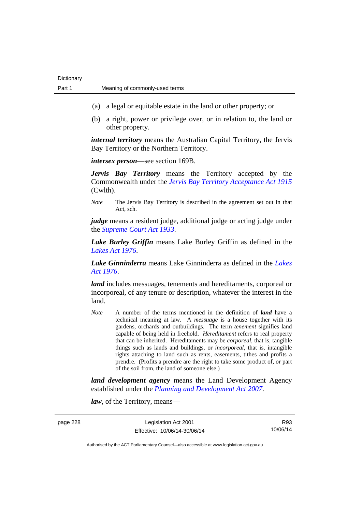- (a) a legal or equitable estate in the land or other property; or
- (b) a right, power or privilege over, or in relation to, the land or other property.

*internal territory* means the Australian Capital Territory, the Jervis Bay Territory or the Northern Territory.

*intersex person*—see section 169B.

*Jervis Bay Territory* means the Territory accepted by the Commonwealth under the *[Jervis Bay Territory Acceptance Act 1915](http://www.comlaw.gov.au/Series/C2004A07489)* (Cwlth).

*Note* The Jervis Bay Territory is described in the agreement set out in that Act, sch.

*judge* means a resident judge, additional judge or acting judge under the *[Supreme Court Act 1933](http://www.legislation.act.gov.au/a/1933-34)*.

*Lake Burley Griffin* means Lake Burley Griffin as defined in the *[Lakes Act 1976](http://www.legislation.act.gov.au/a/1976-65)*.

*Lake Ginninderra* means Lake Ginninderra as defined in the *[Lakes](http://www.legislation.act.gov.au/a/1976-65)  [Act 1976](http://www.legislation.act.gov.au/a/1976-65)*.

*land* includes messuages, tenements and hereditaments, corporeal or incorporeal, of any tenure or description, whatever the interest in the land.

*Note* A number of the terms mentioned in the definition of *land* have a technical meaning at law. A *messuage* is a house together with its gardens, orchards and outbuildings. The term *tenement* signifies land capable of being held in freehold. *Hereditament* refers to real property that can be inherited. Hereditaments may be *corporeal*, that is, tangible things such as lands and buildings, or *incorporeal*, that is, intangible rights attaching to land such as rents, easements, tithes and profits a prendre. (Profits a prendre are the right to take some product of, or part of the soil from, the land of someone else.)

*land development agency* means the Land Development Agency established under the *[Planning and Development Act 2007](http://www.legislation.act.gov.au/a/2007-24)*.

*law*, of the Territory, means—

page 228 Legislation Act 2001 Effective: 10/06/14-30/06/14

R93 10/06/14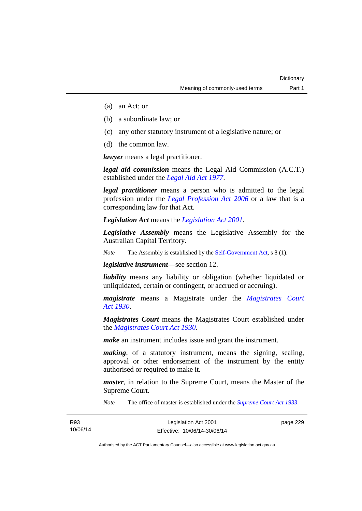- (a) an Act; or
- (b) a subordinate law; or
- (c) any other statutory instrument of a legislative nature; or
- (d) the common law.

*lawyer* means a legal practitioner.

*legal aid commission* means the Legal Aid Commission (A.C.T.) established under the *[Legal Aid Act 1977](http://www.legislation.act.gov.au/a/1977-31)*.

*legal practitioner* means a person who is admitted to the legal profession under the *[Legal Profession Act 2006](http://www.legislation.act.gov.au/a/2006-25)* or a law that is a corresponding law for that Act.

*Legislation Act* means the *[Legislation Act 2001](http://www.legislation.act.gov.au/a/2001-14)*.

*Legislative Assembly* means the Legislative Assembly for the Australian Capital Territory.

*Note* The Assembly is established by the [Self-Government Act](http://www.comlaw.gov.au/Series/C2004A03699), s 8 (1).

*legislative instrument*—see section 12.

*liability* means any liability or obligation (whether liquidated or unliquidated, certain or contingent, or accrued or accruing).

*magistrate* means a Magistrate under the *[Magistrates Court](http://www.legislation.act.gov.au/a/1930-21)  [Act 1930](http://www.legislation.act.gov.au/a/1930-21)*.

*Magistrates Court* means the Magistrates Court established under the *[Magistrates Court Act 1930](http://www.legislation.act.gov.au/a/1930-21)*.

*make* an instrument includes issue and grant the instrument.

*making*, of a statutory instrument, means the signing, sealing, approval or other endorsement of the instrument by the entity authorised or required to make it.

*master*, in relation to the Supreme Court, means the Master of the Supreme Court.

*Note* The office of master is established under the *[Supreme Court Act 1933](http://www.legislation.act.gov.au/a/1933-34)*.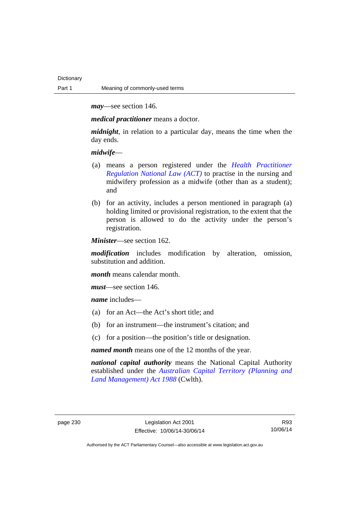*may*—see section 146.

*medical practitioner* means a doctor.

*midnight*, in relation to a particular day, means the time when the day ends.

*midwife*—

- (a) means a person registered under the *[Health Practitioner](http://www.legislation.act.gov.au/a/db_39269/default.asp)  [Regulation National Law \(ACT\)](http://www.legislation.act.gov.au/a/db_39269/default.asp)* to practise in the nursing and midwifery profession as a midwife (other than as a student); and
- (b) for an activity, includes a person mentioned in paragraph (a) holding limited or provisional registration, to the extent that the person is allowed to do the activity under the person's registration.

*Minister*—see section 162.

*modification* includes modification by alteration, omission, substitution and addition.

*month* means calendar month.

*must*—see section 146.

*name* includes—

- (a) for an Act—the Act's short title; and
- (b) for an instrument—the instrument's citation; and
- (c) for a position—the position's title or designation.

*named month* means one of the 12 months of the year.

*national capital authority* means the National Capital Authority established under the *[Australian Capital Territory \(Planning and](http://www.comlaw.gov.au/Series/C2004A03701)  [Land Management\) Act 1988](http://www.comlaw.gov.au/Series/C2004A03701)* (Cwlth).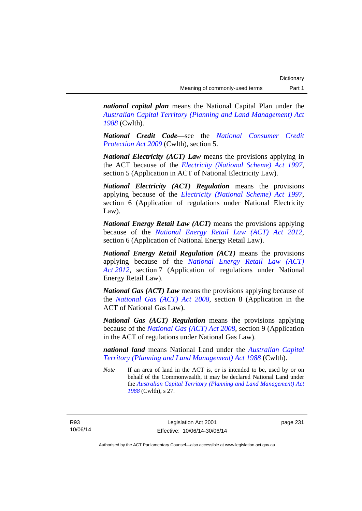*national capital plan* means the National Capital Plan under the *[Australian Capital Territory \(Planning and Land Management\) Act](http://www.comlaw.gov.au/Series/C2004A03701)  [1988](http://www.comlaw.gov.au/Series/C2004A03701)* (Cwlth).

*National Credit Code*—see the *[National Consumer Credit](http://www.comlaw.gov.au/Series/C2009A00134)  [Protection Act 2009](http://www.comlaw.gov.au/Series/C2009A00134)* (Cwlth), section 5.

*National Electricity (ACT) Law* means the provisions applying in the ACT because of the *[Electricity \(National Scheme\) Act 1997](http://www.legislation.act.gov.au/a/1997-79)*, section 5 (Application in ACT of National Electricity Law).

*National Electricity (ACT) Regulation* means the provisions applying because of the *[Electricity \(National Scheme\) Act 1997](http://www.legislation.act.gov.au/a/1997-79)*, section 6 (Application of regulations under National Electricity Law).

*National Energy Retail Law (ACT)* means the provisions applying because of the *[National Energy Retail Law \(ACT\) Act 2012](http://www.legislation.act.gov.au/a/2012-31)*, section 6 (Application of National Energy Retail Law).

*National Energy Retail Regulation (ACT)* means the provisions applying because of the *[National Energy Retail Law \(ACT\)](http://www.legislation.act.gov.au/a/2012-31)  [Act 2012](http://www.legislation.act.gov.au/a/2012-31)*, section 7 (Application of regulations under National Energy Retail Law).

*National Gas (ACT) Law* means the provisions applying because of the *[National Gas \(ACT\) Act 2008](http://www.legislation.act.gov.au/a/2008-15)*, section 8 (Application in the ACT of National Gas Law).

*National Gas (ACT) Regulation* means the provisions applying because of the *[National Gas \(ACT\) Act 2008](http://www.legislation.act.gov.au/a/2008-15)*, section 9 (Application in the ACT of regulations under National Gas Law).

*national land* means National Land under the *[Australian Capital](http://www.comlaw.gov.au/Series/C2004A03701)  [Territory \(Planning and Land Management\) Act 1988](http://www.comlaw.gov.au/Series/C2004A03701)* (Cwlth).

*Note* If an area of land in the ACT is, or is intended to be, used by or on behalf of the Commonwealth, it may be declared National Land under the *[Australian Capital Territory \(Planning and Land Management\) Act](http://www.comlaw.gov.au/Series/C2004A03701)  [1988](http://www.comlaw.gov.au/Series/C2004A03701)* (Cwlth), s 27.

R93 10/06/14 page 231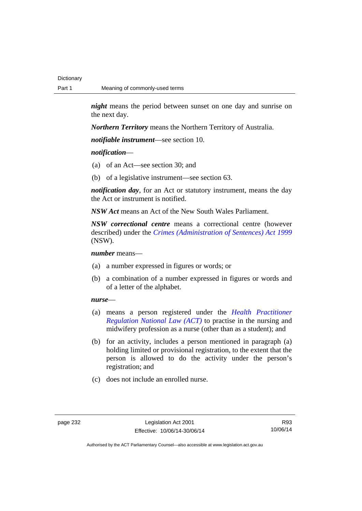*night* means the period between sunset on one day and sunrise on the next day.

*Northern Territory* means the Northern Territory of Australia.

*notifiable instrument*—see section 10.

## *notification*—

- (a) of an Act—see section 30; and
- (b) of a legislative instrument—see section 63.

*notification day*, for an Act or statutory instrument, means the day the Act or instrument is notified.

*NSW Act* means an Act of the New South Wales Parliament.

*NSW correctional centre* means a correctional centre (however described) under the *[Crimes \(Administration of Sentences\) Act 1999](http://www.legislation.nsw.gov.au/maintop/view/inforce/act+93+1999+cd+0+N)* (NSW).

*number* means—

- (a) a number expressed in figures or words; or
- (b) a combination of a number expressed in figures or words and of a letter of the alphabet.

## *nurse*—

- (a) means a person registered under the *[Health Practitioner](http://www.legislation.act.gov.au/a/db_39269/default.asp)  [Regulation National Law \(ACT\)](http://www.legislation.act.gov.au/a/db_39269/default.asp)* to practise in the nursing and midwifery profession as a nurse (other than as a student); and
- (b) for an activity, includes a person mentioned in paragraph (a) holding limited or provisional registration, to the extent that the person is allowed to do the activity under the person's registration; and
- (c) does not include an enrolled nurse.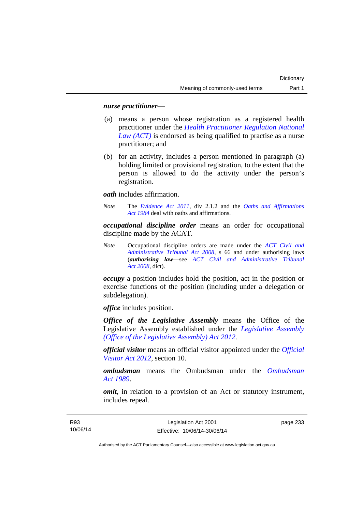### *nurse practitioner*—

- (a) means a person whose registration as a registered health practitioner under the *[Health Practitioner Regulation National](http://www.legislation.act.gov.au/a/db_39269/default.asp)  [Law \(ACT\)](http://www.legislation.act.gov.au/a/db_39269/default.asp)* is endorsed as being qualified to practise as a nurse practitioner; and
- (b) for an activity, includes a person mentioned in paragraph (a) holding limited or provisional registration, to the extent that the person is allowed to do the activity under the person's registration.

*oath* includes affirmation.

*Note* The *[Evidence Act 2011](http://www.legislation.act.gov.au/a/2011-12)*, div 2.1.2 and the *[Oaths and Affirmations](http://www.legislation.act.gov.au/a/1984-79)  [Act 1984](http://www.legislation.act.gov.au/a/1984-79)* deal with oaths and affirmations.

*occupational discipline order* means an order for occupational discipline made by the ACAT.

*Note* Occupational discipline orders are made under the *[ACT Civil and](http://www.legislation.act.gov.au/a/2008-35)  [Administrative Tribunal Act 2008](http://www.legislation.act.gov.au/a/2008-35)*, s 66 and under authorising laws (*authorising law*—see *[ACT Civil and Administrative Tribunal](http://www.legislation.act.gov.au/a/2008-35)  [Act 2008](http://www.legislation.act.gov.au/a/2008-35)*, dict).

*occupy* a position includes hold the position, act in the position or exercise functions of the position (including under a delegation or subdelegation).

*office* includes position.

*Office of the Legislative Assembly* means the Office of the Legislative Assembly established under the *[Legislative Assembly](http://www.legislation.act.gov.au/a/2012-26)  [\(Office of the Legislative Assembly\) Act 2012](http://www.legislation.act.gov.au/a/2012-26)*.

*official visitor* means an official visitor appointed under the *[Official](http://www.legislation.act.gov.au/a/2012-33)  [Visitor Act 2012](http://www.legislation.act.gov.au/a/2012-33)*, section 10.

*ombudsman* means the Ombudsman under the *[Ombudsman](http://www.legislation.act.gov.au/a/alt_a1989-45co)  [Act 1989](http://www.legislation.act.gov.au/a/alt_a1989-45co)*.

*omit*, in relation to a provision of an Act or statutory instrument, includes repeal.

page 233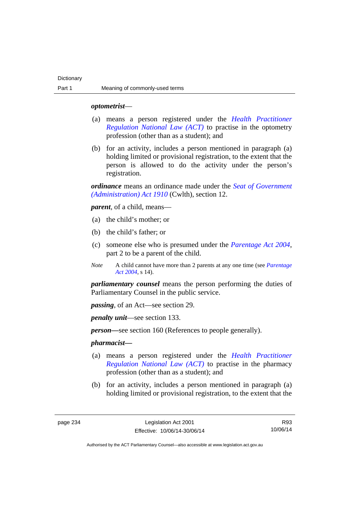### *optometrist*—

- (a) means a person registered under the *[Health Practitioner](http://www.legislation.act.gov.au/a/db_39269/default.asp)  [Regulation National Law \(ACT\)](http://www.legislation.act.gov.au/a/db_39269/default.asp)* to practise in the optometry profession (other than as a student); and
- (b) for an activity, includes a person mentioned in paragraph (a) holding limited or provisional registration, to the extent that the person is allowed to do the activity under the person's registration.

*ordinance* means an ordinance made under the *[Seat of Government](http://www.comlaw.gov.au/Series/C2004A07446)  [\(Administration\) Act 1910](http://www.comlaw.gov.au/Series/C2004A07446)* (Cwlth), section 12.

*parent*, of a child, means—

- (a) the child's mother; or
- (b) the child's father; or
- (c) someone else who is presumed under the *[Parentage Act 2004](http://www.legislation.act.gov.au/a/2004-1)*, part 2 to be a parent of the child.
- *Note* A child cannot have more than 2 parents at any one time (see *[Parentage](http://www.legislation.act.gov.au/a/2004-1)  [Act 2004](http://www.legislation.act.gov.au/a/2004-1)*, s 14).

*parliamentary counsel* means the person performing the duties of Parliamentary Counsel in the public service.

*passing*, of an Act—see section 29.

*penalty unit*—see section 133.

*person—*see section 160 (References to people generally).

### *pharmacist***—**

- (a) means a person registered under the *[Health Practitioner](http://www.legislation.act.gov.au/a/db_39269/default.asp)  [Regulation National Law \(ACT\)](http://www.legislation.act.gov.au/a/db_39269/default.asp)* to practise in the pharmacy profession (other than as a student); and
- (b) for an activity, includes a person mentioned in paragraph (a) holding limited or provisional registration, to the extent that the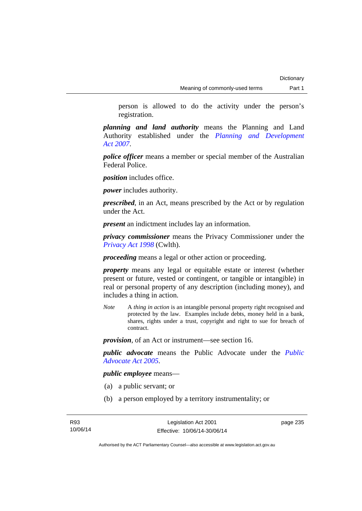person is allowed to do the activity under the person's registration.

*planning and land authority* means the Planning and Land Authority established under the *[Planning and Development](http://www.legislation.act.gov.au/a/2007-24)  [Act 2007](http://www.legislation.act.gov.au/a/2007-24)*.

*police officer* means a member or special member of the Australian Federal Police.

*position* includes office.

*power* includes authority.

*prescribed*, in an Act, means prescribed by the Act or by regulation under the Act.

*present* an indictment includes lay an information.

*privacy commissioner* means the Privacy Commissioner under the *[Privacy Act 1998](http://www.comlaw.gov.au/Series/C2004A03712)* (Cwlth).

*proceeding* means a legal or other action or proceeding.

*property* means any legal or equitable estate or interest (whether present or future, vested or contingent, or tangible or intangible) in real or personal property of any description (including money), and includes a thing in action.

*Note* A *thing in action* is an intangible personal property right recognised and protected by the law. Examples include debts, money held in a bank, shares, rights under a trust, copyright and right to sue for breach of contract.

*provision*, of an Act or instrument—see section 16.

*public advocate* means the Public Advocate under the *[Public](http://www.legislation.act.gov.au/a/2005-47)  [Advocate Act 2005](http://www.legislation.act.gov.au/a/2005-47)*.

*public employee* means—

- (a) a public servant; or
- (b) a person employed by a territory instrumentality; or

page 235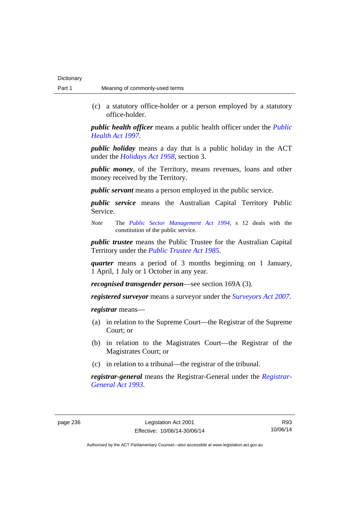(c) a statutory office-holder or a person employed by a statutory office-holder.

*public health officer* means a public health officer under the *[Public](http://www.legislation.act.gov.au/a/1997-69)  [Health Act 1997.](http://www.legislation.act.gov.au/a/1997-69)*

*public holiday* means a day that is a public holiday in the ACT under the *[Holidays Act 1958](http://www.legislation.act.gov.au/a/1958-19)*, section 3.

*public money*, of the Territory, means revenues, loans and other money received by the Territory.

*public servant* means a person employed in the public service.

*public service* means the Australian Capital Territory Public Service.

*Note* The *[Public Sector Management Act 1994](http://www.legislation.act.gov.au/a/1994-37)*, s 12 deals with the constitution of the public service.

*public trustee* means the Public Trustee for the Australian Capital Territory under the *[Public Trustee Act 1985](http://www.legislation.act.gov.au/a/1985-8)*.

*quarter* means a period of 3 months beginning on 1 January, 1 April, 1 July or 1 October in any year.

*recognised transgender person*—see section 169A (3).

*registered surveyor* means a surveyor under the *[Surveyors Act 2007](http://www.legislation.act.gov.au/a/2007-33)*.

*registrar* means—

- (a) in relation to the Supreme Court—the Registrar of the Supreme Court; or
- (b) in relation to the Magistrates Court—the Registrar of the Magistrates Court; or
- (c) in relation to a tribunal—the registrar of the tribunal.

*registrar-general* means the Registrar-General under the *[Registrar-](http://www.legislation.act.gov.au/a/1993-63)[General Act 1993](http://www.legislation.act.gov.au/a/1993-63)*.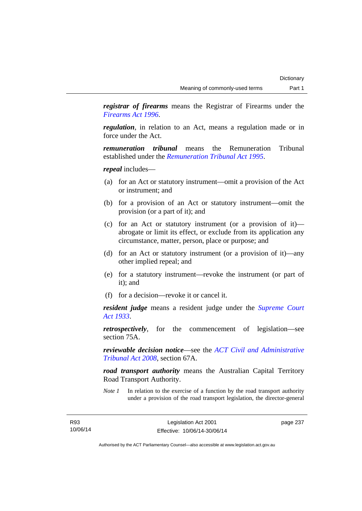*registrar of firearms* means the Registrar of Firearms under the *[Firearms Act 1996](http://www.legislation.act.gov.au/a/1996-74)*.

*regulation*, in relation to an Act, means a regulation made or in force under the Act.

*remuneration tribunal* means the Remuneration Tribunal established under the *[Remuneration Tribunal Act 1995](http://www.legislation.act.gov.au/a/1995-55)*.

*repeal* includes—

- (a) for an Act or statutory instrument—omit a provision of the Act or instrument; and
- (b) for a provision of an Act or statutory instrument—omit the provision (or a part of it); and
- (c) for an Act or statutory instrument (or a provision of it) abrogate or limit its effect, or exclude from its application any circumstance, matter, person, place or purpose; and
- (d) for an Act or statutory instrument (or a provision of it)—any other implied repeal; and
- (e) for a statutory instrument—revoke the instrument (or part of it); and
- (f) for a decision—revoke it or cancel it.

*resident judge* means a resident judge under the *[Supreme Court](http://www.legislation.act.gov.au/a/1933-34)  [Act 1933](http://www.legislation.act.gov.au/a/1933-34)*.

*retrospectively*, for the commencement of legislation—see section 75A.

*reviewable decision notice*—see the *[ACT Civil and Administrative](http://www.legislation.act.gov.au/a/2008-35)  [Tribunal Act 2008](http://www.legislation.act.gov.au/a/2008-35)*, section 67A.

*road transport authority* means the Australian Capital Territory Road Transport Authority.

*Note 1* In relation to the exercise of a function by the road transport authority under a provision of the road transport legislation, the director-general

page 237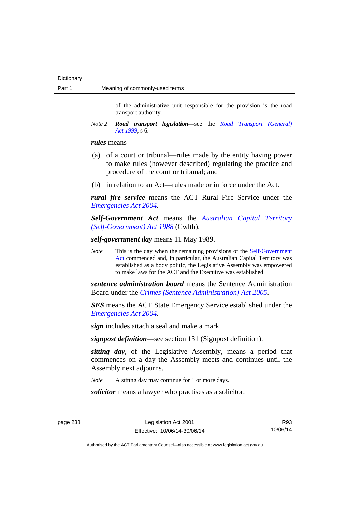of the administrative unit responsible for the provision is the road transport authority.

*Note 2 Road transport legislation––*see the *[Road Transport \(General\)](http://www.legislation.act.gov.au/a/1999-77)  [Act 1999](http://www.legislation.act.gov.au/a/1999-77)*, s 6.

#### *rules* means—

- (a) of a court or tribunal—rules made by the entity having power to make rules (however described) regulating the practice and procedure of the court or tribunal; and
- (b) in relation to an Act—rules made or in force under the Act.

*rural fire service* means the ACT Rural Fire Service under the *[Emergencies Act 2004](http://www.legislation.act.gov.au/a/2004-28)*.

*Self-Government Act* means the *[Australian Capital Territory](http://www.comlaw.gov.au/Series/C2004A03699)  [\(Self-Government\) Act 1988](http://www.comlaw.gov.au/Series/C2004A03699)* (Cwlth).

*self-government day* means 11 May 1989.

*Note* This is the day when the remaining provisions of the Self-Government [Act](http://www.comlaw.gov.au/Series/C2004A03699) commenced and, in particular, the Australian Capital Territory was established as a body politic, the Legislative Assembly was empowered to make laws for the ACT and the Executive was established.

*sentence administration board* means the Sentence Administration Board under the *[Crimes \(Sentence Administration\) Act 2005](http://www.legislation.act.gov.au/a/2005-59)*.

*SES* means the ACT State Emergency Service established under the *[Emergencies Act 2004](http://www.legislation.act.gov.au/a/2004-28)*.

*sign* includes attach a seal and make a mark.

*signpost definition*—see section 131 (Signpost definition).

*sitting day*, of the Legislative Assembly, means a period that commences on a day the Assembly meets and continues until the Assembly next adjourns.

*Note* A sitting day may continue for 1 or more days.

*solicitor* means a lawyer who practises as a solicitor.

page 238 Legislation Act 2001 Effective: 10/06/14-30/06/14

R93 10/06/14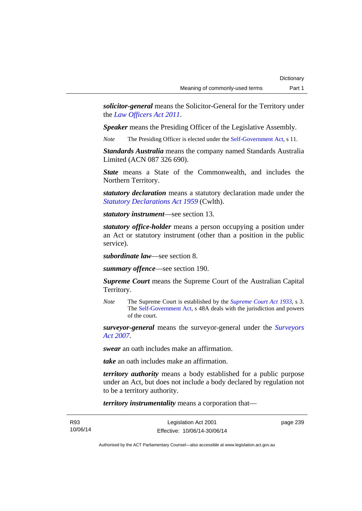*solicitor-general* means the Solicitor-General for the Territory under the *[Law Officers Act 2011](http://www.legislation.act.gov.au/a/2011-30)*.

*Speaker* means the Presiding Officer of the Legislative Assembly.

*Note* The Presiding Officer is elected under the [Self-Government Act](http://www.comlaw.gov.au/Series/C2004A03699), s 11.

*Standards Australia* means the company named Standards Australia Limited (ACN 087 326 690).

*State* means a State of the Commonwealth, and includes the Northern Territory.

*statutory declaration* means a statutory declaration made under the *[Statutory Declarations Act 1959](http://www.comlaw.gov.au/Series/C2004A07365)* (Cwlth).

*statutory instrument*—see section 13.

*statutory office-holder* means a person occupying a position under an Act or statutory instrument (other than a position in the public service).

*subordinate law*—see section 8.

*summary offence*—see section 190.

*Supreme Court* means the Supreme Court of the Australian Capital Territory.

*Note* The Supreme Court is established by the *[Supreme Court Act 1933](http://www.legislation.act.gov.au/a/1933-34)*, s 3. The [Self-Government Act](http://www.comlaw.gov.au/Series/C2004A03699), s 48A deals with the jurisdiction and powers of the court.

*surveyor-general* means the surveyor-general under the *[Surveyors](http://www.legislation.act.gov.au/a/2007-33)  [Act 2007](http://www.legislation.act.gov.au/a/2007-33)*.

*swear* an oath includes make an affirmation.

*take* an oath includes make an affirmation.

*territory authority* means a body established for a public purpose under an Act, but does not include a body declared by regulation not to be a territory authority.

*territory instrumentality* means a corporation that—

| R93      | Legislation Act 2001         | page 239 |
|----------|------------------------------|----------|
| 10/06/14 | Effective: 10/06/14-30/06/14 |          |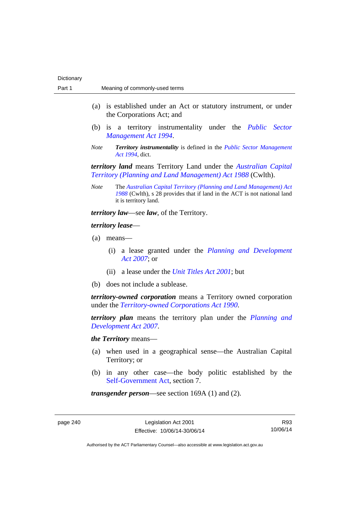- (a) is established under an Act or statutory instrument, or under the Corporations Act; and
- (b) is a territory instrumentality under the *[Public Sector](http://www.legislation.act.gov.au/a/1994-37)  [Management Act 1994](http://www.legislation.act.gov.au/a/1994-37)*.
- *Note Territory instrumentality* is defined in the *[Public Sector Management](http://www.legislation.act.gov.au/a/1994-37)  [Act 1994](http://www.legislation.act.gov.au/a/1994-37)*, dict.

*territory land* means Territory Land under the *[Australian Capital](http://www.comlaw.gov.au/Series/C2004A03701)  [Territory \(Planning and Land Management\) Act 1988](http://www.comlaw.gov.au/Series/C2004A03701)* (Cwlth).

*Note* The *[Australian Capital Territory \(Planning and Land Management\) Act](http://www.comlaw.gov.au/Series/C2004A03701)  [1988](http://www.comlaw.gov.au/Series/C2004A03701)* (Cwlth), s 28 provides that if land in the ACT is not national land it is territory land.

*territory law*—see *law*, of the Territory.

# *territory lease*—

- (a) means—
	- (i) a lease granted under the *[Planning and Development](http://www.legislation.act.gov.au/a/2007-24)  [Act 2007](http://www.legislation.act.gov.au/a/2007-24)*; or
	- (ii) a lease under the *[Unit Titles Act 2001](http://www.legislation.act.gov.au/a/2001-16)*; but
- (b) does not include a sublease.

*territory-owned corporation* means a Territory owned corporation under the *[Territory-owned Corporations Act 1990](http://www.legislation.act.gov.au/a/1990-53)*.

*territory plan* means the territory plan under the *[Planning and](http://www.legislation.act.gov.au/a/2007-24)  [Development Act 2007](http://www.legislation.act.gov.au/a/2007-24)*.

#### *the Territory* means—

- (a) when used in a geographical sense—the Australian Capital Territory; or
- (b) in any other case—the body politic established by the [Self-Government Act,](http://www.comlaw.gov.au/Series/C2004A03699) section 7.

*transgender person*—see section 169A (1) and (2).

page 240 Legislation Act 2001 Effective: 10/06/14-30/06/14

R93 10/06/14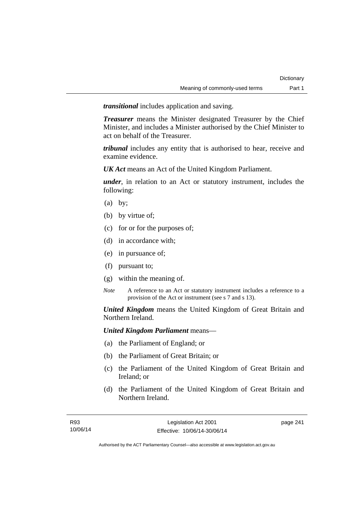*transitional* includes application and saving.

*Treasurer* means the Minister designated Treasurer by the Chief Minister, and includes a Minister authorised by the Chief Minister to act on behalf of the Treasurer.

*tribunal* includes any entity that is authorised to hear, receive and examine evidence.

*UK Act* means an Act of the United Kingdom Parliament.

*under*, in relation to an Act or statutory instrument, includes the following:

- (a) by;
- (b) by virtue of;
- (c) for or for the purposes of;
- (d) in accordance with;
- (e) in pursuance of;
- (f) pursuant to;
- (g) within the meaning of.
- *Note* A reference to an Act or statutory instrument includes a reference to a provision of the Act or instrument (see s 7 and s 13).

*United Kingdom* means the United Kingdom of Great Britain and Northern Ireland.

*United Kingdom Parliament* means—

- (a) the Parliament of England; or
- (b) the Parliament of Great Britain; or
- (c) the Parliament of the United Kingdom of Great Britain and Ireland; or
- (d) the Parliament of the United Kingdom of Great Britain and Northern Ireland.

page 241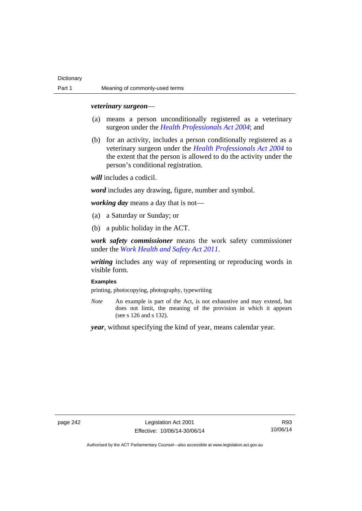#### *veterinary surgeon*—

- (a) means a person unconditionally registered as a veterinary surgeon under the *[Health Professionals Act 2004](http://www.legislation.act.gov.au/a/2004-38)*; and
- (b) for an activity, includes a person conditionally registered as a veterinary surgeon under the *[Health Professionals Act 2004](http://www.legislation.act.gov.au/a/2004-38)* to the extent that the person is allowed to do the activity under the person's conditional registration.

*will* includes a codicil.

*word* includes any drawing, figure, number and symbol.

*working day* means a day that is not—

- (a) a Saturday or Sunday; or
- (b) a public holiday in the ACT.

*work safety commissioner* means the work safety commissioner under the *[Work Health and Safety Act 2011](http://www.legislation.act.gov.au/a/2011-35)*.

*writing* includes any way of representing or reproducing words in visible form.

### **Examples**

printing, photocopying, photography, typewriting

*Note* An example is part of the Act, is not exhaustive and may extend, but does not limit, the meaning of the provision in which it appears (see s 126 and s 132).

*year*, without specifying the kind of year, means calendar year.

page 242 Legislation Act 2001 Effective: 10/06/14-30/06/14

R93 10/06/14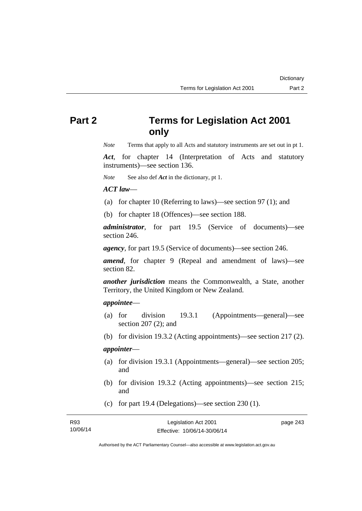# **Part 2 Terms for Legislation Act 2001 only**

*Note* Terms that apply to all Acts and statutory instruments are set out in pt 1.

*Act*, for chapter 14 (Interpretation of Acts and statutory instruments)—see section 136.

*Note* See also def *Act* in the dictionary, pt 1.

### *ACT law*—

- (a) for chapter 10 (Referring to laws)—see section 97 (1); and
- (b) for chapter 18 (Offences)—see section 188.

*administrator*, for part 19.5 (Service of documents)—see section 246.

*agency*, for part 19.5 (Service of documents)—see section 246.

*amend*, for chapter 9 (Repeal and amendment of laws)—see section 82.

*another jurisdiction* means the Commonwealth, a State, another Territory, the United Kingdom or New Zealand.

### *appointee*—

- (a) for division 19.3.1 (Appointments—general)—see section 207 (2); and
- (b) for division 19.3.2 (Acting appointments)—see section 217 (2).

# *appointer*—

- (a) for division 19.3.1 (Appointments—general)—see section 205; and
- (b) for division 19.3.2 (Acting appointments)—see section 215; and
- (c) for part 19.4 (Delegations)—see section 230 (1).

| R93      | Legislation Act 2001         | page 243 |
|----------|------------------------------|----------|
| 10/06/14 | Effective: 10/06/14-30/06/14 |          |

Authorised by the ACT Parliamentary Counsel—also accessible at www.legislation.act.gov.au

**Dictionary**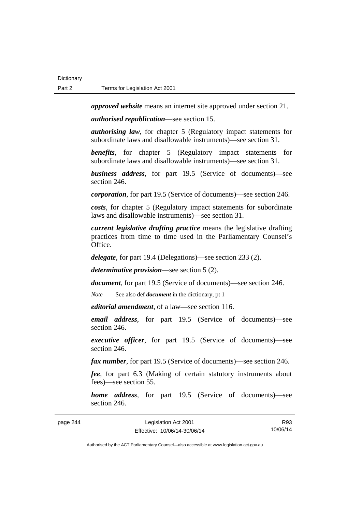*approved website* means an internet site approved under section 21.

*authorised republication*—see section 15.

*authorising law*, for chapter 5 (Regulatory impact statements for subordinate laws and disallowable instruments)—see section 31.

*benefits*, for chapter 5 (Regulatory impact statements for subordinate laws and disallowable instruments)—see section 31.

*business address*, for part 19.5 (Service of documents)—see section 246.

*corporation*, for part 19.5 (Service of documents)—see section 246.

*costs*, for chapter 5 (Regulatory impact statements for subordinate laws and disallowable instruments)—see section 31.

*current legislative drafting practice* means the legislative drafting practices from time to time used in the Parliamentary Counsel's Office.

*delegate*, for part 19.4 (Delegations)—see section 233 (2).

*determinative provision*—see section 5 (2).

*document*, for part 19.5 (Service of documents)—see section 246.

*Note* See also def *document* in the dictionary, pt 1

*editorial amendment*, of a law—see section 116.

*email address*, for part 19.5 (Service of documents)—see section 246.

*executive officer*, for part 19.5 (Service of documents)—see section 246.

*fax number*, for part 19.5 (Service of documents)—see section 246.

*fee*, for part 6.3 (Making of certain statutory instruments about fees)—see section 55.

*home address*, for part 19.5 (Service of documents)—see section 246.

page 244 Legislation Act 2001 Effective: 10/06/14-30/06/14 R93 10/06/14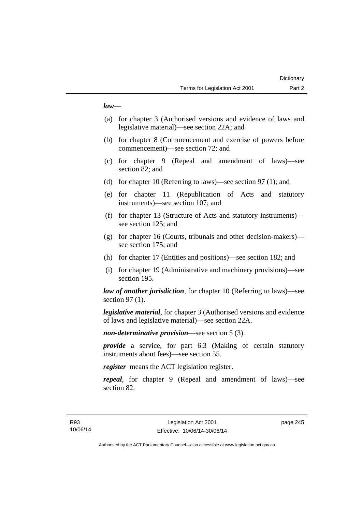### *law*—

- (a) for chapter 3 (Authorised versions and evidence of laws and legislative material)—see section 22A; and
- (b) for chapter 8 (Commencement and exercise of powers before commencement)—see section 72; and
- (c) for chapter 9 (Repeal and amendment of laws)—see section 82; and
- (d) for chapter 10 (Referring to laws)—see section 97 (1); and
- (e) for chapter 11 (Republication of Acts and statutory instruments)—see section 107; and
- (f) for chapter 13 (Structure of Acts and statutory instruments) see section 125; and
- (g) for chapter 16 (Courts, tribunals and other decision-makers) see section 175; and
- (h) for chapter 17 (Entities and positions)—see section 182; and
- (i) for chapter 19 (Administrative and machinery provisions)—see section 195.

*law of another jurisdiction*, for chapter 10 (Referring to laws)—see section 97 (1).

*legislative material*, for chapter 3 (Authorised versions and evidence of laws and legislative material)—see section 22A.

*non-determinative provision*—see section 5 (3).

*provide* a service, for part 6.3 (Making of certain statutory instruments about fees)—see section 55.

*register* means the ACT legislation register.

*repeal*, for chapter 9 (Repeal and amendment of laws)—see section 82.

page 245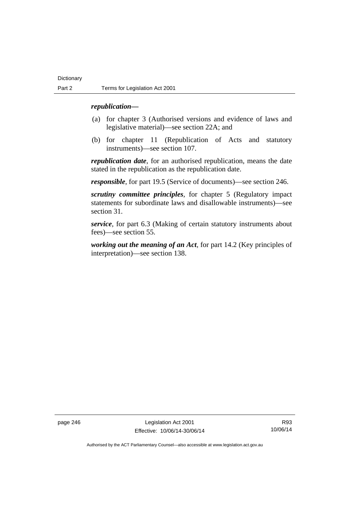### *republication—*

- (a) for chapter 3 (Authorised versions and evidence of laws and legislative material)—see section 22A; and
- (b) for chapter 11 (Republication of Acts and statutory instruments)—see section 107.

*republication date*, for an authorised republication, means the date stated in the republication as the republication date.

*responsible*, for part 19.5 (Service of documents)—see section 246.

*scrutiny committee principles*, for chapter 5 (Regulatory impact statements for subordinate laws and disallowable instruments)—see section 31.

*service*, for part 6.3 (Making of certain statutory instruments about fees)—see section 55.

*working out the meaning of an Act*, for part 14.2 (Key principles of interpretation)—see section 138.

page 246 Legislation Act 2001 Effective: 10/06/14-30/06/14

R93 10/06/14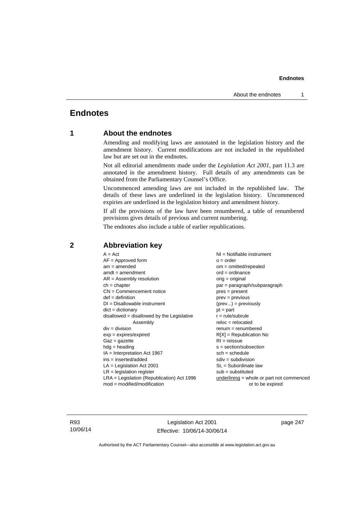# **Endnotes**

# **1 About the endnotes**

Amending and modifying laws are annotated in the legislation history and the amendment history. Current modifications are not included in the republished law but are set out in the endnotes.

Not all editorial amendments made under the *Legislation Act 2001*, part 11.3 are annotated in the amendment history. Full details of any amendments can be obtained from the Parliamentary Counsel's Office.

Uncommenced amending laws are not included in the republished law. The details of these laws are underlined in the legislation history. Uncommenced expiries are underlined in the legislation history and amendment history.

If all the provisions of the law have been renumbered, a table of renumbered provisions gives details of previous and current numbering.

The endnotes also include a table of earlier republications.

| $AF =$ Approved form<br>$am = amended$<br>$amdt = amendment$<br>$AR = Assembly resolution$<br>$ch = chapter$<br>$CN =$ Commencement notice<br>$def = definition$<br>$DI = Disallowable instrument$<br>$dict = dictionary$<br>disallowed = disallowed by the Legislative<br>Assembly<br>$div = division$ | $NI =$ Notifiable instrument<br>$o = order$<br>$om = omitted/repealed$<br>$ord = ordinance$<br>orig = original<br>par = paragraph/subparagraph<br>$pres = present$<br>$prev = previous$<br>$(\text{prev}) = \text{previously}$<br>$pt = part$<br>$r = rule/subrule$<br>$reloc = relocated$<br>$renum = renumbered$ |
|---------------------------------------------------------------------------------------------------------------------------------------------------------------------------------------------------------------------------------------------------------------------------------------------------------|--------------------------------------------------------------------------------------------------------------------------------------------------------------------------------------------------------------------------------------------------------------------------------------------------------------------|
|                                                                                                                                                                                                                                                                                                         |                                                                                                                                                                                                                                                                                                                    |
|                                                                                                                                                                                                                                                                                                         |                                                                                                                                                                                                                                                                                                                    |
|                                                                                                                                                                                                                                                                                                         |                                                                                                                                                                                                                                                                                                                    |
|                                                                                                                                                                                                                                                                                                         |                                                                                                                                                                                                                                                                                                                    |
|                                                                                                                                                                                                                                                                                                         |                                                                                                                                                                                                                                                                                                                    |
|                                                                                                                                                                                                                                                                                                         |                                                                                                                                                                                                                                                                                                                    |
|                                                                                                                                                                                                                                                                                                         |                                                                                                                                                                                                                                                                                                                    |
| $exp = expires/expired$                                                                                                                                                                                                                                                                                 | $R[X]$ = Republication No                                                                                                                                                                                                                                                                                          |
| $Gaz = gazette$                                                                                                                                                                                                                                                                                         | $RI = reissue$                                                                                                                                                                                                                                                                                                     |
| $hdg = heading$                                                                                                                                                                                                                                                                                         | $s = section/subsection$                                                                                                                                                                                                                                                                                           |
| $IA = Interpretation Act 1967$                                                                                                                                                                                                                                                                          | $sch = schedule$                                                                                                                                                                                                                                                                                                   |
| $ins = inserted/added$                                                                                                                                                                                                                                                                                  | $sdiv = subdivision$                                                                                                                                                                                                                                                                                               |
| $LA =$ Legislation Act 2001                                                                                                                                                                                                                                                                             | $SL = Subordinate$ law                                                                                                                                                                                                                                                                                             |
| $LR =$ legislation register                                                                                                                                                                                                                                                                             | $sub =$ substituted                                                                                                                                                                                                                                                                                                |
| $LRA =$ Legislation (Republication) Act 1996                                                                                                                                                                                                                                                            | $underlining = whole or part not commenced$                                                                                                                                                                                                                                                                        |
| $mod = modified/modification$                                                                                                                                                                                                                                                                           | or to be expired                                                                                                                                                                                                                                                                                                   |

# **2 Abbreviation key**

R93 10/06/14

Legislation Act 2001 Effective: 10/06/14-30/06/14 page 247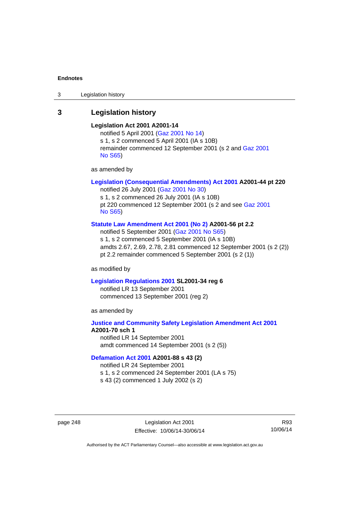3 Legislation history

# **3 Legislation history**

### **Legislation Act 2001 A2001-14**

notified 5 April 2001 ([Gaz 2001 No 14](http://www.legislation.act.gov.au/gaz/2001-14/default.asp)) s 1, s 2 commenced 5 April 2001 (IA s 10B) remainder commenced 12 September 2001 (s 2 and [Gaz 2001](http://www.legislation.act.gov.au/gaz/2001-S65/default.asp)  [No S65](http://www.legislation.act.gov.au/gaz/2001-S65/default.asp))

as amended by

### **[Legislation \(Consequential Amendments\) Act 2001](http://www.legislation.act.gov.au/a/2001-44) A2001-44 pt 220**

notified 26 July 2001 ([Gaz 2001 No 30\)](http://www.legislation.act.gov.au/gaz/2001-30/default.asp) s 1, s 2 commenced 26 July 2001 (IA s 10B) pt 220 commenced 12 September 2001 (s 2 and see [Gaz 2001](http://www.legislation.act.gov.au/gaz/2001-S65/default.asp)  [No S65](http://www.legislation.act.gov.au/gaz/2001-S65/default.asp))

#### **[Statute Law Amendment Act 2001 \(No 2\)](http://www.legislation.act.gov.au/a/2001-56) A2001-56 pt 2.2**

notified 5 September 2001 [\(Gaz 2001 No S65\)](http://www.legislation.act.gov.au/gaz/2001-S65/default.asp) s 1, s 2 commenced 5 September 2001 (IA s 10B) amdts 2.67, 2.69, 2.78, 2.81 commenced 12 September 2001 (s 2 (2)) pt 2.2 remainder commenced 5 September 2001 (s 2 (1))

as modified by

#### **[Legislation Regulations 2001](http://www.legislation.act.gov.au/sl/2001-34) SL2001-34 reg 6**

notified LR 13 September 2001 commenced 13 September 2001 (reg 2)

as amended by

### **[Justice and Community Safety Legislation Amendment Act 2001](http://www.legislation.act.gov.au/a/2001-70) A2001-70 sch 1**  notified LR 14 September 2001

amdt commenced 14 September 2001 (s 2 (5))

### **[Defamation Act 2001](http://www.legislation.act.gov.au/a/2001-88) A2001-88 s 43 (2)**

notified LR 24 September 2001

s 1, s 2 commenced 24 September 2001 (LA s 75)

s 43 (2) commenced 1 July 2002 (s 2)

page 248 Legislation Act 2001 Effective: 10/06/14-30/06/14

R93 10/06/14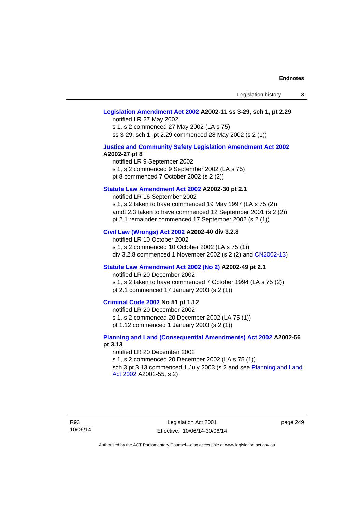### **[Legislation Amendment Act 2002](http://www.legislation.act.gov.au/a/2002-11) A2002-11 ss 3-29, sch 1, pt 2.29**

notified LR 27 May 2002 s 1, s 2 commenced 27 May 2002 (LA s 75) ss 3-29, sch 1, pt 2.29 commenced 28 May 2002 (s 2 (1))

#### **[Justice and Community Safety Legislation Amendment Act 2002](http://www.legislation.act.gov.au/a/2002-27) A2002-27 pt 8**

notified LR 9 September 2002 s 1, s 2 commenced 9 September 2002 (LA s 75) pt 8 commenced 7 October 2002 (s 2 (2))

#### **[Statute Law Amendment Act 2002](http://www.legislation.act.gov.au/a/2002-30) A2002-30 pt 2.1**

notified LR 16 September 2002 s 1, s 2 taken to have commenced 19 May 1997 (LA s 75 (2)) amdt 2.3 taken to have commenced 12 September 2001 (s 2 (2)) pt 2.1 remainder commenced 17 September 2002 (s 2 (1))

### **[Civil Law \(Wrongs\) Act 2002](http://www.legislation.act.gov.au/a/2002-40) A2002-40 div 3.2.8**

notified LR 10 October 2002 s 1, s 2 commenced 10 October 2002 (LA s 75 (1)) div 3.2.8 commenced 1 November 2002 (s 2 (2) and [CN2002-13](http://www.legislation.act.gov.au/cn/2002-13/default.asp))

#### **[Statute Law Amendment Act 2002 \(No 2\)](http://www.legislation.act.gov.au/a/2002-49) A2002-49 pt 2.1**

notified LR 20 December 2002

s 1, s 2 taken to have commenced 7 October 1994 (LA s 75 (2)) pt 2.1 commenced 17 January 2003 (s 2 (1))

### **[Criminal Code 2002](http://www.legislation.act.gov.au/a/2002-51) No 51 pt 1.12**

notified LR 20 December 2002

s 1, s 2 commenced 20 December 2002 (LA 75 (1))

pt 1.12 commenced 1 January 2003 (s 2 (1))

### **[Planning and Land \(Consequential Amendments\) Act 2002](http://www.legislation.act.gov.au/a/2002-56) A2002-56 pt 3.13**

#### notified LR 20 December 2002

s 1, s 2 commenced 20 December 2002 (LA s 75 (1)) sch 3 pt 3.13 commenced 1 July 2003 (s 2 and see Planning and Land [Act 2002](http://www.legislation.act.gov.au/a/2002-55) A2002-55, s 2)

page 249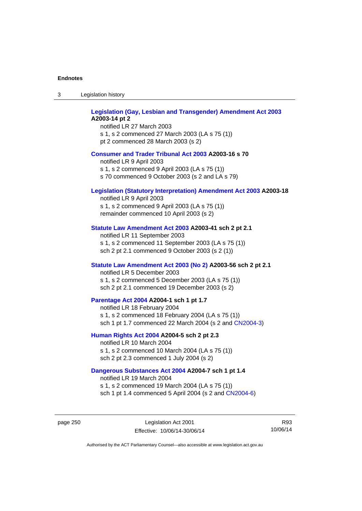| 3 | Legislation history |  |
|---|---------------------|--|
|   |                     |  |

| <b>Legislation (Gay, Lesbian and Transgender) Amendment Act 2003</b><br>A2003-14 pt 2<br>notified LR 27 March 2003<br>s 1, s 2 commenced 27 March 2003 (LA s 75 (1))<br>pt 2 commenced 28 March 2003 (s 2) |  |
|------------------------------------------------------------------------------------------------------------------------------------------------------------------------------------------------------------|--|
| <b>Consumer and Trader Tribunal Act 2003 A2003-16 s 70</b><br>notified LR 9 April 2003<br>s 1, s 2 commenced 9 April 2003 (LA s 75 (1))<br>s 70 commenced 9 October 2003 (s 2 and LA s 79)                 |  |
| Legislation (Statutory Interpretation) Amendment Act 2003 A2003-18<br>notified LR 9 April 2003<br>s 1, s 2 commenced 9 April 2003 (LA s 75 (1))<br>remainder commenced 10 April 2003 (s 2)                 |  |
| Statute Law Amendment Act 2003 A2003-41 sch 2 pt 2.1<br>notified LR 11 September 2003<br>s 1, s 2 commenced 11 September 2003 (LA s 75 (1))<br>sch 2 pt 2.1 commenced 9 October 2003 (s 2 (1))             |  |
| Statute Law Amendment Act 2003 (No 2) A2003-56 sch 2 pt 2.1<br>notified LR 5 December 2003<br>s 1, s 2 commenced 5 December 2003 (LA s 75 (1))<br>sch 2 pt 2.1 commenced 19 December 2003 (s 2)            |  |
| Parentage Act 2004 A2004-1 sch 1 pt 1.7<br>notified LR 18 February 2004<br>s 1, s 2 commenced 18 February 2004 (LA s 75 (1))<br>sch 1 pt 1.7 commenced 22 March 2004 (s 2 and CN2004-3)                    |  |
| Human Rights Act 2004 A2004-5 sch 2 pt 2.3<br>notified LR 10 March 2004<br>s 1, s 2 commenced 10 March 2004 (LA s 75 (1))<br>sch 2 pt 2.3 commenced 1 July 2004 (s 2)                                      |  |
| Dangerous Substances Act 2004 A2004-7 sch 1 pt 1.4<br>notified LR 19 March 2004                                                                                                                            |  |

s 1, s 2 commenced 19 March 2004 (LA s 75 (1)) sch 1 pt 1.4 commenced 5 April 2004 (s 2 and [CN2004-6](http://www.legislation.act.gov.au/cn/2004-6/default.asp))

page 250 Legislation Act 2001 Effective: 10/06/14-30/06/14

R93 10/06/14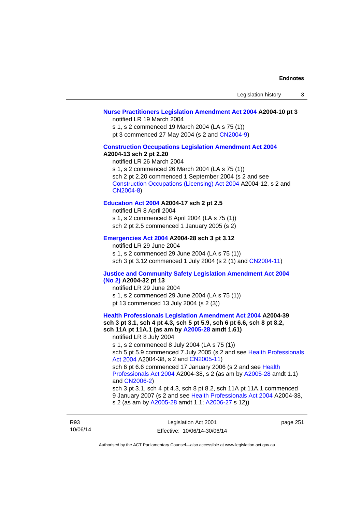### **[Nurse Practitioners Legislation Amendment Act 2004](http://www.legislation.act.gov.au/a/2004-10) A2004-10 pt 3**

notified LR 19 March 2004

s 1, s 2 commenced 19 March 2004 (LA s 75 (1))

pt 3 commenced 27 May 2004 (s 2 and [CN2004-9\)](http://www.legislation.act.gov.au/cn/2004-9/default.asp)

# **[Construction Occupations Legislation Amendment Act 2004](http://www.legislation.act.gov.au/a/2004-13)**

# **A2004-13 sch 2 pt 2.20**

notified LR 26 March 2004 s 1, s 2 commenced 26 March 2004 (LA s 75 (1)) sch 2 pt 2.20 commenced 1 September 2004 (s 2 and see [Construction Occupations \(Licensing\) Act 2004](http://www.legislation.act.gov.au/a/2004-12) A2004-12, s 2 and [CN2004-8\)](http://www.legislation.act.gov.au/cn/2004-8/default.asp)

### **[Education Act 2004](http://www.legislation.act.gov.au/a/2004-17) A2004-17 sch 2 pt 2.5**

notified LR 8 April 2004 s 1, s 2 commenced 8 April 2004 (LA s 75 (1)) sch 2 pt 2.5 commenced 1 January 2005 (s 2)

### **[Emergencies Act 2004](http://www.legislation.act.gov.au/a/2004-28) A2004-28 sch 3 pt 3.12**

notified LR 29 June 2004 s 1, s 2 commenced 29 June 2004 (LA s 75 (1)) sch 3 pt 3.12 commenced 1 July 2004 (s 2 (1) and [CN2004-11](http://www.legislation.act.gov.au/cn/2004-11/default.asp))

#### **[Justice and Community Safety Legislation Amendment Act 2004](http://www.legislation.act.gov.au/a/2004-32)  [\(No 2\)](http://www.legislation.act.gov.au/a/2004-32) A2004-32 pt 13**

notified LR 29 June 2004 s 1, s 2 commenced 29 June 2004 (LA s 75 (1)) pt 13 commenced 13 July 2004 (s 2 (3))

**[Health Professionals Legislation Amendment Act 2004](http://www.legislation.act.gov.au/a/2004-39) A2004-39 sch 3 pt 3.1, sch 4 pt 4.3, sch 5 pt 5.9, sch 6 pt 6.6, sch 8 pt 8.2, sch 11A pt 11A.1 (as am by [A2005-28](http://www.legislation.act.gov.au/a/2005-28) amdt 1.61)**  notified LR 8 July 2004 s 1, s 2 commenced 8 July 2004 (LA s 75 (1)) sch 5 pt 5.9 commenced 7 July 2005 (s 2 and see [Health Professionals](http://www.legislation.act.gov.au/a/2004-38)  [Act 2004](http://www.legislation.act.gov.au/a/2004-38) A2004-38, s 2 and [CN2005-11\)](http://www.legislation.act.gov.au/cn/2005-11/default.asp) sch 6 pt 6.6 commenced 17 January 2006 (s 2 and see [Health](http://www.legislation.act.gov.au/a/2004-38)  [Professionals Act 2004](http://www.legislation.act.gov.au/a/2004-38) A2004-38, s 2 (as am by [A2005-28](http://www.legislation.act.gov.au/a/2005-28) amdt 1.1) and [CN2006-2](http://www.legislation.act.gov.au/cn/2006-2/default.asp)) sch 3 pt 3.1, sch 4 pt 4.3, sch 8 pt 8.2, sch 11A pt 11A.1 commenced 9 January 2007 (s 2 and see [Health Professionals Act 2004](http://www.legislation.act.gov.au/a/2004-38) A2004-38, s 2 (as am by [A2005-28](http://www.legislation.act.gov.au/a/2005-28) amdt 1.1; [A2006-27](http://www.legislation.act.gov.au/a/2006-27) s 12))

page 251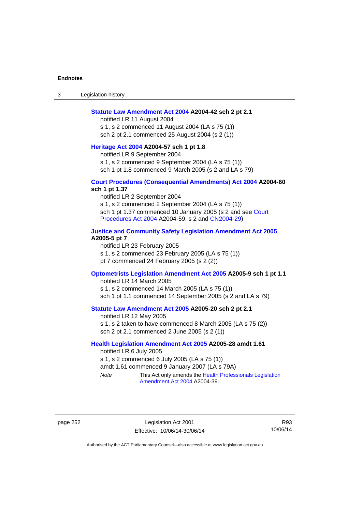3 Legislation history

#### **[Statute Law Amendment Act 2004](http://www.legislation.act.gov.au/a/2004-42) A2004-42 sch 2 pt 2.1**

notified LR 11 August 2004 s 1, s 2 commenced 11 August 2004 (LA s 75 (1)) sch 2 pt 2.1 commenced 25 August 2004 (s 2 (1))

# **[Heritage Act 2004](http://www.legislation.act.gov.au/a/2004-57) A2004-57 sch 1 pt 1.8**

notified LR 9 September 2004

s 1, s 2 commenced 9 September 2004 (LA s 75 (1))

sch 1 pt 1.8 commenced 9 March 2005 (s 2 and LA s 79)

### **[Court Procedures \(Consequential Amendments\) Act 2004](http://www.legislation.act.gov.au/a/2004-60) A2004-60 sch 1 pt 1.37**

notified LR 2 September 2004 s 1, s 2 commenced 2 September 2004 (LA s 75 (1)) sch 1 pt 1.37 commenced 10 January 2005 (s 2 and see Court [Procedures Act 2004](http://www.legislation.act.gov.au/a/2004-59) A2004-59, s 2 and [CN2004-29\)](http://www.legislation.act.gov.au/cn/2004-29/default.asp)

#### **[Justice and Community Safety Legislation Amendment Act 2005](http://www.legislation.act.gov.au/a/2005-5) A2005-5 pt 7**

notified LR 23 February 2005 s 1, s 2 commenced 23 February 2005 (LA s 75 (1)) pt 7 commenced 24 February 2005 (s 2 (2))

### **[Optometrists Legislation Amendment Act 2005](http://www.legislation.act.gov.au/a/2005-9) A2005-9 sch 1 pt 1.1**

notified LR 14 March 2005 s 1, s 2 commenced 14 March 2005 (LA s 75 (1)) sch 1 pt 1.1 commenced 14 September 2005 (s 2 and LA s 79)

# **[Statute Law Amendment Act 2005](http://www.legislation.act.gov.au/a/2005-20) A2005-20 sch 2 pt 2.1**

notified LR 12 May 2005 s 1, s 2 taken to have commenced 8 March 2005 (LA s 75 (2)) sch 2 pt 2.1 commenced 2 June 2005 (s 2 (1))

### **[Health Legislation Amendment Act 2005](http://www.legislation.act.gov.au/a/2005-28) A2005-28 amdt 1.61**

notified LR 6 July 2005 s 1, s 2 commenced 6 July 2005 (LA s 75 (1)) amdt 1.61 commenced 9 January 2007 (LA s 79A) *Note* This Act only amends the [Health Professionals Legislation](http://www.legislation.act.gov.au/a/2004-39) 

[Amendment Act 2004](http://www.legislation.act.gov.au/a/2004-39) A2004-39.

page 252 Legislation Act 2001 Effective: 10/06/14-30/06/14

R93 10/06/14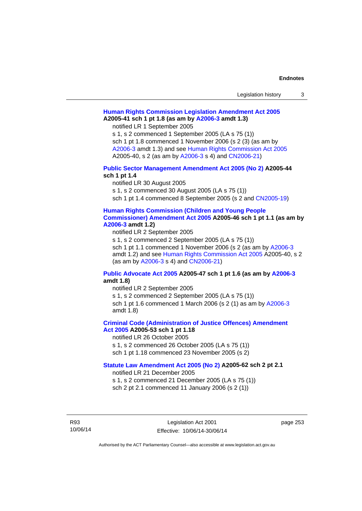| Legislation history |  |
|---------------------|--|
|---------------------|--|

# **[Human Rights Commission Legislation Amendment Act 2005](http://www.legislation.act.gov.au/a/2005-41) A2005-41 sch 1 pt 1.8 (as am by [A2006-3](http://www.legislation.act.gov.au/a/2006-3) amdt 1.3)**

notified LR 1 September 2005

s 1, s 2 commenced 1 September 2005 (LA s 75 (1)) sch 1 pt 1.8 commenced 1 November 2006 (s 2 (3) (as am by [A2006-3](http://www.legislation.act.gov.au/a/2006-3) amdt 1.3) and see [Human Rights Commission Act 2005](http://www.legislation.act.gov.au/a/2005-40) A2005-40, s 2 (as am by [A2006-3](http://www.legislation.act.gov.au/a/2006-3) s 4) and [CN2006-21](http://www.legislation.act.gov.au/cn/2006-21/default.asp))

### **[Public Sector Management Amendment Act 2005 \(No 2\)](http://www.legislation.act.gov.au/a/2005-44) A2005-44 sch 1 pt 1.4**

notified LR 30 August 2005

s 1, s 2 commenced 30 August 2005 (LA s 75 (1))

sch 1 pt 1.4 commenced 8 September 2005 (s 2 and [CN2005-19\)](http://www.legislation.act.gov.au/cn/2005-19/default.asp)

#### **[Human Rights Commission \(Children and Young People](http://www.legislation.act.gov.au/a/2005-46)  [Commissioner\) Amendment Act 2005](http://www.legislation.act.gov.au/a/2005-46) A2005-46 sch 1 pt 1.1 (as am by**

### **[A2006-3](http://www.legislation.act.gov.au/a/2006-3) amdt 1.2)**

notified LR 2 September 2005

s 1, s 2 commenced 2 September 2005 (LA s 75 (1)) sch 1 pt 1.1 commenced 1 November 2006 (s 2 (as am by [A2006-3](http://www.legislation.act.gov.au/a/2006-3) amdt 1.2) and see [Human Rights Commission Act 2005](http://www.legislation.act.gov.au/a/2005-40) A2005-40, s 2 (as am by [A2006-3](http://www.legislation.act.gov.au/a/2006-3) s 4) and [CN2006-21](http://www.legislation.act.gov.au/cn/2006-21/default.asp))

### **[Public Advocate Act 2005](http://www.legislation.act.gov.au/a/2005-47) A2005-47 sch 1 pt 1.6 (as am by [A2006-3](http://www.legislation.act.gov.au/a/2006-3) amdt 1.8)**

notified LR 2 September 2005

s 1, s 2 commenced 2 September 2005 (LA s 75 (1)) sch 1 pt 1.6 commenced 1 March 2006 (s 2 (1) as am by [A2006-3](http://www.legislation.act.gov.au/a/2006-3)

amdt 1.8)

### **[Criminal Code \(Administration of Justice Offences\) Amendment](http://www.legislation.act.gov.au/a/2005-53)**

**[Act 2005](http://www.legislation.act.gov.au/a/2005-53) A2005-53 sch 1 pt 1.18** 

notified LR 26 October 2005

s 1, s 2 commenced 26 October 2005 (LA s 75 (1)) sch 1 pt 1.18 commenced 23 November 2005 (s 2)

# **[Statute Law Amendment Act 2005 \(No 2\)](http://www.legislation.act.gov.au/a/2005-62) A2005-62 sch 2 pt 2.1**

notified LR 21 December 2005

s 1, s 2 commenced 21 December 2005 (LA s 75 (1)) sch 2 pt 2.1 commenced 11 January 2006 (s 2 (1))

R93 10/06/14 page 253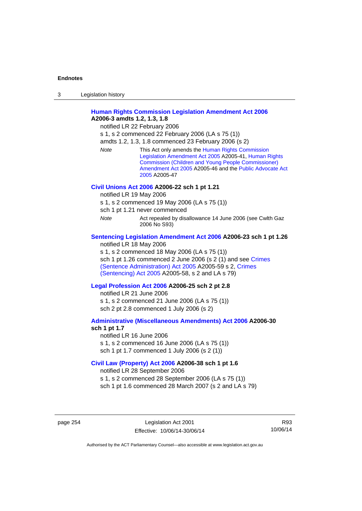| 3 | Legislation history |  |
|---|---------------------|--|
|   |                     |  |

# **[Human Rights Commission Legislation Amendment Act 2006](http://www.legislation.act.gov.au/a/2006-3) A2006-3 amdts 1.2, 1.3, 1.8**

notified LR 22 February 2006

s 1, s 2 commenced 22 February 2006 (LA s 75 (1))

amdts 1.2, 1.3, 1.8 commenced 23 February 2006 (s 2)

*Note* This Act only amends the [Human Rights Commission](http://www.legislation.act.gov.au/a/2005-41)  [Legislation Amendment Act 2005](http://www.legislation.act.gov.au/a/2005-41) A2005-41, [Human Rights](http://www.legislation.act.gov.au/a/2005-46)  [Commission \(Children and Young People Commissioner\)](http://www.legislation.act.gov.au/a/2005-46)  [Amendment Act 2005](http://www.legislation.act.gov.au/a/2005-46) A2005-46 and the [Public Advocate Act](http://www.legislation.act.gov.au/a/2005-47)  [2005](http://www.legislation.act.gov.au/a/2005-47) A2005-47

#### **[Civil Unions Act 2006](http://www.legislation.act.gov.au/a/2006-22) A2006-22 sch 1 pt 1.21**

notified LR 19 May 2006

s 1, s 2 commenced 19 May 2006 (LA s 75 (1))

sch 1 pt 1.21 never commenced

*Note* **Act repealed by disallowance 14 June 2006 (see Cwlth Gaz** 2006 No S93)

#### **[Sentencing Legislation Amendment Act 2006](http://www.legislation.act.gov.au/a/2006-23) A2006-23 sch 1 pt 1.26**

notified LR 18 May 2006

s 1, s 2 commenced 18 May 2006 (LA s 75 (1)) sch 1 pt 1.26 commenced 2 June 2006 (s 2 (1) and see [Crimes](http://www.legislation.act.gov.au/a/2005-59)  [\(Sentence Administration\) Act 2005](http://www.legislation.act.gov.au/a/2005-59) A2005-59 s 2, [Crimes](http://www.legislation.act.gov.au/a/2005-58)  [\(Sentencing\) Act 2005](http://www.legislation.act.gov.au/a/2005-58) A2005-58, s 2 and LA s 79)

#### **[Legal Profession Act 2006](http://www.legislation.act.gov.au/a/2006-25) A2006-25 sch 2 pt 2.8**

notified LR 21 June 2006 s 1, s 2 commenced 21 June 2006 (LA s 75 (1)) sch 2 pt 2.8 commenced 1 July 2006 (s 2)

#### **[Administrative \(Miscellaneous Amendments\) Act 2006](http://www.legislation.act.gov.au/a/2006-30) A2006-30 sch 1 pt 1.7**

notified LR 16 June 2006 s 1, s 2 commenced 16 June 2006 (LA s 75 (1)) sch 1 pt 1.7 commenced 1 July 2006 (s 2 (1))

#### **[Civil Law \(Property\) Act 2006](http://www.legislation.act.gov.au/a/2006-38) A2006-38 sch 1 pt 1.6**

notified LR 28 September 2006

s 1, s 2 commenced 28 September 2006 (LA s 75 (1))

sch 1 pt 1.6 commenced 28 March 2007 (s 2 and LA s 79)

page 254 Legislation Act 2001 Effective: 10/06/14-30/06/14

R93 10/06/14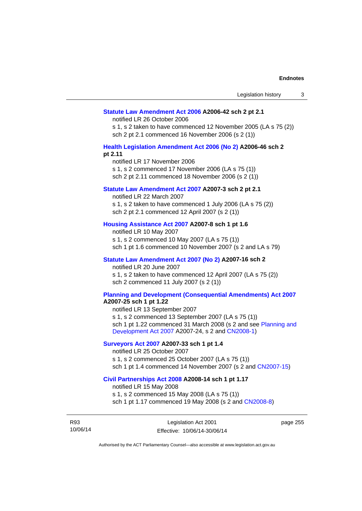#### **[Statute Law Amendment Act 2006](http://www.legislation.act.gov.au/a/2006-42) A2006-42 sch 2 pt 2.1**

notified LR 26 October 2006

s 1, s 2 taken to have commenced 12 November 2005 (LA s 75 (2)) sch 2 pt 2.1 commenced 16 November 2006 (s 2 (1))

#### **[Health Legislation Amendment Act 2006 \(No 2\)](http://www.legislation.act.gov.au/a/2006-46) A2006-46 sch 2 pt 2.11**

notified LR 17 November 2006 s 1, s 2 commenced 17 November 2006 (LA s 75 (1)) sch 2 pt 2.11 commenced 18 November 2006 (s 2 (1))

### **[Statute Law Amendment Act 2007](http://www.legislation.act.gov.au/a/2007-3) A2007-3 sch 2 pt 2.1**

notified LR 22 March 2007 s 1, s 2 taken to have commenced 1 July 2006 (LA s 75 (2)) sch 2 pt 2.1 commenced 12 April 2007 (s 2 (1))

### **[Housing Assistance Act 2007](http://www.legislation.act.gov.au/a/2007-8) A2007-8 sch 1 pt 1.6**

notified LR 10 May 2007 s 1, s 2 commenced 10 May 2007 (LA s 75 (1)) sch 1 pt 1.6 commenced 10 November 2007 (s 2 and LA s 79)

### **[Statute Law Amendment Act 2007 \(No 2\)](http://www.legislation.act.gov.au/a/2007-16) A2007-16 sch 2**

notified LR 20 June 2007 s 1, s 2 taken to have commenced 12 April 2007 (LA s 75 (2)) sch 2 commenced 11 July 2007 (s 2 (1))

# **[Planning and Development \(Consequential Amendments\) Act 2007](http://www.legislation.act.gov.au/a/2007-25)**

**A2007-25 sch 1 pt 1.22** 

notified LR 13 September 2007 s 1, s 2 commenced 13 September 2007 (LA s 75 (1)) sch 1 pt 1.22 commenced 31 March 2008 (s 2 and see [Planning and](http://www.legislation.act.gov.au/a/2007-24)  [Development Act 2007](http://www.legislation.act.gov.au/a/2007-24) A2007-24, s 2 and [CN2008-1](http://www.legislation.act.gov.au/cn/2008-1/default.asp))

### **[Surveyors Act 2007](http://www.legislation.act.gov.au/a/2007-33) A2007-33 sch 1 pt 1.4**

notified LR 25 October 2007 s 1, s 2 commenced 25 October 2007 (LA s 75 (1)) sch 1 pt 1.4 commenced 14 November 2007 (s 2 and [CN2007-15\)](http://www.legislation.act.gov.au/cn/2007-15/default.asp)

#### **[Civil Partnerships Act 2008](http://www.legislation.act.gov.au/a/2008-14) A2008-14 sch 1 pt 1.17**

notified LR 15 May 2008

s 1, s 2 commenced 15 May 2008 (LA s 75 (1)) sch 1 pt 1.17 commenced 19 May 2008 (s 2 and [CN2008-8](http://www.legislation.act.gov.au/cn/2008-8/default.asp))

R93 10/06/14 page 255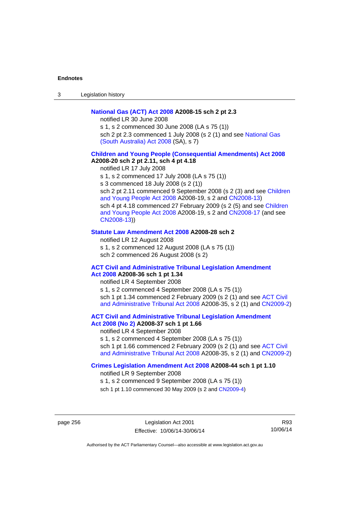3 Legislation history

### **[National Gas \(ACT\) Act 2008](http://www.legislation.act.gov.au/a/2008-15) A2008-15 sch 2 pt 2.3**

notified LR 30 June 2008

s 1, s 2 commenced 30 June 2008 (LA s 75 (1)) sch 2 pt 2.3 commenced 1 July 2008 (s 2 (1) and see National Gas [\(South Australia\) Act 2008](http://www.legislation.sa.gov.au/LZ/C/A/NATIONAL GAS (SOUTH AUSTRALIA) ACT 2008.aspx) (SA), s 7)

### **[Children and Young People \(Consequential Amendments\) Act 2008](http://www.legislation.act.gov.au/a/2008-20) A2008-20 sch 2 pt 2.11, sch 4 pt 4.18**

notified LR 17 July 2008 s 1, s 2 commenced 17 July 2008 (LA s 75 (1)) s 3 commenced 18 July 2008 (s 2 (1)) sch 2 pt 2.11 commenced 9 September 2008 (s 2 (3) and see Children [and Young People Act 2008](http://www.legislation.act.gov.au/a/2008-19) A2008-19, s 2 and [CN2008-13\)](http://www.legislation.act.gov.au/cn/2008-13/default.asp) sch 4 pt 4.18 commenced 27 February 2009 (s 2 (5) and see [Children](http://www.legislation.act.gov.au/a/2008-19)  [and Young People Act 2008](http://www.legislation.act.gov.au/a/2008-19) A2008-19, s 2 and [CN2008-17 \(](http://www.legislation.act.gov.au/cn/2008-17/default.asp)and see [CN2008-13](http://www.legislation.act.gov.au/cn/2008-13/default.asp)))

#### **[Statute Law Amendment Act 2008](http://www.legislation.act.gov.au/a/2008-28) A2008-28 sch 2**

notified LR 12 August 2008 s 1, s 2 commenced 12 August 2008 (LA s 75 (1)) sch 2 commenced 26 August 2008 (s 2)

#### **[ACT Civil and Administrative Tribunal Legislation Amendment](http://www.legislation.act.gov.au/a/2008-36)**

# **[Act 2008](http://www.legislation.act.gov.au/a/2008-36) A2008-36 sch 1 pt 1.34**

notified LR 4 September 2008 s 1, s 2 commenced 4 September 2008 (LA s 75 (1)) sch 1 pt 1.34 commenced 2 February 2009 (s 2 (1) and see [ACT Civil](http://www.legislation.act.gov.au/a/2008-35)  [and Administrative Tribunal Act 2008](http://www.legislation.act.gov.au/a/2008-35) A2008-35, s 2 (1) and [CN2009-2](http://www.legislation.act.gov.au/cn/2009-2/default.asp))

**[ACT Civil and Administrative Tribunal Legislation Amendment](http://www.legislation.act.gov.au/a/2008-37)** 

# **[Act 2008 \(No 2\)](http://www.legislation.act.gov.au/a/2008-37) A2008-37 sch 1 pt 1.66**

notified LR 4 September 2008

s 1, s 2 commenced 4 September 2008 (LA s 75 (1)) sch 1 pt 1.66 commenced 2 February 2009 (s 2 (1) and see [ACT Civil](http://www.legislation.act.gov.au/a/2008-35) 

[and Administrative Tribunal Act 2008](http://www.legislation.act.gov.au/a/2008-35) A2008-35, s 2 (1) and [CN2009-2](http://www.legislation.act.gov.au/cn/2009-2/default.asp))

# **[Crimes Legislation Amendment Act 2008](http://www.legislation.act.gov.au/a/2008-44) A2008-44 sch 1 pt 1.10**

notified LR 9 September 2008

s 1, s 2 commenced 9 September 2008 (LA s 75 (1))

sch 1 pt 1.10 commenced 30 May 2009 (s 2 and [CN2009-4](http://www.legislation.act.gov.au/cn/2009-4/default.asp))

page 256 Legislation Act 2001 Effective: 10/06/14-30/06/14

R93 10/06/14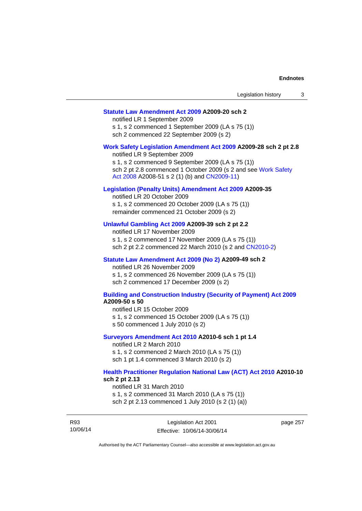#### **[Statute Law Amendment Act 2009](http://www.legislation.act.gov.au/a/2009-20) A2009-20 sch 2**

notified LR 1 September 2009 s 1, s 2 commenced 1 September 2009 (LA s 75 (1)) sch 2 commenced 22 September 2009 (s 2)

#### **[Work Safety Legislation Amendment Act 2009](http://www.legislation.act.gov.au/a/2009-28) A2009-28 sch 2 pt 2.8**

notified LR 9 September 2009 s 1, s 2 commenced 9 September 2009 (LA s 75 (1)) sch 2 pt 2.8 commenced 1 October 2009 (s 2 and see [Work Safety](http://www.legislation.act.gov.au/a/2008-51)  [Act 2008](http://www.legislation.act.gov.au/a/2008-51) A2008-51 s 2 (1) (b) and [CN2009-11](http://www.legislation.act.gov.au/cn/2009-11/default.asp))

#### **[Legislation \(Penalty Units\) Amendment Act 2009](http://www.legislation.act.gov.au/a/2009-35) A2009-35**

notified LR 20 October 2009 s 1, s 2 commenced 20 October 2009 (LA s 75 (1)) remainder commenced 21 October 2009 (s 2)

### **[Unlawful Gambling Act 2009](http://www.legislation.act.gov.au/a/2009-39) A2009-39 sch 2 pt 2.2**

notified LR 17 November 2009 s 1, s 2 commenced 17 November 2009 (LA s 75 (1)) sch 2 pt 2.2 commenced 22 March 2010 (s 2 and [CN2010-2\)](http://www.legislation.act.gov.au/cn/2010-2/default.asp)

#### **[Statute Law Amendment Act 2009 \(No 2\)](http://www.legislation.act.gov.au/a/2009-49) A2009-49 sch 2**

notified LR 26 November 2009 s 1, s 2 commenced 26 November 2009 (LA s 75 (1)) sch 2 commenced 17 December 2009 (s 2)

#### **[Building and Construction Industry \(Security of Payment\) Act 2009](http://www.legislation.act.gov.au/a/2009-50) A2009-50 s 50**

notified LR 15 October 2009

- s 1, s 2 commenced 15 October 2009 (LA s 75 (1))
- s 50 commenced 1 July 2010 (s 2)

#### **[Surveyors Amendment Act 2010](http://www.legislation.act.gov.au/a/2010-6) A2010-6 sch 1 pt 1.4**

notified LR 2 March 2010 s 1, s 2 commenced 2 March 2010 (LA s 75 (1)) sch 1 pt 1.4 commenced 3 March 2010 (s 2)

#### **[Health Practitioner Regulation National Law \(ACT\) Act 2010](http://www.legislation.act.gov.au/a/2010-10) A2010-10 sch 2 pt 2.13**

notified LR 31 March 2010

s 1, s 2 commenced 31 March 2010 (LA s 75 (1)) sch 2 pt 2.13 commenced 1 July 2010 (s 2 (1) (a))

R93 10/06/14 page 257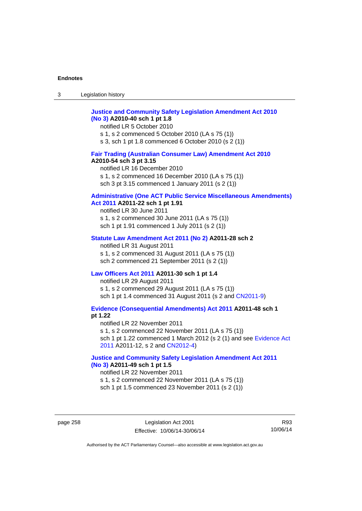# **[Justice and Community Safety Legislation Amendment Act 2010](http://www.legislation.act.gov.au/a/2010-40)  [\(No 3\)](http://www.legislation.act.gov.au/a/2010-40) A2010-40 sch 1 pt 1.8**

notified LR 5 October 2010 s 1, s 2 commenced 5 October 2010 (LA s 75 (1)) s 3, sch 1 pt 1.8 commenced 6 October 2010 (s 2 (1))

### **[Fair Trading \(Australian Consumer Law\) Amendment Act 2010](http://www.legislation.act.gov.au/a/2010-54) A2010-54 sch 3 pt 3.15**

notified LR 16 December 2010 s 1, s 2 commenced 16 December 2010 (LA s 75 (1)) sch 3 pt 3.15 commenced 1 January 2011 (s 2 (1))

# **[Administrative \(One ACT Public Service Miscellaneous Amendments\)](http://www.legislation.act.gov.au/a/2011-22)**

# **[Act 2011](http://www.legislation.act.gov.au/a/2011-22) A2011-22 sch 1 pt 1.91**

notified LR 30 June 2011 s 1, s 2 commenced 30 June 2011 (LA s 75 (1)) sch 1 pt 1.91 commenced 1 July 2011 (s 2 (1))

#### **[Statute Law Amendment Act 2011 \(No 2\)](http://www.legislation.act.gov.au/a/2011-28) A2011-28 sch 2**

notified LR 31 August 2011 s 1, s 2 commenced 31 August 2011 (LA s 75 (1)) sch 2 commenced 21 September 2011 (s 2 (1))

### **[Law Officers Act 2011](http://www.legislation.act.gov.au/a/2011-30) A2011-30 sch 1 pt 1.4**

notified LR 29 August 2011 s 1, s 2 commenced 29 August 2011 (LA s 75 (1)) sch 1 pt 1.4 commenced 31 August 2011 (s 2 and [CN2011-9](http://www.legislation.act.gov.au/cn/2011-9/default.asp))

**[Evidence \(Consequential Amendments\) Act 2011](http://www.legislation.act.gov.au/a/2011-48) A2011-48 sch 1 pt 1.22** 

notified LR 22 November 2011 s 1, s 2 commenced 22 November 2011 (LA s 75 (1)) sch 1 pt 1.22 commenced 1 March 2012 (s 2 (1) and see [Evidence Act](http://www.legislation.act.gov.au/a/2011-12)  [2011](http://www.legislation.act.gov.au/a/2011-12) A2011-12, s 2 and [CN2012-4](http://www.legislation.act.gov.au/cn/2012-4/default.asp))

### **[Justice and Community Safety Legislation Amendment Act 2011](http://www.legislation.act.gov.au/a/2011-49)  [\(No 3\)](http://www.legislation.act.gov.au/a/2011-49) A2011-49 sch 1 pt 1.5**

notified LR 22 November 2011 s 1, s 2 commenced 22 November 2011 (LA s 75 (1)) sch 1 pt 1.5 commenced 23 November 2011 (s 2 (1))

page 258 Legislation Act 2001 Effective: 10/06/14-30/06/14

R93 10/06/14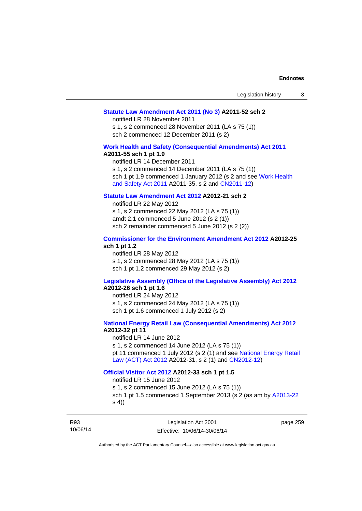#### **[Statute Law Amendment Act 2011 \(No 3\)](http://www.legislation.act.gov.au/a/2011-52) A2011-52 sch 2**

notified LR 28 November 2011

s 1, s 2 commenced 28 November 2011 (LA s 75 (1)) sch 2 commenced 12 December 2011 (s 2)

### **[Work Health and Safety \(Consequential Amendments\) Act 2011](http://www.legislation.act.gov.au/a/2011-55)**

#### **A2011-55 sch 1 pt 1.9**

notified LR 14 December 2011 s 1, s 2 commenced 14 December 2011 (LA s 75 (1)) sch 1 pt 1.9 commenced 1 January 2012 (s 2 and see Work Health [and Safety Act 2011](http://www.legislation.act.gov.au/a/2011-35) A2011-35, s 2 and [CN2011-12\)](http://www.legislation.act.gov.au/cn/2011-12/default.asp)

# **[Statute Law Amendment Act 2012](http://www.legislation.act.gov.au/a/2012-21) A2012-21 sch 2**

notified LR 22 May 2012 s 1, s 2 commenced 22 May 2012 (LA s 75 (1)) amdt 2.1 commenced 5 June 2012 (s 2 (1)) sch 2 remainder commenced 5 June 2012 (s 2 (2))

#### **[Commissioner for the Environment Amendment Act 2012](http://www.legislation.act.gov.au/a/2012-25) A2012-25 sch 1 pt 1.2**

notified LR 28 May 2012 s 1, s 2 commenced 28 May 2012 (LA s 75 (1)) sch 1 pt 1.2 commenced 29 May 2012 (s 2)

# **[Legislative Assembly \(Office of the Legislative Assembly\) Act 2012](http://www.legislation.act.gov.au/a/2012-26)**

# **A2012-26 sch 1 pt 1.6**

notified LR 24 May 2012 s 1, s 2 commenced 24 May 2012 (LA s 75 (1)) sch 1 pt 1.6 commenced 1 July 2012 (s 2)

### **[National Energy Retail Law \(Consequential Amendments\) Act 2012](http://www.legislation.act.gov.au/a/2012-32) A2012-32 pt 11**

notified LR 14 June 2012 s 1, s 2 commenced 14 June 2012 (LA s 75 (1)) pt 11 commenced 1 July 2012 (s 2 (1) and see [National Energy Retail](http://www.legislation.act.gov.au/a/2012-31)  [Law \(ACT\) Act 2012](http://www.legislation.act.gov.au/a/2012-31) A2012-31, s 2 (1) and [CN2012-12\)](http://www.legislation.act.gov.au/cn/2012-12/default.asp)

#### **[Official Visitor Act 2012](http://www.legislation.act.gov.au/a/2012-33) A2012-33 sch 1 pt 1.5**

notified LR 15 June 2012

s 1, s 2 commenced 15 June 2012 (LA s 75 (1)) sch 1 pt 1.5 commenced 1 September 2013 (s 2 (as am by [A2013-22](http://www.legislation.act.gov.au/a/2013-22) s 4))

R93 10/06/14 page 259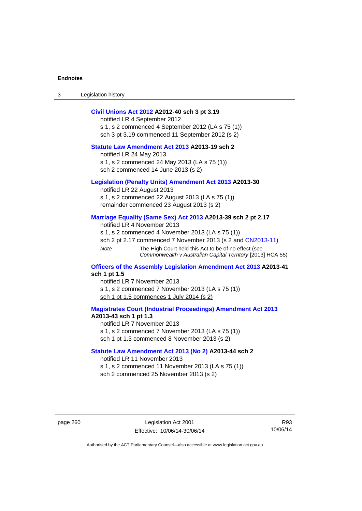3 Legislation history

### **[Civil Unions Act 2012](http://www.legislation.act.gov.au/a/2012-40) A2012-40 sch 3 pt 3.19**

notified LR 4 September 2012 s 1, s 2 commenced 4 September 2012 (LA s 75 (1)) sch 3 pt 3.19 commenced 11 September 2012 (s 2)

### **[Statute Law Amendment Act 2013](http://www.legislation.act.gov.au/a/2013-19) A2013-19 sch 2**

notified LR 24 May 2013 s 1, s 2 commenced 24 May 2013 (LA s 75 (1)) sch 2 commenced 14 June 2013 (s 2)

#### **[Legislation \(Penalty Units\) Amendment Act 2013](http://www.legislation.act.gov.au/a/2013-30) A2013-30**

notified LR 22 August 2013 s 1, s 2 commenced 22 August 2013 (LA s 75 (1)) remainder commenced 23 August 2013 (s 2)

#### **[Marriage Equality \(Same Sex\) Act 2013](http://www.legislation.act.gov.au/a/2013-39) A2013-39 sch 2 pt 2.17**

notified LR 4 November 2013 s 1, s 2 commenced 4 November 2013 (LA s 75 (1)) sch 2 pt 2.17 commenced 7 November 2013 (s 2 and [CN2013-11\)](http://www.legislation.act.gov.au/cn/2013-11) *Note* The High Court held this Act to be of no effect (see *Commonwealth v Australian Capital Territory* [2013] HCA 55)

#### **[Officers of the Assembly Legislation Amendment Act 2013](http://www.legislation.act.gov.au/a/2013-41) A2013-41 sch 1 pt 1.5**

notified LR 7 November 2013 s 1, s 2 commenced 7 November 2013 (LA s 75 (1)) sch 1 pt 1.5 commences 1 July 2014 (s 2)

**[Magistrates Court \(Industrial Proceedings\) Amendment Act 2013](http://www.legislation.act.gov.au/a/2013-43) A2013-43 sch 1 pt 1.3**  notified LR 7 November 2013

s 1, s 2 commenced 7 November 2013 (LA s 75 (1))

sch 1 pt 1.3 commenced 8 November 2013 (s 2)

#### **[Statute Law Amendment Act 2013 \(No 2\)](http://www.legislation.act.gov.au/a/2013-44) A2013-44 sch 2**  notified LR 11 November 2013

s 1, s 2 commenced 11 November 2013 (LA s 75 (1)) sch 2 commenced 25 November 2013 (s 2)

page 260 Legislation Act 2001 Effective: 10/06/14-30/06/14

R93 10/06/14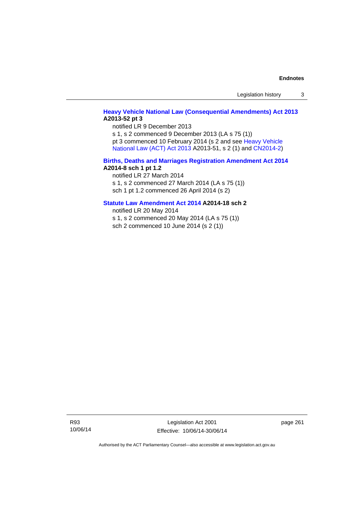Legislation history 3

### **[Heavy Vehicle National Law \(Consequential Amendments\) Act 2013](http://www.legislation.act.gov.au/a/2013-52) A2013-52 pt 3**

notified LR 9 December 2013

s 1, s 2 commenced 9 December 2013 (LA s 75 (1)) pt 3 commenced 10 February 2014 (s 2 and see [Heavy Vehicle](http://www.legislation.act.gov.au/a/2013-51/default.asp) 

[National Law \(ACT\) Act 2013](http://www.legislation.act.gov.au/a/2013-51/default.asp) A2013-51, s 2 (1) and [CN2014-2](http://www.legislation.act.gov.au/cn/2014-2/default.asp))

#### **[Births, Deaths and Marriages Registration Amendment Act 2014](http://www.legislation.act.gov.au/a/2014-8) A2014-8 sch 1 pt 1.2**

notified LR 27 March 2014 s 1, s 2 commenced 27 March 2014 (LA s 75 (1)) sch 1 pt 1.2 commenced 26 April 2014 (s 2)

# **[Statute Law Amendment Act 2014](http://www.legislation.act.gov.au/a/2014-18) A2014-18 sch 2**

notified LR 20 May 2014 s 1, s 2 commenced 20 May 2014 (LA s 75 (1))

sch 2 commenced 10 June 2014 (s 2 (1))

R93 10/06/14

Legislation Act 2001 Effective: 10/06/14-30/06/14 page 261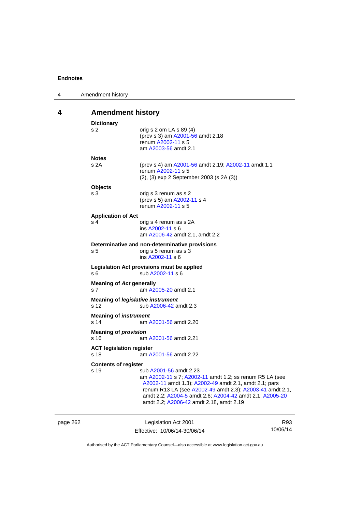| 4 | Amendment history                                |                                                                                                                                                                                                                                                                                                              |
|---|--------------------------------------------------|--------------------------------------------------------------------------------------------------------------------------------------------------------------------------------------------------------------------------------------------------------------------------------------------------------------|
| 4 | <b>Amendment history</b>                         |                                                                                                                                                                                                                                                                                                              |
|   | <b>Dictionary</b><br>s 2                         | orig s 2 om LA s 89 (4)<br>(prev s 3) am A2001-56 amdt 2.18<br>renum A2002-11 s 5<br>am A2003-56 amdt 2.1                                                                                                                                                                                                    |
|   | <b>Notes</b><br>s 2A                             | (prev s 4) am A2001-56 amdt 2.19; A2002-11 amdt 1.1<br>renum A2002-11 s 5<br>(2), (3) exp 2 September 2003 (s 2A (3))                                                                                                                                                                                        |
|   | <b>Objects</b><br>s 3                            | orig s 3 renum as s 2<br>(prev s 5) am A2002-11 s 4<br>renum A2002-11 s 5                                                                                                                                                                                                                                    |
|   | <b>Application of Act</b><br>s 4                 | orig s 4 renum as s 2A<br>ins A2002-11 s 6<br>am A2006-42 amdt 2.1, amdt 2.2                                                                                                                                                                                                                                 |
|   | s <sub>5</sub>                                   | Determinative and non-determinative provisions<br>orig s 5 renum as s 3<br>ins A2002-11 s 6                                                                                                                                                                                                                  |
|   | s 6                                              | Legislation Act provisions must be applied<br>sub A2002-11 s 6                                                                                                                                                                                                                                               |
|   | <b>Meaning of Act generally</b><br>s 7           | am A2005-20 amdt 2.1                                                                                                                                                                                                                                                                                         |
|   | <b>Meaning of legislative instrument</b><br>s 12 | sub A2006-42 amdt 2.3                                                                                                                                                                                                                                                                                        |
|   | <b>Meaning of instrument</b><br>s 14             | am A2001-56 amdt 2.20                                                                                                                                                                                                                                                                                        |
|   | <b>Meaning of provision</b><br>s 16              | am A2001-56 amdt 2.21                                                                                                                                                                                                                                                                                        |
|   | <b>ACT legislation register</b><br>s 18          | am A2001-56 amdt 2.22                                                                                                                                                                                                                                                                                        |
|   | <b>Contents of register</b><br>s 19              | sub A2001-56 amdt 2.23<br>am A2002-11 s 7; A2002-11 amdt 1.2; ss renum R5 LA (see<br>A2002-11 amdt 1.3); A2002-49 amdt 2.1, amdt 2.1; pars<br>renum R13 LA (see A2002-49 amdt 2.3); A2003-41 amdt 2.1,<br>amdt 2.2; A2004-5 amdt 2.6; A2004-42 amdt 2.1; A2005-20<br>amdt 2.2; A2006-42 amdt 2.18, amdt 2.19 |

page 262 Legislation Act 2001 Effective: 10/06/14-30/06/14 R93 10/06/14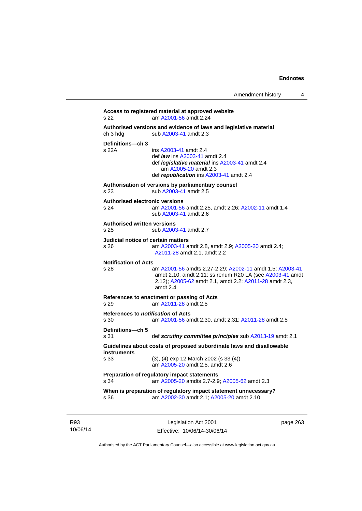```
Access to registered material at approved website 
s 22 am A2001-56 amdt 2.24
Authorised versions and evidence of laws and legislative material 
A2003-41 amdt 2.3
Definitions—ch 3 
                 A2003-41 amdt 2.4
                  def law ins A2003-41 amdt 2.4 
                  def legislative material ins A2003-41 amdt 2.4 
                     am A2005-20 amdt 2.3
                  def republication ins A2003-41 amdt 2.4
Authorisation of versions by parliamentary counsel 
s 23 sub A2003-41 amdt 2.5 
Authorised electronic versions 
s 24 am A2001-56 amdt 2.25, amdt 2.26; A2002-11 amdt 1.4
                  sub A2003-41 amdt 2.6 
Authorised written versions 
s 25 sub A2003-41 amdt 2.7 
Judicial notice of certain matters 
s 26 am A2003-41 amdt 2.8, amdt 2.9; A2005-20 amdt 2.4; 
                 A2011-28 amdt 2.1, amdt 2.2 
Notification of Acts 
s 28 am A2001-56 amdts 2.27-2.29; A2002-11 amdt 1.5; A2003-41
                 amdt 2.10, amdt 2.11; ss renum R20 LA (see A2003-41 amdt 
                 2.12); A2005-62 amdt 2.1, amdt 2.2; A2011-28 amdt 2.3, 
                 amdt 2.4
References to enactment or passing of Acts 
s 29 am A2011-28 amdt 2.5
References to notification of Acts 
s 30 am A2001-56 amdt 2.30, amdt 2.31; A2011-28 amdt 2.5
Definitions—ch 5 
s 31 def scrutiny committee principles sub A2013-19 amdt 2.1
Guidelines about costs of proposed subordinate laws and disallowable 
instruments 
s 33 (3), (4) exp 12 March 2002 (s 33 (4)) 
                  am A2005-20 amdt 2.5, amdt 2.6 
Preparation of regulatory impact statements 
s 34 am A2005-20 amdts 2.7-2.9; A2005-62 amdt 2.3 
When is preparation of regulatory impact statement unnecessary? 
s 36 am A2002-30 amdt 2.1; A2005-20 amdt 2.10
```
R93 10/06/14

Legislation Act 2001 Effective: 10/06/14-30/06/14 page 263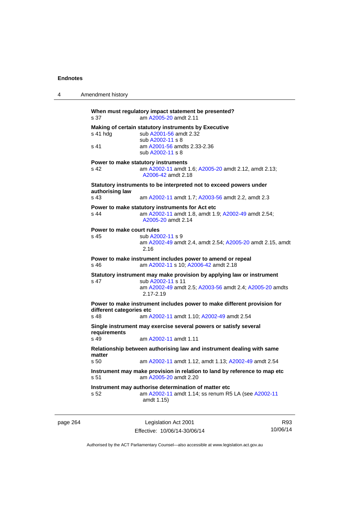| 4        | Amendment history                 |                                                                                                                                                                        |     |
|----------|-----------------------------------|------------------------------------------------------------------------------------------------------------------------------------------------------------------------|-----|
|          | s 37                              | When must regulatory impact statement be presented?<br>am A2005-20 amdt 2.11                                                                                           |     |
|          | s 41 hdg                          | Making of certain statutory instruments by Executive<br>sub A2001-56 amdt 2.32<br>sub A2002-11 s 8                                                                     |     |
|          | s 41                              | am A2001-56 amdts 2.33-2.36<br>sub A2002-11 s 8                                                                                                                        |     |
|          | s 42                              | Power to make statutory instruments<br>am A2002-11 amdt 1.6; A2005-20 amdt 2.12, amdt 2.13;<br>A2006-42 amdt 2.18                                                      |     |
|          | authorising law                   | Statutory instruments to be interpreted not to exceed powers under                                                                                                     |     |
|          | s 43                              | am A2002-11 amdt 1.7; A2003-56 amdt 2.2, amdt 2.3                                                                                                                      |     |
|          | s 44                              | Power to make statutory instruments for Act etc<br>am A2002-11 amdt 1.8, amdt 1.9; A2002-49 amdt 2.54;<br>A2005-20 amdt 2.14                                           |     |
|          | Power to make court rules<br>s 45 | sub A2002-11 s 9<br>am A2002-49 amdt 2.4, amdt 2.54; A2005-20 amdt 2.15, amdt<br>2.16                                                                                  |     |
|          | s 46                              | Power to make instrument includes power to amend or repeal<br>am A2002-11 s 10; A2006-42 amdt 2.18                                                                     |     |
|          | s 47                              | Statutory instrument may make provision by applying law or instrument<br>sub A2002-11 s 11<br>am A2002-49 amdt 2.5; A2003-56 amdt 2.4; A2005-20 amdts<br>$2.17 - 2.19$ |     |
|          | different categories etc<br>s 48  | Power to make instrument includes power to make different provision for<br>am A2002-11 amdt 1.10; A2002-49 amdt 2.54                                                   |     |
|          | requirements                      | Single instrument may exercise several powers or satisfy several                                                                                                       |     |
|          | s 49                              | am A2002-11 amdt 1.11                                                                                                                                                  |     |
|          | matter                            | Relationship between authorising law and instrument dealing with same                                                                                                  |     |
|          | s 50                              | am A2002-11 amdt 1.12, amdt 1.13; A2002-49 amdt 2.54                                                                                                                   |     |
|          | s 51                              | Instrument may make provision in relation to land by reference to map etc<br>am A2005-20 amdt 2.20                                                                     |     |
|          | s 52                              | Instrument may authorise determination of matter etc<br>am A2002-11 amdt 1.14; ss renum R5 LA (see A2002-11<br>amdt 1.15)                                              |     |
| page 264 |                                   | Legislation Act 2001                                                                                                                                                   | R93 |

Authorised by the ACT Parliamentary Counsel—also accessible at www.legislation.act.gov.au

10/06/14

Effective: 10/06/14-30/06/14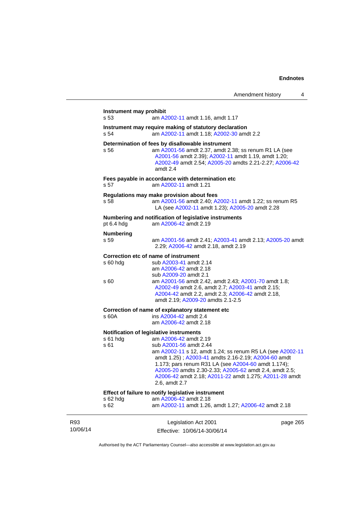|                 | Instrument may prohibit<br>s 53 | am A2002-11 amdt 1.16, amdt 1.17                                                                                                                                                                                                                                                                                                                                                                           |          |
|-----------------|---------------------------------|------------------------------------------------------------------------------------------------------------------------------------------------------------------------------------------------------------------------------------------------------------------------------------------------------------------------------------------------------------------------------------------------------------|----------|
|                 | s 54                            | Instrument may require making of statutory declaration<br>am A2002-11 amdt 1.18; A2002-30 amdt 2.2                                                                                                                                                                                                                                                                                                         |          |
|                 | s 56                            | Determination of fees by disallowable instrument<br>am A2001-56 amdt 2.37, amdt 2.38; ss renum R1 LA (see<br>A2001-56 amdt 2.39); A2002-11 amdt 1.19, amdt 1.20;<br>A2002-49 amdt 2.54; A2005-20 amdts 2.21-2.27; A2006-42<br>amdt 2.4                                                                                                                                                                     |          |
|                 | s 57                            | Fees payable in accordance with determination etc<br>am A2002-11 amdt 1.21                                                                                                                                                                                                                                                                                                                                 |          |
|                 | s 58                            | Regulations may make provision about fees<br>am A2001-56 amdt 2.40; A2002-11 amdt 1.22; ss renum R5<br>LA (see A2002-11 amdt 1.23); A2005-20 amdt 2.28                                                                                                                                                                                                                                                     |          |
|                 | pt 6.4 hdg                      | Numbering and notification of legislative instruments<br>am A2006-42 amdt 2.19                                                                                                                                                                                                                                                                                                                             |          |
|                 | <b>Numbering</b><br>s 59        | am A2001-56 amdt 2.41; A2003-41 amdt 2.13; A2005-20 amdt<br>2.29; A2006-42 amdt 2.18, amdt 2.19                                                                                                                                                                                                                                                                                                            |          |
|                 | $s60h$ dg<br>s 60               | Correction etc of name of instrument<br>sub A2003-41 amdt 2.14<br>am A2006-42 amdt 2.18<br>sub A2009-20 amdt 2.1<br>am A2001-56 amdt 2.42, amdt 2.43; A2001-70 amdt 1.8;                                                                                                                                                                                                                                   |          |
|                 |                                 | A2002-49 amdt 2.6, amdt 2.7; A2003-41 amdt 2.15;<br>A2004-42 amdt 2.2, amdt 2.3; A2006-42 amdt 2.18,<br>amdt 2.19; A2009-20 amdts 2.1-2.5                                                                                                                                                                                                                                                                  |          |
|                 |                                 | Correction of name of explanatory statement etc                                                                                                                                                                                                                                                                                                                                                            |          |
|                 | s 60A                           | ins A2004-42 amdt 2.4<br>am A2006-42 amdt 2.18                                                                                                                                                                                                                                                                                                                                                             |          |
|                 | s 61 hdg<br>s 61                | Notification of legislative instruments<br>am A2006-42 amdt 2.19<br>sub A2001-56 amdt 2.44<br>am A2002-11 s 12, amdt 1.24; ss renum R5 LA (see A2002-11<br>amdt 1.25); A2003-41 amdts 2.16-2.19; A2004-60 amdt<br>1.173; pars renum R31 LA (see A2004-60 amdt 1.174);<br>A2005-20 amdts 2.30-2.33; A2005-62 amdt 2.4, amdt 2.5;<br>A2006-42 amdt 2.18; A2011-22 amdt 1.275; A2011-28 amdt<br>2.6, amdt 2.7 |          |
|                 | s 62 hdg<br>s 62                | Effect of failure to notify legislative instrument<br>am A2006-42 amdt 2.18<br>am A2002-11 amdt 1.26, amdt 1.27; A2006-42 amdt 2.18                                                                                                                                                                                                                                                                        |          |
| R93<br>10/06/14 |                                 | Legislation Act 2001<br>Effective: 10/06/14-30/06/14                                                                                                                                                                                                                                                                                                                                                       | page 265 |

Authorised by the ACT Parliamentary Counsel—also accessible at www.legislation.act.gov.au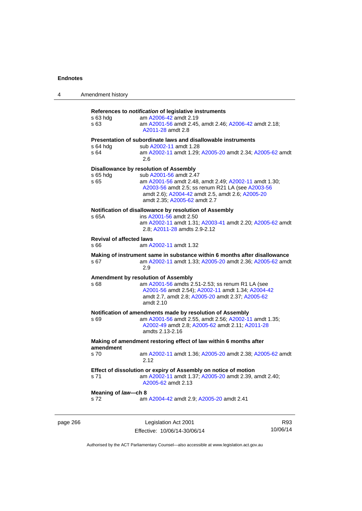| 4        | Amendment history                       |                                                                                                                                                                                                                                                                   |     |
|----------|-----------------------------------------|-------------------------------------------------------------------------------------------------------------------------------------------------------------------------------------------------------------------------------------------------------------------|-----|
|          | $s$ 63 hdg<br>s 63                      | References to notification of legislative instruments<br>am A2006-42 amdt 2.19<br>am A2001-56 amdt 2.45, amdt 2.46; A2006-42 amdt 2.18;<br>A2011-28 amdt 2.8                                                                                                      |     |
|          | s 64 hdg<br>s 64                        | Presentation of subordinate laws and disallowable instruments<br>sub A2002-11 amdt 1.28<br>am A2002-11 amdt 1.29; A2005-20 amdt 2.34; A2005-62 amdt<br>2.6                                                                                                        |     |
|          | s 65 hdg<br>s 65                        | Disallowance by resolution of Assembly<br>sub A2001-56 amdt 2.47<br>am A2001-56 amdt 2.48, amdt 2.49; A2002-11 amdt 1.30;<br>A2003-56 amdt 2.5; ss renum R21 LA (see A2003-56<br>amdt 2.6); A2004-42 amdt 2.5, amdt 2.6; A2005-20<br>amdt 2.35; A2005-62 amdt 2.7 |     |
|          | s 65A                                   | Notification of disallowance by resolution of Assembly<br>ins A2001-56 amdt 2.50<br>am A2002-11 amdt 1.31; A2003-41 amdt 2.20; A2005-62 amdt<br>2.8; A2011-28 amdts 2.9-2.12                                                                                      |     |
|          | <b>Revival of affected laws</b><br>s 66 | am A2002-11 amdt 1.32                                                                                                                                                                                                                                             |     |
|          | s 67                                    | Making of instrument same in substance within 6 months after disallowance<br>am A2002-11 amdt 1.33; A2005-20 amdt 2.36; A2005-62 amdt<br>2.9                                                                                                                      |     |
|          | s 68                                    | Amendment by resolution of Assembly<br>am A2001-56 amdts 2.51-2.53; ss renum R1 LA (see<br>A2001-56 amdt 2.54); A2002-11 amdt 1.34; A2004-42<br>amdt 2.7, amdt 2.8; A2005-20 amdt 2.37; A2005-62<br>amdt 2.10                                                     |     |
|          | s 69                                    | Notification of amendments made by resolution of Assembly<br>am A2001-56 amdt 2.55, amdt 2.56; A2002-11 amdt 1.35;<br>A2002-49 amdt 2.8; A2005-62 amdt 2.11; A2011-28<br>amdts 2.13-2.16                                                                          |     |
|          | amendment                               | Making of amendment restoring effect of law within 6 months after                                                                                                                                                                                                 |     |
|          | s 70                                    | am A2002-11 amdt 1.36; A2005-20 amdt 2.38; A2005-62 amdt<br>2.12                                                                                                                                                                                                  |     |
|          | s 71                                    | Effect of dissolution or expiry of Assembly on notice of motion<br>am A2002-11 amdt 1.37; A2005-20 amdt 2.39, amdt 2.40;<br>A2005-62 amdt 2.13                                                                                                                    |     |
|          | Meaning of law-ch 8<br>s 72             | am A2004-42 amdt 2.9; A2005-20 amdt 2.41                                                                                                                                                                                                                          |     |
| page 266 |                                         | Legislation Act 2001                                                                                                                                                                                                                                              | R93 |

Authorised by the ACT Parliamentary Counsel—also accessible at www.legislation.act.gov.au

10/06/14

Effective: 10/06/14-30/06/14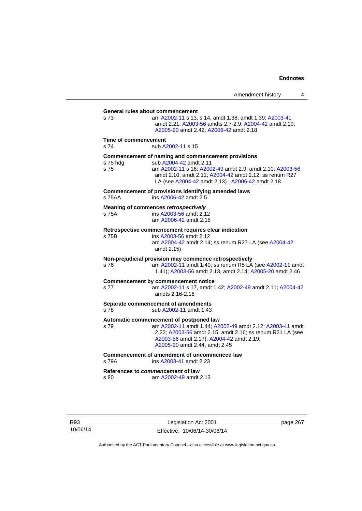**General rules about commencement**  s 73 am [A2002-11](http://www.legislation.act.gov.au/a/2002-11) s 13, s 14, amdt 1.38, amdt 1.39; [A2003-41](http://www.legislation.act.gov.au/a/2003-41) amdt 2.21; [A2003-56](http://www.legislation.act.gov.au/a/2003-56) amdts 2.7-2.9; [A2004-42](http://www.legislation.act.gov.au/a/2004-42) amdt 2.10; [A2005-20](http://www.legislation.act.gov.au/a/2005-20) amdt 2.42; [A2006-42](http://www.legislation.act.gov.au/a/2006-42) amdt 2.18 **Time of commencement**  s 74 sub [A2002-11](http://www.legislation.act.gov.au/a/2002-11) s 15 **Commencement of naming and commencement provisions**  s 75 hdg sub [A2004-42](http://www.legislation.act.gov.au/a/2004-42) amdt 2.11<br>s 75 straam A2002-11 s 16: A200 s 75 am [A2002-11](http://www.legislation.act.gov.au/a/2002-11) s 16; [A2002-49](http://www.legislation.act.gov.au/a/2002-49) amdt 2.9, amdt 2.10; [A2003-56](http://www.legislation.act.gov.au/a/2003-56) amdt 2.10, amdt 2.11; [A2004-42](http://www.legislation.act.gov.au/a/2004-42) amdt 2.12; ss renum R27 LA (see [A2004-42](http://www.legislation.act.gov.au/a/2004-42) amdt 2.13) ; [A2006-42](http://www.legislation.act.gov.au/a/2006-42) amdt 2.18 **Commencement of provisions identifying amended laws**  s 75AA ins [A2006-42](http://www.legislation.act.gov.au/a/2006-42) amdt 2.5 **Meaning of commences** *retrospectively*  s 75A ins [A2003-56](http://www.legislation.act.gov.au/a/2003-56) amdt 2.12 am [A2006-42](http://www.legislation.act.gov.au/a/2006-42) amdt 2.18 **Retrospective commencement requires clear indication**  s 75B ins [A2003-56](http://www.legislation.act.gov.au/a/2003-56) amdt 2.12 am [A2004-42](http://www.legislation.act.gov.au/a/2004-42) amdt 2.14; ss renum R27 LA (see [A2004-42](http://www.legislation.act.gov.au/a/2004-42) amdt 2.15) **Non-prejudicial provision may commence retrospectively**  s 76 am [A2002-11](http://www.legislation.act.gov.au/a/2002-11) amdt 1.40; ss renum R5 LA (see [A2002-11](http://www.legislation.act.gov.au/a/2002-11) amdt 1.41); [A2003-56](http://www.legislation.act.gov.au/a/2003-56) amdt 2.13, amdt 2.14; [A2005-20](http://www.legislation.act.gov.au/a/2005-20) amdt 2.46 **Commencement by commencement notice**  s 77 am [A2002-11](http://www.legislation.act.gov.au/a/2002-11) s 17, amdt 1.42; [A2002-49](http://www.legislation.act.gov.au/a/2002-49) amdt 2.11; [A2004-42](http://www.legislation.act.gov.au/a/2004-42) amdts 2.16-2.18 **Separate commencement of amendments**  s 78 sub [A2002-11](http://www.legislation.act.gov.au/a/2002-11) amdt 1.43 **Automatic commencement of postponed law**  s 79 am [A2002-11](http://www.legislation.act.gov.au/a/2002-11) amdt 1.44; [A2002-49](http://www.legislation.act.gov.au/a/2002-49) amdt 2.12; [A2003-41](http://www.legislation.act.gov.au/a/2003-41) amdt 2.22; [A2003-56](http://www.legislation.act.gov.au/a/2003-56) amdt 2.15, amdt 2.16; ss renum R21 LA (see [A2003-56](http://www.legislation.act.gov.au/a/2003-56) amdt 2.17); [A2004-42](http://www.legislation.act.gov.au/a/2004-42) amdt 2.19; [A2005-20](http://www.legislation.act.gov.au/a/2005-20) amdt 2.44, amdt 2.45 **Commencement of amendment of uncommenced law**  s 79A ins [A2003-41](http://www.legislation.act.gov.au/a/2003-41) amdt 2.23 **References to** *commencement* **of law**  s 80 am [A2002-49](http://www.legislation.act.gov.au/a/2002-49) amdt 2.13

R93 10/06/14

Legislation Act 2001 Effective: 10/06/14-30/06/14 page 267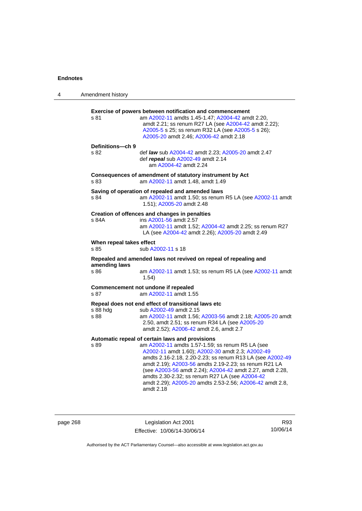| 4 | Amendment history                                                                                                                                                                                                                                                                                                                                                                                                                                                            |
|---|------------------------------------------------------------------------------------------------------------------------------------------------------------------------------------------------------------------------------------------------------------------------------------------------------------------------------------------------------------------------------------------------------------------------------------------------------------------------------|
|   | Exercise of powers between notification and commencement<br>am A2002-11 amdts 1.45-1.47; A2004-42 amdt 2.20,<br>s 81<br>amdt 2.21; ss renum R27 LA (see A2004-42 amdt 2.22);<br>A2005-5 s 25; ss renum R32 LA (see A2005-5 s 26);<br>A2005-20 amdt 2.46; A2006-42 amdt 2.18                                                                                                                                                                                                  |
|   | Definitions-ch 9<br>s 82<br>def law sub A2004-42 amdt 2.23; A2005-20 amdt 2.47<br>def repeal sub A2002-49 amdt 2.14<br>am A2004-42 amdt 2.24                                                                                                                                                                                                                                                                                                                                 |
|   | Consequences of amendment of statutory instrument by Act<br>am A2002-11 amdt 1.48, amdt 1.49<br>s 83                                                                                                                                                                                                                                                                                                                                                                         |
|   | Saving of operation of repealed and amended laws<br>am A2002-11 amdt 1.50; ss renum R5 LA (see A2002-11 amdt<br>s 84<br>1.51); A2005-20 amdt 2.48                                                                                                                                                                                                                                                                                                                            |
|   | Creation of offences and changes in penalties<br>ins A2001-56 amdt 2.57<br>s 84A<br>am A2002-11 amdt 1.52; A2004-42 amdt 2.25; ss renum R27<br>LA (see A2004-42 amdt 2.26); A2005-20 amdt 2.49                                                                                                                                                                                                                                                                               |
|   | When repeal takes effect<br>s 85<br>sub A2002-11 s 18                                                                                                                                                                                                                                                                                                                                                                                                                        |
|   | Repealed and amended laws not revived on repeal of repealing and<br>amending laws<br>s 86<br>am A2002-11 amdt 1.53; ss renum R5 LA (see A2002-11 amdt<br>1.54)                                                                                                                                                                                                                                                                                                               |
|   | Commencement not undone if repealed<br>am A2002-11 amdt 1.55<br>s 87                                                                                                                                                                                                                                                                                                                                                                                                         |
|   | Repeal does not end effect of transitional laws etc<br>s 88 hdg<br>sub A2002-49 amdt 2.15<br>am A2002-11 amdt 1.56; A2003-56 amdt 2.18; A2005-20 amdt<br>s 88<br>2.50, amdt 2.51; ss renum R34 LA (see A2005-20<br>amdt 2.52); A2006-42 amdt 2.6, amdt 2.7                                                                                                                                                                                                                   |
|   | Automatic repeal of certain laws and provisions<br>am A2002-11 amdts 1.57-1.59; ss renum R5 LA (see<br>s 89<br>A2002-11 amdt 1.60); A2002-30 amdt 2.3; A2002-49<br>amdts 2.16-2.18, 2.20-2.23; ss renum R13 LA (see A2002-49<br>amdt 2.19); A2003-56 amdts 2.19-2.23; ss renum R21 LA<br>(see A2003-56 amdt 2.24); A2004-42 amdt 2.27, amdt 2.28,<br>amdts 2.30-2.32; ss renum R27 LA (see A2004-42<br>amdt 2.29); A2005-20 amdts 2.53-2.56; A2006-42 amdt 2.8,<br>amdt 2.18 |

page 268 Legislation Act 2001 Effective: 10/06/14-30/06/14

R93 10/06/14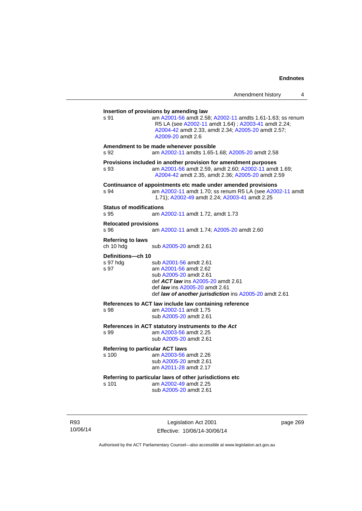| Amendment history |  |  |
|-------------------|--|--|
|-------------------|--|--|

**Insertion of provisions by amending law**  s 91 am [A2001-56](http://www.legislation.act.gov.au/a/2001-56) amdt 2.58; [A2002-11](http://www.legislation.act.gov.au/a/2002-11) amdts 1.61-1.63; ss renum R5 LA (see [A2002-11](http://www.legislation.act.gov.au/a/2002-11) amdt 1.64) ; [A2003-41](http://www.legislation.act.gov.au/a/2003-41) amdt 2.24; [A2004-42](http://www.legislation.act.gov.au/a/2004-42) amdt 2.33, amdt 2.34; [A2005-20](http://www.legislation.act.gov.au/a/2005-20) amdt 2.57; [A2009-20](http://www.legislation.act.gov.au/a/2009-20) amdt 2.6 **Amendment to be made whenever possible**  s 92 am [A2002-11](http://www.legislation.act.gov.au/a/2002-11) amdts 1.65-1.68; [A2005-20](http://www.legislation.act.gov.au/a/2005-20) amdt 2.58 **Provisions included in another provision for amendment purposes**  s 93 am [A2001-56](http://www.legislation.act.gov.au/a/2001-56) amdt 2.59, amdt 2.60; [A2002-11](http://www.legislation.act.gov.au/a/2002-11) amdt 1.69; [A2004-42](http://www.legislation.act.gov.au/a/2004-42) amdt 2.35, amdt 2.36; [A2005-20](http://www.legislation.act.gov.au/a/2005-20) amdt 2.59 **Continuance of appointments etc made under amended provisions**  s 94 am [A2002-11](http://www.legislation.act.gov.au/a/2002-11) amdt 1.70; ss renum R5 LA (see [A2002-11](http://www.legislation.act.gov.au/a/2002-11) amdt 1.71); [A2002-49](http://www.legislation.act.gov.au/a/2002-49) amdt 2.24; [A2003-41](http://www.legislation.act.gov.au/a/2003-41) amdt 2.25 **Status of modifications**  s 95 am [A2002-11](http://www.legislation.act.gov.au/a/2002-11) amdt 1.72, amdt 1.73 **Relocated provisions**  s 96 am [A2002-11](http://www.legislation.act.gov.au/a/2002-11) amdt 1.74; [A2005-20](http://www.legislation.act.gov.au/a/2005-20) amdt 2.60 **Referring to laws**  ch 10 hdg sub [A2005-20](http://www.legislation.act.gov.au/a/2005-20) amdt 2.61 **Definitions—ch 10**  sub [A2001-56](http://www.legislation.act.gov.au/a/2001-56) amdt 2.61 s 97 am [A2001-56](http://www.legislation.act.gov.au/a/2001-56) amdt 2.62 sub [A2005-20](http://www.legislation.act.gov.au/a/2005-20) amdt 2.61 def *ACT law* ins [A2005-20](http://www.legislation.act.gov.au/a/2005-20) amdt 2.61 def *law* ins [A2005-20](http://www.legislation.act.gov.au/a/2005-20) amdt 2.61 def *law of another jurisdiction* ins [A2005-20](http://www.legislation.act.gov.au/a/2005-20) amdt 2.61 **References to ACT law include law containing reference**  s 98 am [A2002-11](http://www.legislation.act.gov.au/a/2002-11) amdt 1.75 sub [A2005-20](http://www.legislation.act.gov.au/a/2005-20) amdt 2.61 **References in ACT statutory instruments to** *the Act* s 99 am [A2003-56](http://www.legislation.act.gov.au/a/2003-56) amdt 2.25 sub [A2005-20](http://www.legislation.act.gov.au/a/2005-20) amdt 2.61 **Referring to particular ACT laws**<br>s 100 am A2003-56 am am [A2003-56](http://www.legislation.act.gov.au/a/2003-56) amdt 2.26 sub [A2005-20](http://www.legislation.act.gov.au/a/2005-20) amdt 2.61 am [A2011-28](http://www.legislation.act.gov.au/a/2011-28) amdt 2.17 **Referring to particular laws of other jurisdictions etc**  s 101 am [A2002-49](http://www.legislation.act.gov.au/a/2002-49) amdt 2.25 sub [A2005-20](http://www.legislation.act.gov.au/a/2005-20) amdt 2.61

R93 10/06/14

Legislation Act 2001 Effective: 10/06/14-30/06/14 page 269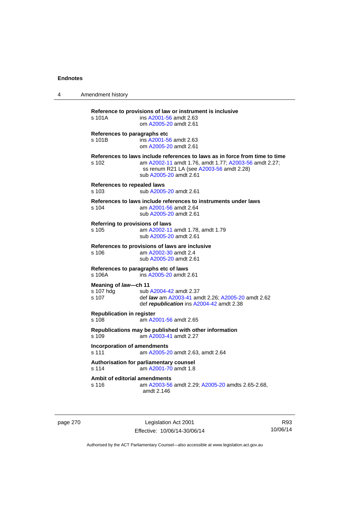| 4 | Amendment history                                                                                                                                                                                                   |  |
|---|---------------------------------------------------------------------------------------------------------------------------------------------------------------------------------------------------------------------|--|
|   | Reference to provisions of law or instrument is inclusive<br>s 101A<br>ins A2001-56 amdt 2.63<br>om A2005-20 amdt 2.61                                                                                              |  |
|   | References to paragraphs etc<br>ins A2001-56 amdt 2.63<br>s 101B<br>om A2005-20 amdt 2.61                                                                                                                           |  |
|   | References to laws include references to laws as in force from time to time<br>am A2002-11 amdt 1.76, amdt 1.77; A2003-56 amdt 2.27;<br>s 102<br>ss renum R21 LA (see A2003-56 amdt 2.28)<br>sub A2005-20 amdt 2.61 |  |
|   | References to repealed laws<br>sub A2005-20 amdt 2.61<br>s 103                                                                                                                                                      |  |
|   | References to laws include references to instruments under laws<br>am A2001-56 amdt 2.64<br>s 104<br>sub A2005-20 amdt 2.61                                                                                         |  |
|   | Referring to provisions of laws<br>am A2002-11 amdt 1.78, amdt 1.79<br>s 105<br>sub A2005-20 amdt 2.61                                                                                                              |  |
|   | References to provisions of laws are inclusive<br>s 106<br>am A2002-30 amdt 2.4<br>sub A2005-20 amdt 2.61                                                                                                           |  |
|   | References to paragraphs etc of laws<br>ins A2005-20 amdt 2.61<br>s 106A                                                                                                                                            |  |
|   | Meaning of law-ch 11<br>s 107 hdg<br>sub A2004-42 amdt 2.37<br>s 107<br>def <i>law</i> am A2003-41 amdt 2.26; A2005-20 amdt 2.62<br>def republication ins A2004-42 amdt 2.38                                        |  |
|   | <b>Republication in register</b><br>s 108<br>am A2001-56 amdt 2.65<br>Republications may be published with other information<br>s 109<br>am A2003-41 amdt 2.27                                                      |  |
|   |                                                                                                                                                                                                                     |  |
|   | <b>Incorporation of amendments</b><br>s 111<br>am A2005-20 amdt 2.63, amdt 2.64                                                                                                                                     |  |
|   | Authorisation for parliamentary counsel<br>s 114<br>am A2001-70 amdt 1.8                                                                                                                                            |  |
|   | Ambit of editorial amendments<br>s 116<br>am A2003-56 amdt 2.29; A2005-20 amdts 2.65-2.68,<br>amdt 2.146                                                                                                            |  |

page 270 Legislation Act 2001 Effective: 10/06/14-30/06/14

R93 10/06/14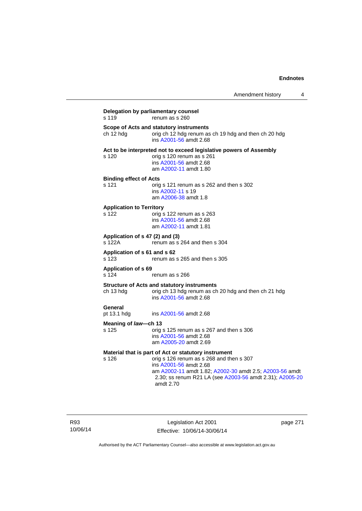| s 119                                    | renum as s 260                                                                                                                                                                                                                                                   |
|------------------------------------------|------------------------------------------------------------------------------------------------------------------------------------------------------------------------------------------------------------------------------------------------------------------|
| ch 12 hdg                                | Scope of Acts and statutory instruments<br>orig ch 12 hdg renum as ch 19 hdg and then ch 20 hdg<br>ins A2001-56 amdt 2.68                                                                                                                                        |
| s 120                                    | Act to be interpreted not to exceed legislative powers of Assembly<br>orig s 120 renum as s 261<br>ins A2001-56 amdt 2.68<br>am A2002-11 amdt 1.80                                                                                                               |
| <b>Binding effect of Acts</b><br>s 121   | orig s 121 renum as s 262 and then s 302<br>ins A2002-11 s 19<br>am A2006-38 amdt 1.8                                                                                                                                                                            |
| <b>Application to Territory</b><br>s 122 | orig s 122 renum as s 263<br>ins A2001-56 amdt 2.68<br>am A2002-11 amdt 1.81                                                                                                                                                                                     |
| s 122A                                   | Application of s 47 (2) and (3)<br>renum as s 264 and then s 304                                                                                                                                                                                                 |
| Application of s 61 and s 62<br>s 123    | renum as s 265 and then s 305                                                                                                                                                                                                                                    |
| <b>Application of s 69</b><br>s 124      | renum as s 266                                                                                                                                                                                                                                                   |
| ch 13 hdg                                | <b>Structure of Acts and statutory instruments</b><br>orig ch 13 hdg renum as ch 20 hdg and then ch 21 hdg<br>ins A2001-56 amdt 2.68                                                                                                                             |
| General<br>pt 13.1 hdg                   | ins A2001-56 amdt 2.68                                                                                                                                                                                                                                           |
| Meaning of law—ch 13                     |                                                                                                                                                                                                                                                                  |
| s 125                                    | orig s 125 renum as s 267 and then s 306<br>ins A2001-56 amdt 2.68<br>am A2005-20 amdt 2.69                                                                                                                                                                      |
| s 126                                    | Material that is part of Act or statutory instrument<br>orig s 126 renum as s 268 and then s 307<br>ins A2001-56 amdt 2.68<br>am A2002-11 amdt 1.82; A2002-30 amdt 2.5; A2003-56 amdt<br>2.30; ss renum R21 LA (see A2003-56 amdt 2.31); A2005-20<br>amdt $2.70$ |

R93 10/06/14

Legislation Act 2001 Effective: 10/06/14-30/06/14 page 271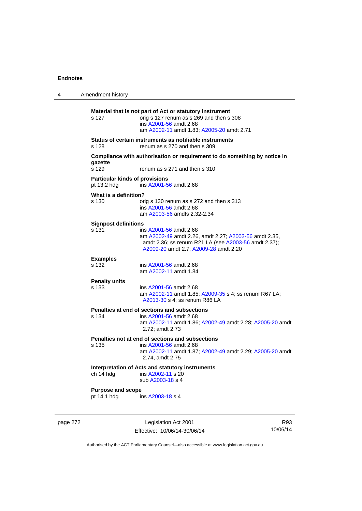| 4 | Amendment history                                                                                      |                                                                                                                                                                                  |  |
|---|--------------------------------------------------------------------------------------------------------|----------------------------------------------------------------------------------------------------------------------------------------------------------------------------------|--|
|   | s 127                                                                                                  | Material that is not part of Act or statutory instrument<br>orig s 127 renum as s 269 and then s 308<br>ins A2001-56 amdt 2.68<br>am A2002-11 amdt 1.83; A2005-20 amdt 2.71      |  |
|   | Status of certain instruments as notifiable instruments<br>s 128<br>renum as s 270 and then s 309      |                                                                                                                                                                                  |  |
|   | gazette<br>s 129                                                                                       | Compliance with authorisation or requirement to do something by notice in<br>renum as s 271 and then s 310                                                                       |  |
|   | <b>Particular kinds of provisions</b><br>pt 13.2 hdg<br>ins A2001-56 amdt 2.68                         |                                                                                                                                                                                  |  |
|   | What is a definition?<br>s 130                                                                         | orig s 130 renum as s 272 and then s 313<br>ins A2001-56 amdt 2.68<br>am A2003-56 amdts 2.32-2.34                                                                                |  |
|   | <b>Signpost definitions</b><br>s 131                                                                   | ins A2001-56 amdt 2.68<br>am A2002-49 amdt 2.26, amdt 2.27; A2003-56 amdt 2.35,<br>amdt 2.36; ss renum R21 LA (see A2003-56 amdt 2.37);<br>A2009-20 amdt 2.7; A2009-28 amdt 2.20 |  |
|   | <b>Examples</b><br>$s$ 132                                                                             | ins A2001-56 amdt 2.68<br>am A2002-11 amdt 1.84                                                                                                                                  |  |
|   | <b>Penalty units</b><br>s 133                                                                          | ins A2001-56 amdt 2.68<br>am A2002-11 amdt 1.85; A2009-35 s 4; ss renum R67 LA;<br>A2013-30 s 4; ss renum R86 LA                                                                 |  |
|   | s 134                                                                                                  | Penalties at end of sections and subsections<br>ins A2001-56 amdt 2.68<br>am A2002-11 amdt 1.86; A2002-49 amdt 2.28; A2005-20 amdt<br>2.72; amdt 2.73                            |  |
|   | s 135                                                                                                  | Penalties not at end of sections and subsections<br>ins A2001-56 amdt 2.68<br>am A2002-11 amdt 1.87; A2002-49 amdt 2.29; A2005-20 amdt<br>2.74, amdt 2.75                        |  |
|   | Interpretation of Acts and statutory instruments<br>ch 14 hdg<br>ins A2002-11 s 20<br>sub A2003-18 s 4 |                                                                                                                                                                                  |  |
|   | <b>Purpose and scope</b><br>pt 14.1 hdg                                                                | ins A2003-18 s 4                                                                                                                                                                 |  |

page 272 Legislation Act 2001 Effective: 10/06/14-30/06/14

R93 10/06/14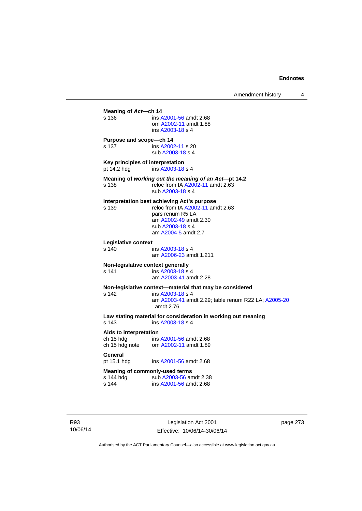**Meaning of** *Act***—ch 14**  s 136 ins [A2001-56](http://www.legislation.act.gov.au/a/2001-56) amdt 2.68 om [A2002-11](http://www.legislation.act.gov.au/a/2002-11) amdt 1.88 ins [A2003-18](http://www.legislation.act.gov.au/a/2003-18) s 4 **Purpose and scope—ch 14**  s 137 ins [A2002-11](http://www.legislation.act.gov.au/a/2002-11) s 20 sub [A2003-18](http://www.legislation.act.gov.au/a/2003-18) s 4 **Key principles of interpretation**<br>pt 14.2 hdg ins A2003-18 ins [A2003-18](http://www.legislation.act.gov.au/a/2003-18) s 4 **Meaning of** *working out the meaning of an Act***—pt 14.2**  s 138 reloc from IA [A2002-11](http://www.legislation.act.gov.au/a/2002-11) amdt 2.63 sub [A2003-18](http://www.legislation.act.gov.au/a/2003-18) s 4 **Interpretation best achieving Act's purpose**  s 139 reloc from IA [A2002-11](http://www.legislation.act.gov.au/a/2002-11) amdt 2.63 pars renum R5 LA am [A2002-49](http://www.legislation.act.gov.au/a/2002-49) amdt 2.30 sub [A2003-18](http://www.legislation.act.gov.au/a/2003-18) s 4 am [A2004-5](http://www.legislation.act.gov.au/a/2004-5) amdt 2.7 **Legislative context**  ins [A2003-18](http://www.legislation.act.gov.au/a/2003-18) s 4 am [A2006-23](http://www.legislation.act.gov.au/a/2006-23) amdt 1.211 **Non-legislative context generally**<br>s 141 **ins A2003-18 s** s 141 **ins [A2003-18](http://www.legislation.act.gov.au/a/2003-18) s** 4 am [A2003-41](http://www.legislation.act.gov.au/a/2003-41) amdt 2.28 **Non-legislative context—material that may be considered**  s 142 ins [A2003-18](http://www.legislation.act.gov.au/a/2003-18) s 4 am [A2003-41](http://www.legislation.act.gov.au/a/2003-41) amdt 2.29; table renum R22 LA; [A2005-20](http://www.legislation.act.gov.au/a/2005-20) amdt 2.76 **Law stating material for consideration in working out meaning**  ins [A2003-18](http://www.legislation.act.gov.au/a/2003-18) s 4 **Aids to interpretation**  ch 15 hdg ins [A2001-56](http://www.legislation.act.gov.au/a/2001-56) amdt 2.68 ch 15 hdg note om [A2002-11](http://www.legislation.act.gov.au/a/2002-11) amdt 1.89 General<br>pt 15.1 hdg ins [A2001-56](http://www.legislation.act.gov.au/a/2001-56) amdt 2.68 **Meaning of commonly-used terms**  s 144 hdg sub [A2003-56](http://www.legislation.act.gov.au/a/2003-56) amdt 2.38<br>s 144 ins A2001-56 amdt 2.68 ins [A2001-56](http://www.legislation.act.gov.au/a/2001-56) amdt 2.68

R93 10/06/14

Legislation Act 2001 Effective: 10/06/14-30/06/14 page 273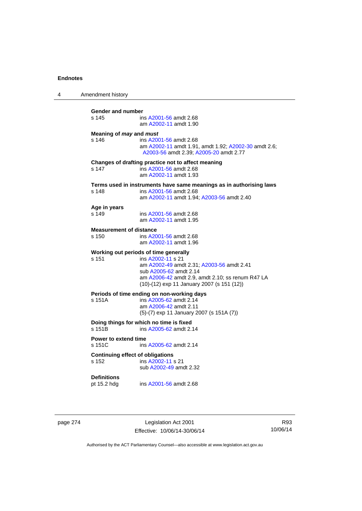| 4 | Amendment history                                |                                                                                                                                                                                                                                     |
|---|--------------------------------------------------|-------------------------------------------------------------------------------------------------------------------------------------------------------------------------------------------------------------------------------------|
|   | Gender and number<br>s 145                       | ins A2001-56 amdt 2.68<br>am A2002-11 amdt 1.90                                                                                                                                                                                     |
|   | Meaning of <i>may</i> and <i>must</i><br>s 146   | ins A2001-56 amdt 2.68<br>am A2002-11 amdt 1.91, amdt 1.92; A2002-30 amdt 2.6;<br>A2003-56 amdt 2.39; A2005-20 amdt 2.77                                                                                                            |
|   | s 147                                            | Changes of drafting practice not to affect meaning<br>ins A2001-56 amdt 2.68<br>am A2002-11 amdt 1.93                                                                                                                               |
|   | s 148                                            | Terms used in instruments have same meanings as in authorising laws<br>ins A2001-56 amdt 2.68<br>am A2002-11 amdt 1.94; A2003-56 amdt 2.40                                                                                          |
|   | Age in years<br>s 149                            | ins A2001-56 amdt 2.68<br>am A2002-11 amdt 1.95                                                                                                                                                                                     |
|   | <b>Measurement of distance</b><br>s 150          | ins A2001-56 amdt 2.68<br>am A2002-11 amdt 1.96                                                                                                                                                                                     |
|   | s 151                                            | Working out periods of time generally<br>ins A2002-11 s 21<br>am A2002-49 amdt 2.31; A2003-56 amdt 2.41<br>sub A2005-62 amdt 2.14<br>am A2006-42 amdt 2.9, amdt 2.10; ss renum R47 LA<br>(10)-(12) exp 11 January 2007 (s 151 (12)) |
|   | s 151A                                           | Periods of time ending on non-working days<br>ins A2005-62 amdt 2.14<br>am A2006-42 amdt 2.11<br>$(5)-(7)$ exp 11 January 2007 (s 151A $(7)$ )                                                                                      |
|   | s 151B                                           | Doing things for which no time is fixed<br>ins A2005-62 amdt 2.14                                                                                                                                                                   |
|   | <b>Power to extend time</b><br>s 151C            | ins A2005-62 amdt 2.14                                                                                                                                                                                                              |
|   | <b>Continuing effect of obligations</b><br>s 152 | ins A2002-11 s 21<br>sub A2002-49 amdt 2.32                                                                                                                                                                                         |
|   | <b>Definitions</b><br>pt 15.2 hdg                | ins A2001-56 amdt 2.68                                                                                                                                                                                                              |

page 274 Legislation Act 2001 Effective: 10/06/14-30/06/14

R93 10/06/14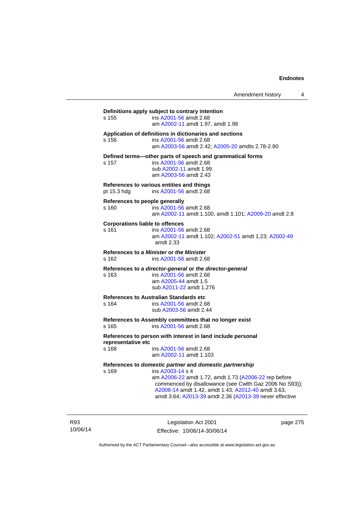|                    | Definitions apply subject to contrary intention             |
|--------------------|-------------------------------------------------------------|
| s 155              | ins A2001-56 amdt 2.68                                      |
|                    | am A2002-11 amdt 1.97, amdt 1.98                            |
|                    | Application of definitions in dictionaries and sections     |
| s 156              | ins A2001-56 amdt 2.68                                      |
|                    | am A2003-56 amdt 2.42; A2005-20 amdts 2.78-2.80             |
|                    | Defined terms-other parts of speech and grammatical forms   |
| s 157              | ins A2001-56 amdt 2.68                                      |
|                    | sub A2002-11 amdt 1.99                                      |
|                    | am A2003-56 amdt 2.43                                       |
|                    |                                                             |
|                    | References to various entities and things                   |
| pt 15.3 hdg        | ins A2001-56 amdt 2.68                                      |
|                    | References to people generally                              |
| s 160              | ins A2001-56 amdt 2.68                                      |
|                    | am A2002-11 amdt 1.100, amdt 1.101; A2009-20 amdt 2.8       |
|                    | <b>Corporations liable to offences</b>                      |
| s 161              | ins A2001-56 amdt 2.68                                      |
|                    | am A2002-11 amdt 1.102; A2002-51 amdt 1.23; A2002-49        |
|                    | amdt 2.33                                                   |
|                    | References to a Minister or the Minister                    |
| $s$ 162            | ins A2001-56 amdt 2.68                                      |
|                    | References to a director-general or the director-general    |
| s 163              | ins A2001-56 amdt 2.68                                      |
|                    | am A2005-44 amdt 1.5                                        |
|                    | sub A2011-22 amdt 1.276                                     |
|                    |                                                             |
|                    | <b>References to Australian Standards etc</b>               |
| s 164              | ins A2001-56 amdt 2.68                                      |
|                    | sub A2003-56 amdt 2.44                                      |
|                    | References to Assembly committees that no longer exist      |
| s 165              | ins A2001-56 amdt 2.68                                      |
|                    | References to person with interest in land include personal |
| representative etc |                                                             |
| s 168              | ins A2001-56 amdt 2.68                                      |
|                    | am A2002-11 amdt 1.103                                      |
|                    | References to domestic partner and domestic partnership     |
| s 169              | ins A2003-14 s 4                                            |
|                    | am A2006-22 amdt 1.72, amdt 1.73 (A2006-22 rep before       |
|                    | commenced by disallowance (see Cwlth Gaz 2006 No S93));     |
|                    | A2008-14 amdt 1.42, amdt 1.43; A2012-40 amdt 3.63,          |
|                    | amdt 3.64; A2013-39 amdt 2.36 (A2013-39 never effective     |
|                    |                                                             |
|                    |                                                             |

R93 10/06/14

Legislation Act 2001 Effective: 10/06/14-30/06/14 page 275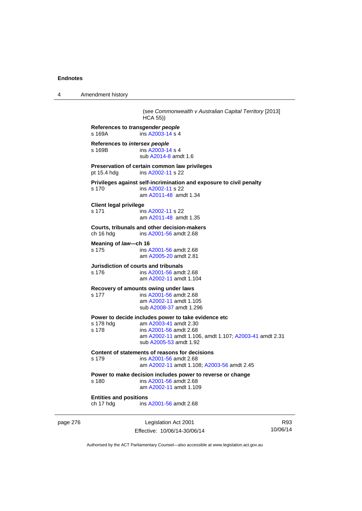4 Amendment history page 276 Legislation Act 2001 Effective: 10/06/14-30/06/14 R93 10/06/14 (see *Commonwealth v Australian Capital Territory* [2013] HCA 55)) **References to** *transgender people*  ins [A2003-14](http://www.legislation.act.gov.au/a/2003-14) s 4 **References to** *intersex people*  ins [A2003-14](http://www.legislation.act.gov.au/a/2003-14) s 4 sub [A2014-8](http://www.legislation.act.gov.au/a/2014-8) amdt 1.6 **Preservation of certain common law privileges**  pt 15.4 hdg ins [A2002-11](http://www.legislation.act.gov.au/a/2002-11) s 22 **Privileges against self-incrimination and exposure to civil penalty**  s 170 ins [A2002-11](http://www.legislation.act.gov.au/a/2002-11) s 22 am [A2011-48](http://www.legislation.act.gov.au/a/2011-48) amdt 1.34 **Client legal privilege**  s 171 ins [A2002-11](http://www.legislation.act.gov.au/a/2002-11) s 22 am [A2011-48](http://www.legislation.act.gov.au/a/2011-48) amdt 1.35 **Courts, tribunals and other decision-makers**  ch 16 hdg ins [A2001-56](http://www.legislation.act.gov.au/a/2001-56) amdt 2.68 **Meaning of** *law***—ch 16**  s 175 ins [A2001-56](http://www.legislation.act.gov.au/a/2001-56) amdt 2.68 am [A2005-20](http://www.legislation.act.gov.au/a/2005-20) amdt 2.81 **Jurisdiction of courts and tribunals**  s 176 ins [A2001-56](http://www.legislation.act.gov.au/a/2001-56) amdt 2.68 am [A2002-11](http://www.legislation.act.gov.au/a/2002-11) amdt 1.104 **Recovery of amounts owing under laws**  s 177 ins [A2001-56](http://www.legislation.act.gov.au/a/2001-56) amdt 2.68 am [A2002-11](http://www.legislation.act.gov.au/a/2002-11) amdt 1.105 sub [A2008-37](http://www.legislation.act.gov.au/a/2008-37) amdt 1.296 **Power to decide includes power to take evidence etc**  s 178 hdg am [A2003-41](http://www.legislation.act.gov.au/a/2003-41) amdt 2.30 s 178 ins [A2001-56](http://www.legislation.act.gov.au/a/2001-56) amdt 2.68 am [A2002-11](http://www.legislation.act.gov.au/a/2002-11) amdt 1.106, amdt 1.107; [A2003-41](http://www.legislation.act.gov.au/a/2003-41) amdt 2.31 sub [A2005-53](http://www.legislation.act.gov.au/a/2005-53) amdt 1.92 **Content of statements of reasons for decisions**  s 179 ins [A2001-56](http://www.legislation.act.gov.au/a/2001-56) amdt 2.68 am [A2002-11](http://www.legislation.act.gov.au/a/2002-11) amdt 1.108; [A2003-56](http://www.legislation.act.gov.au/a/2003-56) amdt 2.45 **Power to make decision includes power to reverse or change**  s 180 ins [A2001-56](http://www.legislation.act.gov.au/a/2001-56) amdt 2.68 am [A2002-11](http://www.legislation.act.gov.au/a/2002-11) amdt 1.109 **Entities and positions**  ch 17 hdg ins [A2001-56](http://www.legislation.act.gov.au/a/2001-56) amdt 2.68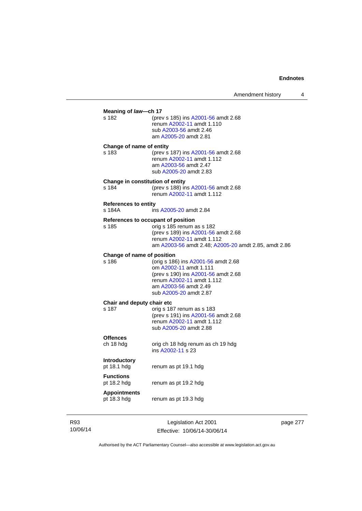### **Meaning of** *law***—ch 17**<br>s 182 (prev s 182 (prev s 185) ins [A2001-56](http://www.legislation.act.gov.au/a/2001-56) amdt 2.68 renum [A2002-11](http://www.legislation.act.gov.au/a/2002-11) amdt 1.110 sub [A2003-56](http://www.legislation.act.gov.au/a/2003-56) amdt 2.46 am [A2005-20](http://www.legislation.act.gov.au/a/2005-20) amdt 2.81 **Change of name of entity**  s 183 (prev s 187) ins [A2001-56](http://www.legislation.act.gov.au/a/2001-56) amdt 2.68 renum [A2002-11](http://www.legislation.act.gov.au/a/2002-11) amdt 1.112 am [A2003-56](http://www.legislation.act.gov.au/a/2003-56) amdt 2.47 sub [A2005-20](http://www.legislation.act.gov.au/a/2005-20) amdt 2.83 **Change in constitution of entity**  s 184 (prev s 188) ins [A2001-56](http://www.legislation.act.gov.au/a/2001-56) amdt 2.68 renum [A2002-11](http://www.legislation.act.gov.au/a/2002-11) amdt 1.112 **References to entity**  ins [A2005-20](http://www.legislation.act.gov.au/a/2005-20) amdt 2.84 **References to occupant of position**  s 185 orig s 185 renum as s 182 (prev s 189) ins [A2001-56](http://www.legislation.act.gov.au/a/2001-56) amdt 2.68 renum [A2002-11](http://www.legislation.act.gov.au/a/2002-11) amdt 1.112 am [A2003-56](http://www.legislation.act.gov.au/a/2003-56) amdt 2.48; [A2005-20](http://www.legislation.act.gov.au/a/2005-20) amdt 2.85, amdt 2.86 **Change of name of position**  s 186 (orig s 186) ins [A2001-56](http://www.legislation.act.gov.au/a/2001-56) amdt 2.68 om [A2002-11](http://www.legislation.act.gov.au/a/2002-11) amdt 1.111 (prev s 190) ins [A2001-56](http://www.legislation.act.gov.au/a/2001-56) amdt 2.68 renum [A2002-11](http://www.legislation.act.gov.au/a/2002-11) amdt 1.112 am [A2003-56](http://www.legislation.act.gov.au/a/2003-56) amdt 2.49 sub [A2005-20](http://www.legislation.act.gov.au/a/2005-20) amdt 2.87 **Chair and deputy chair etc**<br>s 187 orig s 18 orig s 187 renum as s 183 (prev s 191) ins [A2001-56](http://www.legislation.act.gov.au/a/2001-56) amdt 2.68 renum [A2002-11](http://www.legislation.act.gov.au/a/2002-11) amdt 1.112 sub [A2005-20](http://www.legislation.act.gov.au/a/2005-20) amdt 2.88 **Offences**  ch 18 hdg orig ch 18 hdg renum as ch 19 hdg ins [A2002-11](http://www.legislation.act.gov.au/a/2002-11) s 23 **Introductory**  pt 18.1 hdg renum as pt 19.1 hdg **Functions**  pt 18.2 hdg renum as pt 19.2 hdg **Appointments**  pt 18.3 hdg renum as pt 19.3 hdg

R93 10/06/14

Legislation Act 2001 Effective: 10/06/14-30/06/14 page 277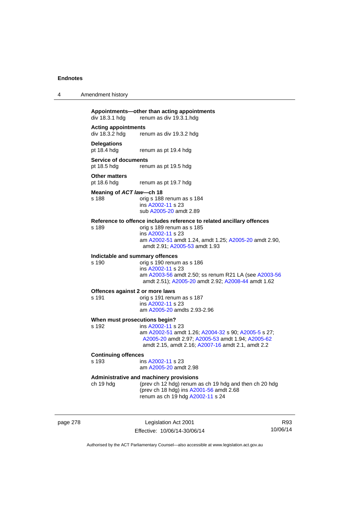| 4 | Amendment history |
|---|-------------------|
|---|-------------------|

## **Appointments—other than acting appointments**

 $div 18.3.1$  hdg renum as div  $19.3.1$ .hdg

**Acting appointments**  div 18.3.2 hdg renum as div 19.3.2 hdg

### **Delegations**

pt 18.4 hdg renum as pt 19.4 hdg

### **Service of documents**

pt 18.5 hdg renum as pt 19.5 hdg

# **Other matters**<br>pt 18.6 hdg

renum as pt 19.7 hdg

#### **Meaning of** *ACT law***—ch 18**

s 188 orig s 188 renum as s 184 ins [A2002-11](http://www.legislation.act.gov.au/a/2002-11) s 23 sub [A2005-20](http://www.legislation.act.gov.au/a/2005-20) amdt 2.89

#### **Reference to offence includes reference to related ancillary offences**

s 189 orig s 189 renum as s 185 ins [A2002-11](http://www.legislation.act.gov.au/a/2002-11) s 23 am [A2002-51](http://www.legislation.act.gov.au/a/2002-51) amdt 1.24, amdt 1.25; [A2005-20](http://www.legislation.act.gov.au/a/2005-20) amdt 2.90, amdt 2.91; [A2005-53](http://www.legislation.act.gov.au/a/2005-53) amdt 1.93

# **Indictable and summary offences**

orig s 190 renum as s 186 ins [A2002-11](http://www.legislation.act.gov.au/a/2002-11) s 23 am [A2003-56](http://www.legislation.act.gov.au/a/2003-56) amdt 2.50; ss renum R21 LA (see [A2003-56](http://www.legislation.act.gov.au/a/2003-56) amdt 2.51); [A2005-20](http://www.legislation.act.gov.au/a/2005-20) amdt 2.92; [A2008-44](http://www.legislation.act.gov.au/a/2008-44) amdt 1.62

#### **Offences against 2 or more laws**

s 191 orig s 191 renum as s 187 ins [A2002-11](http://www.legislation.act.gov.au/a/2002-11) s 23 am [A2005-20](http://www.legislation.act.gov.au/a/2005-20) amdts 2.93-2.96

#### **When must prosecutions begin?**

s 192 ins [A2002-11](http://www.legislation.act.gov.au/a/2002-11) s 23 am [A2002-51](http://www.legislation.act.gov.au/a/2002-51) amdt 1.26; [A2004-32](http://www.legislation.act.gov.au/a/2004-32) s 90; [A2005-5](http://www.legislation.act.gov.au/a/2005-5) s 27; [A2005-20](http://www.legislation.act.gov.au/a/2005-20) amdt 2.97; [A2005-53](http://www.legislation.act.gov.au/a/2005-53) amdt 1.94; [A2005-62](http://www.legislation.act.gov.au/a/2005-62) amdt 2.15, amdt 2.16; [A2007-16](http://www.legislation.act.gov.au/a/2007-16) amdt 2.1, amdt 2.2

# **Continuing offences**

ins [A2002-11](http://www.legislation.act.gov.au/a/2002-11) s 23 am [A2005-20](http://www.legislation.act.gov.au/a/2005-20) amdt 2.98

### **Administrative and machinery provisions**

ch 19 hdg (prev ch 12 hdg) renum as ch 19 hdg and then ch 20 hdg (prev ch 18 hdg) ins [A2001-56](http://www.legislation.act.gov.au/a/2001-56) amdt 2.68 renum as ch 19 hdg [A2002-11](http://www.legislation.act.gov.au/a/2002-11) s 24

page 278 Legislation Act 2001 Effective: 10/06/14-30/06/14

R93 10/06/14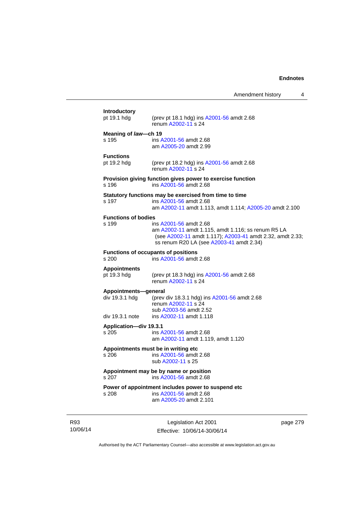Amendment history 4

10/06/14 Legislation Act 2001 Effective: 10/06/14-30/06/14 page 279 **Introductory**  (prev pt 18.1 hdg) ins  $A2001 - 56$  amdt 2.68 renum [A2002-11](http://www.legislation.act.gov.au/a/2002-11) s 24 **Meaning of** *law***—ch 19**  s 195 ins [A2001-56](http://www.legislation.act.gov.au/a/2001-56) amdt 2.68 am [A2005-20](http://www.legislation.act.gov.au/a/2005-20) amdt 2.99 **Functions**  pt 19.2 hdg (prev pt 18.2 hdg) ins [A2001-56](http://www.legislation.act.gov.au/a/2001-56) amdt 2.68 renum [A2002-11](http://www.legislation.act.gov.au/a/2002-11) s 24 **Provision giving function gives power to exercise function**  s 196 ins [A2001-56](http://www.legislation.act.gov.au/a/2001-56) amdt 2.68 **Statutory functions may be exercised from time to time**  s 197 ins [A2001-56](http://www.legislation.act.gov.au/a/2001-56) amdt 2.68 am [A2002-11](http://www.legislation.act.gov.au/a/2002-11) amdt 1.113, amdt 1.114; [A2005-20](http://www.legislation.act.gov.au/a/2005-20) amdt 2.100 **Functions of bodies**<br>s 199 s 199 ins [A2001-56](http://www.legislation.act.gov.au/a/2001-56) amdt 2.68 am [A2002-11](http://www.legislation.act.gov.au/a/2002-11) amdt 1.115, amdt 1.116; ss renum R5 LA (see [A2002-11](http://www.legislation.act.gov.au/a/2002-11) amdt 1.117); [A2003-41](http://www.legislation.act.gov.au/a/2003-41) amdt 2.32, amdt 2.33; ss renum R20 LA (see [A2003-41](http://www.legislation.act.gov.au/a/2003-41) amdt 2.34) **Functions of occupants of positions**  s 200 ins [A2001-56](http://www.legislation.act.gov.au/a/2001-56) amdt 2.68 **Appointments**  pt 19.3 hdg (prev pt 18.3 hdg) ins [A2001-56](http://www.legislation.act.gov.au/a/2001-56) amdt 2.68 renum [A2002-11](http://www.legislation.act.gov.au/a/2002-11) s 24 **Appointments—general**  div 19.3.1 hdg (prev div 18.3.1 hdg) ins [A2001-56](http://www.legislation.act.gov.au/a/2001-56) amdt 2.68 renum [A2002-11](http://www.legislation.act.gov.au/a/2002-11) s 24 sub [A2003-56](http://www.legislation.act.gov.au/a/2003-56) amdt 2.52<br>div 19.3.1 note ins A2002-11 amdt 1.118 ins [A2002-11](http://www.legislation.act.gov.au/a/2002-11) amdt 1.118 **Application—div 19.3.1**  s 205 ins [A2001-56](http://www.legislation.act.gov.au/a/2001-56) amdt 2.68 am [A2002-11](http://www.legislation.act.gov.au/a/2002-11) amdt 1.119, amdt 1.120 **Appointments must be in writing etc**  s 206 ins [A2001-56](http://www.legislation.act.gov.au/a/2001-56) amdt 2.68 sub [A2002-11](http://www.legislation.act.gov.au/a/2002-11) s 25 **Appointment may be by name or position**  s 207 ins [A2001-56](http://www.legislation.act.gov.au/a/2001-56) amdt 2.68 **Power of appointment includes power to suspend etc**  s 208 ins [A2001-56](http://www.legislation.act.gov.au/a/2001-56) amdt 2.68 am [A2005-20](http://www.legislation.act.gov.au/a/2005-20) amdt 2.101

Authorised by the ACT Parliamentary Counsel—also accessible at www.legislation.act.gov.au

R93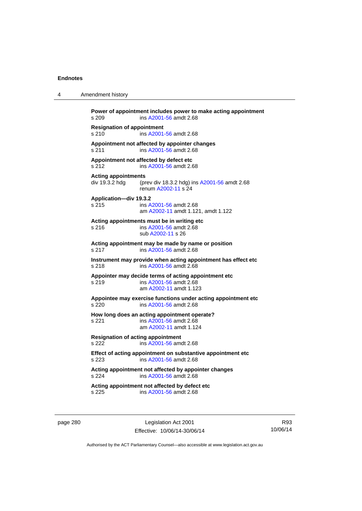4 Amendment history

| s 209                                                                                            | Power of appointment includes power to make acting appointment<br>ins A2001-56 amdt 2.68                 |  |
|--------------------------------------------------------------------------------------------------|----------------------------------------------------------------------------------------------------------|--|
| <b>Resignation of appointment</b><br>s 210<br>ins A2001-56 amdt 2.68                             |                                                                                                          |  |
| s 211                                                                                            | Appointment not affected by appointer changes<br>ins A2001-56 amdt 2.68                                  |  |
| Appointment not affected by defect etc<br>s 212                                                  | ins A2001-56 amdt 2.68                                                                                   |  |
| <b>Acting appointments</b><br>div 19.3.2 hdg                                                     | (prev div 18.3.2 hdg) ins A2001-56 amdt 2.68<br>renum A2002-11 s 24                                      |  |
| Application-div 19.3.2<br>s 215                                                                  | ins A2001-56 amdt 2.68<br>am A2002-11 amdt 1.121, amdt 1.122                                             |  |
| s 216                                                                                            | Acting appointments must be in writing etc<br>ins A2001-56 amdt 2.68<br>sub A2002-11 s 26                |  |
| s 217                                                                                            | Acting appointment may be made by name or position<br>ins A2001-56 amdt 2.68                             |  |
| Instrument may provide when acting appointment has effect etc<br>s 218<br>ins A2001-56 amdt 2.68 |                                                                                                          |  |
| s 219                                                                                            | Appointer may decide terms of acting appointment etc<br>ins A2001-56 amdt 2.68<br>am A2002-11 amdt 1.123 |  |
| s 220                                                                                            | Appointee may exercise functions under acting appointment etc<br>ins A2001-56 amdt 2.68                  |  |
| s 221                                                                                            | How long does an acting appointment operate?<br>ins A2001-56 amdt 2.68<br>am A2002-11 amdt 1.124         |  |
| <b>Resignation of acting appointment</b><br>ins A2001-56 amdt 2.68<br>s 222                      |                                                                                                          |  |
| s 223                                                                                            | Effect of acting appointment on substantive appointment etc<br>ins A2001-56 amdt 2.68                    |  |
| s 224                                                                                            | Acting appointment not affected by appointer changes<br>ins A2001-56 amdt 2.68                           |  |
| s 225                                                                                            | Acting appointment not affected by defect etc<br>ins A2001-56 amdt 2.68                                  |  |

page 280 **Legislation Act 2001** Effective: 10/06/14-30/06/14

R93 10/06/14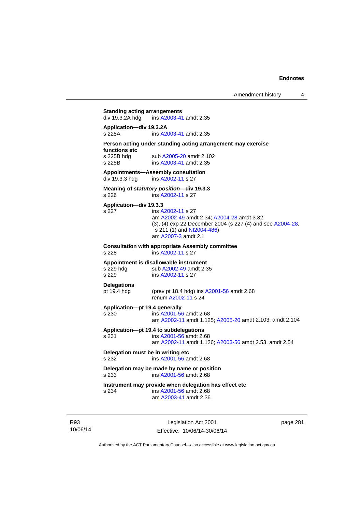## **Standing acting arrangements**<br>div 19.3.2A hdg ins A2003-41 ins [A2003-41](http://www.legislation.act.gov.au/a/2003-41) amdt 2.35 **Application—div 19.3.2A**  s 225A ins [A2003-41](http://www.legislation.act.gov.au/a/2003-41) amdt 2.35 **Person acting under standing acting arrangement may exercise functions etc**  s 225B hdg sub [A2005-20](http://www.legislation.act.gov.au/a/2005-20) amdt 2.102<br>s 225B ins A2003-41 amdt 2.35 ins [A2003-41](http://www.legislation.act.gov.au/a/2003-41) amdt 2.35 **Appointments—Assembly consultation**  div 19.3.3 hdg ins [A2002-11](http://www.legislation.act.gov.au/a/2002-11) s 27 **Meaning of** *statutory position***—div 19.3.3**  s 226 ins [A2002-11](http://www.legislation.act.gov.au/a/2002-11) s 27 **Application—div 19.3.3**  s 227 ins [A2002-11](http://www.legislation.act.gov.au/a/2002-11) s 27 am [A2002-49](http://www.legislation.act.gov.au/a/2002-49) amdt 2.34; [A2004-28](http://www.legislation.act.gov.au/a/2004-28) amdt 3.32 (3), (4) exp 22 December 2004 (s 227 (4) and see [A2004-28](http://www.legislation.act.gov.au/a/2004-28), s 211 (1) and [NI2004-486\)](http://www.legislation.act.gov.au/ni/2004-486/default.asp) am [A2007-3](http://www.legislation.act.gov.au/a/2007-3) amdt 2.1 **Consultation with appropriate Assembly committee**  s 228 ins [A2002-11](http://www.legislation.act.gov.au/a/2002-11) s 27 **Appointment is disallowable instrument**  s 229 hdg sub [A2002-49](http://www.legislation.act.gov.au/a/2002-49) amdt 2.35<br>s 229 s ins A2002-11 s 27 ins [A2002-11](http://www.legislation.act.gov.au/a/2002-11) s 27 **Delegations**  pt 19.4 hdg (prev pt 18.4 hdg) ins [A2001-56](http://www.legislation.act.gov.au/a/2001-56) amdt 2.68 renum [A2002-11](http://www.legislation.act.gov.au/a/2002-11) s 24 **Application—pt 19.4 generally**  s 230 ins [A2001-56](http://www.legislation.act.gov.au/a/2001-56) amdt 2.68 am [A2002-11](http://www.legislation.act.gov.au/a/2002-11) amdt 1.125; [A2005-20](http://www.legislation.act.gov.au/a/2005-20) amdt 2.103, amdt 2.104 **Application—pt 19.4 to subdelegations**  s 231 ins [A2001-56](http://www.legislation.act.gov.au/a/2001-56) amdt 2.68 am [A2002-11](http://www.legislation.act.gov.au/a/2002-11) amdt 1.126; [A2003-56](http://www.legislation.act.gov.au/a/2003-56) amdt 2.53, amdt 2.54 **Delegation must be in writing etc**  s 232 ins [A2001-56](http://www.legislation.act.gov.au/a/2001-56) amdt 2.68 **Delegation may be made by name or position**  s 233 ins [A2001-56](http://www.legislation.act.gov.au/a/2001-56) amdt 2.68 **Instrument may provide when delegation has effect etc**  s 234 ins [A2001-56](http://www.legislation.act.gov.au/a/2001-56) amdt 2.68 am [A2003-41](http://www.legislation.act.gov.au/a/2003-41) amdt 2.36

R93 10/06/14

Legislation Act 2001 Effective: 10/06/14-30/06/14 page 281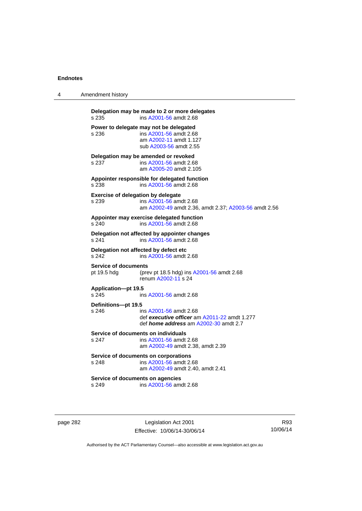| 4 | Amendment history                                                                                                                                      |
|---|--------------------------------------------------------------------------------------------------------------------------------------------------------|
|   | Delegation may be made to 2 or more delegates<br>ins A2001-56 amdt 2.68<br>s 235                                                                       |
|   | Power to delegate may not be delegated<br>ins A2001-56 amdt 2.68<br>s 236<br>am A2002-11 amdt 1.127<br>sub A2003-56 amdt 2.55                          |
|   | Delegation may be amended or revoked<br>s 237<br>ins A2001-56 amdt 2.68<br>am A2005-20 amdt 2.105                                                      |
|   | Appointer responsible for delegated function<br>s 238<br>ins A2001-56 amdt 2.68                                                                        |
|   | <b>Exercise of delegation by delegate</b><br>ins A2001-56 amdt 2.68<br>s 239<br>am A2002-49 amdt 2.36, amdt 2.37; A2003-56 amdt 2.56                   |
|   | Appointer may exercise delegated function<br>s 240<br>ins A2001-56 amdt 2.68                                                                           |
|   | Delegation not affected by appointer changes<br>s 241<br>ins A2001-56 amdt 2.68                                                                        |
|   | Delegation not affected by defect etc<br>s 242<br>ins A2001-56 amdt 2.68                                                                               |
|   | <b>Service of documents</b><br>pt 19.5 hdg<br>(prev pt 18.5 hdg) ins A2001-56 amdt 2.68<br>renum A2002-11 s 24                                         |
|   | <b>Application-pt 19.5</b><br>s 245<br>ins A2001-56 amdt 2.68                                                                                          |
|   | Definitions-pt 19.5<br>s 246<br>ins A2001-56 amdt 2.68<br>def executive officer am A2011-22 amdt 1.277<br>def <i>home address</i> am A2002-30 amdt 2.7 |
|   | Service of documents on individuals<br>s 247<br>ins A2001-56 amdt 2.68<br>am A2002-49 amdt 2.38, amdt 2.39                                             |
|   | Service of documents on corporations<br>ins A2001-56 amdt 2.68<br>s 248<br>am A2002-49 amdt 2.40, amdt 2.41                                            |
|   | Service of documents on agencies<br>ins A2001-56 amdt 2.68<br>s 249                                                                                    |
|   |                                                                                                                                                        |

page 282 Legislation Act 2001 Effective: 10/06/14-30/06/14

R93 10/06/14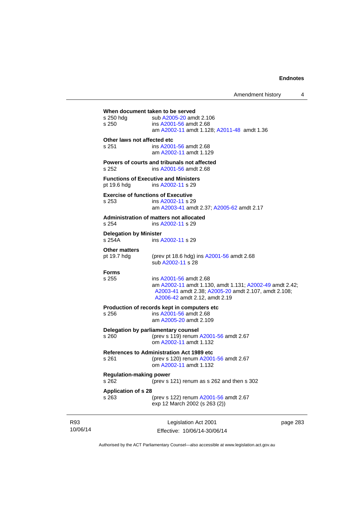Amendment history 4 Legislation Act 2001 **When document taken to be served**  s 250 hdg sub [A2005-20](http://www.legislation.act.gov.au/a/2005-20) amdt 2.106 s 250 ins [A2001-56](http://www.legislation.act.gov.au/a/2001-56) amdt 2.68 am [A2002-11](http://www.legislation.act.gov.au/a/2002-11) amdt 1.128; [A2011-48](http://www.legislation.act.gov.au/a/2011-48) amdt 1.36 **Other laws not affected etc**  s 251 ins [A2001-56](http://www.legislation.act.gov.au/a/2001-56) amdt 2.68 am [A2002-11](http://www.legislation.act.gov.au/a/2002-11) amdt 1.129 **Powers of courts and tribunals not affected**  s 252 ins [A2001-56](http://www.legislation.act.gov.au/a/2001-56) amdt 2.68 **Functions of Executive and Ministers**  pt 19.6 hdg ins [A2002-11](http://www.legislation.act.gov.au/a/2002-11) s 29 **Exercise of functions of Executive**  s 253 ins [A2002-11](http://www.legislation.act.gov.au/a/2002-11) s 29 am [A2003-41](http://www.legislation.act.gov.au/a/2003-41) amdt 2.37; [A2005-62](http://www.legislation.act.gov.au/a/2005-62) amdt 2.17 **Administration of matters not allocated**  s 254 ins [A2002-11](http://www.legislation.act.gov.au/a/2002-11) s 29 **Delegation by Minister**  s 254A ins [A2002-11](http://www.legislation.act.gov.au/a/2002-11) s 29 **Other matters**<br>pt 19.7 hdg (prev pt 18.6 hdg) ins  $A2001-56$  amdt 2.68 sub [A2002-11](http://www.legislation.act.gov.au/a/2002-11) s 28 **Forms**  s 255 ins [A2001-56](http://www.legislation.act.gov.au/a/2001-56) amdt 2.68 am [A2002-11](http://www.legislation.act.gov.au/a/2002-11) amdt 1.130, amdt 1.131; [A2002-49](http://www.legislation.act.gov.au/a/2002-49) amdt 2.42; [A2003-41](http://www.legislation.act.gov.au/a/2003-41) amdt 2.38; [A2005-20](http://www.legislation.act.gov.au/a/2005-20) amdt 2.107, amdt 2.108; [A2006-42](http://www.legislation.act.gov.au/a/2006-42) amdt 2.12, amdt 2.19 **Production of records kept in computers etc**  s 256 ins [A2001-56](http://www.legislation.act.gov.au/a/2001-56) amdt 2.68 am [A2005-20](http://www.legislation.act.gov.au/a/2005-20) amdt 2.109 **Delegation by parliamentary counsel**<br>s 260 (prev s 119) renum (prev s 119) renum [A2001-56](http://www.legislation.act.gov.au/a/2001-56) amdt 2.67 om [A2002-11](http://www.legislation.act.gov.au/a/2002-11) amdt 1.132 **References to Administration Act 1989 etc**  s 261 (prev s 120) renum [A2001-56](http://www.legislation.act.gov.au/a/2001-56) amdt 2.67 om [A2002-11](http://www.legislation.act.gov.au/a/2002-11) amdt 1.132 **Regulation-making power**  s 262 (prev s 121) renum as s 262 and then s 302 **Application of s 28**  s 263 (prev s 122) renum [A2001-56](http://www.legislation.act.gov.au/a/2001-56) amdt 2.67 exp 12 March 2002 (s 263 (2))

R93 10/06/14

Effective: 10/06/14-30/06/14

page 283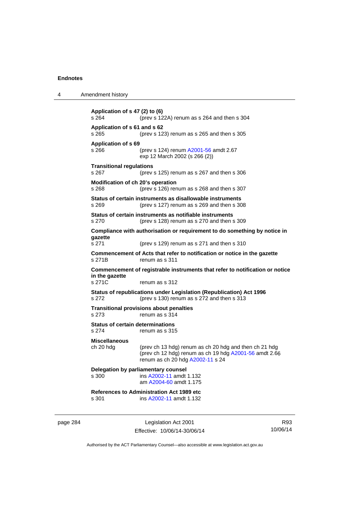| 4 | Amendment history                                                                                                                                                                         |
|---|-------------------------------------------------------------------------------------------------------------------------------------------------------------------------------------------|
|   | Application of s 47 (2) to (6)<br>s 264<br>(prev s 122A) renum as s 264 and then s 304                                                                                                    |
|   | Application of s 61 and s 62<br>(prev s 123) renum as s 265 and then s 305<br>s 265                                                                                                       |
|   | <b>Application of s 69</b><br>s 266<br>(prev s 124) renum A2001-56 amdt 2.67<br>exp 12 March 2002 (s 266 (2))                                                                             |
|   | <b>Transitional regulations</b><br>s 267<br>(prev s $125$ ) renum as s $267$ and then s $306$                                                                                             |
|   | Modification of ch 20's operation<br>s 268<br>(prev s 126) renum as s 268 and then s 307                                                                                                  |
|   | Status of certain instruments as disallowable instruments<br>(prev s 127) renum as s 269 and then s 308<br>s 269                                                                          |
|   | Status of certain instruments as notifiable instruments<br>s 270<br>(prev s 128) renum as s 270 and then s 309                                                                            |
|   | Compliance with authorisation or requirement to do something by notice in<br>gazette                                                                                                      |
|   | s 271<br>(prev s $129$ ) renum as s 271 and then s 310                                                                                                                                    |
|   | Commencement of Acts that refer to notification or notice in the gazette<br>s 271B<br>renum as s 311                                                                                      |
|   | Commencement of registrable instruments that refer to notification or notice<br>in the gazette                                                                                            |
|   | s 271C<br>renum as s 312                                                                                                                                                                  |
|   | Status of republications under Legislation (Republication) Act 1996<br>s 272<br>(prev s 130) renum as s 272 and then s 313                                                                |
|   | <b>Transitional provisions about penalties</b><br>s 273<br>renum as s 314                                                                                                                 |
|   | <b>Status of certain determinations</b><br>s 274<br>renum as s 315                                                                                                                        |
|   | <b>Miscellaneous</b><br>ch 20 hdg<br>(prev ch 13 hdg) renum as ch 20 hdg and then ch 21 hdg<br>(prev ch 12 hdg) renum as ch 19 hdg A2001-56 amdt 2.66<br>renum as ch 20 hdg A2002-11 s 24 |
|   | Delegation by parliamentary counsel<br>ins A2002-11 amdt 1.132<br>s 300<br>am A2004-60 amdt 1.175                                                                                         |
|   | <b>References to Administration Act 1989 etc</b><br>s 301<br>ins A2002-11 amdt 1.132                                                                                                      |
|   |                                                                                                                                                                                           |

page 284 Legislation Act 2001 Effective: 10/06/14-30/06/14

R93 10/06/14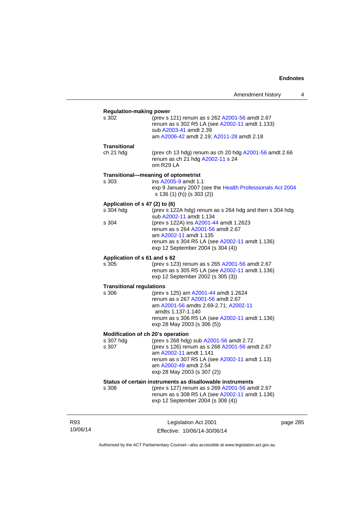|                                                         | Amendment history                                                                                                                                                                                                                                                                  | 4        |
|---------------------------------------------------------|------------------------------------------------------------------------------------------------------------------------------------------------------------------------------------------------------------------------------------------------------------------------------------|----------|
| <b>Regulation-making power</b><br>s 302                 | (prev s 121) renum as s 262 A2001-56 amdt 2.67<br>renum as s 302 R5 LA (see A2002-11 amdt 1.133)<br>sub A2003-41 amdt 2.39<br>am A2006-42 amdt 2.19; A2011-28 amdt 2.18                                                                                                            |          |
| Transitional<br>ch 21 hdg                               | (prev ch 13 hdg) renum as ch 20 hdg A2001-56 amdt 2.66<br>renum as ch 21 hdg A2002-11 s 24<br>om R29 LA                                                                                                                                                                            |          |
| s 303                                                   | Transitional-meaning of optometrist<br>ins A2005-9 amdt 1.1<br>exp 9 January 2007 (see the Health Professionals Act 2004<br>s 136 (1) (h)) (s 303 (2))                                                                                                                             |          |
| Application of s 47 (2) to (6)<br>s 304 hdg<br>s 304    | (prev s 122A hdg) renum as s 264 hdg and then s 304 hdg<br>sub A2002-11 amdt 1.134<br>(prev s 122A) ins A2001-44 amdt 1.2623<br>renum as s 264 A2001-56 amdt 2.67<br>am A2002-11 amdt 1.135<br>renum as s 304 R5 LA (see A2002-11 amdt 1.136)<br>exp 12 September 2004 (s 304 (4)) |          |
| Application of s 61 and s 62<br>s 305                   | (prev s 123) renum as s 265 A2001-56 amdt 2.67<br>renum as s 305 R5 LA (see A2002-11 amdt 1.136)<br>exp 12 September 2002 (s 305 (3))                                                                                                                                              |          |
| <b>Transitional regulations</b><br>s 306                | (prev s 125) am A2001-44 amdt 1.2624<br>renum as s 267 A2001-56 amdt 2.67<br>am A2001-56 amdts 2.69-2.71; A2002-11<br>amdts 1.137-1.140<br>renum as s 306 R5 LA (see A2002-11 amdt 1.136)<br>exp 28 May 2003 (s 306 (5))                                                           |          |
| Modification of ch 20's operation<br>s 307 hdg<br>s 307 | (prev s 268 hdg) sub A2001-56 amdt 2.72<br>(prev s 126) renum as s 268 A2001-56 amdt 2.67<br>am A2002-11 amdt 1.141<br>renum as s 307 R5 LA (see A2002-11 amdt 1.13)<br>am A2002-49 amdt 2.54<br>exp 28 May 2003 (s 307 (2))                                                       |          |
| s 308                                                   | Status of certain instruments as disallowable instruments<br>(prev s 127) renum as s 269 A2001-56 amdt 2.67<br>renum as s 308 R5 LA (see A2002-11 amdt 1.136)<br>exp 12 September 2004 (s 308 (4))                                                                                 |          |
|                                                         | Legislation Act 2001                                                                                                                                                                                                                                                               | page 285 |

Authorised by the ACT Parliamentary Counsel—also accessible at www.legislation.act.gov.au

Effective: 10/06/14-30/06/14

R93 10/06/14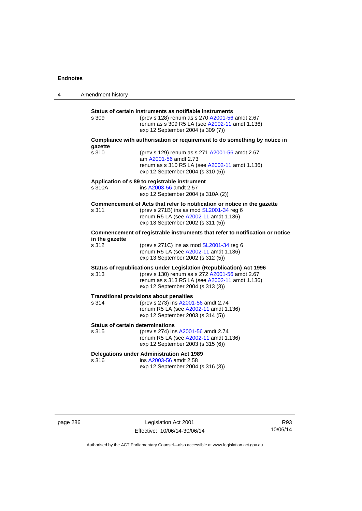| 4 | Amendment history |                                                                                                                                                                                                              |
|---|-------------------|--------------------------------------------------------------------------------------------------------------------------------------------------------------------------------------------------------------|
|   | s 309             | Status of certain instruments as notifiable instruments<br>(prev s 128) renum as s 270 A2001-56 amdt 2.67<br>renum as s 309 R5 LA (see A2002-11 amdt 1.136)<br>exp 12 September 2004 (s 309 (7))             |
|   |                   | Compliance with authorisation or requirement to do something by notice in                                                                                                                                    |
|   | gazette<br>s 310  | (prev s 129) renum as s 271 A2001-56 amdt 2.67<br>am A2001-56 amdt 2.73<br>renum as s 310 R5 LA (see A2002-11 amdt 1.136)<br>exp 12 September 2004 (s 310 (5))                                               |
|   | s 310A            | Application of s 89 to registrable instrument<br>ins A2003-56 amdt 2.57<br>exp 12 September 2004 (s 310A (2))                                                                                                |
|   | s 311             | Commencement of Acts that refer to notification or notice in the gazette<br>(prev s 271B) ins as mod SL2001-34 reg 6<br>renum R5 LA (see A2002-11 amdt 1.136)<br>exp 13 September 2002 (s 311 (5))           |
|   | in the gazette    | Commencement of registrable instruments that refer to notification or notice                                                                                                                                 |
|   | s 312             | (prev s $271C$ ) ins as mod $SL2001-34$ reg 6<br>renum R5 LA (see A2002-11 amdt 1.136)<br>exp 13 September 2002 (s 312 (5))                                                                                  |
|   | s 313             | Status of republications under Legislation (Republication) Act 1996<br>(prev s 130) renum as s 272 A2001-56 amdt 2.67<br>renum as s 313 R5 LA (see A2002-11 amdt 1.136)<br>exp 12 September 2004 (s 313 (3)) |
|   | s 314             | <b>Transitional provisions about penalties</b><br>(prev s 273) ins A2001-56 amdt 2.74<br>renum R5 LA (see A2002-11 amdt 1.136)<br>exp 12 September 2003 (s 314 (5))                                          |
|   | s 315             | <b>Status of certain determinations</b><br>(prev s 274) ins A2001-56 amdt 2.74<br>renum R5 LA (see A2002-11 amdt 1.136)<br>exp 12 September 2003 (s 315 (6))                                                 |
|   | s 316             | <b>Delegations under Administration Act 1989</b><br>ins A2003-56 amdt 2.58<br>exp 12 September 2004 (s 316 (3))                                                                                              |

page 286 Legislation Act 2001 Effective: 10/06/14-30/06/14

R93 10/06/14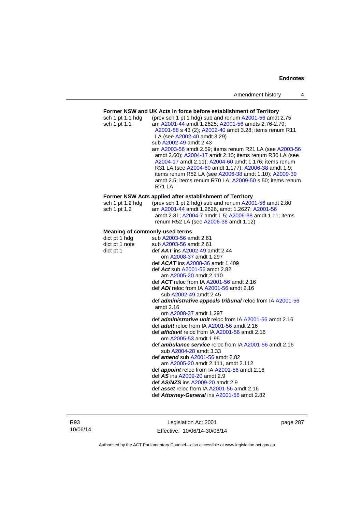### **Former NSW and UK Acts in force before establishment of Territory**

| sch 1 pt 1.1 hdg<br>sch 1 pt 1.1      | (prev sch 1 pt 1 hdg) sub and renum A2001-56 amdt 2.75<br>am A2001-44 amdt 1.2625; A2001-56 amdts 2.76-2.79;<br>A2001-88 s 43 (2); A2002-40 amdt 3.28; items renum R11<br>LA (see A2002-40 amdt 3.29)<br>sub A2002-49 amdt 2.43<br>am A2003-56 amdt 2.59; items renum R21 LA (see A2003-56<br>amdt 2.60); A2004-17 amdt 2.10; items renum R30 LA (see<br>A2004-17 amdt 2.11); A2004-60 amdt 1.176; items renum<br>R31 LA (see A2004-60 amdt 1.177); A2006-38 amdt 1.9;<br>items renum R52 LA (see A2006-38 amdt 1.10); A2009-39<br>amdt 2.5; items renum R70 LA; A2009-50 s 50; items renum<br><b>R71 LA</b> |
|---------------------------------------|--------------------------------------------------------------------------------------------------------------------------------------------------------------------------------------------------------------------------------------------------------------------------------------------------------------------------------------------------------------------------------------------------------------------------------------------------------------------------------------------------------------------------------------------------------------------------------------------------------------|
|                                       | Former NSW Acts applied after establishment of Territory                                                                                                                                                                                                                                                                                                                                                                                                                                                                                                                                                     |
| sch 1 pt 1.2 hdg<br>sch 1 pt 1.2      | (prev sch 1 pt 2 hdg) sub and renum A2001-56 amdt 2.80<br>am A2001-44 amdt 1.2626, amdt 1.2627; A2001-56<br>amdt 2.81; A2004-7 amdt 1.5; A2006-38 amdt 1.11; items<br>renum R52 LA (see A2006-38 amdt 1.12)                                                                                                                                                                                                                                                                                                                                                                                                  |
| <b>Meaning of commonly-used terms</b> |                                                                                                                                                                                                                                                                                                                                                                                                                                                                                                                                                                                                              |
| dict pt 1 hdg                         | sub A2003-56 amdt 2.61                                                                                                                                                                                                                                                                                                                                                                                                                                                                                                                                                                                       |
| dict pt 1 note                        | sub A2003-56 amdt 2.61                                                                                                                                                                                                                                                                                                                                                                                                                                                                                                                                                                                       |
| dict pt 1                             | def $AAT$ ins $A2002-49$ amdt 2.44                                                                                                                                                                                                                                                                                                                                                                                                                                                                                                                                                                           |
|                                       | om A2008-37 amdt 1.297                                                                                                                                                                                                                                                                                                                                                                                                                                                                                                                                                                                       |
|                                       | def ACAT ins A2008-36 amdt 1.409                                                                                                                                                                                                                                                                                                                                                                                                                                                                                                                                                                             |
|                                       | def Act sub A2001-56 amdt 2.82                                                                                                                                                                                                                                                                                                                                                                                                                                                                                                                                                                               |
|                                       | am A2005-20 amdt 2.110                                                                                                                                                                                                                                                                                                                                                                                                                                                                                                                                                                                       |
|                                       | def ACT reloc from IA A2001-56 amdt 2.16                                                                                                                                                                                                                                                                                                                                                                                                                                                                                                                                                                     |
|                                       | def ADI reloc from IA A2001-56 amdt 2.16                                                                                                                                                                                                                                                                                                                                                                                                                                                                                                                                                                     |
|                                       | sub A2002-49 amdt 2.45                                                                                                                                                                                                                                                                                                                                                                                                                                                                                                                                                                                       |
|                                       | def administrative appeals tribunal reloc from IA A2001-56                                                                                                                                                                                                                                                                                                                                                                                                                                                                                                                                                   |
|                                       | amdt 2.16                                                                                                                                                                                                                                                                                                                                                                                                                                                                                                                                                                                                    |
|                                       | om A2008-37 amdt 1.297                                                                                                                                                                                                                                                                                                                                                                                                                                                                                                                                                                                       |
|                                       | def <i>administrative unit</i> reloc from IA A2001-56 amdt 2.16                                                                                                                                                                                                                                                                                                                                                                                                                                                                                                                                              |
|                                       | def <i>adult</i> reloc from IA A2001-56 amdt 2.16                                                                                                                                                                                                                                                                                                                                                                                                                                                                                                                                                            |
|                                       | def <b>affidavit</b> reloc from IA A2001-56 amdt 2.16                                                                                                                                                                                                                                                                                                                                                                                                                                                                                                                                                        |
|                                       | om A2005-53 amdt 1.95                                                                                                                                                                                                                                                                                                                                                                                                                                                                                                                                                                                        |
|                                       | def <i>ambulance service</i> reloc from IA A2001-56 amdt 2.16<br>sub A2004-28 amdt 3.33                                                                                                                                                                                                                                                                                                                                                                                                                                                                                                                      |
|                                       | def <b>amend</b> sub A2001-56 amdt 2.82                                                                                                                                                                                                                                                                                                                                                                                                                                                                                                                                                                      |
|                                       | am A2005-20 amdt 2.111, amdt 2.112                                                                                                                                                                                                                                                                                                                                                                                                                                                                                                                                                                           |
|                                       | def appoint reloc from IA A2001-56 amdt 2.16                                                                                                                                                                                                                                                                                                                                                                                                                                                                                                                                                                 |
|                                       | def AS ins A2009-20 amdt 2.9                                                                                                                                                                                                                                                                                                                                                                                                                                                                                                                                                                                 |
|                                       | def AS/NZS ins A2009-20 amdt 2.9                                                                                                                                                                                                                                                                                                                                                                                                                                                                                                                                                                             |
|                                       | def asset reloc from IA A2001-56 amdt 2.16                                                                                                                                                                                                                                                                                                                                                                                                                                                                                                                                                                   |
|                                       | def Attorney-General ins A2001-56 amdt 2.82                                                                                                                                                                                                                                                                                                                                                                                                                                                                                                                                                                  |
|                                       |                                                                                                                                                                                                                                                                                                                                                                                                                                                                                                                                                                                                              |

R93 10/06/14

Legislation Act 2001 Effective: 10/06/14-30/06/14 page 287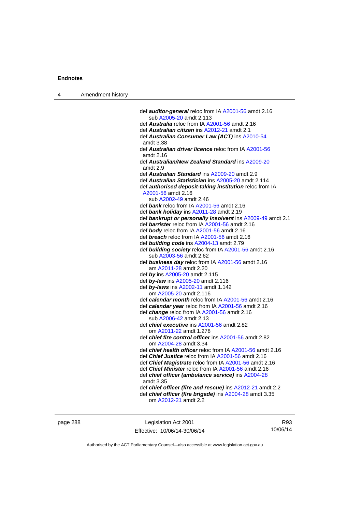| Amendment history |
|-------------------|
|                   |

| def auditor-general reloc from IA A2001-56 amdt 2.16             |
|------------------------------------------------------------------|
| sub A2005-20 amdt 2.113                                          |
| def <b>Australia</b> reloc from IA A2001-56 amdt 2.16            |
| def Australian citizen ins A2012-21 amdt 2.1                     |
| def Australian Consumer Law (ACT) ins A2010-54                   |
| amdt 3.38                                                        |
| def <b>Australian driver licence</b> reloc from IA A2001-56      |
| amdt 2.16                                                        |
| def Australian/New Zealand Standard ins A2009-20                 |
| amdt 2.9                                                         |
| def <b>Australian Standard</b> ins A2009-20 amdt 2.9             |
| def Australian Statistician ins A2005-20 amdt 2.114              |
| def authorised deposit-taking institution reloc from IA          |
| A2001-56 amdt 2.16                                               |
| sub A2002-49 amdt 2.46                                           |
| def bank reloc from IA A2001-56 amdt 2.16                        |
| def bank holiday ins A2011-28 amdt 2.19                          |
| def bankrupt or personally insolvent ins A2009-49 amdt 2.1       |
| def barrister reloc from IA A2001-56 amdt 2.16                   |
| def body reloc from IA A2001-56 amdt 2.16                        |
| def <b>breach</b> reloc from IA A2001-56 amdt 2.16               |
| def building code ins A2004-13 amdt 2.79                         |
| def building society reloc from IA A2001-56 amdt 2.16            |
| sub A2003-56 amdt 2.62                                           |
| def business day reloc from IA A2001-56 amdt 2.16                |
| am A2011-28 amdt 2.20                                            |
| def by ins A2005-20 amdt 2.115                                   |
| def by-law ins A2005-20 amdt 2.116                               |
| def by-laws ins A2002-11 amdt 1.142                              |
| om A2005-20 amdt 2.116                                           |
|                                                                  |
| def calendar month reloc from IA A2001-56 amdt 2.16              |
| def calendar year reloc from IA A2001-56 amdt 2.16               |
| def change reloc from IA A2001-56 amdt 2.16                      |
| sub A2006-42 amdt 2.13                                           |
| def chief executive ins A2001-56 amdt 2.82                       |
| om A2011-22 amdt 1.278                                           |
| def chief fire control officer ins A2001-56 amdt 2.82            |
| om A2004-28 amdt 3.34                                            |
| def <i>chief health officer</i> reloc from IA A2001-56 amdt 2.16 |
| def Chief Justice reloc from IA A2001-56 amdt 2.16               |
| def Chief Magistrate reloc from IA A2001-56 amdt 2.16            |
| def Chief Minister reloc from IA A2001-56 amdt 2.16              |
| def chief officer (ambulance service) ins A2004-28               |
| amdt 3.35                                                        |
| def chief officer (fire and rescue) ins A2012-21 amdt 2.2        |
| def chief officer (fire brigade) ins A2004-28 amdt 3.35          |
| om A2012-21 amdt 2.2                                             |
|                                                                  |

page 288 Legislation Act 2001 Effective: 10/06/14-30/06/14

R93 10/06/14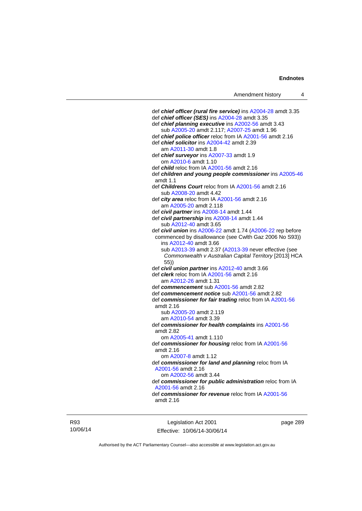def *chief officer (rural fire service)* ins [A2004-28](http://www.legislation.act.gov.au/a/2004-28) amdt 3.35 def *chief officer (SES)* ins [A2004-28](http://www.legislation.act.gov.au/a/2004-28) amdt 3.35 def *chief planning executive* ins [A2002-56](http://www.legislation.act.gov.au/a/2002-56) amdt 3.43 sub [A2005-20](http://www.legislation.act.gov.au/a/2005-20) amdt 2.117; [A2007-25](http://www.legislation.act.gov.au/a/2007-25) amdt 1.96 def *chief police officer* reloc from IA [A2001-56](http://www.legislation.act.gov.au/a/2001-56) amdt 2.16 def *chief solicitor* ins [A2004-42](http://www.legislation.act.gov.au/a/2004-42) amdt 2.39 am [A2011-30](http://www.legislation.act.gov.au/a/2011-30) amdt 1.8 def *chief surveyor* ins [A2007-33](http://www.legislation.act.gov.au/a/2007-33) amdt 1.9 om [A2010-6](http://www.legislation.act.gov.au/a/2010-6) amdt 1.10 def *child* reloc from IA [A2001-56](http://www.legislation.act.gov.au/a/2001-56) amdt 2.16 def *children and young people commissioner* ins [A2005-46](http://www.legislation.act.gov.au/a/2005-46) amdt 1.1 def *Childrens Court* reloc from IA [A2001-56](http://www.legislation.act.gov.au/a/2001-56) amdt 2.16 sub [A2008-20](http://www.legislation.act.gov.au/a/2008-20) amdt 4.42 def *city area* reloc from IA [A2001-56](http://www.legislation.act.gov.au/a/2001-56) amdt 2.16 am [A2005-20](http://www.legislation.act.gov.au/a/2005-20) amdt 2.118 def *civil partner* ins [A2008-14](http://www.legislation.act.gov.au/a/2008-14) amdt 1.44 def *civil partnership* ins [A2008-14](http://www.legislation.act.gov.au/a/2008-14) amdt 1.44 sub [A2012-40](http://www.legislation.act.gov.au/a/2012-40) amdt 3.65 def *civil union* ins [A2006-22](http://www.legislation.act.gov.au/a/2006-22) amdt 1.74 [\(A2006-22](http://www.legislation.act.gov.au/a/2006-22) rep before commenced by disallowance (see Cwlth Gaz 2006 No S93)) ins [A2012-40](http://www.legislation.act.gov.au/a/2012-40) amdt 3.66 sub [A2013-39](http://www.legislation.act.gov.au/a/2013-39) amdt 2.37 [\(A2013-39](http://www.legislation.act.gov.au/a/2013-39) never effective (see *Commonwealth v Australian Capital Territory* [2013] HCA 55)) def *civil union partner* ins [A2012-40](http://www.legislation.act.gov.au/a/2012-40) amdt 3.66 def *clerk* reloc from IA [A2001-56](http://www.legislation.act.gov.au/a/2001-56) amdt 2.16 am [A2012-26](http://www.legislation.act.gov.au/a/2012-26) amdt 1.31 def *commencement* sub [A2001-56](http://www.legislation.act.gov.au/a/2001-56) amdt 2.82 def *commencement notice* sub [A2001-56](http://www.legislation.act.gov.au/a/2001-56) amdt 2.82 def *commissioner for fair trading* reloc from IA [A2001-56](http://www.legislation.act.gov.au/a/2001-56) amdt 2.16 sub [A2005-20](http://www.legislation.act.gov.au/a/2005-20) amdt 2.119 am [A2010-54](http://www.legislation.act.gov.au/a/2010-54) amdt 3.39 def *commissioner for health complaints* ins [A2001-56](http://www.legislation.act.gov.au/a/2001-56) amdt 2.82 om [A2005-41](http://www.legislation.act.gov.au/a/2005-41) amdt 1.110 def *commissioner for housing* reloc from IA [A2001-56](http://www.legislation.act.gov.au/a/2001-56) amdt 2.16 om [A2007-8](http://www.legislation.act.gov.au/a/2007-8) amdt 1.12 def *commissioner for land and planning* reloc from IA [A2001-56](http://www.legislation.act.gov.au/a/2001-56) amdt 2.16 om [A2002-56](http://www.legislation.act.gov.au/a/2002-56) amdt 3.44 def *commissioner for public administration* reloc from IA [A2001-56](http://www.legislation.act.gov.au/a/2001-56) amdt 2.16 def *commissioner for revenue* reloc from IA [A2001-56](http://www.legislation.act.gov.au/a/2001-56) amdt 2.16

R93 10/06/14

Legislation Act 2001 Effective: 10/06/14-30/06/14 page 289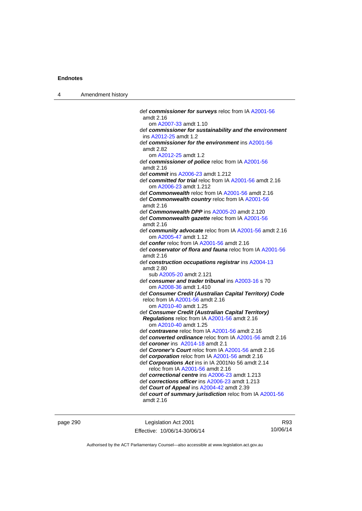| Amendment history |
|-------------------|
|                   |

| def commissioner for surveys reloc from IA A2001-56                                         |
|---------------------------------------------------------------------------------------------|
| amdt 2.16                                                                                   |
| om A2007-33 amdt 1.10                                                                       |
| def commissioner for sustainability and the environment                                     |
| ins A2012-25 amdt 1.2                                                                       |
| def commissioner for the environment ins A2001-56                                           |
| amdt 2.82                                                                                   |
| om A2012-25 amdt 1.2                                                                        |
| def commissioner of police reloc from IA A2001-56                                           |
| amdt 2.16                                                                                   |
| def commit ins A2006-23 amdt 1.212                                                          |
| def committed for trial reloc from IA A2001-56 amdt 2.16                                    |
| om A2006-23 amdt 1.212                                                                      |
| def <b>Commonwealth</b> reloc from IA A2001-56 amdt 2.16                                    |
| def Commonwealth country reloc from IA A2001-56                                             |
| amdt 2.16                                                                                   |
| def Commonwealth DPP ins A2005-20 amdt 2.120                                                |
| def Commonwealth gazette reloc from IA A2001-56                                             |
| amdt 2.16                                                                                   |
| def community advocate reloc from IA A2001-56 amdt 2.16                                     |
| om A2005-47 amdt 1.12                                                                       |
| def confer reloc from IA A2001-56 amdt 2.16                                                 |
| def conservator of flora and fauna reloc from IA A2001-56                                   |
| amdt 2.16                                                                                   |
| def construction occupations registrar ins A2004-13                                         |
| amdt 2.80                                                                                   |
| sub A2005-20 amdt 2.121                                                                     |
| def consumer and trader tribunal ins A2003-16 s 70                                          |
| om A2008-36 amdt 1.410                                                                      |
| def Consumer Credit (Australian Capital Territory) Code<br>reloc from IA A2001-56 amdt 2.16 |
| om A2010-40 amdt 1.25                                                                       |
| def Consumer Credit (Australian Capital Territory)                                          |
| Regulations reloc from IA A2001-56 amdt 2.16                                                |
| om A2010-40 amdt 1.25                                                                       |
| def contravene reloc from IA A2001-56 amdt 2.16                                             |
| def converted ordinance reloc from IA A2001-56 amdt 2.16                                    |
| def coroner ins A2014-18 amdt 2.1                                                           |
| def Coroner's Court reloc from IA A2001-56 amdt 2.16                                        |
| def corporation reloc from IA A2001-56 amdt 2.16                                            |
| def Corporations Act ins in IA 2001No 56 amdt 2.14                                          |
| reloc from IA A2001-56 amdt 2.16                                                            |
| def correctional centre ins A2006-23 amdt 1.213                                             |
| def corrections officer ins A2006-23 amdt 1.213                                             |
| def Court of Appeal ins A2004-42 amdt 2.39                                                  |
| def court of summary jurisdiction reloc from IA A2001-56                                    |
| amdt 2.16                                                                                   |
|                                                                                             |

page 290 **Legislation Act 2001** Effective: 10/06/14-30/06/14

R93 10/06/14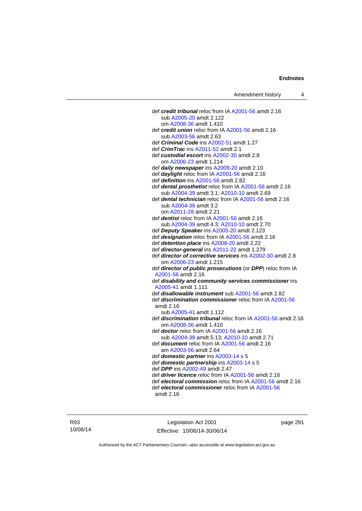def *credit tribunal* reloc from IA [A2001-56](http://www.legislation.act.gov.au/a/2001-56) amdt 2.16 sub [A2005-20](http://www.legislation.act.gov.au/a/2005-20) amdt 2.122 om [A2008-36](http://www.legislation.act.gov.au/a/2008-36) amdt 1.410 def *credit union* reloc from IA [A2001-56](http://www.legislation.act.gov.au/a/2001-56) amdt 2.16 sub [A2003-56](http://www.legislation.act.gov.au/a/2003-56) amdt 2.63 def *Criminal Code* ins [A2002-51](http://www.legislation.act.gov.au/a/2002-51) amdt 1.27 def *CrimTrac* ins [A2011-52](http://www.legislation.act.gov.au/a/2011-52) amdt 2.1 def *custodial escort* ins [A2002-30](http://www.legislation.act.gov.au/a/2002-30) amdt 2.8 om [A2006-23](http://www.legislation.act.gov.au/a/2006-23) amdt 1.214 def *daily newspaper* ins [A2009-20](http://www.legislation.act.gov.au/a/2009-20) amdt 2.10 def *daylight* reloc from IA [A2001-56](http://www.legislation.act.gov.au/a/2001-56) amdt 2.16 def *definition* ins [A2001-56](http://www.legislation.act.gov.au/a/2001-56) amdt 2.82 def *dental prosthetist* reloc from IA [A2001-56](http://www.legislation.act.gov.au/a/2001-56) amdt 2.16 sub [A2004-39](http://www.legislation.act.gov.au/a/2004-39) amdt 3.1; [A2010-10](http://www.legislation.act.gov.au/a/2010-10) amdt 2.69 def *dental technician* reloc from IA [A2001-56](http://www.legislation.act.gov.au/a/2001-56) amdt 2.16 sub [A2004-39](http://www.legislation.act.gov.au/a/2004-39) amdt 3.2 om [A2011-28](http://www.legislation.act.gov.au/a/2011-28) amdt 2.21 def *dentist* reloc from IA [A2001-56](http://www.legislation.act.gov.au/a/2001-56) amdt 2.16 sub [A2004-39](http://www.legislation.act.gov.au/a/2004-39) amdt 4.3; [A2010-10](http://www.legislation.act.gov.au/a/2010-10) amdt 2.70 def *Deputy Speaker* ins [A2005-20](http://www.legislation.act.gov.au/a/2005-20) amdt 2.123 def *designation* reloc from IA [A2001-56](http://www.legislation.act.gov.au/a/2001-56) amdt 2.16 def *detention place* ins [A2008-20](http://www.legislation.act.gov.au/a/2008-20) amdt 2.22 def *director-general* ins [A2011-22](http://www.legislation.act.gov.au/a/2011-22) amdt 1.279 def *director of corrective services* ins [A2002-30](http://www.legislation.act.gov.au/a/2002-30) amdt 2.8 om [A2006-23](http://www.legislation.act.gov.au/a/2006-23) amdt 1.215 def *director of public prosecutions* (or *DPP*) reloc from IA [A2001-56](http://www.legislation.act.gov.au/a/2001-56) amdt 2.16 def *disability and community services commissioner* ins [A2005-41](http://www.legislation.act.gov.au/a/2005-41) amdt 1.111 def *disallowable instrument* sub [A2001-56](http://www.legislation.act.gov.au/a/2001-56) amdt 2.82 def *discrimination commissioner* reloc from IA [A2001-56](http://www.legislation.act.gov.au/a/2001-56) amdt 2.16 sub [A2005-41](http://www.legislation.act.gov.au/a/2005-41) amdt 1.112 def *discrimination tribunal* reloc from IA [A2001-56](http://www.legislation.act.gov.au/a/2001-56) amdt 2.16 om [A2008-36](http://www.legislation.act.gov.au/a/2008-36) amdt 1.410 def *doctor* reloc from IA [A2001-56](http://www.legislation.act.gov.au/a/2001-56) amdt 2.16 sub [A2004-39](http://www.legislation.act.gov.au/a/2004-39) amdt 5.13; [A2010-10](http://www.legislation.act.gov.au/a/2010-10) amdt 2.71 def *document* reloc from IA [A2001-56](http://www.legislation.act.gov.au/a/2001-56) amdt 2.16 am [A2003-56](http://www.legislation.act.gov.au/a/2003-56) amdt 2.64 def *domestic partner* ins [A2003-14](http://www.legislation.act.gov.au/a/2003-14) s 5 def *domestic partnership* ins [A2003-14](http://www.legislation.act.gov.au/a/2003-14) s 5 def *DPP* ins [A2002-49](http://www.legislation.act.gov.au/a/2002-49) amdt 2.47 def *driver licence* reloc from IA [A2001-56](http://www.legislation.act.gov.au/a/2001-56) amdt 2.16 def *electoral commission* reloc from IA [A2001-56](http://www.legislation.act.gov.au/a/2001-56) amdt 2.16 def *electoral commissioner* reloc from IA [A2001-56](http://www.legislation.act.gov.au/a/2001-56) amdt 2.16

Legislation Act 2001 Effective: 10/06/14-30/06/14 page 291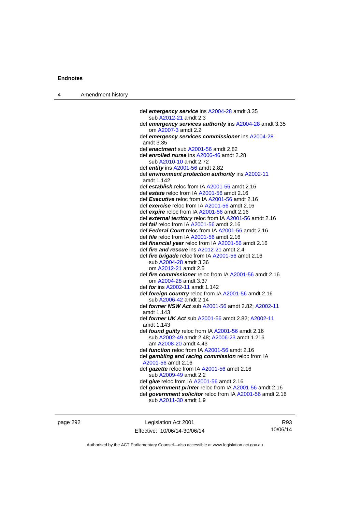| 4 | Amendment history |                                                                                                                |
|---|-------------------|----------------------------------------------------------------------------------------------------------------|
|   |                   |                                                                                                                |
|   |                   | def emergency service ins A2004-28 amdt 3.35                                                                   |
|   |                   | sub A2012-21 amdt 2.3                                                                                          |
|   |                   | def emergency services authority ins A2004-28 amdt 3.35                                                        |
|   |                   | om A2007-3 amdt 2.2<br>def emergency services commissioner ins A2004-28                                        |
|   |                   | amdt 3.35                                                                                                      |
|   |                   | def enactment sub A2001-56 amdt 2.82                                                                           |
|   |                   | def enrolled nurse ins A2006-46 amdt 2.28                                                                      |
|   |                   | sub A2010-10 amdt 2.72                                                                                         |
|   |                   | def entity ins $A2001-56$ amdt 2.82                                                                            |
|   |                   | def environment protection authority ins A2002-11<br>amdt 1.142                                                |
|   |                   | def establish reloc from IA A2001-56 amdt 2.16                                                                 |
|   |                   | def estate reloc from IA A2001-56 amdt 2.16                                                                    |
|   |                   | def <b>Executive</b> reloc from IA A2001-56 amdt 2.16                                                          |
|   |                   | def exercise reloc from IA A2001-56 amdt 2.16                                                                  |
|   |                   | def expire reloc from IA A2001-56 amdt 2.16                                                                    |
|   |                   | def external territory reloc from IA A2001-56 amdt 2.16                                                        |
|   |                   | def <i>fail</i> reloc from IA A2001-56 amdt 2.16                                                               |
|   |                   | def Federal Court reloc from IA A2001-56 amdt 2.16                                                             |
|   |                   | def <i>file</i> reloc from IA A2001-56 amdt 2.16                                                               |
|   |                   | def <i>financial year</i> reloc from IA A2001-56 amdt 2.16<br>def <i>fire and rescue</i> ins A2012-21 amdt 2.4 |
|   |                   | def fire brigade reloc from IA A2001-56 amdt 2.16                                                              |
|   |                   | sub A2004-28 amdt 3.36                                                                                         |
|   |                   | om A2012-21 amdt 2.5                                                                                           |
|   |                   | def <i>fire commissioner</i> reloc from IA A2001-56 amdt 2.16                                                  |
|   |                   | om A2004-28 amdt 3.37                                                                                          |
|   |                   | def for ins A2002-11 amdt 1.142                                                                                |
|   |                   | def foreign country reloc from IA A2001-56 amdt 2.16<br>sub A2006-42 amdt 2.14                                 |
|   |                   | def former NSW Act sub A2001-56 amdt 2.82; A2002-11<br>amdt 1.143                                              |
|   |                   | def former UK Act sub A2001-56 amdt 2.82; A2002-11                                                             |
|   |                   | amdt 1.143                                                                                                     |
|   |                   | def found guilty reloc from IA A2001-56 amdt 2.16                                                              |
|   |                   | sub A2002-49 amdt 2.48; A2006-23 amdt 1.216<br>am A2008-20 amdt 4.43                                           |
|   |                   | def <i>function</i> reloc from IA A2001-56 amdt 2.16                                                           |
|   |                   | def gambling and racing commission reloc from IA                                                               |
|   |                   | A2001-56 amdt 2.16                                                                                             |
|   |                   | def gazette reloc from IA A2001-56 amdt 2.16                                                                   |
|   |                   | sub A2009-49 amdt 2.2                                                                                          |
|   |                   | def <i>give</i> reloc from IA A2001-56 amdt 2.16                                                               |
|   |                   | def government printer reloc from IA A2001-56 amdt 2.16                                                        |
|   |                   | def government solicitor reloc from IA A2001-56 amdt 2.16                                                      |
|   |                   | sub A2011-30 amdt 1.9                                                                                          |
|   |                   |                                                                                                                |

page 292 **Legislation Act 2001** Effective: 10/06/14-30/06/14

R93 10/06/14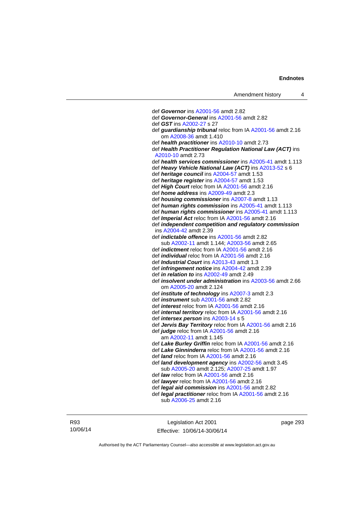def *Governor* ins [A2001-56](http://www.legislation.act.gov.au/a/2001-56) amdt 2.82 def *Governor-General* ins [A2001-56](http://www.legislation.act.gov.au/a/2001-56) amdt 2.82 def *GST* ins [A2002-27](http://www.legislation.act.gov.au/a/2002-27) s 27 def *guardianship tribunal* reloc from IA [A2001-56](http://www.legislation.act.gov.au/a/2001-56) amdt 2.16 om [A2008-36](http://www.legislation.act.gov.au/a/2008-36) amdt 1.410 def *health practitioner* ins [A2010-10](http://www.legislation.act.gov.au/a/2010-10) amdt 2.73 def *Health Practitioner Regulation National Law (ACT)* ins [A2010-10](http://www.legislation.act.gov.au/a/2010-10) amdt 2.73 def *health services commissioner* ins [A2005-41](http://www.legislation.act.gov.au/a/2005-41) amdt 1.113 def *Heavy Vehicle National Law (ACT)* ins [A2013-52](http://www.legislation.act.gov.au/a/2013-52) s 6 def *heritage council* ins [A2004-57](http://www.legislation.act.gov.au/a/2004-57) amdt 1.53 def *heritage register* ins [A2004-57](http://www.legislation.act.gov.au/a/2004-57) amdt 1.53 def *High Court* reloc from IA [A2001-56](http://www.legislation.act.gov.au/a/2001-56) amdt 2.16 def *home address* ins [A2009-49](http://www.legislation.act.gov.au/a/2009-49) amdt 2.3 def *housing commissioner* ins [A2007-8](http://www.legislation.act.gov.au/a/2007-8) amdt 1.13 def *human rights commission* ins [A2005-41](http://www.legislation.act.gov.au/a/2005-41) amdt 1.113 def *human rights commissioner* ins [A2005-41](http://www.legislation.act.gov.au/a/2005-41) amdt 1.113 def *Imperial Act* reloc from IA [A2001-56](http://www.legislation.act.gov.au/a/2001-56) amdt 2.16 def *independent competition and regulatory commission* ins [A2004-42](http://www.legislation.act.gov.au/a/2004-42) amdt 2.39 def *indictable offence* ins [A2001-56](http://www.legislation.act.gov.au/a/2001-56) amdt 2.82 sub [A2002-11](http://www.legislation.act.gov.au/a/2002-11) amdt 1.144; [A2003-56](http://www.legislation.act.gov.au/a/2003-56) amdt 2.65 def *indictment* reloc from IA [A2001-56](http://www.legislation.act.gov.au/a/2001-56) amdt 2.16 def *individual* reloc from IA [A2001-56](http://www.legislation.act.gov.au/a/2001-56) amdt 2.16 def *Industrial Court* ins [A2013-43](http://www.legislation.act.gov.au/a/2013-43) amdt 1.3 def *infringement notice* ins [A2004-42](http://www.legislation.act.gov.au/a/2004-42) amdt 2.39 def *in relation to* ins [A2002-49](http://www.legislation.act.gov.au/a/2002-49) amdt 2.49 def *insolvent under administration* ins [A2003-56](http://www.legislation.act.gov.au/a/2003-56) amdt 2.66 om [A2005-20](http://www.legislation.act.gov.au/a/2005-20) amdt 2.124 def *institute of technology* ins [A2007-3](http://www.legislation.act.gov.au/a/2007-3) amdt 2.3 def *instrument* sub [A2001-56](http://www.legislation.act.gov.au/a/2001-56) amdt 2.82 def *interest* reloc from IA [A2001-56](http://www.legislation.act.gov.au/a/2001-56) amdt 2.16 def *internal territory* reloc from IA [A2001-56](http://www.legislation.act.gov.au/a/2001-56) amdt 2.16 def *intersex person* ins [A2003-14](http://www.legislation.act.gov.au/a/2003-14) s 5 def *Jervis Bay Territory* reloc from IA [A2001-56](http://www.legislation.act.gov.au/a/2001-56) amdt 2.16 def *judge* reloc from IA [A2001-56](http://www.legislation.act.gov.au/a/2001-56) amdt 2.16 am [A2002-11](http://www.legislation.act.gov.au/a/2002-11) amdt 1.145 def *Lake Burley Griffin* reloc from IA [A2001-56](http://www.legislation.act.gov.au/a/2001-56) amdt 2.16 def *Lake Ginninderra* reloc from IA [A2001-56](http://www.legislation.act.gov.au/a/2001-56) amdt 2.16 def *land* reloc from IA [A2001-56](http://www.legislation.act.gov.au/a/2001-56) amdt 2.16 def *land development agency* ins [A2002-56](http://www.legislation.act.gov.au/a/2002-56) amdt 3.45 sub [A2005-20](http://www.legislation.act.gov.au/a/2005-20) amdt 2.125; [A2007-25](http://www.legislation.act.gov.au/a/2007-25) amdt 1.97 def *law* reloc from IA [A2001-56](http://www.legislation.act.gov.au/a/2001-56) amdt 2.16 def *lawyer* reloc from IA [A2001-56](http://www.legislation.act.gov.au/a/2001-56) amdt 2.16 def *legal aid commission* ins [A2001-56](http://www.legislation.act.gov.au/a/2001-56) amdt 2.82 def *legal practitioner* reloc from IA [A2001-56](http://www.legislation.act.gov.au/a/2001-56) amdt 2.16 sub [A2006-25](http://www.legislation.act.gov.au/a/2006-25) amdt 2.16

R93 10/06/14

Legislation Act 2001 Effective: 10/06/14-30/06/14 page 293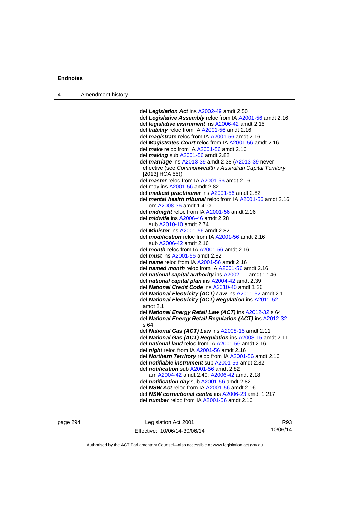| $\boldsymbol{\Lambda}$ | Amendment history |
|------------------------|-------------------|
|------------------------|-------------------|

 def *Legislation Act* ins [A2002-49](http://www.legislation.act.gov.au/a/2002-49) amdt 2.50 def *Legislative Assembly* reloc from IA [A2001-56](http://www.legislation.act.gov.au/a/2001-56) amdt 2.16 def *legislative instrument* ins [A2006-42](http://www.legislation.act.gov.au/a/2006-42) amdt 2.15 def *liability* reloc from IA [A2001-56](http://www.legislation.act.gov.au/a/2001-56) amdt 2.16 def *magistrate* reloc from IA [A2001-56](http://www.legislation.act.gov.au/a/2001-56) amdt 2.16 def *Magistrates Court* reloc from IA [A2001-56](http://www.legislation.act.gov.au/a/2001-56) amdt 2.16 def *make* reloc from IA [A2001-56](http://www.legislation.act.gov.au/a/2001-56) amdt 2.16 def *making* sub [A2001-56](http://www.legislation.act.gov.au/a/2001-56) amdt 2.82 def *marriage* ins [A2013-39](http://www.legislation.act.gov.au/a/2013-39) amdt 2.38 ([A2013-39](http://www.legislation.act.gov.au/a/2013-39) never effective (see *Commonwealth v Australian Capital Territory* [2013] HCA 55)) def *master* reloc from IA [A2001-56](http://www.legislation.act.gov.au/a/2001-56) amdt 2.16 def may ins [A2001-56](http://www.legislation.act.gov.au/a/2001-56) amdt 2.82 def *medical practitioner* ins [A2001-56](http://www.legislation.act.gov.au/a/2001-56) amdt 2.82 def *mental health tribunal* reloc from IA [A2001-56](http://www.legislation.act.gov.au/a/2001-56) amdt 2.16 om [A2008-36](http://www.legislation.act.gov.au/a/2008-36) amdt 1.410 def *midnight* reloc from IA [A2001-56](http://www.legislation.act.gov.au/a/2001-56) amdt 2.16 def *midwife* ins [A2006-46](http://www.legislation.act.gov.au/a/2006-46) amdt 2.28 sub [A2010-10](http://www.legislation.act.gov.au/a/2010-10) amdt 2.74 def *Minister* ins [A2001-56](http://www.legislation.act.gov.au/a/2001-56) amdt 2.82 def *modification* reloc from IA [A2001-56](http://www.legislation.act.gov.au/a/2001-56) amdt 2.16 sub [A2006-42](http://www.legislation.act.gov.au/a/2006-42) amdt 2.16 def *month* reloc from IA [A2001-56](http://www.legislation.act.gov.au/a/2001-56) amdt 2.16 def *must* ins [A2001-56](http://www.legislation.act.gov.au/a/2001-56) amdt 2.82 def *name* reloc from IA [A2001-56](http://www.legislation.act.gov.au/a/2001-56) amdt 2.16 def *named month* reloc from IA [A2001-56](http://www.legislation.act.gov.au/a/2001-56) amdt 2.16 def *national capital authority* ins [A2002-11](http://www.legislation.act.gov.au/a/2002-11) amdt 1.146 def *national capital plan* ins [A2004-42](http://www.legislation.act.gov.au/a/2004-42) amdt 2.39 def *National Credit Code* ins [A2010-40](http://www.legislation.act.gov.au/a/2010-40) amdt 1.26 def *National Electricity (ACT) Law* ins [A2011-52](http://www.legislation.act.gov.au/a/2011-52) amdt 2.1 def *National Electricity (ACT) Regulation* ins [A2011-52](http://www.legislation.act.gov.au/a/2011-52) amdt 2.1 def *National Energy Retail Law (ACT)* ins [A2012-32](http://www.legislation.act.gov.au/a/2012-32) s 64 def *National Energy Retail Regulation (ACT)* ins [A2012-32](http://www.legislation.act.gov.au/a/2012-32) s 64 def *National Gas (ACT) Law* ins [A2008-15](http://www.legislation.act.gov.au/a/2008-15) amdt 2.11 def *National Gas (ACT) Regulation* ins [A2008-15](http://www.legislation.act.gov.au/a/2008-15) amdt 2.11 def *national land* reloc from IA [A2001-56](http://www.legislation.act.gov.au/a/2001-56) amdt 2.16 def *night* reloc from IA [A2001-56](http://www.legislation.act.gov.au/a/2001-56) amdt 2.16 def *Northern Territory* reloc from IA [A2001-56](http://www.legislation.act.gov.au/a/2001-56) amdt 2.16 def *notifiable instrument* sub [A2001-56](http://www.legislation.act.gov.au/a/2001-56) amdt 2.82 def *notification* sub [A2001-56](http://www.legislation.act.gov.au/a/2001-56) amdt 2.82 am [A2004-42](http://www.legislation.act.gov.au/a/2004-42) amdt 2.40; [A2006-42](http://www.legislation.act.gov.au/a/2006-42) amdt 2.18 def *notification day* sub [A2001-56](http://www.legislation.act.gov.au/a/2001-56) amdt 2.82 def *NSW Act* reloc from IA [A2001-56](http://www.legislation.act.gov.au/a/2001-56) amdt 2.16 def *NSW correctional centre* ins [A2006-23](http://www.legislation.act.gov.au/a/2006-23) amdt 1.217 def *number* reloc from IA [A2001-56](http://www.legislation.act.gov.au/a/2001-56) amdt 2.16

page 294 Legislation Act 2001 Effective: 10/06/14-30/06/14

R93 10/06/14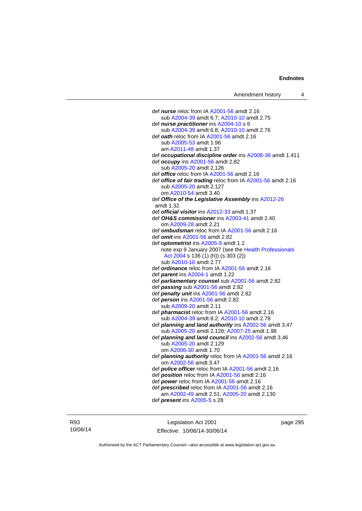def *nurse* reloc from IA [A2001-56](http://www.legislation.act.gov.au/a/2001-56) amdt 2.16 sub [A2004-39](http://www.legislation.act.gov.au/a/2004-39) amdt 6.7; [A2010-10](http://www.legislation.act.gov.au/a/2010-10) amdt 2.75 def *nurse practitioner* ins [A2004-10](http://www.legislation.act.gov.au/a/2004-10) s 6 sub [A2004-39](http://www.legislation.act.gov.au/a/2004-39) amdt 6.8; [A2010-10](http://www.legislation.act.gov.au/a/2010-10) amdt 2.76 def *oath* reloc from IA [A2001-56](http://www.legislation.act.gov.au/a/2001-56) amdt 2.16 sub [A2005-53](http://www.legislation.act.gov.au/a/2005-53) amdt 1.96 am [A2011-48](http://www.legislation.act.gov.au/a/2011-48) amdt 1.37 def *occupational discipline order* ins [A2008-36](http://www.legislation.act.gov.au/a/2008-36) amdt 1.411 def *occupy* ins [A2001-56](http://www.legislation.act.gov.au/a/2001-56) amdt 2.82 sub [A2005-20](http://www.legislation.act.gov.au/a/2005-20) amdt 2.126 def *office* reloc from IA [A2001-56](http://www.legislation.act.gov.au/a/2001-56) amdt 2.16 def *office of fair trading* reloc from IA [A2001-56](http://www.legislation.act.gov.au/a/2001-56) amdt 2.16 sub [A2005-20](http://www.legislation.act.gov.au/a/2005-20) amdt 2.127 om [A2010-54](http://www.legislation.act.gov.au/a/2010-54) amdt 3.40 def *Office of the Legislative Assembly* ins [A2012-26](http://www.legislation.act.gov.au/a/2012-26) amdt 1.32 def *official visitor* ins [A2012-33](http://www.legislation.act.gov.au/a/2002-11) amdt 1.37 def *OH&S commissioner* ins [A2003-41](http://www.legislation.act.gov.au/a/2003-41) amdt 2.40 om [A2009-28](http://www.legislation.act.gov.au/a/2009-28) amdt 2.21 def *ombudsman* reloc from IA [A2001-56](http://www.legislation.act.gov.au/a/2001-56) amdt 2.16 def *omit* ins [A2001-56](http://www.legislation.act.gov.au/a/2001-56) amdt 2.82 def *optometrist* ins [A2005-9](http://www.legislation.act.gov.au/a/2005-9) amdt 1.2 note exp 9 January 2007 (see the [Health Professionals](http://www.legislation.act.gov.au/a/2004-38)  [Act 2004](http://www.legislation.act.gov.au/a/2004-38) s 136 (1) (h)) (s 303 (2)) sub [A2010-10](http://www.legislation.act.gov.au/a/2010-10) amdt 2.77 def *ordinance* reloc from IA [A2001-56](http://www.legislation.act.gov.au/a/2001-56) amdt 2.16 def *parent* ins [A2004-1](http://www.legislation.act.gov.au/a/2004-1) amdt 1.22 def *parliamentary counsel* sub [A2001-56](http://www.legislation.act.gov.au/a/2001-56) amdt 2.82 def *passing* sub [A2001-56](http://www.legislation.act.gov.au/a/2001-56) amdt 2.82 def *penalty unit* ins [A2001-56](http://www.legislation.act.gov.au/a/2001-56) amdt 2.82 def *person* ins [A2001-56](http://www.legislation.act.gov.au/a/2001-56) amdt 2.82 sub [A2009-20](http://www.legislation.act.gov.au/a/2009-20) amdt 2.11 def *pharmacist* reloc from IA [A2001-56](http://www.legislation.act.gov.au/a/2001-56) amdt 2.16 sub [A2004-39](http://www.legislation.act.gov.au/a/2004-39) amdt 8.2; [A2010-10](http://www.legislation.act.gov.au/a/2010-10) amdt 2.78 def *planning and land authority* ins [A2002-56](http://www.legislation.act.gov.au/a/2002-56) amdt 3.47 sub [A2005-20](http://www.legislation.act.gov.au/a/2005-20) amdt 2.128; [A2007-25](http://www.legislation.act.gov.au/a/2007-25) amdt 1.98 def *planning and land council* ins [A2002-56](http://www.legislation.act.gov.au/a/2002-56) amdt 3.46 sub [A2005-20](http://www.legislation.act.gov.au/a/2005-20) amdt 2.129 om [A2006-30](http://www.legislation.act.gov.au/a/2006-30) amdt 1.70 def *planning authority* reloc from IA [A2001-56](http://www.legislation.act.gov.au/a/2001-56) amdt 2.16 om [A2002-56](http://www.legislation.act.gov.au/a/2002-56) amdt 3.47 def *police officer* reloc from IA [A2001-56](http://www.legislation.act.gov.au/a/2001-56) amdt 2.16 def *position* reloc from IA [A2001-56](http://www.legislation.act.gov.au/a/2001-56) amdt 2.16 def *power* reloc from IA [A2001-56](http://www.legislation.act.gov.au/a/2001-56) amdt 2.16 def *prescribed* reloc from IA [A2001-56](http://www.legislation.act.gov.au/a/2001-56) amdt 2.16 am [A2002-49](http://www.legislation.act.gov.au/a/2002-49) amdt 2.51; [A2005-20](http://www.legislation.act.gov.au/a/2005-20) amdt 2.130 def *present* ins [A2005-5](http://www.legislation.act.gov.au/a/2005-5) s 28

R93 10/06/14

Legislation Act 2001 Effective: 10/06/14-30/06/14 page 295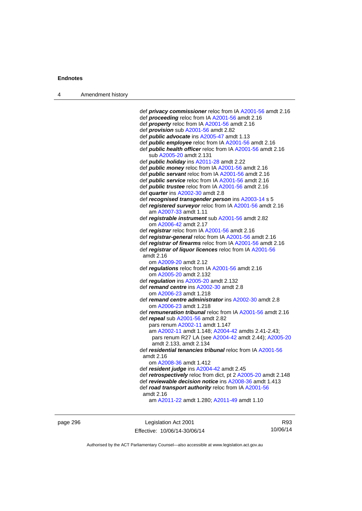| Amendment history |
|-------------------|
|                   |

 def *privacy commissioner* reloc from IA [A2001-56](http://www.legislation.act.gov.au/a/2001-56) amdt 2.16 def *proceeding* reloc from IA [A2001-56](http://www.legislation.act.gov.au/a/2001-56) amdt 2.16 def *property* reloc from IA [A2001-56](http://www.legislation.act.gov.au/a/2001-56) amdt 2.16 def *provision* sub [A2001-56](http://www.legislation.act.gov.au/a/2001-56) amdt 2.82 def *public advocate* ins [A2005-47](http://www.legislation.act.gov.au/a/2005-47) amdt 1.13 def *public employee* reloc from IA [A2001-56](http://www.legislation.act.gov.au/a/2001-56) amdt 2.16 def *public health officer* reloc from IA [A2001-56](http://www.legislation.act.gov.au/a/2001-56) amdt 2.16 sub [A2005-20](http://www.legislation.act.gov.au/a/2005-20) amdt 2.131 def *public holiday* ins [A2011-28](http://www.legislation.act.gov.au/a/2011-28) amdt 2.22 def *public money* reloc from IA [A2001-56](http://www.legislation.act.gov.au/a/2001-56) amdt 2.16 def *public servant* reloc from IA [A2001-56](http://www.legislation.act.gov.au/a/2001-56) amdt 2.16 def *public service* reloc from IA [A2001-56](http://www.legislation.act.gov.au/a/2001-56) amdt 2.16 def *public trustee* reloc from IA [A2001-56](http://www.legislation.act.gov.au/a/2001-56) amdt 2.16 def *quarter* ins [A2002-30](http://www.legislation.act.gov.au/a/2002-30) amdt 2.8 def *recognised transgender person* ins [A2003-14](http://www.legislation.act.gov.au/a/2003-14) s 5 def *registered surveyor* reloc from IA [A2001-56](http://www.legislation.act.gov.au/a/2001-56) amdt 2.16 am [A2007-33](http://www.legislation.act.gov.au/a/2007-33) amdt 1.11 def *registrable instrument* sub [A2001-56](http://www.legislation.act.gov.au/a/2001-56) amdt 2.82 om [A2006-42](http://www.legislation.act.gov.au/a/2006-42) amdt 2.17 def *registrar* reloc from IA [A2001-56](http://www.legislation.act.gov.au/a/2001-56) amdt 2.16 def *registrar-general* reloc from IA [A2001-56](http://www.legislation.act.gov.au/a/2001-56) amdt 2.16 def *registrar of firearms* reloc from IA [A2001-56](http://www.legislation.act.gov.au/a/2001-56) amdt 2.16 def *registrar of liquor licences* reloc from IA [A2001-56](http://www.legislation.act.gov.au/a/2001-56) amdt 2.16 om [A2009-20](http://www.legislation.act.gov.au/a/2009-20) amdt 2.12 def *regulations* reloc from IA [A2001-56](http://www.legislation.act.gov.au/a/2001-56) amdt 2.16 om [A2005-20](http://www.legislation.act.gov.au/a/2005-20) amdt 2.132 def *regulation* ins [A2005-20](http://www.legislation.act.gov.au/a/2005-20) amdt 2.132 def *remand centre* ins [A2002-30](http://www.legislation.act.gov.au/a/2002-30) amdt 2.8 om [A2006-23](http://www.legislation.act.gov.au/a/2006-23) amdt 1.218 def *remand centre administrator* ins [A2002-30](http://www.legislation.act.gov.au/a/2002-30) amdt 2.8 om [A2006-23](http://www.legislation.act.gov.au/a/2006-23) amdt 1.218 def *remuneration tribunal* reloc from IA [A2001-56](http://www.legislation.act.gov.au/a/2001-56) amdt 2.16 def *repeal* sub [A2001-56](http://www.legislation.act.gov.au/a/2001-56) amdt 2.82 pars renum [A2002-11](http://www.legislation.act.gov.au/a/2002-11) amdt 1.147 am [A2002-11](http://www.legislation.act.gov.au/a/2002-11) amdt 1.148; [A2004-42](http://www.legislation.act.gov.au/a/2004-42) amdts 2.41-2.43; pars renum R27 LA (see [A2004-42](http://www.legislation.act.gov.au/a/2004-42) amdt 2.44); [A2005-20](http://www.legislation.act.gov.au/a/2005-20) amdt 2.133, amdt 2.134 def *residential tenancies tribunal* reloc from IA [A2001-56](http://www.legislation.act.gov.au/a/2001-56) amdt 2.16 om [A2008-36](http://www.legislation.act.gov.au/a/2008-36) amdt 1.412 def *resident judge* ins [A2004-42](http://www.legislation.act.gov.au/a/2004-42) amdt 2.45 def *retrospectively* reloc from dict, pt 2 [A2005-20](http://www.legislation.act.gov.au/a/2005-20) amdt 2.148 def *reviewable decision notice* ins [A2008-36](http://www.legislation.act.gov.au/a/2008-36) amdt 1.413 def *road transport authority* reloc from IA [A2001-56](http://www.legislation.act.gov.au/a/2001-56) amdt 2.16 am [A2011-22](http://www.legislation.act.gov.au/a/2011-22) amdt 1.280; [A2011-49](http://www.legislation.act.gov.au/a/2011-49) amdt 1.10

page 296 Legislation Act 2001 Effective: 10/06/14-30/06/14

R93 10/06/14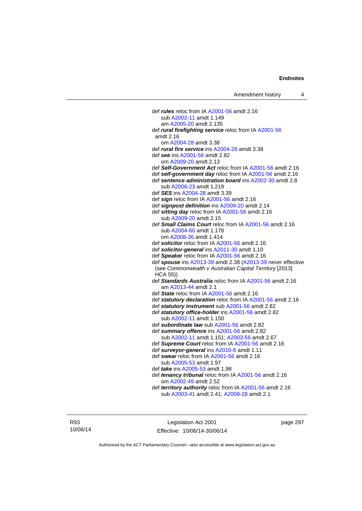def *rules* reloc from IA [A2001-56](http://www.legislation.act.gov.au/a/2001-56) amdt 2.16 sub [A2002-11](http://www.legislation.act.gov.au/a/2002-11) amdt 1.149 am [A2005-20](http://www.legislation.act.gov.au/a/2005-20) amdt 2.135 def *rural firefighting service* reloc from IA [A2001-56](http://www.legislation.act.gov.au/a/2001-56) amdt 2.16 om [A2004-28](http://www.legislation.act.gov.au/a/2004-28) amdt 3.38 def *rural fire service* ins [A2004-28](http://www.legislation.act.gov.au/a/2004-28) amdt 3.38 def *see* ins [A2001-56](http://www.legislation.act.gov.au/a/2001-56) amdt 2.82 om [A2009-20](http://www.legislation.act.gov.au/a/2009-20) amdt 2.13 def *Self-Government Act* reloc from IA [A2001-56](http://www.legislation.act.gov.au/a/2001-56) amdt 2.16 def *self-government day* reloc from IA [A2001-56](http://www.legislation.act.gov.au/a/2001-56) amdt 2.16 def *sentence administration board* ins [A2002-30](http://www.legislation.act.gov.au/a/2002-30) amdt 2.8 sub [A2006-23](http://www.legislation.act.gov.au/a/2006-23) amdt 1.219 def *SES* ins [A2004-28](http://www.legislation.act.gov.au/a/2004-28) amdt 3.39 def *sign* reloc from IA [A2001-56](http://www.legislation.act.gov.au/a/2001-56) amdt 2.16 def *signpost definition* ins [A2009-20](http://www.legislation.act.gov.au/a/2009-20) amdt 2.14 def *sitting day* reloc from IA [A2001-56](http://www.legislation.act.gov.au/a/2001-56) amdt 2.16 sub [A2009-20](http://www.legislation.act.gov.au/a/2009-20) amdt 2.15 def *Small Claims Court* reloc from IA [A2001-56](http://www.legislation.act.gov.au/a/2001-56) amdt 2.16 sub [A2004-60](http://www.legislation.act.gov.au/a/2004-60) amdt 1.178 om [A2008-36](http://www.legislation.act.gov.au/a/2008-36) amdt 1.414 def *solicitor* reloc from IA [A2001-56](http://www.legislation.act.gov.au/a/2001-56) amdt 2.16 def *solicitor-general* ins [A2011-30](http://www.legislation.act.gov.au/a/2011-30) amdt 1.10 def *Speaker* reloc from IA [A2001-56](http://www.legislation.act.gov.au/a/2001-56) amdt 2.16 def *spouse* ins [A2013-39](http://www.legislation.act.gov.au/a/2013-39) amdt 2.38 [\(A2013-39](http://www.legislation.act.gov.au/a/2013-39) never effective (see *Commonwealth v Australian Capital Territory* [2013] HCA 55)) def *Standards Australia* reloc from IA [A2001-56](http://www.legislation.act.gov.au/a/2001-56) amdt 2.16 am [A2013-44](http://www.legislation.act.gov.au/a/2013-44) amdt 2.1 def *State* reloc from IA [A2001-56](http://www.legislation.act.gov.au/a/2001-56) amdt 2.16 def *statutory declaration* reloc from IA [A2001-56](http://www.legislation.act.gov.au/a/2001-56) amdt 2.16 def *statutory instrument* sub [A2001-56](http://www.legislation.act.gov.au/a/2001-56) amdt 2.82 def *statutory office-holder* ins [A2001-56](http://www.legislation.act.gov.au/a/2001-56) amdt 2.82 sub [A2002-11](http://www.legislation.act.gov.au/a/2002-11) amdt 1.150 def *subordinate law* sub [A2001-56](http://www.legislation.act.gov.au/a/2001-56) amdt 2.82 def *summary offence* ins [A2001-56](http://www.legislation.act.gov.au/a/2001-56) amdt 2.82 sub [A2002-11](http://www.legislation.act.gov.au/a/2002-11) amdt 1.151; [A2003-56](http://www.legislation.act.gov.au/a/2003-56) amdt 2.67 def *Supreme Court* reloc from IA [A2001-56](http://www.legislation.act.gov.au/a/2001-56) amdt 2.16 def *surveyor-general* ins [A2010-6](http://www.legislation.act.gov.au/a/2010-6) amdt 1.11 def *swear* reloc from IA [A2001-56](http://www.legislation.act.gov.au/a/2001-56) amdt 2.16 sub [A2005-53](http://www.legislation.act.gov.au/a/2005-53) amdt 1.97 def *take* ins [A2005-53](http://www.legislation.act.gov.au/a/2005-53) amdt 1.98 def *tenancy tribunal* reloc from IA [A2001-56](http://www.legislation.act.gov.au/a/2001-56) amdt 2.16 om [A2002-49](http://www.legislation.act.gov.au/a/2002-49) amdt 2.52 def *territory authority* reloc from IA [A2001-56](http://www.legislation.act.gov.au/a/2001-56) amdt 2.16

sub [A2003-41](http://www.legislation.act.gov.au/a/2003-41) amdt 2.41; [A2008-28](http://www.legislation.act.gov.au/a/2008-28) amdt 2.1

R93 10/06/14

Legislation Act 2001 Effective: 10/06/14-30/06/14 page 297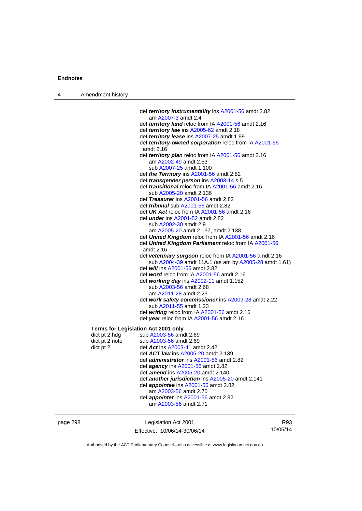| 4 | Amendment history                                                                   |                                                                                                                                                                                                                                                                                                                                                                                                                                                                                                                                                                                                                                                                                                                                                                                                                                                                                                                                                                                                                                                                                                                                                                                                                                                                                                                                                       |
|---|-------------------------------------------------------------------------------------|-------------------------------------------------------------------------------------------------------------------------------------------------------------------------------------------------------------------------------------------------------------------------------------------------------------------------------------------------------------------------------------------------------------------------------------------------------------------------------------------------------------------------------------------------------------------------------------------------------------------------------------------------------------------------------------------------------------------------------------------------------------------------------------------------------------------------------------------------------------------------------------------------------------------------------------------------------------------------------------------------------------------------------------------------------------------------------------------------------------------------------------------------------------------------------------------------------------------------------------------------------------------------------------------------------------------------------------------------------|
|   |                                                                                     | def territory instrumentality ins A2001-56 amdt 2.82<br>am A2007-3 amdt 2.4<br>def territory land reloc from IA A2001-56 amdt 2.16<br>def territory law ins A2005-62 amdt 2.18<br>def <i>territory lease</i> ins A2007-25 amdt 1.99<br>def territory-owned corporation reloc from IA A2001-56<br>amdt 2.16<br>def territory plan reloc from IA A2001-56 amdt 2.16<br>am A2002-49 amdt 2.53<br>sub A2007-25 amdt 1.100<br>def the Territory ins A2001-56 amdt 2.82<br>def <i>transgender person</i> ins A2003-14 s 5<br>def <i>transitional</i> reloc from IA A2001-56 amdt 2.16<br>sub A2005-20 amdt 2.136<br>def Treasurer ins A2001-56 amdt 2.82<br>def <i>tribunal</i> sub A2001-56 amdt 2.82<br>def UK Act reloc from IA A2001-56 amdt 2.16<br>def <i>under</i> ins A2001-52 amdt 2.82<br>sub A2002-30 amdt 2.9<br>am A2005-20 amdt 2.137, amdt 2.138<br>def United Kingdom reloc from IA A2001-56 amdt 2.16<br>def United Kingdom Parliament reloc from IA A2001-56<br>amdt 2.16<br>def veterinary surgeon reloc from IA A2001-56 amdt 2.16<br>sub A2004-39 amdt 11A.1 (as am by A2005-28 amdt 1.61)<br>def <i>will</i> ins A2001-56 amdt 2.82<br>def word reloc from IA A2001-56 amdt 2.16<br>def working day ins A2002-11 amdt 1.152<br>sub A2003-56 amdt 2.68<br>am A2011-28 amdt 2.23<br>def work safety commissioner ins A2009-28 amdt 2.22 |
|   |                                                                                     | sub A2011-55 amdt 1.23<br>def writing reloc from IA A2001-56 amdt 2.16<br>def year reloc from IA A2001-56 amdt 2.16                                                                                                                                                                                                                                                                                                                                                                                                                                                                                                                                                                                                                                                                                                                                                                                                                                                                                                                                                                                                                                                                                                                                                                                                                                   |
|   | Terms for Legislation Act 2001 only<br>dict pt 2 hdg<br>dict pt 2 note<br>dict pt 2 | sub A2003-56 amdt 2.69<br>sub A2003-56 amdt 2.69<br>def Act ins A2003-41 amdt 2.42<br>def ACT law ins A2005-20 amdt 2.139<br>def <i>administrator</i> ins A2001-56 amdt 2.82<br>def agency ins A2001-56 amdt 2.82<br>def <i>amend</i> ins A2005-20 amdt 2.140<br>def another jurisdiction ins A2005-20 amdt 2.141<br>def <i>appointee</i> ins A2001-56 amdt 2.82<br>am A2003-56 amdt 2.70<br>def appointer ins A2001-56 amdt 2.82<br>am A2003-56 amdt 2.71                                                                                                                                                                                                                                                                                                                                                                                                                                                                                                                                                                                                                                                                                                                                                                                                                                                                                            |

page 298 Legislation Act 2001 Effective: 10/06/14-30/06/14

R93 10/06/14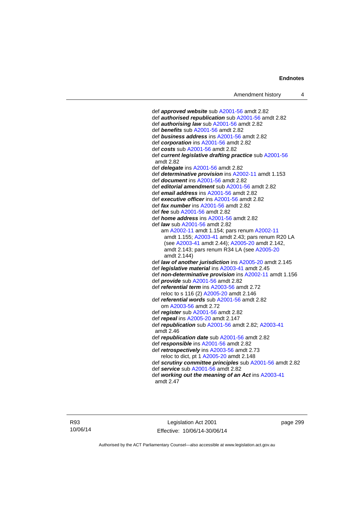def *approved website* sub [A2001-56](http://www.legislation.act.gov.au/a/2001-56) amdt 2.82 def *authorised republication* sub [A2001-56](http://www.legislation.act.gov.au/a/2001-56) amdt 2.82 def *authorising law* sub [A2001-56](http://www.legislation.act.gov.au/a/2001-56) amdt 2.82 def *benefits* sub [A2001-56](http://www.legislation.act.gov.au/a/2001-56) amdt 2.82 def *business address* ins [A2001-56](http://www.legislation.act.gov.au/a/2001-56) amdt 2.82 def *corporation* ins [A2001-56](http://www.legislation.act.gov.au/a/2001-56) amdt 2.82 def *costs* sub [A2001-56](http://www.legislation.act.gov.au/a/2001-56) amdt 2.82 def *current legislative drafting practice* sub [A2001-56](http://www.legislation.act.gov.au/a/2001-56) amdt 2.82 def *delegate* ins [A2001-56](http://www.legislation.act.gov.au/a/2001-56) amdt 2.82 def *determinative provision* ins [A2002-11](http://www.legislation.act.gov.au/a/2002-11) amdt 1.153 def *document* ins [A2001-56](http://www.legislation.act.gov.au/a/2001-56) amdt 2.82 def *editorial amendment* sub [A2001-56](http://www.legislation.act.gov.au/a/2001-56) amdt 2.82 def *email address* ins [A2001-56](http://www.legislation.act.gov.au/a/2001-56) amdt 2.82 def *executive officer* ins [A2001-56](http://www.legislation.act.gov.au/a/2001-56) amdt 2.82 def *fax number* ins [A2001-56](http://www.legislation.act.gov.au/a/2001-56) amdt 2.82 def *fee* sub [A2001-56](http://www.legislation.act.gov.au/a/2001-56) amdt 2.82 def *home address* ins [A2001-56](http://www.legislation.act.gov.au/a/2001-56) amdt 2.82 def *law* sub [A2001-56](http://www.legislation.act.gov.au/a/2001-56) amdt 2.82 am [A2002-11](http://www.legislation.act.gov.au/a/2002-11) amdt 1.154; pars renum [A2002-11](http://www.legislation.act.gov.au/a/2002-11) amdt 1.155; [A2003-41](http://www.legislation.act.gov.au/a/2003-41) amdt 2.43; pars renum R20 LA (see [A2003-41](http://www.legislation.act.gov.au/a/2003-41) amdt 2.44); [A2005-20](http://www.legislation.act.gov.au/a/2005-20) amdt 2.142, amdt 2.143; pars renum R34 LA (see [A2005-20](http://www.legislation.act.gov.au/a/2005-20) amdt 2.144) def *law of another jurisdiction* ins [A2005-20](http://www.legislation.act.gov.au/a/2005-20) amdt 2.145 def *legislative material* ins [A2003-41](http://www.legislation.act.gov.au/a/2003-41) amdt 2.45 def *non-determinative provision* ins [A2002-11](http://www.legislation.act.gov.au/a/2002-11) amdt 1.156 def *provide* sub [A2001-56](http://www.legislation.act.gov.au/a/2001-56) amdt 2.82 def *referential term* ins [A2003-56](http://www.legislation.act.gov.au/a/2003-56) amdt 2.72 reloc to s 116 (2) [A2005-20](http://www.legislation.act.gov.au/a/2005-20) amdt 2.146 def *referential words* sub [A2001-56](http://www.legislation.act.gov.au/a/2001-56) amdt 2.82 om [A2003-56](http://www.legislation.act.gov.au/a/2003-56) amdt 2.72 def *register* sub [A2001-56](http://www.legislation.act.gov.au/a/2001-56) amdt 2.82 def *repeal* ins [A2005-20](http://www.legislation.act.gov.au/a/2005-20) amdt 2.147 def *republication* sub [A2001-56](http://www.legislation.act.gov.au/a/2001-56) amdt 2.82; [A2003-41](http://www.legislation.act.gov.au/a/2003-41) amdt 2.46 def *republication date* sub [A2001-56](http://www.legislation.act.gov.au/a/2001-56) amdt 2.82 def *responsible* ins [A2001-56](http://www.legislation.act.gov.au/a/2001-56) amdt 2.82 def *retrospectively* ins [A2003-56](http://www.legislation.act.gov.au/a/2003-56) amdt 2.73 reloc to dict, pt 1 [A2005-20](http://www.legislation.act.gov.au/a/2005-20) amdt 2.148 def *scrutiny committee principles* sub [A2001-56](http://www.legislation.act.gov.au/a/2001-56) amdt 2.82 def *service* sub [A2001-56](http://www.legislation.act.gov.au/a/2001-56) amdt 2.82 def *working out the meaning of an Act* ins [A2003-41](http://www.legislation.act.gov.au/a/2003-41)

amdt 2.47

R93 10/06/14

Legislation Act 2001 Effective: 10/06/14-30/06/14

page 299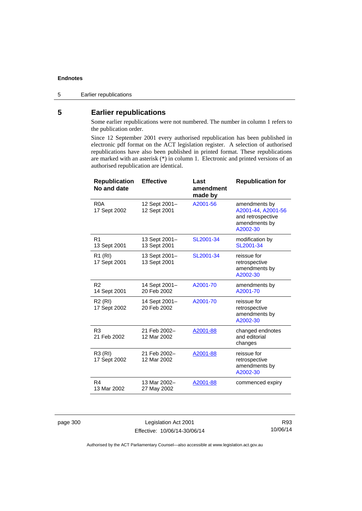## **5 Earlier republications**

Some earlier republications were not numbered. The number in column 1 refers to the publication order.

Since 12 September 2001 every authorised republication has been published in electronic pdf format on the ACT legislation register. A selection of authorised republications have also been published in printed format. These republications are marked with an asterisk (\*) in column 1. Electronic and printed versions of an authorised republication are identical.

| <b>Republication</b><br>No and date | <b>Effective</b>              | Last<br>amendment<br>made by | <b>Republication for</b>                                                              |
|-------------------------------------|-------------------------------|------------------------------|---------------------------------------------------------------------------------------|
| R <sub>0</sub> A<br>17 Sept 2002    | 12 Sept 2001-<br>12 Sept 2001 | A2001-56                     | amendments by<br>A2001-44, A2001-56<br>and retrospective<br>amendments by<br>A2002-30 |
| R <sub>1</sub><br>13 Sept 2001      | 13 Sept 2001-<br>13 Sept 2001 | SL2001-34                    | modification by<br>SL2001-34                                                          |
| R <sub>1</sub> (RI)<br>17 Sept 2001 | 13 Sept 2001-<br>13 Sept 2001 | SL2001-34                    | reissue for<br>retrospective<br>amendments by<br>A2002-30                             |
| R <sub>2</sub><br>14 Sept 2001      | 14 Sept 2001–<br>20 Feb 2002  | A2001-70                     | amendments by<br>A2001-70                                                             |
| R <sub>2</sub> (RI)<br>17 Sept 2002 | 14 Sept 2001-<br>20 Feb 2002  | A2001-70                     | reissue for<br>retrospective<br>amendments by<br>A2002-30                             |
| R <sub>3</sub><br>21 Feb 2002       | 21 Feb 2002-<br>12 Mar 2002   | A2001-88                     | changed endnotes<br>and editorial<br>changes                                          |
| R3 (RI)<br>17 Sept 2002             | 21 Feb 2002-<br>12 Mar 2002   | A2001-88                     | reissue for<br>retrospective<br>amendments by<br>A2002-30                             |
| R4<br>13 Mar 2002                   | 13 Mar 2002-<br>27 May 2002   | A2001-88                     | commenced expiry                                                                      |

page 300 Legislation Act 2001 Effective: 10/06/14-30/06/14

R93 10/06/14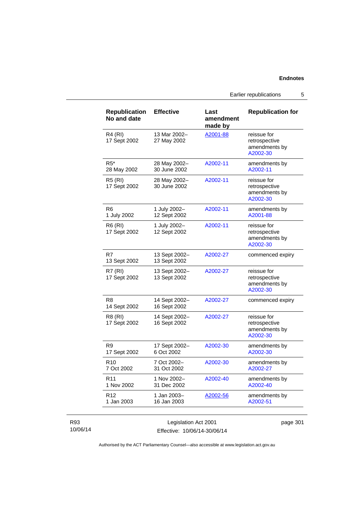Earlier republications 5

| <b>Republication</b><br>No and date | <b>Effective</b>              | Last<br>amendment<br>made by | <b>Republication for</b>                                  |
|-------------------------------------|-------------------------------|------------------------------|-----------------------------------------------------------|
| R4 (RI)<br>17 Sept 2002             | 13 Mar 2002-<br>27 May 2002   | A2001-88                     | reissue for<br>retrospective<br>amendments by<br>A2002-30 |
| $R5*$<br>28 May 2002                | 28 May 2002-<br>30 June 2002  | A2002-11                     | amendments by<br>A2002-11                                 |
| <b>R5 (RI)</b><br>17 Sept 2002      | 28 May 2002-<br>30 June 2002  | A2002-11                     | reissue for<br>retrospective<br>amendments by<br>A2002-30 |
| R <sub>6</sub><br>1 July 2002       | 1 July 2002-<br>12 Sept 2002  | A2002-11                     | amendments by<br>A2001-88                                 |
| R6 (RI)<br>17 Sept 2002             | 1 July 2002-<br>12 Sept 2002  | A2002-11                     | reissue for<br>retrospective<br>amendments by<br>A2002-30 |
| R7<br>13 Sept 2002                  | 13 Sept 2002-<br>13 Sept 2002 | A2002-27                     | commenced expiry                                          |
| <b>R7 (RI)</b><br>17 Sept 2002      | 13 Sept 2002-<br>13 Sept 2002 | A2002-27                     | reissue for<br>retrospective<br>amendments by<br>A2002-30 |
| R8<br>14 Sept 2002                  | 14 Sept 2002-<br>16 Sept 2002 | A2002-27                     | commenced expiry                                          |
| R8 (RI)<br>17 Sept 2002             | 14 Sept 2002-<br>16 Sept 2002 | A2002-27                     | reissue for<br>retrospective<br>amendments by<br>A2002-30 |
| R9<br>17 Sept 2002                  | 17 Sept 2002-<br>6 Oct 2002   | A2002-30                     | amendments by<br>A2002-30                                 |
| R <sub>10</sub><br>7 Oct 2002       | 7 Oct 2002-<br>31 Oct 2002    | A2002-30                     | amendments by<br>A2002-27                                 |
| R <sub>11</sub><br>1 Nov 2002       | 1 Nov 2002-<br>31 Dec 2002    | A2002-40                     | amendments by<br>A2002-40                                 |
| R <sub>12</sub><br>1 Jan 2003       | 1 Jan 2003-<br>16 Jan 2003    | A2002-56                     | amendments by<br>A2002-51                                 |

### R93 10/06/14

Legislation Act 2001 Effective: 10/06/14-30/06/14 page 301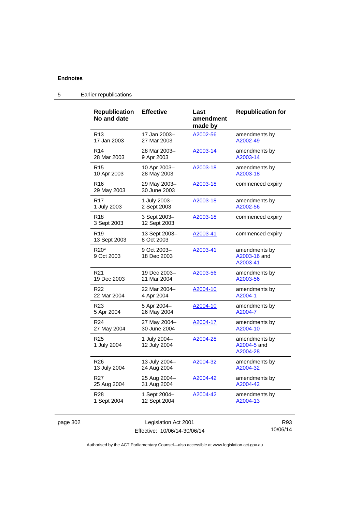| <b>Republication</b><br>No and date | <b>Effective</b>             | Last<br>amendment<br>made by | <b>Republication for</b>                  |
|-------------------------------------|------------------------------|------------------------------|-------------------------------------------|
| R <sub>13</sub>                     | 17 Jan 2003–                 | A2002-56                     | amendments by                             |
| 17 Jan 2003                         | 27 Mar 2003                  |                              | A2002-49                                  |
| R <sub>14</sub>                     | 28 Mar 2003-                 | A2003-14                     | amendments by                             |
| 28 Mar 2003                         | 9 Apr 2003                   |                              | A2003-14                                  |
| R <sub>15</sub>                     | 10 Apr 2003-                 | A2003-18                     | amendments by                             |
| 10 Apr 2003                         | 28 May 2003                  |                              | A2003-18                                  |
| R <sub>16</sub><br>29 May 2003      | 29 May 2003-<br>30 June 2003 | A2003-18                     | commenced expiry                          |
| R <sub>17</sub>                     | 1 July 2003-                 | A2003-18                     | amendments by                             |
| 1 July 2003                         | 2 Sept 2003                  |                              | A2002-56                                  |
| R <sub>18</sub><br>3 Sept 2003      | 3 Sept 2003-<br>12 Sept 2003 | A2003-18                     | commenced expiry                          |
| R <sub>19</sub><br>13 Sept 2003     | 13 Sept 2003-<br>8 Oct 2003  | <u>A2003-41</u>              | commenced expiry                          |
| R <sub>20</sub> *<br>9 Oct 2003     | 9 Oct 2003-<br>18 Dec 2003   | A2003-41                     | amendments by<br>A2003-16 and<br>A2003-41 |
| R <sub>21</sub>                     | 19 Dec 2003–                 | A2003-56                     | amendments by                             |
| 19 Dec 2003                         | 21 Mar 2004                  |                              | A2003-56                                  |
| R <sub>22</sub>                     | 22 Mar 2004-                 | <u>A2004-10</u>              | amendments by                             |
| 22 Mar 2004                         | 4 Apr 2004                   |                              | A2004-1                                   |
| R <sub>23</sub>                     | 5 Apr 2004-                  | A2004-10                     | amendments by                             |
| 5 Apr 2004                          | 26 May 2004                  |                              | A2004-7                                   |
| R <sub>24</sub>                     | 27 May 2004-                 | A2004-17                     | amendments by                             |
| 27 May 2004                         | 30 June 2004                 |                              | A2004-10                                  |
| R25<br>1 July 2004                  | 1 July 2004-<br>12 July 2004 | A2004-28                     | amendments by<br>A2004-5 and<br>A2004-28  |
| R <sub>26</sub>                     | 13 July 2004-                | A2004-32                     | amendments by                             |
| 13 July 2004                        | 24 Aug 2004                  |                              | A2004-32                                  |
| R <sub>27</sub>                     | 25 Aug 2004-                 | A2004-42                     | amendments by                             |
| 25 Aug 2004                         | 31 Aug 2004                  |                              | A2004-42                                  |
| R <sub>28</sub>                     | 1 Sept 2004–                 | A2004-42                     | amendments by                             |
| 1 Sept 2004                         | 12 Sept 2004                 |                              | A2004-13                                  |

### 5 Earlier republications

page 302 Legislation Act 2001 Effective: 10/06/14-30/06/14

R93 10/06/14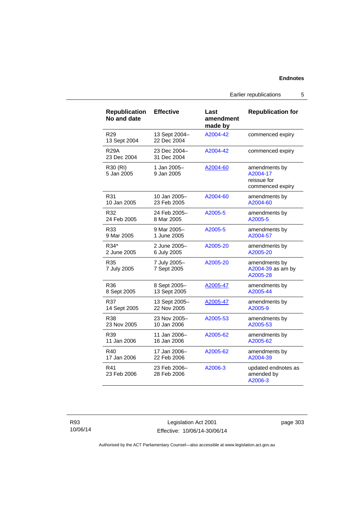Earlier republications 5

| <b>Republication</b><br>No and date | <b>Effective</b>             | Last<br>amendment<br>made by | <b>Republication for</b>                                     |
|-------------------------------------|------------------------------|------------------------------|--------------------------------------------------------------|
| R <sub>29</sub><br>13 Sept 2004     | 13 Sept 2004-<br>22 Dec 2004 | A2004-42                     | commenced expiry                                             |
| <b>R29A</b><br>23 Dec 2004          | 23 Dec 2004-<br>31 Dec 2004  | A2004-42                     | commenced expiry                                             |
| R30 (RI)<br>5 Jan 2005              | 1 Jan 2005-<br>9 Jan 2005    | A2004-60                     | amendments by<br>A2004-17<br>reissue for<br>commenced expiry |
| R31                                 | 10 Jan 2005-                 | A2004-60                     | amendments by                                                |
| 10 Jan 2005                         | 23 Feb 2005                  |                              | A2004-60                                                     |
| R32                                 | 24 Feb 2005-                 | A2005-5                      | amendments by                                                |
| 24 Feb 2005                         | 8 Mar 2005                   |                              | A2005-5                                                      |
| R33                                 | 9 Mar 2005-                  | A2005-5                      | amendments by                                                |
| 9 Mar 2005                          | 1 June 2005                  |                              | A2004-57                                                     |
| R34*                                | 2 June 2005-                 | A2005-20                     | amendments by                                                |
| 2 June 2005                         | 6 July 2005                  |                              | A2005-20                                                     |
| R35<br>7 July 2005                  | 7 July 2005-<br>7 Sept 2005  | A2005-20                     | amendments by<br>A2004-39 as am by<br>A2005-28               |
| R36                                 | 8 Sept 2005-                 | A2005-47                     | amendments by                                                |
| 8 Sept 2005                         | 13 Sept 2005                 |                              | A2005-44                                                     |
| R37                                 | 13 Sept 2005-                | A2005-47                     | amendments by                                                |
| 14 Sept 2005                        | 22 Nov 2005                  |                              | A2005-9                                                      |
| R38                                 | 23 Nov 2005-                 | A2005-53                     | amendments by                                                |
| 23 Nov 2005                         | 10 Jan 2006                  |                              | A2005-53                                                     |
| R39                                 | 11 Jan 2006-                 | A2005-62                     | amendments by                                                |
| 11 Jan 2006                         | 16 Jan 2006                  |                              | A2005-62                                                     |
| R40                                 | 17 Jan 2006-                 | A2005-62                     | amendments by                                                |
| 17 Jan 2006                         | 22 Feb 2006                  |                              | A2004-39                                                     |
| R41<br>23 Feb 2006                  | 23 Feb 2006-<br>28 Feb 2006  | A2006-3                      | updated endnotes as<br>amended by<br>A2006-3                 |

Legislation Act 2001 Effective: 10/06/14-30/06/14 page 303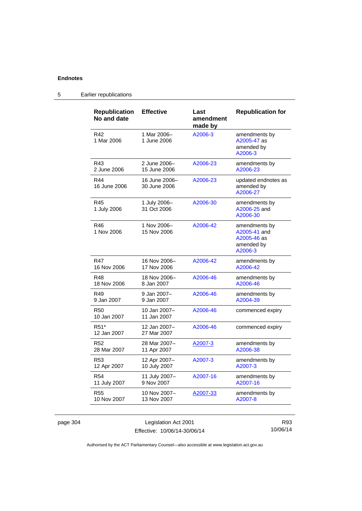| <b>Republication</b><br>No and date | <b>Effective</b>              | Last<br>amendment<br>made by | <b>Republication for</b>                                              |
|-------------------------------------|-------------------------------|------------------------------|-----------------------------------------------------------------------|
| R42<br>1 Mar 2006                   | 1 Mar 2006-<br>1 June 2006    | A2006-3                      | amendments by<br>A2005-47 as<br>amended by<br>A2006-3                 |
| R43                                 | 2 June 2006-                  | A2006-23                     | amendments by                                                         |
| 2 June 2006                         | 15 June 2006                  |                              | A2006-23                                                              |
| R44<br>16 June 2006                 | 16 June 2006-<br>30 June 2006 | A2006-23                     | updated endnotes as<br>amended by<br>A2006-27                         |
| R45<br>1 July 2006                  | 1 July 2006-<br>31 Oct 2006   | A2006-30                     | amendments by<br>A2006-25 and<br>A2006-30                             |
| R46<br>1 Nov 2006                   | 1 Nov 2006-<br>15 Nov 2006    | A2006-42                     | amendments by<br>A2005-41 and<br>A2005-46 as<br>amended by<br>A2006-3 |
| R47                                 | 16 Nov 2006-                  | A2006-42                     | amendments by                                                         |
| 16 Nov 2006                         | 17 Nov 2006                   |                              | A2006-42                                                              |
| R48                                 | 18 Nov 2006-                  | A2006-46                     | amendments by                                                         |
| 18 Nov 2006                         | 8 Jan 2007                    |                              | A2006-46                                                              |
| R49                                 | 9 Jan 2007–                   | A2006-46                     | amendments by                                                         |
| 9 Jan 2007                          | 9 Jan 2007                    |                              | A2004-39                                                              |
| <b>R50</b><br>10 Jan 2007           | 10 Jan 2007-<br>11 Jan 2007   | A2006-46                     | commenced expiry                                                      |
| R51*<br>12 Jan 2007                 | 12 Jan 2007-<br>27 Mar 2007   | A2006-46                     | commenced expiry                                                      |
| R <sub>52</sub>                     | 28 Mar 2007-                  | A2007-3                      | amendments by                                                         |
| 28 Mar 2007                         | 11 Apr 2007                   |                              | A2006-38                                                              |
| R <sub>53</sub>                     | 12 Apr 2007-                  | A2007-3                      | amendments by                                                         |
| 12 Apr 2007                         | 10 July 2007                  |                              | A2007-3                                                               |
| <b>R54</b>                          | 11 July 2007-                 | A2007-16                     | amendments by                                                         |
| 11 July 2007                        | 9 Nov 2007                    |                              | A2007-16                                                              |
| R <sub>55</sub>                     | 10 Nov 2007-                  | A2007-33                     | amendments by                                                         |
| 10 Nov 2007                         | 13 Nov 2007                   |                              | A2007-8                                                               |

### 5 Earlier republications

page 304 Legislation Act 2001 Effective: 10/06/14-30/06/14

R93 10/06/14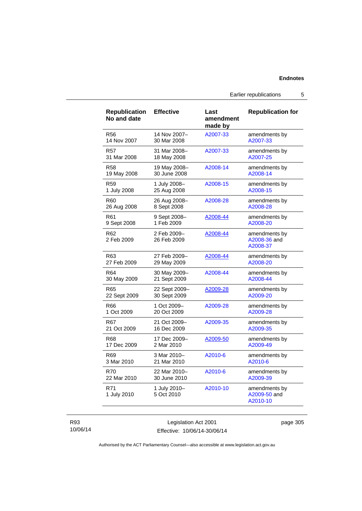Earlier republications 5

| <b>Republication</b><br>No and date | <b>Effective</b>           | Last<br>amendment<br>made by | <b>Republication for</b>                  |
|-------------------------------------|----------------------------|------------------------------|-------------------------------------------|
| <b>R56</b>                          | 14 Nov 2007-               | A2007-33                     | amendments by                             |
| 14 Nov 2007                         | 30 Mar 2008                |                              | A2007-33                                  |
| <b>R57</b>                          | 31 Mar 2008-               | A2007-33                     | amendments by                             |
| 31 Mar 2008                         | 18 May 2008                |                              | A2007-25                                  |
| <b>R58</b>                          | 19 May 2008-               | A2008-14                     | amendments by                             |
| 19 May 2008                         | 30 June 2008               |                              | A2008-14                                  |
| R <sub>59</sub>                     | 1 July 2008-               | A2008-15                     | amendments by                             |
| 1 July 2008                         | 25 Aug 2008                |                              | A2008-15                                  |
| R60                                 | 26 Aug 2008-               | A2008-28                     | amendments by                             |
| 26 Aug 2008                         | 8 Sept 2008                |                              | A2008-28                                  |
| R61                                 | 9 Sept 2008-               | A2008-44                     | amendments by                             |
| 9 Sept 2008                         | 1 Feb 2009                 |                              | A2008-20                                  |
| R <sub>62</sub><br>2 Feb 2009       | 2 Feb 2009-<br>26 Feb 2009 | A2008-44                     | amendments by<br>A2008-36 and<br>A2008-37 |
| R63                                 | 27 Feb 2009-               | A2008-44                     | amendments by                             |
| 27 Feb 2009                         | 29 May 2009                |                              | A2008-20                                  |
| R64                                 | 30 May 2009-               | A2008-44                     | amendments by                             |
| 30 May 2009                         | 21 Sept 2009               |                              | A2008-44                                  |
| R65                                 | 22 Sept 2009-              | A2009-28                     | amendments by                             |
| 22 Sept 2009                        | 30 Sept 2009               |                              | A2009-20                                  |
| R66                                 | 1 Oct 2009-                | A2009-28                     | amendments by                             |
| 1 Oct 2009                          | 20 Oct 2009                |                              | A2009-28                                  |
| R67                                 | 21 Oct 2009-               | A2009-35                     | amendments by                             |
| 21 Oct 2009                         | 16 Dec 2009                |                              | A2009-35                                  |
| <b>R68</b>                          | 17 Dec 2009-               | A2009-50                     | amendments by                             |
| 17 Dec 2009                         | 2 Mar 2010                 |                              | A2009-49                                  |
| R69                                 | 3 Mar 2010-                | A2010-6                      | amendments by                             |
| 3 Mar 2010                          | 21 Mar 2010                |                              | A2010-6                                   |
| <b>R70</b>                          | 22 Mar 2010-               | A2010-6                      | amendments by                             |
| 22 Mar 2010                         | 30 June 2010               |                              | A2009-39                                  |
| R71<br>1 July 2010                  | 1 July 2010-<br>5 Oct 2010 | A2010-10                     | amendments by<br>A2009-50 and<br>A2010-10 |

R93 10/06/14

Legislation Act 2001 Effective: 10/06/14-30/06/14 page 305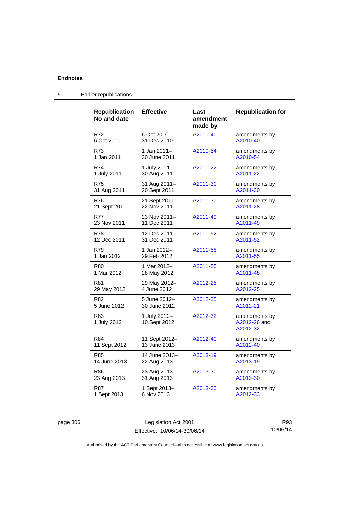| <b>Republication</b><br>No and date | <b>Effective</b>             | Last<br>amendment<br>made by | <b>Republication for</b>                  |
|-------------------------------------|------------------------------|------------------------------|-------------------------------------------|
| R72                                 | 6 Oct 2010-                  | A2010-40                     | amendments by                             |
| 6 Oct 2010                          | 31 Dec 2010                  |                              | A2010-40                                  |
| R73                                 | 1 Jan 2011-                  | A2010-54                     | amendments by                             |
| 1 Jan 2011                          | 30 June 2011                 |                              | A2010-54                                  |
| R74                                 | 1 July 2011-                 | A2011-22                     | amendments by                             |
| 1 July 2011                         | 30 Aug 2011                  |                              | A2011-22                                  |
| R75                                 | 31 Aug 2011-                 | A2011-30                     | amendments by                             |
| 31 Aug 2011                         | 20 Sept 2011                 |                              | A2011-30                                  |
| R76                                 | 21 Sept 2011-                | A2011-30                     | amendments by                             |
| 21 Sept 2011                        | 22 Nov 2011                  |                              | A2011-28                                  |
| <b>R77</b>                          | 23 Nov 2011-                 | A2011-49                     | amendments by                             |
| 23 Nov 2011                         | 11 Dec 2011                  |                              | A2011-49                                  |
| R78                                 | 12 Dec 2011–                 | A2011-52                     | amendments by                             |
| 12 Dec 2011                         | 31 Dec 2011                  |                              | A2011-52                                  |
| R79                                 | 1 Jan 2012-                  | A2011-55                     | amendments by                             |
| 1 Jan 2012                          | 29 Feb 2012                  |                              | A2011-55                                  |
| R80                                 | 1 Mar 2012-                  | A2011-55                     | amendments by                             |
| 1 Mar 2012                          | 28 May 2012                  |                              | A2011-48                                  |
| R81                                 | 29 May 2012-                 | A2012-25                     | amendments by                             |
| 29 May 2012                         | 4 June 2012                  |                              | A2012-25                                  |
| R82                                 | 5 June 2012-                 | A2012-25                     | amendments by                             |
| 5 June 2012                         | 30 June 2012                 |                              | A2012-21                                  |
| R83<br>1 July 2012                  | 1 July 2012-<br>10 Sept 2012 | A2012-32                     | amendments by<br>A2012-26 and<br>A2012-32 |
| R84                                 | 11 Sept 2012-                | A2012-40                     | amendments by                             |
| 11 Sept 2012                        | 13 June 2013                 |                              | A2012-40                                  |
| R85                                 | 14 June 2013-                | A2013-19                     | amendments by                             |
| 14 June 2013                        | 22 Aug 2013                  |                              | A2013-19                                  |
| R86                                 | 23 Aug 2013-                 | A2013-30                     | amendments by                             |
| 23 Aug 2013                         | 31 Aug 2013                  |                              | A2013-30                                  |
| R87                                 | 1 Sept 2013-                 | A2013-30                     | amendments by                             |
| 1 Sept 2013                         | 6 Nov 2013                   |                              | A2012-33                                  |

### 5 Earlier republications

page 306 Legislation Act 2001 Effective: 10/06/14-30/06/14

R93 10/06/14